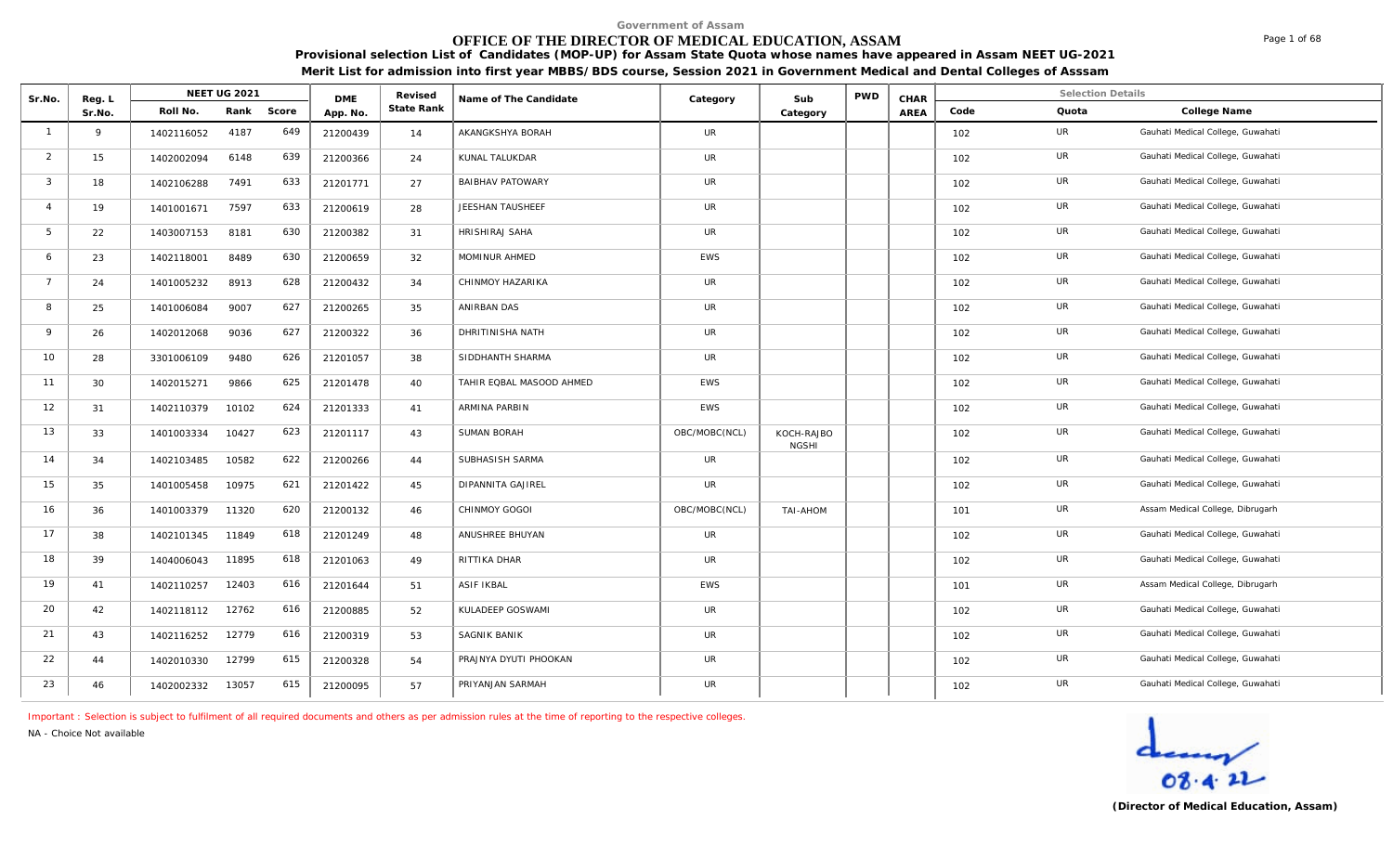# **OFFICE OF THE DIRECTOR OF MEDICAL EDUCATION, ASSAM**

**Provisional selection List of Candidates (MOP-UP) for Assam State Quota whose names have appeared in Assam NEET UG-2021 Merit List for admission into first year MBBS/BDS course, Session 2021 in Government Medical and Dental Colleges of Asssam**

| Sr.No.         | Reg. L |            | <b>NEET UG 2021</b> |            | <b>DME</b> | Revised    | Name of The Candidate    | Category      | Sub                        | PWD | CHAR |      | <b>Selection Details</b> |                                   |
|----------------|--------|------------|---------------------|------------|------------|------------|--------------------------|---------------|----------------------------|-----|------|------|--------------------------|-----------------------------------|
|                | Sr.No. | Roll No.   |                     | Rank Score | App. No.   | State Rank |                          |               | Category                   |     | AREA | Code | Quota                    | College Name                      |
| $\overline{1}$ | 9      | 1402116052 | 4187                | 649        | 21200439   | 14         | AKANGKSHYA BORAH         | UR            |                            |     |      | 102  | UR                       | Gauhati Medical College, Guwahati |
| 2              | 15     | 1402002094 | 6148                | 639        | 21200366   | 24         | KUNAL TALUKDAR           | <b>UR</b>     |                            |     |      | 102  | UR                       | Gauhati Medical College, Guwahati |
| $\mathbf{3}$   | 18     | 1402106288 | 7491                | 633        | 21201771   | 27         | <b>BAIBHAV PATOWARY</b>  | UR            |                            |     |      | 102  | UR                       | Gauhati Medical College, Guwahati |
| $\overline{4}$ | 19     | 1401001671 | 7597                | 633        | 21200619   | 28         | JEESHAN TAUSHEEF         | <b>UR</b>     |                            |     |      | 102  | UR                       | Gauhati Medical College, Guwahati |
| 5              | 22     | 1403007153 | 8181                | 630        | 21200382   | 31         | HRISHIRAJ SAHA           | UR            |                            |     |      | 102  | UR                       | Gauhati Medical College, Guwahati |
| 6              | 23     | 1402118001 | 8489                | 630        | 21200659   | 32         | MOMINUR AHMED            | <b>EWS</b>    |                            |     |      | 102  | <b>UR</b>                | Gauhati Medical College, Guwahati |
| $\overline{7}$ | 24     | 1401005232 | 8913                | 628        | 21200432   | 34         | CHINMOY HAZARIKA         | UR            |                            |     |      | 102  | UR                       | Gauhati Medical College, Guwahati |
| 8              | 25     | 1401006084 | 9007                | 627        | 21200265   | 35         | ANIRBAN DAS              | <b>UR</b>     |                            |     |      | 102  | <b>UR</b>                | Gauhati Medical College, Guwahati |
| $\mathsf Q$    | 26     | 1402012068 | 9036                | 627        | 21200322   | 36         | DHRITINISHA NATH         | UR            |                            |     |      | 102  | UR                       | Gauhati Medical College, Guwahati |
| 10             | 28     | 3301006109 | 9480                | 626        | 21201057   | 38         | SIDDHANTH SHARMA         | UR            |                            |     |      | 102  | UR                       | Gauhati Medical College, Guwahati |
| 11             | 30     | 1402015271 | 9866                | 625        | 21201478   | 40         | TAHIR EQBAL MASOOD AHMED | <b>EWS</b>    |                            |     |      | 102  | UR                       | Gauhati Medical College, Guwahati |
| 12             | 31     | 1402110379 | 10102               | 624        | 21201333   | 41         | ARMINA PARBIN            | <b>EWS</b>    |                            |     |      | 102  | UR                       | Gauhati Medical College, Guwahati |
| 13             | 33     | 1401003334 | 10427               | 623        | 21201117   | 43         | SUMAN BORAH              | OBC/MOBC(NCL) | KOCH-RAJBO<br><b>NGSHI</b> |     |      | 102  | UR                       | Gauhati Medical College, Guwahati |
| 14             | 34     | 1402103485 | 10582               | 622        | 21200266   | 44         | SUBHASISH SARMA          | <b>UR</b>     |                            |     |      | 102  | UR                       | Gauhati Medical College, Guwahati |
| 15             | 35     | 1401005458 | 10975               | 621        | 21201422   | 45         | DIPANNITA GAJIREL        | <b>UR</b>     |                            |     |      | 102  | UR                       | Gauhati Medical College, Guwahati |
| 16             | 36     | 1401003379 | 11320               | 620        | 21200132   | 46         | CHINMOY GOGOI            | OBC/MOBC(NCL) | <b>TAI-AHOM</b>            |     |      | 101  | UR                       | Assam Medical College, Dibrugarh  |
| 17             | 38     | 1402101345 | 11849               | 618        | 21201249   | 48         | ANUSHREE BHUYAN          | <b>UR</b>     |                            |     |      | 102  | UR                       | Gauhati Medical College, Guwahati |
| 18             | 39     | 1404006043 | 11895               | 618        | 21201063   | 49         | RITTIKA DHAR             | <b>UR</b>     |                            |     |      | 102  | UR                       | Gauhati Medical College, Guwahati |
| 19             | 41     | 1402110257 | 12403               | 616        | 21201644   | 51         | <b>ASIF IKBAL</b>        | EWS           |                            |     |      | 101  | UR                       | Assam Medical College, Dibrugarh  |
| 20             | 42     | 1402118112 | 12762               | 616        | 21200885   | 52         | KULADEEP GOSWAMI         | UR            |                            |     |      | 102  | UR                       | Gauhati Medical College, Guwahati |
| 21             | 43     | 1402116252 | 12779               | 616        | 21200319   | 53         | SAGNIK BANIK             | UR            |                            |     |      | 102  | UR                       | Gauhati Medical College, Guwahati |
| 22             | 44     | 1402010330 | 12799               | 615        | 21200328   | 54         | PRAJNYA DYUTI PHOOKAN    | <b>UR</b>     |                            |     |      | 102  | UR                       | Gauhati Medical College, Guwahati |
| 23             | 46     | 1402002332 | 13057               | 615        | 21200095   | 57         | PRIYANJAN SARMAH         | UR            |                            |     |      | 102  | UR                       | Gauhati Medical College, Guwahati |

*Important : Selection is subject to fulfilment of all required documents and others as per admission rules at the time of reporting to the respective colleges.*

*NA - Choice Not available*



Page 1 of 68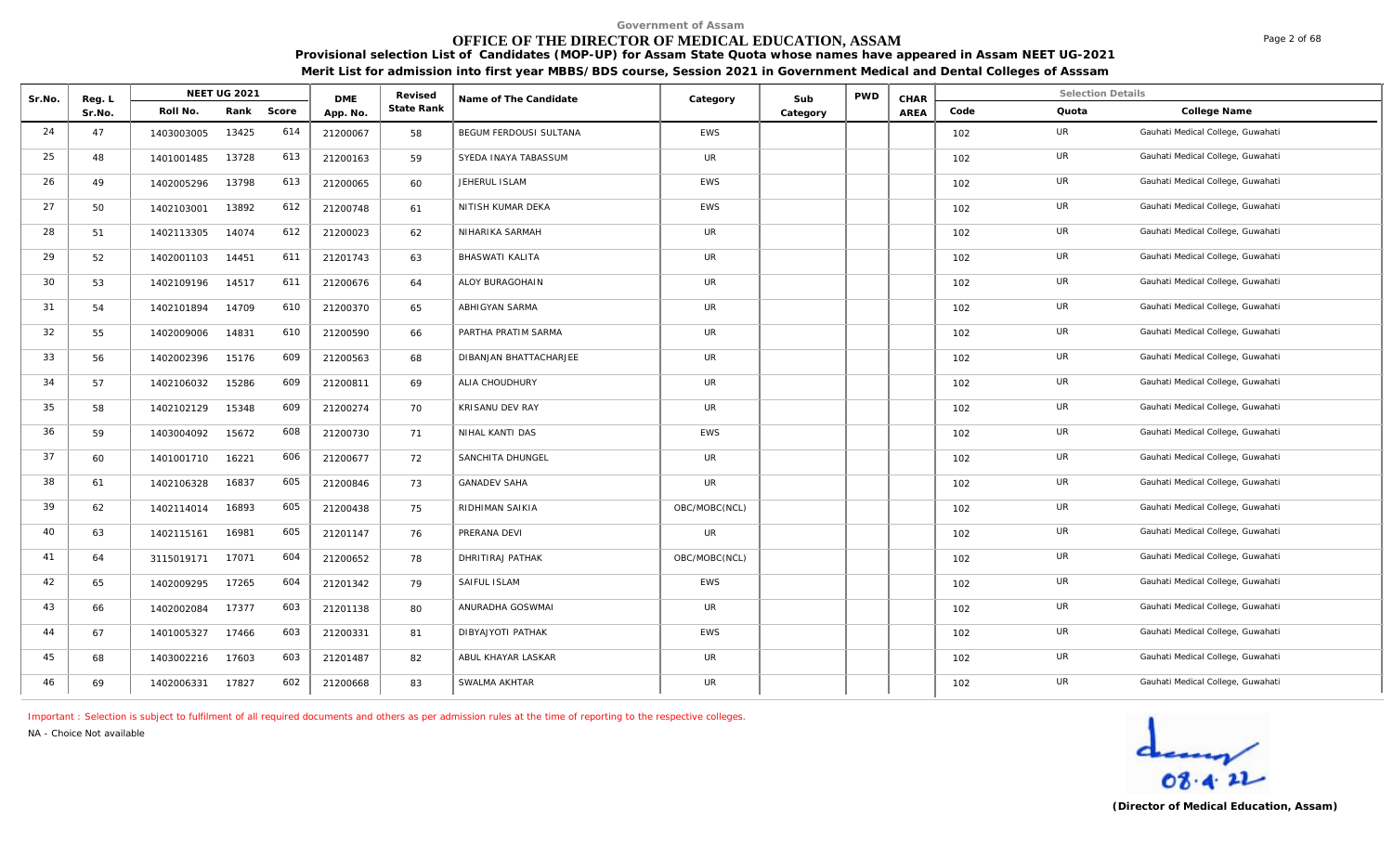# **OFFICE OF THE DIRECTOR OF MEDICAL EDUCATION, ASSAM**

**Provisional selection List of Candidates (MOP-UP) for Assam State Quota whose names have appeared in Assam NEET UG-2021 Merit List for admission into first year MBBS/BDS course, Session 2021 in Government Medical and Dental Colleges of Asssam**

| Sr.No. | Reg. L |            | NEET UG 2021 |       | <b>DME</b> | Revised    | Name of The Candidate  | Category      | Sub      | PWD | CHAR |      | <b>Selection Details</b> |                                   |
|--------|--------|------------|--------------|-------|------------|------------|------------------------|---------------|----------|-----|------|------|--------------------------|-----------------------------------|
|        | Sr.No. | Roll No.   | Rank         | Score | App. No.   | State Rank |                        |               | Category |     | AREA | Code | Quota                    | College Name                      |
| 24     | 47     | 1403003005 | 13425        | 614   | 21200067   | 58         | BEGUM FERDOUSI SULTANA | <b>EWS</b>    |          |     |      | 102  | UR                       | Gauhati Medical College, Guwahati |
| 25     | 48     | 1401001485 | 13728        | 613   | 21200163   | 59         | SYEDA INAYA TABASSUM   | UR            |          |     |      | 102  | UR                       | Gauhati Medical College, Guwahati |
| 26     | 49     | 1402005296 | 13798        | 613   | 21200065   | 60         | JEHERUL ISLAM          | <b>EWS</b>    |          |     |      | 102  | UR                       | Gauhati Medical College, Guwahati |
| 27     | 50     | 1402103001 | 13892        | 612   | 21200748   | 61         | NITISH KUMAR DEKA      | <b>EWS</b>    |          |     |      | 102  | UR                       | Gauhati Medical College, Guwahati |
| 28     | 51     | 1402113305 | 14074        | 612   | 21200023   | 62         | NIHARIKA SARMAH        | UR            |          |     |      | 102  | UR                       | Gauhati Medical College, Guwahati |
| 29     | 52     | 1402001103 | 14451        | 611   | 21201743   | 63         | <b>BHASWATI KALITA</b> | <b>UR</b>     |          |     |      | 102  | UR                       | Gauhati Medical College, Guwahati |
| 30     | 53     | 1402109196 | 14517        | 611   | 21200676   | 64         | ALOY BURAGOHAIN        | UR            |          |     |      | 102  | UR                       | Gauhati Medical College, Guwahati |
| 31     | 54     | 1402101894 | 14709        | 610   | 21200370   | 65         | ABHIGYAN SARMA         | <b>UR</b>     |          |     |      | 102  | UR                       | Gauhati Medical College, Guwahati |
| 32     | 55     | 1402009006 | 14831        | 610   | 21200590   | 66         | PARTHA PRATIM SARMA    | <b>UR</b>     |          |     |      | 102  | UR                       | Gauhati Medical College, Guwahati |
| 33     | 56     | 1402002396 | 15176        | 609   | 21200563   | 68         | DIBANJAN BHATTACHARJEE | UR            |          |     |      | 102  | UR                       | Gauhati Medical College, Guwahati |
| 34     | 57     | 1402106032 | 15286        | 609   | 21200811   | 69         | ALIA CHOUDHURY         | UR            |          |     |      | 102  | UR                       | Gauhati Medical College, Guwahati |
| 35     | 58     | 1402102129 | 15348        | 609   | 21200274   | 70         | KRISANU DEV RAY        | <b>UR</b>     |          |     |      | 102  | UR                       | Gauhati Medical College, Guwahati |
| 36     | 59     | 1403004092 | 15672        | 608   | 21200730   | 71         | NIHAL KANTI DAS        | <b>EWS</b>    |          |     |      | 102  | <b>UR</b>                | Gauhati Medical College, Guwahati |
| 37     | 60     | 1401001710 | 16221        | 606   | 21200677   | 72         | SANCHITA DHUNGEL       | <b>UR</b>     |          |     |      | 102  | UR                       | Gauhati Medical College, Guwahati |
| 38     | 61     | 1402106328 | 16837        | 605   | 21200846   | 73         | <b>GANADEV SAHA</b>    | <b>UR</b>     |          |     |      | 102  | UR                       | Gauhati Medical College, Guwahati |
| 39     | 62     | 1402114014 | 16893        | 605   | 21200438   | 75         | RIDHIMAN SAIKIA        | OBC/MOBC(NCL) |          |     |      | 102  | UR                       | Gauhati Medical College, Guwahati |
| 40     | 63     | 1402115161 | 16981        | 605   | 21201147   | 76         | PRERANA DEVI           | <b>UR</b>     |          |     |      | 102  | UR                       | Gauhati Medical College, Guwahati |
| 41     | 64     | 3115019171 | 17071        | 604   | 21200652   | 78         | DHRITIRAJ PATHAK       | OBC/MOBC(NCL) |          |     |      | 102  | UR                       | Gauhati Medical College, Guwahati |
| 42     | 65     | 1402009295 | 17265        | 604   | 21201342   | 79         | SAIFUL ISLAM           | <b>EWS</b>    |          |     |      | 102  | UR                       | Gauhati Medical College, Guwahati |
| 43     | 66     | 1402002084 | 17377        | 603   | 21201138   | 80         | ANURADHA GOSWMAI       | UR            |          |     |      | 102  | UR                       | Gauhati Medical College, Guwahati |
| 44     | 67     | 1401005327 | 17466        | 603   | 21200331   | 81         | DIBYAJYOTI PATHAK      | EWS           |          |     |      | 102  | UR                       | Gauhati Medical College, Guwahati |
| 45     | 68     | 1403002216 | 17603        | 603   | 21201487   | 82         | ABUL KHAYAR LASKAR     | <b>UR</b>     |          |     |      | 102  | UR                       | Gauhati Medical College, Guwahati |
| 46     | 69     | 1402006331 | 17827        | 602   | 21200668   | 83         | SWALMA AKHTAR          | UR            |          |     |      | 102  | UR                       | Gauhati Medical College, Guwahati |

*Important : Selection is subject to fulfilment of all required documents and others as per admission rules at the time of reporting to the respective colleges.*

*NA - Choice Not available*

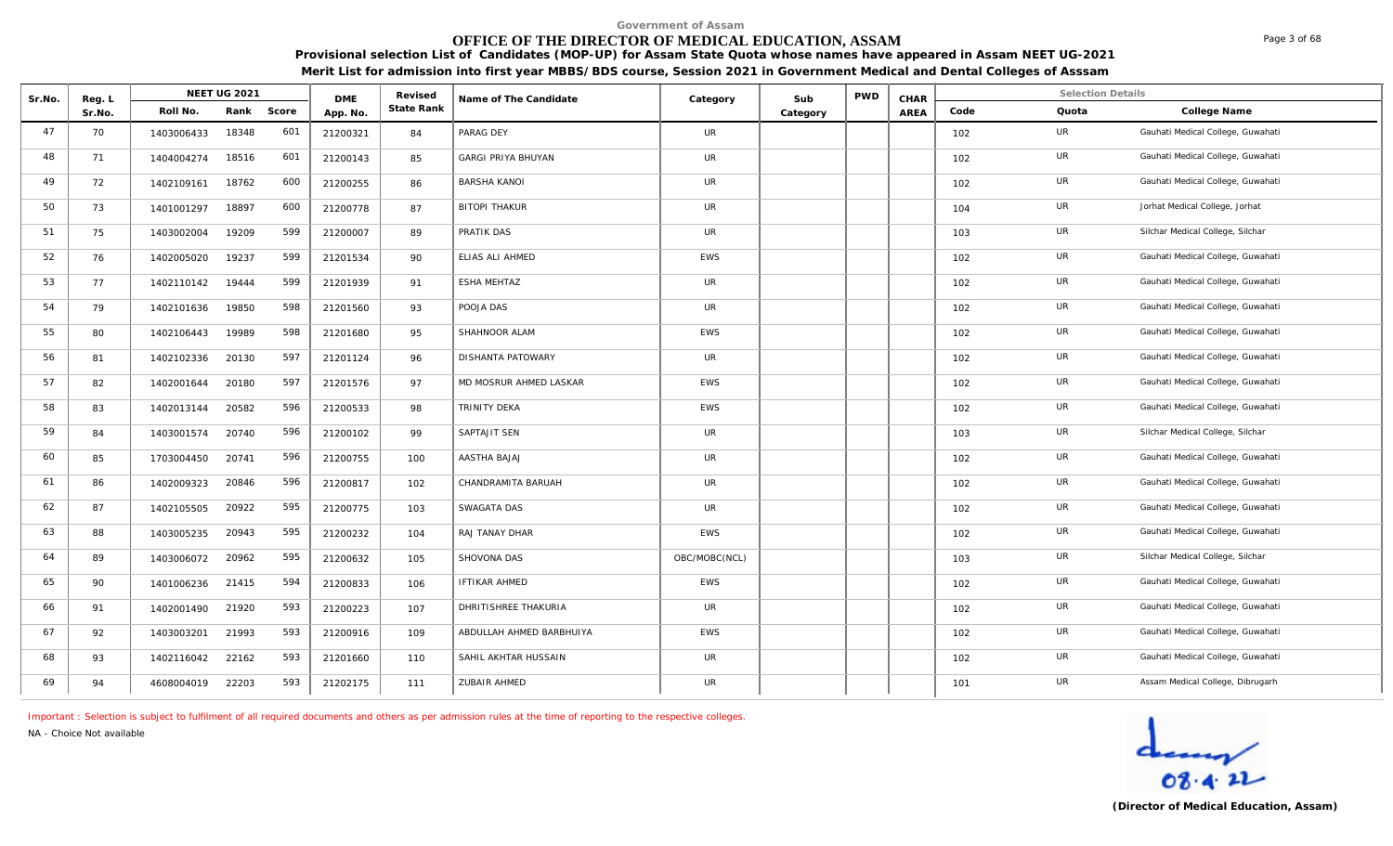# **OFFICE OF THE DIRECTOR OF MEDICAL EDUCATION, ASSAM**

**Provisional selection List of Candidates (MOP-UP) for Assam State Quota whose names have appeared in Assam NEET UG-2021 Merit List for admission into first year MBBS/BDS course, Session 2021 in Government Medical and Dental Colleges of Asssam**

| Sr.No. | Reg. L |            | <b>NEET UG 2021</b> |            | <b>DME</b> | Revised    | Name of The Candidate     | Category      | Sub      | <b>PWD</b> | CHAR |      | <b>Selection Details</b> |                                   |
|--------|--------|------------|---------------------|------------|------------|------------|---------------------------|---------------|----------|------------|------|------|--------------------------|-----------------------------------|
|        | Sr.No. | Roll No.   |                     | Rank Score | App. No    | State Rank |                           |               | Category |            | AREA | Code | Quota                    | College Name                      |
| 47     | 70     | 1403006433 | 18348               | 601        | 21200321   | 84         | PARAG DEY                 | <b>UR</b>     |          |            |      | 102  | <b>UR</b>                | Gauhati Medical College, Guwahati |
| 48     | 71     | 1404004274 | 18516               | 601        | 21200143   | 85         | <b>GARGI PRIYA BHUYAN</b> | <b>UR</b>     |          |            |      | 102  | UR                       | Gauhati Medical College, Guwahati |
| 49     | 72     | 1402109161 | 18762               | 600        | 21200255   | 86         | <b>BARSHA KANOI</b>       | <b>UR</b>     |          |            |      | 102  | UR                       | Gauhati Medical College, Guwahati |
| 50     | 73     | 1401001297 | 18897               | 600        | 21200778   | 87         | <b>BITOPI THAKUR</b>      | <b>UR</b>     |          |            |      | 104  | <b>UR</b>                | Jorhat Medical College, Jorhat    |
| 51     | 75     | 1403002004 | 19209               | 599        | 21200007   | 89         | PRATIK DAS                | <b>UR</b>     |          |            |      | 103  | UR                       | Silchar Medical College, Silchar  |
| 52     | 76     | 1402005020 | 19237               | 599        | 21201534   | 90         | ELIAS ALI AHMED           | EWS           |          |            |      | 102  | UR                       | Gauhati Medical College, Guwahati |
| 53     | 77     | 1402110142 | 19444               | 599        | 21201939   | 91         | <b>ESHA MEHTAZ</b>        | <b>UR</b>     |          |            |      | 102  | UR                       | Gauhati Medical College, Guwahati |
| 54     | 79     | 1402101636 | 19850               | 598        | 21201560   | 93         | POOJA DAS                 | <b>UR</b>     |          |            |      | 102  | <b>UR</b>                | Gauhati Medical College, Guwahati |
| 55     | 80     | 1402106443 | 19989               | 598        | 21201680   | 95         | SHAHNOOR ALAM             | EWS           |          |            |      | 102  | UR                       | Gauhati Medical College, Guwahati |
| 56     | 81     | 1402102336 | 20130               | 597        | 21201124   | 96         | DISHANTA PATOWARY         | <b>UR</b>     |          |            |      | 102  | UR                       | Gauhati Medical College, Guwahati |
| 57     | 82     | 1402001644 | 20180               | 597        | 21201576   | 97         | MD MOSRUR AHMED LASKAR    | EWS           |          |            |      | 102  | UR                       | Gauhati Medical College, Guwahati |
| 58     | 83     | 1402013144 | 20582               | 596        | 21200533   | 98         | TRINITY DEKA              | EWS           |          |            |      | 102  | UR                       | Gauhati Medical College, Guwahati |
| 59     | 84     | 1403001574 | 20740               | 596        | 21200102   | 99         | SAPTAJIT SEN              | <b>UR</b>     |          |            |      | 103  | <b>UR</b>                | Silchar Medical College, Silchar  |
| 60     | 85     | 1703004450 | 20741               | 596        | 21200755   | 100        | AASTHA BAJAJ              | <b>UR</b>     |          |            |      | 102  | UR                       | Gauhati Medical College, Guwahati |
| 61     | 86     | 1402009323 | 20846               | 596        | 21200817   | 102        | CHANDRAMITA BARUAH        | <b>UR</b>     |          |            |      | 102  | <b>UR</b>                | Gauhati Medical College, Guwahati |
| 62     | 87     | 1402105505 | 20922               | 595        | 21200775   | 103        | SWAGATA DAS               | <b>UR</b>     |          |            |      | 102  | UR                       | Gauhati Medical College, Guwahati |
| 63     | 88     | 1403005235 | 20943               | 595        | 21200232   | 104        | RAJ TANAY DHAR            | <b>EWS</b>    |          |            |      | 102  | UR                       | Gauhati Medical College, Guwahati |
| 64     | 89     | 1403006072 | 20962               | 595        | 21200632   | 105        | SHOVONA DAS               | OBC/MOBC(NCL) |          |            |      | 103  | UR                       | Silchar Medical College, Silchar  |
| 65     | 90     | 1401006236 | 21415               | 594        | 21200833   | 106        | <b>IFTIKAR AHMED</b>      | EWS           |          |            |      | 102  | UR                       | Gauhati Medical College, Guwahati |
| 66     | 91     | 1402001490 | 21920               | 593        | 21200223   | 107        | DHRITISHREE THAKURIA      | UR            |          |            |      | 102  | UR                       | Gauhati Medical College, Guwahati |
| 67     | 92     | 1403003201 | 21993               | 593        | 21200916   | 109        | ABDULLAH AHMED BARBHUIYA  | <b>EWS</b>    |          |            |      | 102  | <b>UR</b>                | Gauhati Medical College, Guwahati |
| 68     | 93     | 1402116042 | 22162               | 593        | 21201660   | 110        | SAHIL AKHTAR HUSSAIN      | <b>UR</b>     |          |            |      | 102  | UR                       | Gauhati Medical College, Guwahati |
| 69     | 94     | 4608004019 | 22203               | 593        | 21202175   | 111        | ZUBAIR AHMED              | <b>UR</b>     |          |            |      | 101  | <b>UR</b>                | Assam Medical College, Dibrugarh  |

*Important : Selection is subject to fulfilment of all required documents and others as per admission rules at the time of reporting to the respective colleges.*

*NA - Choice Not available*

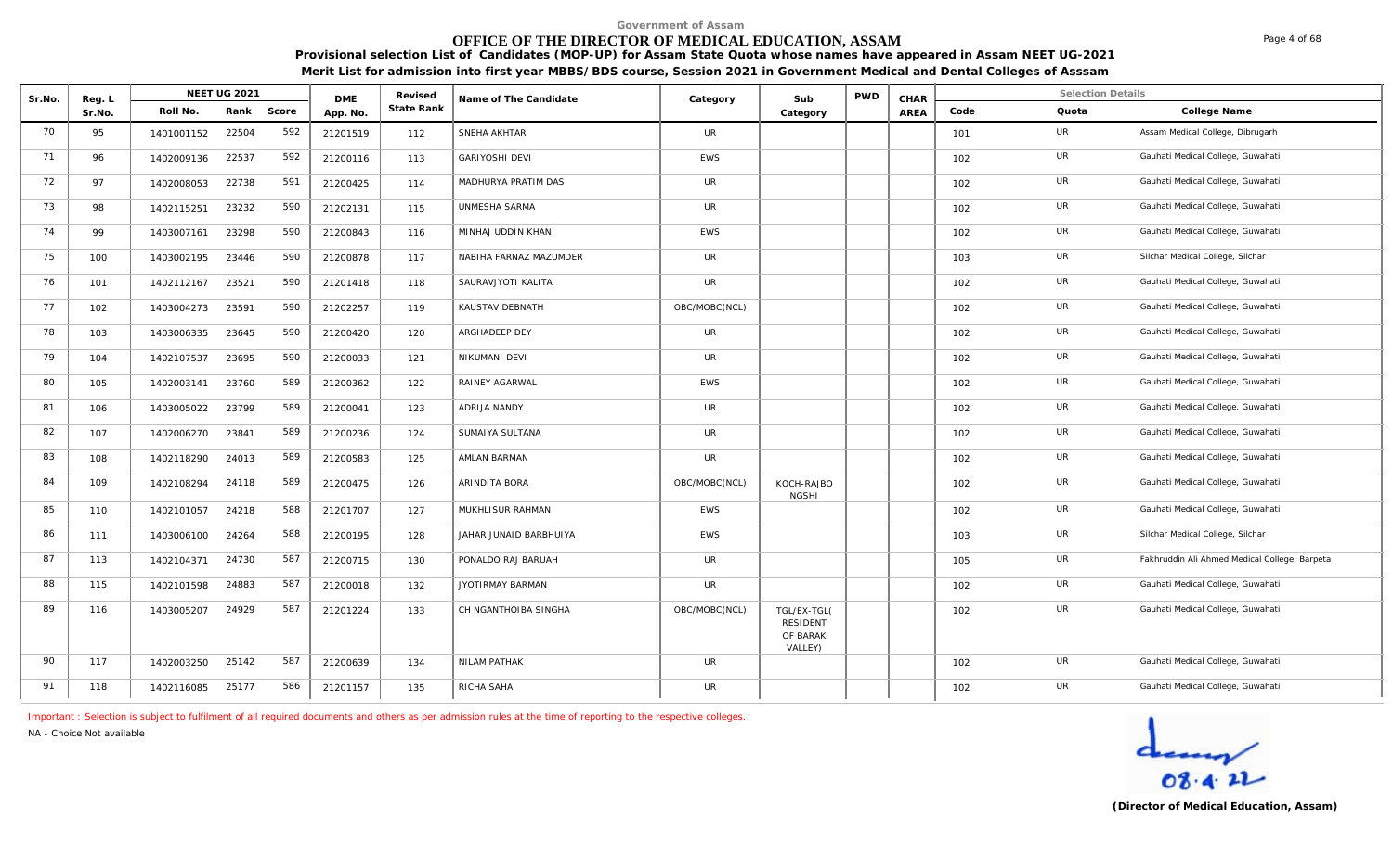# **OFFICE OF THE DIRECTOR OF MEDICAL EDUCATION, ASSAM**

**Provisional selection List of Candidates (MOP-UP) for Assam State Quota whose names have appeared in Assam NEET UG-2021 Merit List for admission into first year MBBS/BDS course, Session 2021 in Government Medical and Dental Colleges of Asssam**

| Sr.No. | Reg. L |            | <b>NEET UG 2021</b> |       | <b>DME</b> | Revised    | Name of The Candidate  | Category      | Sub                                                   | <b>PWD</b> | CHAR |      | <b>Selection Details</b> |                                               |
|--------|--------|------------|---------------------|-------|------------|------------|------------------------|---------------|-------------------------------------------------------|------------|------|------|--------------------------|-----------------------------------------------|
|        | Sr.No. | Roll No.   | Rank                | Score | App. No.   | State Rank |                        |               | Category                                              |            | AREA | Code | Quota                    | College Name                                  |
| 70     | 95     | 1401001152 | 22504               | 592   | 21201519   | 112        | SNEHA AKHTAR           | <b>UR</b>     |                                                       |            |      | 101  | UR                       | Assam Medical College, Dibrugarh              |
| 71     | 96     | 1402009136 | 22537               | 592   | 21200116   | 113        | <b>GARIYOSHI DEVI</b>  | <b>EWS</b>    |                                                       |            |      | 102  | UR                       | Gauhati Medical College, Guwahati             |
| 72     | 97     | 1402008053 | 22738               | 591   | 21200425   | 114        | MADHURYA PRATIM DAS    | <b>UR</b>     |                                                       |            |      | 102  | UR                       | Gauhati Medical College, Guwahati             |
| 73     | 98     | 1402115251 | 23232               | 590   | 21202131   | 115        | UNMESHA SARMA          | <b>UR</b>     |                                                       |            |      | 102  | UR                       | Gauhati Medical College, Guwahati             |
| 74     | 99     | 1403007161 | 23298               | 590   | 21200843   | 116        | MINHAJ UDDIN KHAN      | <b>EWS</b>    |                                                       |            |      | 102  | UR                       | Gauhati Medical College, Guwahati             |
| 75     | 100    | 1403002195 | 23446               | 590   | 21200878   | 117        | NABIHA FARNAZ MAZUMDER | <b>UR</b>     |                                                       |            |      | 103  | UR                       | Silchar Medical College, Silchar              |
| 76     | 101    | 1402112167 | 23521               | 590   | 21201418   | 118        | SAURAVJYOTI KALITA     | <b>UR</b>     |                                                       |            |      | 102  | UR                       | Gauhati Medical College, Guwahati             |
| 77     | 102    | 1403004273 | 23591               | 590   | 21202257   | 119        | KAUSTAV DEBNATH        | OBC/MOBC(NCL) |                                                       |            |      | 102  | <b>UR</b>                | Gauhati Medical College, Guwahati             |
| 78     | 103    | 1403006335 | 23645               | 590   | 21200420   | 120        | ARGHADEEP DEY          | <b>UR</b>     |                                                       |            |      | 102  | UR                       | Gauhati Medical College, Guwahati             |
| 79     | 104    | 1402107537 | 23695               | 590   | 21200033   | 121        | NIKUMANI DEVI          | <b>UR</b>     |                                                       |            |      | 102  | UR                       | Gauhati Medical College, Guwahati             |
| 80     | 105    | 1402003141 | 23760               | 589   | 21200362   | 122        | RAINEY AGARWAL         | EWS           |                                                       |            |      | 102  | UR                       | Gauhati Medical College, Guwahati             |
| 81     | 106    | 1403005022 | 23799               | 589   | 21200041   | 123        | <b>ADRIJA NANDY</b>    | <b>UR</b>     |                                                       |            |      | 102  | <b>UR</b>                | Gauhati Medical College, Guwahati             |
| 82     | 107    | 1402006270 | 23841               | 589   | 21200236   | 124        | SUMAIYA SULTANA        | <b>UR</b>     |                                                       |            |      | 102  | UR                       | Gauhati Medical College, Guwahati             |
| 83     | 108    | 1402118290 | 24013               | 589   | 21200583   | 125        | AMLAN BARMAN           | UR            |                                                       |            |      | 102  | UR                       | Gauhati Medical College, Guwahati             |
| 84     | 109    | 1402108294 | 24118               | 589   | 21200475   | 126        | ARINDITA BORA          | OBC/MOBC(NCL) | KOCH-RAJBO<br><b>NGSHI</b>                            |            |      | 102  | UR                       | Gauhati Medical College, Guwahati             |
| 85     | 110    | 1402101057 | 24218               | 588   | 21201707   | 127        | MUKHLISUR RAHMAN       | <b>EWS</b>    |                                                       |            |      | 102  | <b>UR</b>                | Gauhati Medical College, Guwahati             |
| 86     | 111    | 1403006100 | 24264               | 588   | 21200195   | 128        | JAHAR JUNAID BARBHUIYA | <b>EWS</b>    |                                                       |            |      | 103  | UR                       | Silchar Medical College, Silchar              |
| 87     | 113    | 1402104371 | 24730               | 587   | 21200715   | 130        | PONALDO RAJ BARUAH     | <b>UR</b>     |                                                       |            |      | 105  | UR                       | Fakhruddin Ali Ahmed Medical College, Barpeta |
| 88     | 115    | 1402101598 | 24883               | 587   | 21200018   | 132        | JYOTIRMAY BARMAN       | <b>UR</b>     |                                                       |            |      | 102  | UR                       | Gauhati Medical College, Guwahati             |
| 89     | 116    | 1403005207 | 24929               | 587   | 21201224   | 133        | CH NGANTHOIBA SINGHA   | OBC/MOBC(NCL) | TGL/EX-TGL(<br><b>RESIDENT</b><br>OF BARAK<br>VALLEY) |            |      | 102  | UR                       | Gauhati Medical College, Guwahati             |
| 90     | 117    | 1402003250 | 25142               | 587   | 21200639   | 134        | NILAM PATHAK           | <b>UR</b>     |                                                       |            |      | 102  | UR                       | Gauhati Medical College, Guwahati             |
| 91     | 118    | 1402116085 | 25177               | 586   | 21201157   | 135        | RICHA SAHA             | UR            |                                                       |            |      | 102  | UR                       | Gauhati Medical College, Guwahati             |

*Important : Selection is subject to fulfilment of all required documents and others as per admission rules at the time of reporting to the respective colleges.*

*NA - Choice Not available*

Page 4 of 68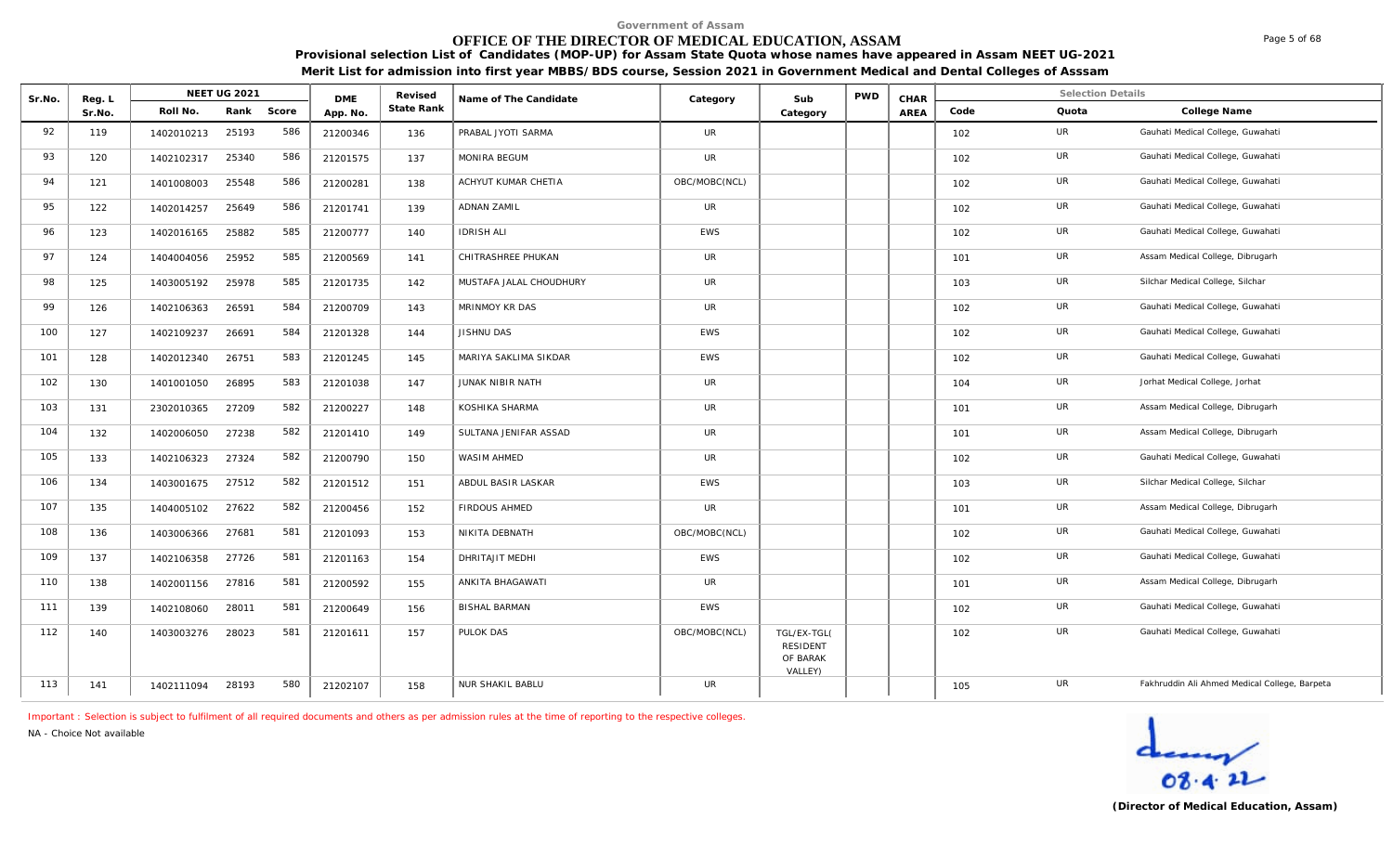# **OFFICE OF THE DIRECTOR OF MEDICAL EDUCATION, ASSAM**

**Provisional selection List of Candidates (MOP-UP) for Assam State Quota whose names have appeared in Assam NEET UG-2021 Merit List for admission into first year MBBS/BDS course, Session 2021 in Government Medical and Dental Colleges of Asssam**

| Sr.No. | Reg. L |            | <b>NEET UG 2021</b> |       | <b>DME</b> | Revised    | Name of The Candidate   | Category      | Sub                                            | <b>PWD</b> | CHAR |      | <b>Selection Details</b> |                                               |
|--------|--------|------------|---------------------|-------|------------|------------|-------------------------|---------------|------------------------------------------------|------------|------|------|--------------------------|-----------------------------------------------|
|        | Sr.No. | Roll No.   | Rank                | Score | App. No.   | State Rank |                         |               | Category                                       |            | AREA | Code | Quota                    | College Name                                  |
| 92     | 119    | 1402010213 | 25193               | 586   | 21200346   | 136        | PRABAL JYOTI SARMA      | <b>UR</b>     |                                                |            |      | 102  | UR                       | Gauhati Medical College, Guwahati             |
| 93     | 120    | 1402102317 | 25340               | 586   | 21201575   | 137        | MONIRA BEGUM            | UR            |                                                |            |      | 102  | UR                       | Gauhati Medical College, Guwahati             |
| 94     | 121    | 1401008003 | 25548               | 586   | 21200281   | 138        | ACHYUT KUMAR CHETIA     | OBC/MOBC(NCL) |                                                |            |      | 102  | UR                       | Gauhati Medical College, Guwahati             |
| 95     | 122    | 1402014257 | 25649               | 586   | 21201741   | 139        | <b>ADNAN ZAMIL</b>      | <b>UR</b>     |                                                |            |      | 102  | UR                       | Gauhati Medical College, Guwahati             |
| 96     | 123    | 1402016165 | 25882               | 585   | 21200777   | 140        | <b>IDRISH ALI</b>       | EWS           |                                                |            |      | 102  | UR                       | Gauhati Medical College, Guwahati             |
| 97     | 124    | 1404004056 | 25952               | 585   | 21200569   | 141        | CHITRASHREE PHUKAN      | UR            |                                                |            |      | 101  | UR                       | Assam Medical College, Dibrugarh              |
| 98     | 125    | 1403005192 | 25978               | 585   | 21201735   | 142        | MUSTAFA JALAL CHOUDHURY | UR            |                                                |            |      | 103  | UR                       | Silchar Medical College, Silchar              |
| 99     | 126    | 1402106363 | 26591               | 584   | 21200709   | 143        | MRINMOY KR DAS          | UR            |                                                |            |      | 102  | UR                       | Gauhati Medical College, Guwahati             |
| 100    | 127    | 1402109237 | 26691               | 584   | 21201328   | 144        | JISHNU DAS              | <b>EWS</b>    |                                                |            |      | 102  | UR                       | Gauhati Medical College, Guwahati             |
| 101    | 128    | 1402012340 | 26751               | 583   | 21201245   | 145        | MARIYA SAKLIMA SIKDAR   | <b>EWS</b>    |                                                |            |      | 102  | UR                       | Gauhati Medical College, Guwahati             |
| 102    | 130    | 1401001050 | 26895               | 583   | 21201038   | 147        | JUNAK NIBIR NATH        | <b>UR</b>     |                                                |            |      | 104  | UR                       | Jorhat Medical College, Jorhat                |
| 103    | 131    | 2302010365 | 27209               | 582   | 21200227   | 148        | KOSHIKA SHARMA          | <b>UR</b>     |                                                |            |      | 101  | <b>UR</b>                | Assam Medical College, Dibrugarh              |
| 104    | 132    | 1402006050 | 27238               | 582   | 21201410   | 149        | SULTANA JENIFAR ASSAD   | UR            |                                                |            |      | 101  | UR                       | Assam Medical College, Dibrugarh              |
| 105    | 133    | 1402106323 | 27324               | 582   | 21200790   | 150        | WASIM AHMED             | UR            |                                                |            |      | 102  | UR                       | Gauhati Medical College, Guwahati             |
| 106    | 134    | 1403001675 | 27512               | 582   | 21201512   | 151        | ABDUL BASIR LASKAR      | <b>EWS</b>    |                                                |            |      | 103  | UR                       | Silchar Medical College, Silchar              |
| 107    | 135    | 1404005102 | 27622               | 582   | 21200456   | 152        | FIRDOUS AHMED           | UR            |                                                |            |      | 101  | UR                       | Assam Medical College, Dibrugarh              |
| 108    | 136    | 1403006366 | 27681               | 581   | 21201093   | 153        | NIKITA DEBNATH          | OBC/MOBC(NCL) |                                                |            |      | 102  | UR                       | Gauhati Medical College, Guwahati             |
| 109    | 137    | 1402106358 | 27726               | 581   | 21201163   | 154        | DHRITAJIT MEDHI         | <b>EWS</b>    |                                                |            |      | 102  | UR                       | Gauhati Medical College, Guwahati             |
| 110    | 138    | 1402001156 | 27816               | 581   | 21200592   | 155        | ANKITA BHAGAWATI        | UR            |                                                |            |      | 101  | UR                       | Assam Medical College, Dibrugarh              |
| 111    | 139    | 1402108060 | 28011               | 581   | 21200649   | 156        | <b>BISHAL BARMAN</b>    | <b>EWS</b>    |                                                |            |      | 102  | UR                       | Gauhati Medical College, Guwahati             |
| 112    | 140    | 1403003276 | 28023               | 581   | 21201611   | 157        | PULOK DAS               | OBC/MOBC(NCL) | TGL/EX-TGL(<br>RESIDENT<br>OF BARAK<br>VALLEY) |            |      | 102  | UR                       | Gauhati Medical College, Guwahati             |
| 113    | 141    | 1402111094 | 28193               | 580   | 21202107   | 158        | <b>NUR SHAKIL BABLU</b> | UR            |                                                |            |      | 105  | UR                       | Fakhruddin Ali Ahmed Medical College, Barpeta |

*Important : Selection is subject to fulfilment of all required documents and others as per admission rules at the time of reporting to the respective colleges.*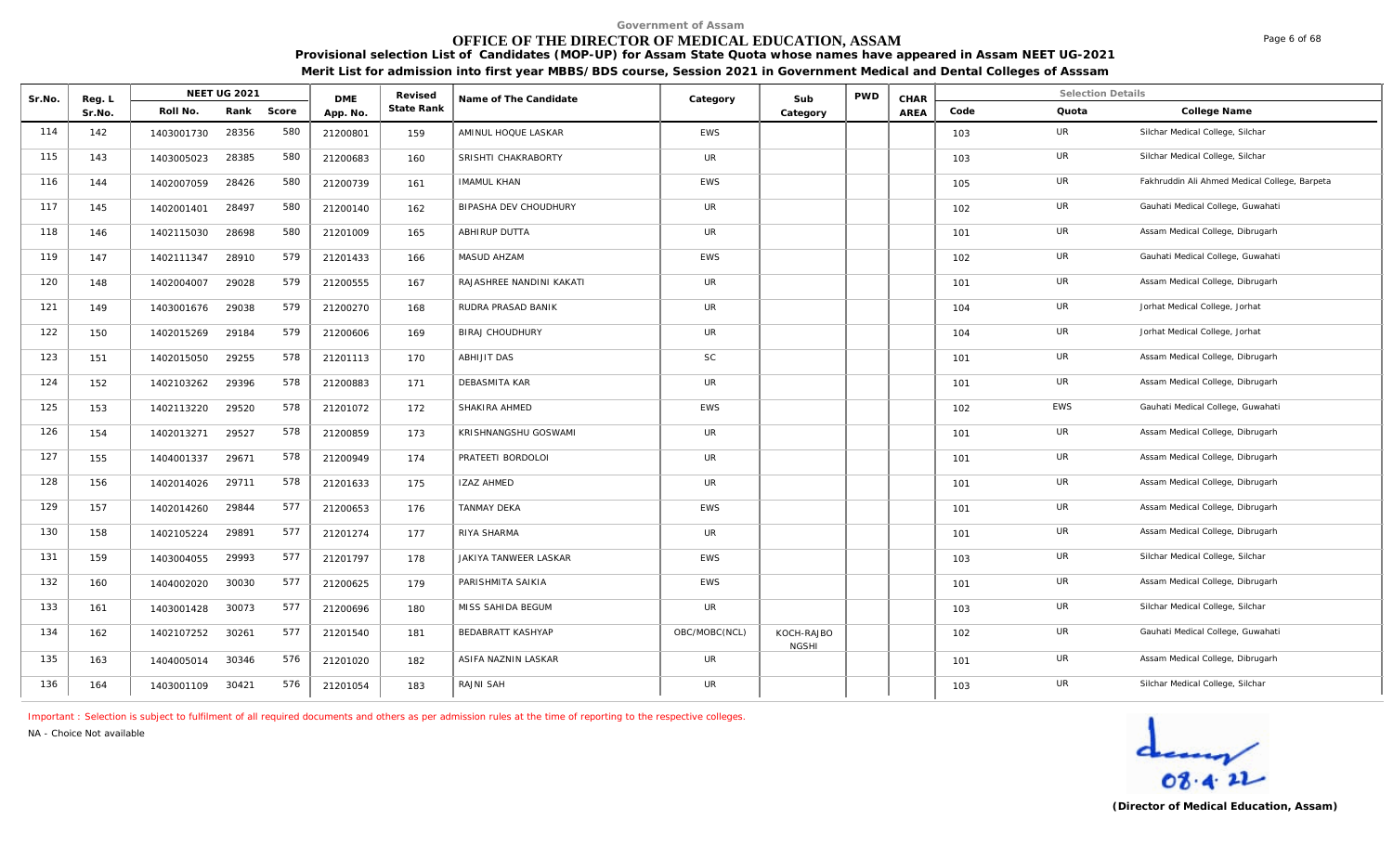# **OFFICE OF THE DIRECTOR OF MEDICAL EDUCATION, ASSAM**

**Provisional selection List of Candidates (MOP-UP) for Assam State Quota whose names have appeared in Assam NEET UG-2021 Merit List for admission into first year MBBS/BDS course, Session 2021 in Government Medical and Dental Colleges of Asssam**

| Sr.No. | Reg. L |            | <b>NEET UG 2021</b> |       | <b>DME</b> | Revised           | Name of The Candidate    | Category      | Sub                        | <b>PWD</b> | CHAR |      | <b>Selection Details</b> |                                               |
|--------|--------|------------|---------------------|-------|------------|-------------------|--------------------------|---------------|----------------------------|------------|------|------|--------------------------|-----------------------------------------------|
|        | Sr.No. | Roll No.   | Rank                | Score | App. No.   | <b>State Rank</b> |                          |               | Category                   |            | AREA | Code | Quota                    | College Name                                  |
| 114    | 142    | 1403001730 | 28356               | 580   | 21200801   | 159               | AMINUL HOQUE LASKAR      | EWS           |                            |            |      | 103  | UR                       | Silchar Medical College, Silchar              |
| 115    | 143    | 1403005023 | 28385               | 580   | 21200683   | 160               | SRISHTI CHAKRABORTY      | <b>UR</b>     |                            |            |      | 103  | <b>UR</b>                | Silchar Medical College, Silchar              |
| 116    | 144    | 1402007059 | 28426               | 580   | 21200739   | 161               | <b>IMAMUL KHAN</b>       | <b>EWS</b>    |                            |            |      | 105  | UR                       | Fakhruddin Ali Ahmed Medical College, Barpeta |
| 117    | 145    | 1402001401 | 28497               | 580   | 21200140   | 162               | BIPASHA DEV CHOUDHURY    | UR            |                            |            |      | 102  | UR                       | Gauhati Medical College, Guwahati             |
| 118    | 146    | 1402115030 | 28698               | 580   | 21201009   | 165               | ABHIRUP DUTTA            | UR            |                            |            |      | 101  | <b>UR</b>                | Assam Medical College, Dibrugarh              |
| 119    | 147    | 1402111347 | 28910               | 579   | 21201433   | 166               | MASUD AHZAM              | <b>EWS</b>    |                            |            |      | 102  | UR                       | Gauhati Medical College, Guwahati             |
| 120    | 148    | 1402004007 | 29028               | 579   | 21200555   | 167               | RAJASHREE NANDINI KAKATI | <b>UR</b>     |                            |            |      | 101  | UR                       | Assam Medical College, Dibrugarh              |
| 121    | 149    | 1403001676 | 29038               | 579   | 21200270   | 168               | RUDRA PRASAD BANIK       | UR            |                            |            |      | 104  | <b>UR</b>                | Jorhat Medical College, Jorhat                |
| 122    | 150    | 1402015269 | 29184               | 579   | 21200606   | 169               | <b>BIRAJ CHOUDHURY</b>   | <b>UR</b>     |                            |            |      | 104  | UR                       | Jorhat Medical College, Jorhat                |
| 123    | 151    | 1402015050 | 29255               | 578   | 21201113   | 170               | ABHIJIT DAS              | SC            |                            |            |      | 101  | UR                       | Assam Medical College, Dibrugarh              |
| 124    | 152    | 1402103262 | 29396               | 578   | 21200883   | 171               | DEBASMITA KAR            | UR            |                            |            |      | 101  | UR                       | Assam Medical College, Dibrugarh              |
| 125    | 153    | 1402113220 | 29520               | 578   | 21201072   | 172               | SHAKIRA AHMED            | <b>EWS</b>    |                            |            |      | 102  | <b>EWS</b>               | Gauhati Medical College, Guwahati             |
| 126    | 154    | 1402013271 | 29527               | 578   | 21200859   | 173               | KRISHNANGSHU GOSWAMI     | <b>UR</b>     |                            |            |      | 101  | UR                       | Assam Medical College, Dibrugarh              |
| 127    | 155    | 1404001337 | 29671               | 578   | 21200949   | 174               | PRATEETI BORDOLOI        | UR            |                            |            |      | 101  | UR                       | Assam Medical College, Dibrugarh              |
| 128    | 156    | 1402014026 | 29711               | 578   | 21201633   | 175               | <b>IZAZ AHMED</b>        | UR            |                            |            |      | 101  | UR                       | Assam Medical College, Dibrugarh              |
| 129    | 157    | 1402014260 | 29844               | 577   | 21200653   | 176               | <b>TANMAY DEKA</b>       | <b>EWS</b>    |                            |            |      | 101  | UR                       | Assam Medical College, Dibrugarh              |
| 130    | 158    | 1402105224 | 29891               | 577   | 21201274   | 177               | RIYA SHARMA              | UR            |                            |            |      | 101  | UR                       | Assam Medical College, Dibrugarh              |
| 131    | 159    | 1403004055 | 29993               | 577   | 21201797   | 178               | JAKIYA TANWEER LASKAR    | EWS           |                            |            |      | 103  | UR                       | Silchar Medical College, Silchar              |
| 132    | 160    | 1404002020 | 30030               | 577   | 21200625   | 179               | PARISHMITA SAIKIA        | EWS           |                            |            |      | 101  | <b>UR</b>                | Assam Medical College, Dibrugarh              |
| 133    | 161    | 1403001428 | 30073               | 577   | 21200696   | 180               | MISS SAHIDA BEGUM        | <b>UR</b>     |                            |            |      | 103  | <b>UR</b>                | Silchar Medical College, Silchar              |
| 134    | 162    | 1402107252 | 30261               | 577   | 21201540   | 181               | <b>BEDABRATT KASHYAP</b> | OBC/MOBC(NCL) | KOCH-RAJBO<br><b>NGSHI</b> |            |      | 102  | UR                       | Gauhati Medical College, Guwahati             |
| 135    | 163    | 1404005014 | 30346               | 576   | 21201020   | 182               | ASIFA NAZNIN LASKAR      | <b>UR</b>     |                            |            |      | 101  | UR                       | Assam Medical College, Dibrugarh              |
| 136    | 164    | 1403001109 | 30421               | 576   | 21201054   | 183               | RAJNI SAH                | <b>UR</b>     |                            |            |      | 103  | UR                       | Silchar Medical College, Silchar              |

*Important : Selection is subject to fulfilment of all required documents and others as per admission rules at the time of reporting to the respective colleges.*

*NA - Choice Not available*

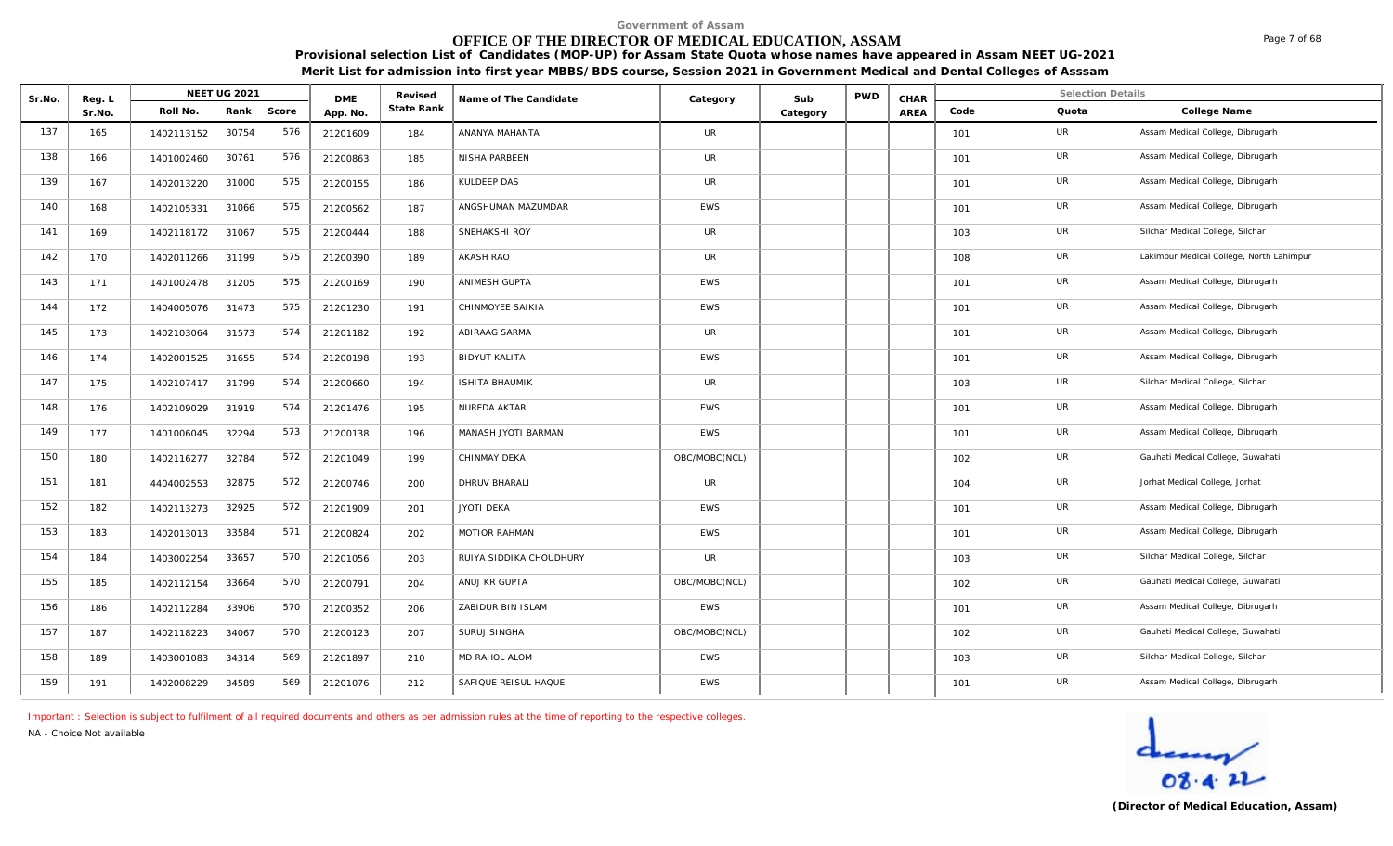# **OFFICE OF THE DIRECTOR OF MEDICAL EDUCATION, ASSAM**

**Provisional selection List of Candidates (MOP-UP) for Assam State Quota whose names have appeared in Assam NEET UG-2021 Merit List for admission into first year MBBS/BDS course, Session 2021 in Government Medical and Dental Colleges of Asssam**

| Sr.No. | Reg. L |            | <b>NEET UG 2021</b> |       | <b>DME</b> | Revised    | Name of The Candidate   | Category      | Sub      | PWD | CHAR |      | <b>Selection Details</b> |                                          |
|--------|--------|------------|---------------------|-------|------------|------------|-------------------------|---------------|----------|-----|------|------|--------------------------|------------------------------------------|
|        | Sr.No. | Roll No.   | Rank                | Score | App. No.   | State Rank |                         |               | Category |     | AREA | Code | Quota                    | College Name                             |
| 137    | 165    | 1402113152 | 30754               | 576   | 21201609   | 184        | ANANYA MAHANTA          | <b>UR</b>     |          |     |      | 101  | UR                       | Assam Medical College, Dibrugarh         |
| 138    | 166    | 1401002460 | 30761               | 576   | 21200863   | 185        | NISHA PARBEEN           | UR            |          |     |      | 101  | UR                       | Assam Medical College, Dibrugarh         |
| 139    | 167    | 1402013220 | 31000               | 575   | 21200155   | 186        | KULDEEP DAS             | <b>UR</b>     |          |     |      | 101  | UR                       | Assam Medical College, Dibrugarh         |
| 140    | 168    | 1402105331 | 31066               | 575   | 21200562   | 187        | ANGSHUMAN MAZUMDAR      | <b>EWS</b>    |          |     |      | 101  | UR                       | Assam Medical College, Dibrugarh         |
| 141    | 169    | 1402118172 | 31067               | 575   | 21200444   | 188        | SNEHAKSHI ROY           | <b>UR</b>     |          |     |      | 103  | UR                       | Silchar Medical College, Silchar         |
| 142    | 170    | 1402011266 | 31199               | 575   | 21200390   | 189        | <b>AKASH RAO</b>        | <b>UR</b>     |          |     |      | 108  | UR                       | Lakimpur Medical College, North Lahimpur |
| 143    | 171    | 1401002478 | 31205               | 575   | 21200169   | 190        | ANIMESH GUPTA           | <b>EWS</b>    |          |     |      | 101  | UR                       | Assam Medical College, Dibrugarh         |
| 144    | 172    | 1404005076 | 31473               | 575   | 21201230   | 191        | CHINMOYEE SAIKIA        | <b>EWS</b>    |          |     |      | 101  | UR                       | Assam Medical College, Dibrugarh         |
| 145    | 173    | 1402103064 | 31573               | 574   | 21201182   | 192        | ABIRAAG SARMA           | <b>UR</b>     |          |     |      | 101  | UR                       | Assam Medical College, Dibrugarh         |
| 146    | 174    | 1402001525 | 31655               | 574   | 21200198   | 193        | <b>BIDYUT KALITA</b>    | <b>EWS</b>    |          |     |      | 101  | UR                       | Assam Medical College, Dibrugarh         |
| 147    | 175    | 1402107417 | 31799               | 574   | 21200660   | 194        | <b>ISHITA BHAUMIK</b>   | <b>UR</b>     |          |     |      | 103  | UR                       | Silchar Medical College, Silchar         |
| 148    | 176    | 1402109029 | 31919               | 574   | 21201476   | 195        | NUREDA AKTAR            | <b>EWS</b>    |          |     |      | 101  | UR                       | Assam Medical College, Dibrugarh         |
| 149    | 177    | 1401006045 | 32294               | 573   | 21200138   | 196        | MANASH JYOTI BARMAN     | <b>EWS</b>    |          |     |      | 101  | UR                       | Assam Medical College, Dibrugarh         |
| 150    | 180    | 1402116277 | 32784               | 572   | 21201049   | 199        | CHINMAY DEKA            | OBC/MOBC(NCL) |          |     |      | 102  | UR                       | Gauhati Medical College, Guwahati        |
| 151    | 181    | 4404002553 | 32875               | 572   | 21200746   | 200        | DHRUV BHARALI           | <b>UR</b>     |          |     |      | 104  | UR                       | Jorhat Medical College, Jorhat           |
| 152    | 182    | 1402113273 | 32925               | 572   | 21201909   | 201        | <b>JYOTI DEKA</b>       | <b>EWS</b>    |          |     |      | 101  | UR                       | Assam Medical College, Dibrugarh         |
| 153    | 183    | 1402013013 | 33584               | 571   | 21200824   | 202        | MOTIOR RAHMAN           | <b>EWS</b>    |          |     |      | 101  | UR                       | Assam Medical College, Dibrugarh         |
| 154    | 184    | 1403002254 | 33657               | 570   | 21201056   | 203        | RUIYA SIDDIKA CHOUDHURY | UR            |          |     |      | 103  | UR                       | Silchar Medical College, Silchar         |
| 155    | 185    | 1402112154 | 33664               | 570   | 21200791   | 204        | ANUJ KR GUPTA           | OBC/MOBC(NCL) |          |     |      | 102  | <b>UR</b>                | Gauhati Medical College, Guwahati        |
| 156    | 186    | 1402112284 | 33906               | 570   | 21200352   | 206        | ZABIDUR BIN ISLAM       | <b>EWS</b>    |          |     |      | 101  | UR                       | Assam Medical College, Dibrugarh         |
| 157    | 187    | 1402118223 | 34067               | 570   | 21200123   | 207        | SURUJ SINGHA            | OBC/MOBC(NCL) |          |     |      | 102  | UR                       | Gauhati Medical College, Guwahati        |
| 158    | 189    | 1403001083 | 34314               | 569   | 21201897   | 210        | MD RAHOL ALOM           | EWS           |          |     |      | 103  | UR                       | Silchar Medical College, Silchar         |
| 159    | 191    | 1402008229 | 34589               | 569   | 21201076   | 212        | SAFIQUE REISUL HAQUE    | EWS           |          |     |      | 101  | UR                       | Assam Medical College, Dibrugarh         |

*Important : Selection is subject to fulfilment of all required documents and others as per admission rules at the time of reporting to the respective colleges.*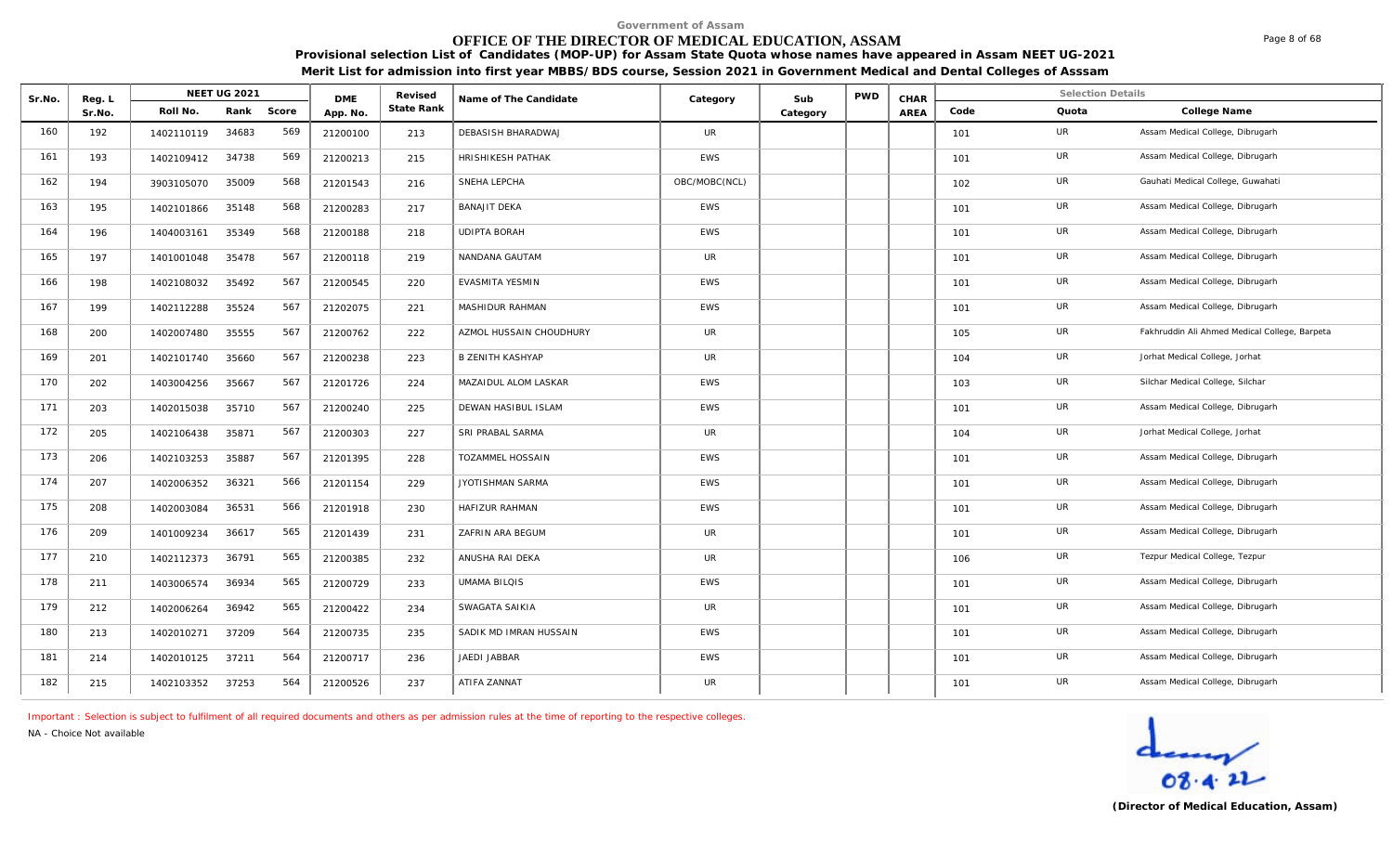# **OFFICE OF THE DIRECTOR OF MEDICAL EDUCATION, ASSAM**

**Provisional selection List of Candidates (MOP-UP) for Assam State Quota whose names have appeared in Assam NEET UG-2021 Merit List for admission into first year MBBS/BDS course, Session 2021 in Government Medical and Dental Colleges of Asssam**

| Sr.No. | Reg. L |            | NEET UG 2021 |       | <b>DME</b> | Revised    | Name of The Candidate   | Category      | Sub      | <b>PWD</b> | CHAR |      | <b>Selection Details</b> |                                               |
|--------|--------|------------|--------------|-------|------------|------------|-------------------------|---------------|----------|------------|------|------|--------------------------|-----------------------------------------------|
|        | Sr.No. | Roll No.   | Rank         | Score | App. No.   | State Rank |                         |               | Category |            | AREA | Code | Quota                    | College Name                                  |
| 160    | 192    | 1402110119 | 34683        | 569   | 21200100   | 213        | DEBASISH BHARADWAJ      | <b>UR</b>     |          |            |      | 101  | UR                       | Assam Medical College, Dibrugarh              |
| 161    | 193    | 1402109412 | 34738        | 569   | 21200213   | 215        | HRISHIKESH PATHAK       | <b>EWS</b>    |          |            |      | 101  | UR                       | Assam Medical College, Dibrugarh              |
| 162    | 194    | 3903105070 | 35009        | 568   | 21201543   | 216        | SNEHA LEPCHA            | OBC/MOBC(NCL) |          |            |      | 102  | UR                       | Gauhati Medical College, Guwahati             |
| 163    | 195    | 1402101866 | 35148        | 568   | 21200283   | 217        | <b>BANAJIT DEKA</b>     | <b>EWS</b>    |          |            |      | 101  | <b>UR</b>                | Assam Medical College, Dibrugarh              |
| 164    | 196    | 1404003161 | 35349        | 568   | 21200188   | 218        | <b>UDIPTA BORAH</b>     | <b>EWS</b>    |          |            |      | 101  | UR                       | Assam Medical College, Dibrugarh              |
| 165    | 197    | 1401001048 | 35478        | 567   | 21200118   | 219        | NANDANA GAUTAM          | <b>UR</b>     |          |            |      | 101  | <b>UR</b>                | Assam Medical College, Dibrugarh              |
| 166    | 198    | 1402108032 | 35492        | 567   | 21200545   | 220        | EVASMITA YESMIN         | <b>EWS</b>    |          |            |      | 101  | UR                       | Assam Medical College, Dibrugarh              |
| 167    | 199    | 1402112288 | 35524        | 567   | 21202075   | 221        | MASHIDUR RAHMAN         | <b>EWS</b>    |          |            |      | 101  | UR                       | Assam Medical College, Dibrugarh              |
| 168    | 200    | 1402007480 | 35555        | 567   | 21200762   | 222        | AZMOL HUSSAIN CHOUDHURY | <b>UR</b>     |          |            |      | 105  | UR                       | Fakhruddin Ali Ahmed Medical College, Barpeta |
| 169    | 201    | 1402101740 | 35660        | 567   | 21200238   | 223        | <b>B ZENITH KASHYAP</b> | <b>UR</b>     |          |            |      | 104  | UR                       | Jorhat Medical College, Jorhat                |
| 170    | 202    | 1403004256 | 35667        | 567   | 21201726   | 224        | MAZAIDUL ALOM LASKAR    | <b>EWS</b>    |          |            |      | 103  | UR                       | Silchar Medical College, Silchar              |
| 171    | 203    | 1402015038 | 35710        | 567   | 21200240   | 225        | DEWAN HASIBUL ISLAM     | <b>EWS</b>    |          |            |      | 101  | UR                       | Assam Medical College, Dibrugarh              |
| 172    | 205    | 1402106438 | 35871        | 567   | 21200303   | 227        | SRI PRABAL SARMA        | <b>UR</b>     |          |            |      | 104  | UR                       | Jorhat Medical College, Jorhat                |
| 173    | 206    | 1402103253 | 35887        | 567   | 21201395   | 228        | <b>TOZAMMEL HOSSAIN</b> | <b>EWS</b>    |          |            |      | 101  | <b>UR</b>                | Assam Medical College, Dibrugarh              |
| 174    | 207    | 1402006352 | 36321        | 566   | 21201154   | 229        | JYOTISHMAN SARMA        | <b>EWS</b>    |          |            |      | 101  | UR                       | Assam Medical College, Dibrugarh              |
| 175    | 208    | 1402003084 | 36531        | 566   | 21201918   | 230        | HAFIZUR RAHMAN          | <b>EWS</b>    |          |            |      | 101  | UR                       | Assam Medical College, Dibrugarh              |
| 176    | 209    | 1401009234 | 36617        | 565   | 21201439   | 231        | ZAFRIN ARA BEGUM        | UR            |          |            |      | 101  | <b>UR</b>                | Assam Medical College, Dibrugarh              |
| 177    | 210    | 1402112373 | 36791        | 565   | 21200385   | 232        | ANUSHA RAI DEKA         | <b>UR</b>     |          |            |      | 106  | UR                       | Tezpur Medical College, Tezpur                |
| 178    | 211    | 1403006574 | 36934        | 565   | 21200729   | 233        | <b>UMAMA BILQIS</b>     | <b>EWS</b>    |          |            |      | 101  | <b>UR</b>                | Assam Medical College, Dibrugarh              |
| 179    | 212    | 1402006264 | 36942        | 565   | 21200422   | 234        | SWAGATA SAIKIA          | <b>UR</b>     |          |            |      | 101  | UR                       | Assam Medical College, Dibrugarh              |
| 180    | 213    | 1402010271 | 37209        | 564   | 21200735   | 235        | SADIK MD IMRAN HUSSAIN  | <b>EWS</b>    |          |            |      | 101  | UR                       | Assam Medical College, Dibrugarh              |
| 181    | 214    | 1402010125 | 37211        | 564   | 21200717   | 236        | JAEDI JABBAR            | <b>EWS</b>    |          |            |      | 101  | UR                       | Assam Medical College, Dibrugarh              |
| 182    | 215    | 1402103352 | 37253        | 564   | 21200526   | 237        | ATIFA ZANNAT            | <b>UR</b>     |          |            |      | 101  | UR                       | Assam Medical College, Dibrugarh              |

*Important : Selection is subject to fulfilment of all required documents and others as per admission rules at the time of reporting to the respective colleges.*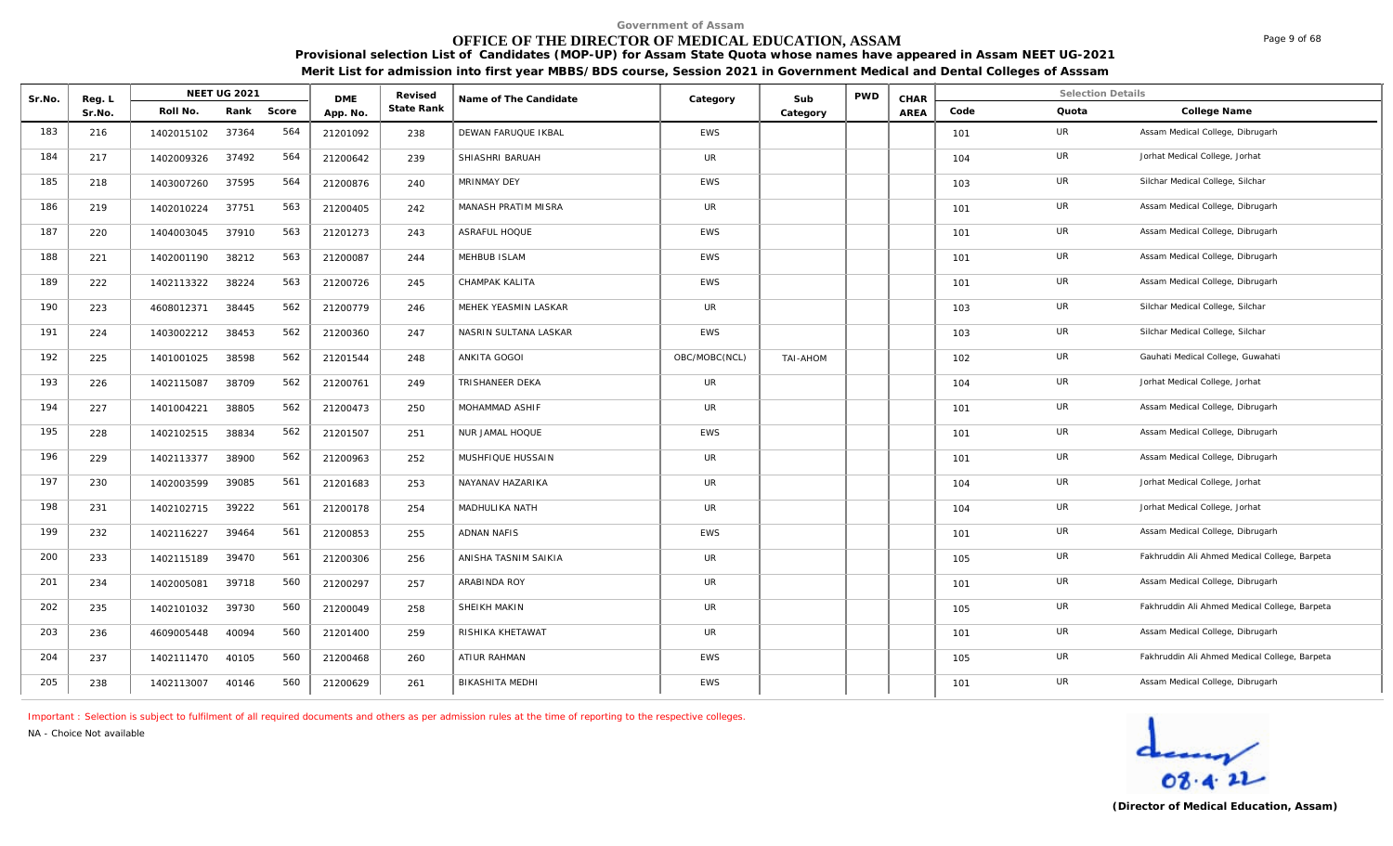# **OFFICE OF THE DIRECTOR OF MEDICAL EDUCATION, ASSAM**

**Provisional selection List of Candidates (MOP-UP) for Assam State Quota whose names have appeared in Assam NEET UG-2021 Merit List for admission into first year MBBS/BDS course, Session 2021 in Government Medical and Dental Colleges of Asssam**

| Sr.No. | Reg. L |            | NEET UG 2021 |       | <b>DME</b> | Revised    | Name of The Candidate | Category      | Sub      | <b>PWD</b> | CHAR |      | <b>Selection Details</b> |                                               |
|--------|--------|------------|--------------|-------|------------|------------|-----------------------|---------------|----------|------------|------|------|--------------------------|-----------------------------------------------|
|        | Sr.No. | Roll No.   | Rank         | Score | App. No.   | State Rank |                       |               | Category |            | AREA | Code | Quota                    | College Name                                  |
| 183    | 216    | 1402015102 | 37364        | 564   | 21201092   | 238        | DEWAN FARUQUE IKBAL   | <b>EWS</b>    |          |            |      | 101  | UR.                      | Assam Medical College, Dibrugarh              |
| 184    | 217    | 1402009326 | 37492        | 564   | 21200642   | 239        | SHIASHRI BARUAH       | <b>UR</b>     |          |            |      | 104  | UR                       | Jorhat Medical College, Jorhat                |
| 185    | 218    | 1403007260 | 37595        | 564   | 21200876   | 240        | MRINMAY DEY           | <b>EWS</b>    |          |            |      | 103  | <b>UR</b>                | Silchar Medical College, Silchar              |
| 186    | 219    | 1402010224 | 37751        | 563   | 21200405   | 242        | MANASH PRATIM MISRA   | UR            |          |            |      | 101  | UR                       | Assam Medical College, Dibrugarh              |
| 187    | 220    | 1404003045 | 37910        | 563   | 21201273   | 243        | ASRAFUL HOQUE         | <b>EWS</b>    |          |            |      | 101  | <b>UR</b>                | Assam Medical College, Dibrugarh              |
| 188    | 221    | 1402001190 | 38212        | 563   | 21200087   | 244        | MEHBUB ISLAM          | EWS           |          |            |      | 101  | UR                       | Assam Medical College, Dibrugarh              |
| 189    | 222    | 1402113322 | 38224        | 563   | 21200726   | 245        | CHAMPAK KALITA        | <b>EWS</b>    |          |            |      | 101  | UR                       | Assam Medical College, Dibrugarh              |
| 190    | 223    | 4608012371 | 38445        | 562   | 21200779   | 246        | MEHEK YEASMIN LASKAR  | UR            |          |            |      | 103  | UR                       | Silchar Medical College, Silchar              |
| 191    | 224    | 1403002212 | 38453        | 562   | 21200360   | 247        | NASRIN SULTANA LASKAR | <b>EWS</b>    |          |            |      | 103  | UR                       | Silchar Medical College, Silchar              |
| 192    | 225    | 1401001025 | 38598        | 562   | 21201544   | 248        | ANKITA GOGOI          | OBC/MOBC(NCL) | TAI-AHOM |            |      | 102  | UR                       | Gauhati Medical College, Guwahati             |
| 193    | 226    | 1402115087 | 38709        | 562   | 21200761   | 249        | TRISHANEER DEKA       | <b>UR</b>     |          |            |      | 104  | UR                       | Jorhat Medical College, Jorhat                |
| 194    | 227    | 1401004221 | 38805        | 562   | 21200473   | 250        | MOHAMMAD ASHIF        | UR            |          |            |      | 101  | UR                       | Assam Medical College, Dibrugarh              |
| 195    | 228    | 1402102515 | 38834        | 562   | 21201507   | 251        | NUR JAMAL HOQUE       | <b>EWS</b>    |          |            |      | 101  | UR                       | Assam Medical College, Dibrugarh              |
| 196    | 229    | 1402113377 | 38900        | 562   | 21200963   | 252        | MUSHFIQUE HUSSAIN     | <b>UR</b>     |          |            |      | 101  | UR                       | Assam Medical College, Dibrugarh              |
| 197    | 230    | 1402003599 | 39085        | 561   | 21201683   | 253        | NAYANAV HAZARIKA      | <b>UR</b>     |          |            |      | 104  | UR                       | Jorhat Medical College, Jorhat                |
| 198    | 231    | 1402102715 | 39222        | 561   | 21200178   | 254        | <b>MADHULIKA NATH</b> | <b>UR</b>     |          |            |      | 104  | UR                       | Jorhat Medical College, Jorhat                |
| 199    | 232    | 1402116227 | 39464        | 561   | 21200853   | 255        | <b>ADNAN NAFIS</b>    | <b>EWS</b>    |          |            |      | 101  | <b>UR</b>                | Assam Medical College, Dibrugarh              |
| 200    | 233    | 1402115189 | 39470        | 561   | 21200306   | 256        | ANISHA TASNIM SAIKIA  | UR            |          |            |      | 105  | UR                       | Fakhruddin Ali Ahmed Medical College, Barpeta |
| 201    | 234    | 1402005081 | 39718        | 560   | 21200297   | 257        | ARABINDA ROY          | UR            |          |            |      | 101  | UR                       | Assam Medical College, Dibrugarh              |
| 202    | 235    | 1402101032 | 39730        | 560   | 21200049   | 258        | SHEIKH MAKIN          | <b>UR</b>     |          |            |      | 105  | <b>UR</b>                | Fakhruddin Ali Ahmed Medical College, Barpeta |
| 203    | 236    | 4609005448 | 40094        | 560   | 21201400   | 259        | RISHIKA KHETAWAT      | <b>UR</b>     |          |            |      | 101  | UR                       | Assam Medical College, Dibrugarh              |
| 204    | 237    | 1402111470 | 40105        | 560   | 21200468   | 260        | ATIUR RAHMAN          | <b>EWS</b>    |          |            |      | 105  | <b>UR</b>                | Fakhruddin Ali Ahmed Medical College, Barpeta |
| 205    | 238    | 1402113007 | 40146        | 560   | 21200629   | 261        | BIKASHITA MEDHI       | <b>EWS</b>    |          |            |      | 101  | UR                       | Assam Medical College, Dibrugarh              |

*Important : Selection is subject to fulfilment of all required documents and others as per admission rules at the time of reporting to the respective colleges.*

*NA - Choice Not available*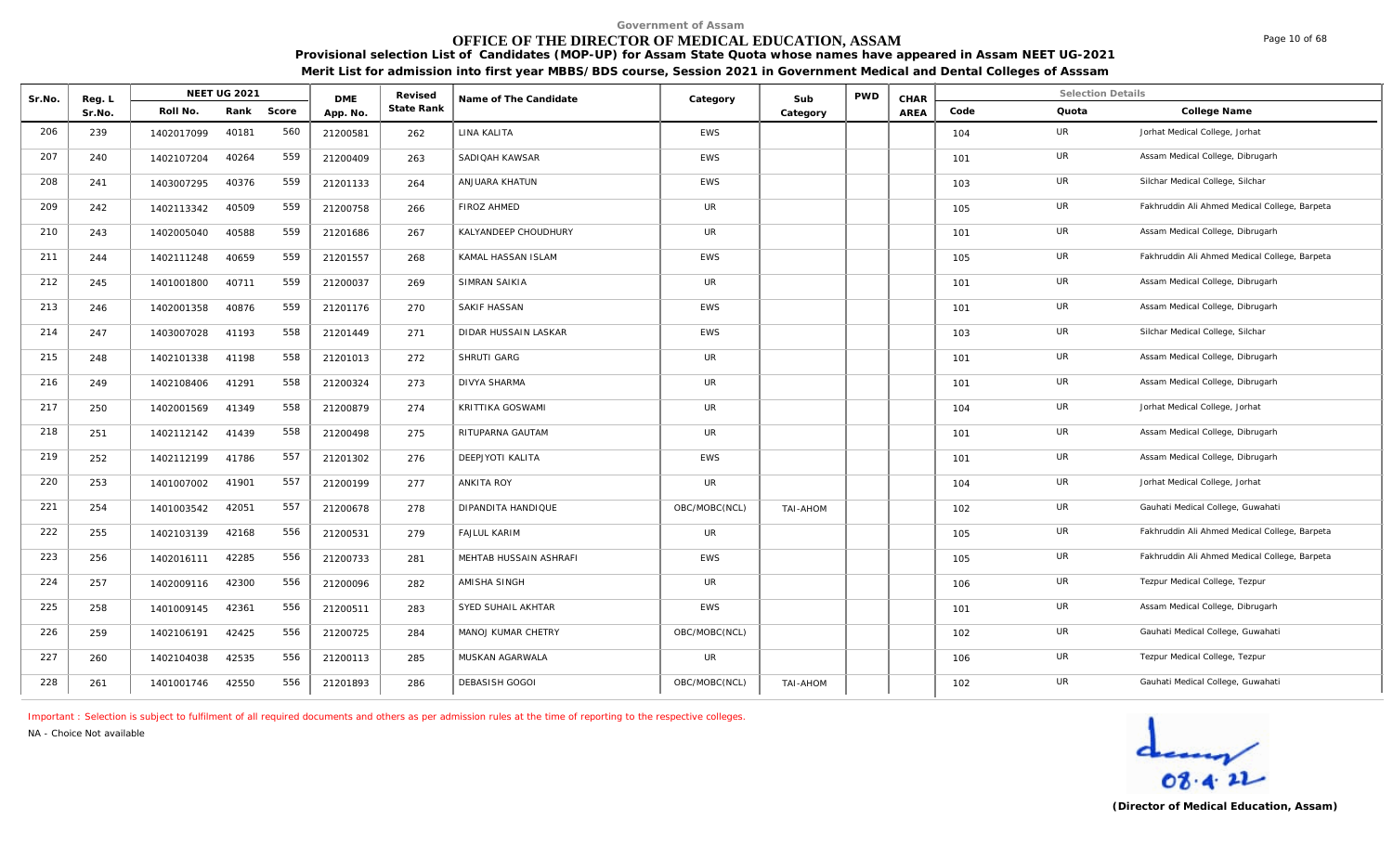# **OFFICE OF THE DIRECTOR OF MEDICAL EDUCATION, ASSAM**

Page 10 of 68

**Provisional selection List of Candidates (MOP-UP) for Assam State Quota whose names have appeared in Assam NEET UG-2021 Merit List for admission into first year MBBS/BDS course, Session 2021 in Government Medical and Dental Colleges of Asssam**

| Sr.No. | Reg. L |            | NEET UG 2021 |       | <b>DME</b> | Revised    | Name of The Candidate  | Category      | Sub      | <b>PWD</b> | CHAR        |      | <b>Selection Details</b> |                                               |
|--------|--------|------------|--------------|-------|------------|------------|------------------------|---------------|----------|------------|-------------|------|--------------------------|-----------------------------------------------|
|        | Sr.No. | Roll No.   | Rank         | Score | App. No.   | State Rank |                        |               | Category |            | <b>AREA</b> | Code | Quota                    | College Name                                  |
| 206    | 239    | 1402017099 | 40181        | 560   | 21200581   | 262        | LINA KALITA            | <b>EWS</b>    |          |            |             | 104  | UR                       | Jorhat Medical College, Jorhat                |
| 207    | 240    | 1402107204 | 40264        | 559   | 21200409   | 263        | SADIQAH KAWSAR         | <b>EWS</b>    |          |            |             | 101  | UR                       | Assam Medical College, Dibrugarh              |
| 208    | 241    | 1403007295 | 40376        | 559   | 21201133   | 264        | ANJUARA KHATUN         | EWS           |          |            |             | 103  | UR                       | Silchar Medical College, Silchar              |
| 209    | 242    | 1402113342 | 40509        | 559   | 21200758   | 266        | <b>FIROZ AHMED</b>     | <b>UR</b>     |          |            |             | 105  | UR                       | Fakhruddin Ali Ahmed Medical College, Barpeta |
| 210    | 243    | 1402005040 | 40588        | 559   | 21201686   | 267        | KALYANDEEP CHOUDHURY   | <b>UR</b>     |          |            |             | 101  | UR                       | Assam Medical College, Dibrugarh              |
| 211    | 244    | 1402111248 | 40659        | 559   | 21201557   | 268        | KAMAL HASSAN ISLAM     | <b>EWS</b>    |          |            |             | 105  | UR                       | Fakhruddin Ali Ahmed Medical College, Barpeta |
| 212    | 245    | 1401001800 | 40711        | 559   | 21200037   | 269        | SIMRAN SAIKIA          | UR            |          |            |             | 101  | UR                       | Assam Medical College, Dibrugarh              |
| 213    | 246    | 1402001358 | 40876        | 559   | 21201176   | 270        | SAKIF HASSAN           | <b>EWS</b>    |          |            |             | 101  | UR                       | Assam Medical College, Dibrugarh              |
| 214    | 247    | 1403007028 | 41193        | 558   | 21201449   | 271        | DIDAR HUSSAIN LASKAR   | <b>EWS</b>    |          |            |             | 103  | UR                       | Silchar Medical College, Silchar              |
| 215    | 248    | 1402101338 | 41198        | 558   | 21201013   | 272        | SHRUTI GARG            | <b>UR</b>     |          |            |             | 101  | UR                       | Assam Medical College, Dibrugarh              |
| 216    | 249    | 1402108406 | 41291        | 558   | 21200324   | 273        | <b>DIVYA SHARMA</b>    | <b>UR</b>     |          |            |             | 101  | UR                       | Assam Medical College, Dibrugarh              |
| 217    | 250    | 1402001569 | 41349        | 558   | 21200879   | 274        | KRITTIKA GOSWAMI       | <b>UR</b>     |          |            |             | 104  | UR                       | Jorhat Medical College, Jorhat                |
| 218    | 251    | 1402112142 | 41439        | 558   | 21200498   | 275        | RITUPARNA GAUTAM       | <b>UR</b>     |          |            |             | 101  | UR                       | Assam Medical College, Dibrugarh              |
| 219    | 252    | 1402112199 | 41786        | 557   | 21201302   | 276        | DEEPJYOTI KALITA       | <b>EWS</b>    |          |            |             | 101  | UR                       | Assam Medical College, Dibrugarh              |
| 220    | 253    | 1401007002 | 41901        | 557   | 21200199   | 277        | <b>ANKITA ROY</b>      | <b>UR</b>     |          |            |             | 104  | UR                       | Jorhat Medical College, Jorhat                |
| 221    | 254    | 1401003542 | 42051        | 557   | 21200678   | 278        | DIPANDITA HANDIQUE     | OBC/MOBC(NCL) | TAI-AHOM |            |             | 102  | UR                       | Gauhati Medical College, Guwahati             |
| 222    | 255    | 1402103139 | 42168        | 556   | 21200531   | 279        | <b>FAJLUL KARIM</b>    | <b>UR</b>     |          |            |             | 105  | UR                       | Fakhruddin Ali Ahmed Medical College, Barpeta |
| 223    | 256    | 1402016111 | 42285        | 556   | 21200733   | 281        | MEHTAB HUSSAIN ASHRAFI | <b>EWS</b>    |          |            |             | 105  | UR                       | Fakhruddin Ali Ahmed Medical College, Barpeta |
| 224    | 257    | 1402009116 | 42300        | 556   | 21200096   | 282        | AMISHA SINGH           | UR            |          |            |             | 106  | UR                       | Tezpur Medical College, Tezpur                |
| 225    | 258    | 1401009145 | 42361        | 556   | 21200511   | 283        | SYED SUHAIL AKHTAR     | <b>EWS</b>    |          |            |             | 101  | UR                       | Assam Medical College, Dibrugarh              |
| 226    | 259    | 1402106191 | 42425        | 556   | 21200725   | 284        | MANOJ KUMAR CHETRY     | OBC/MOBC(NCL) |          |            |             | 102  | UR                       | Gauhati Medical College, Guwahati             |
| 227    | 260    | 1402104038 | 42535        | 556   | 21200113   | 285        | MUSKAN AGARWALA        | <b>UR</b>     |          |            |             | 106  | UR                       | Tezpur Medical College, Tezpur                |
| 228    | 261    | 1401001746 | 42550        | 556   | 21201893   | 286        | DEBASISH GOGOI         | OBC/MOBC(NCL) | TAI-AHOM |            |             | 102  | UR                       | Gauhati Medical College, Guwahati             |

*Important : Selection is subject to fulfilment of all required documents and others as per admission rules at the time of reporting to the respective colleges.*

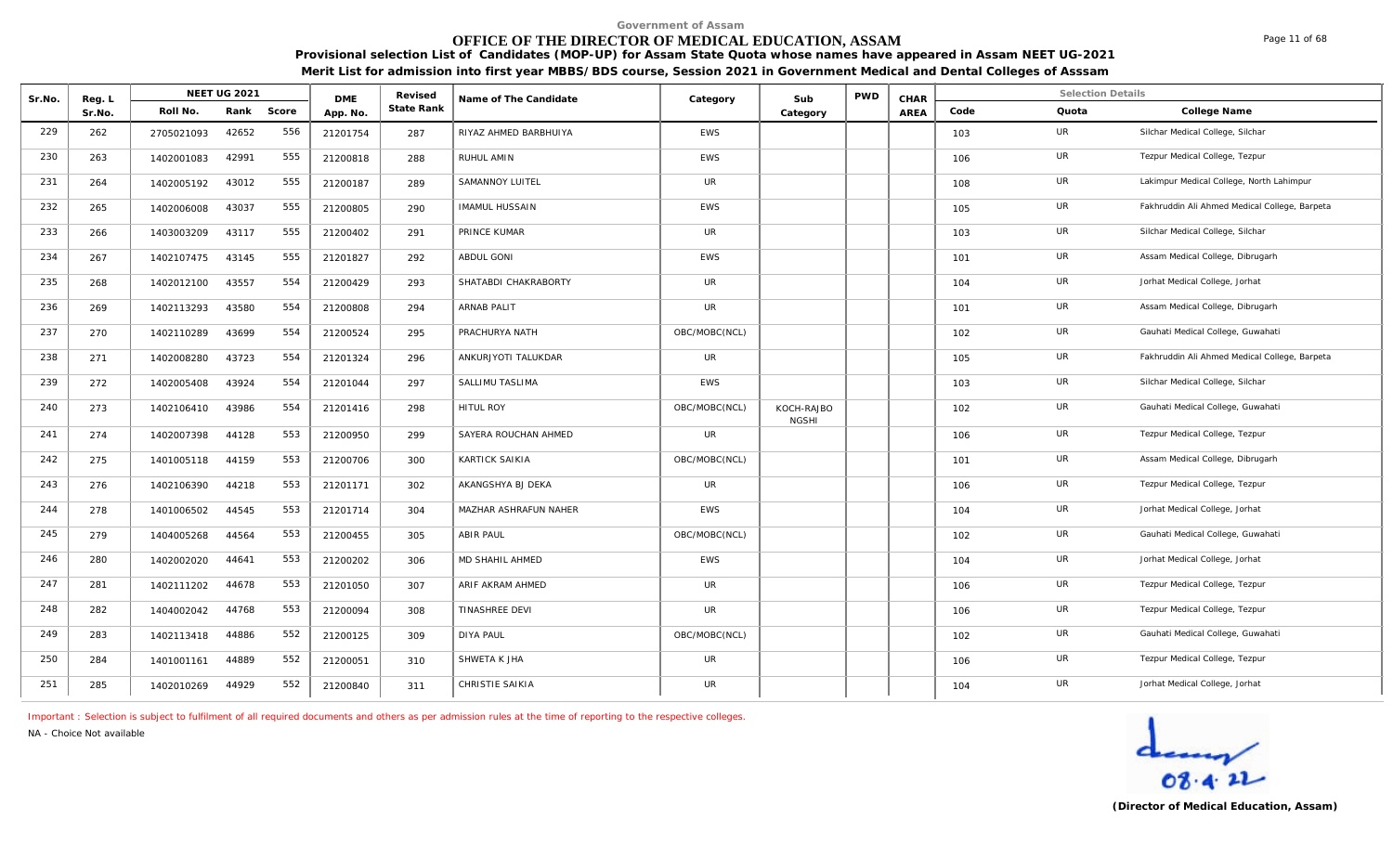# **OFFICE OF THE DIRECTOR OF MEDICAL EDUCATION, ASSAM**

**Provisional selection List of Candidates (MOP-UP) for Assam State Quota whose names have appeared in Assam NEET UG-2021** 

**Merit List for admission into first year MBBS/BDS course, Session 2021 in Government Medical and Dental Colleges of Asssam**

| Sr.No. | Reg. L |            | <b>NEET UG 2021</b> |       | <b>DME</b> | Revised    | Name of The Candidate  | Category      | Sub                        | <b>PWD</b> | CHAR |      | <b>Selection Details</b> |                                               |
|--------|--------|------------|---------------------|-------|------------|------------|------------------------|---------------|----------------------------|------------|------|------|--------------------------|-----------------------------------------------|
|        | Sr.No. | Roll No.   | Rank                | Score | App. No.   | State Rank |                        |               | Category                   |            | AREA | Code | Quota                    | College Name                                  |
| 229    | 262    | 2705021093 | 42652               | 556   | 21201754   | 287        | RIYAZ AHMED BARBHUIYA  | EWS           |                            |            |      | 103  | UR                       | Silchar Medical College, Silchar              |
| 230    | 263    | 1402001083 | 42991               | 555   | 21200818   | 288        | RUHUL AMIN             | EWS           |                            |            |      | 106  | UR                       | Tezpur Medical College, Tezpur                |
| 231    | 264    | 1402005192 | 43012               | 555   | 21200187   | 289        | SAMANNOY LUITEL        | <b>UR</b>     |                            |            |      | 108  | UR                       | Lakimpur Medical College, North Lahimpur      |
| 232    | 265    | 1402006008 | 43037               | 555   | 21200805   | 290        | <b>IMAMUL HUSSAIN</b>  | <b>EWS</b>    |                            |            |      | 105  | <b>UR</b>                | Fakhruddin Ali Ahmed Medical College, Barpeta |
| 233    | 266    | 1403003209 | 43117               | 555   | 21200402   | 291        | PRINCE KUMAR           | UR            |                            |            |      | 103  | UR                       | Silchar Medical College, Silchar              |
| 234    | 267    | 1402107475 | 43145               | 555   | 21201827   | 292        | <b>ABDUL GONI</b>      | <b>EWS</b>    |                            |            |      | 101  | UR                       | Assam Medical College, Dibrugarh              |
| 235    | 268    | 1402012100 | 43557               | 554   | 21200429   | 293        | SHATABDI CHAKRABORTY   | <b>UR</b>     |                            |            |      | 104  | UR                       | Jorhat Medical College, Jorhat                |
| 236    | 269    | 1402113293 | 43580               | 554   | 21200808   | 294        | ARNAB PALIT            | <b>UR</b>     |                            |            |      | 101  | UR                       | Assam Medical College, Dibrugarh              |
| 237    | 270    | 1402110289 | 43699               | 554   | 21200524   | 295        | PRACHURYA NATH         | OBC/MOBC(NCL) |                            |            |      | 102  | UR                       | Gauhati Medical College, Guwahati             |
| 238    | 271    | 1402008280 | 43723               | 554   | 21201324   | 296        | ANKURJYOTI TALUKDAR    | <b>UR</b>     |                            |            |      | 105  | UR                       | Fakhruddin Ali Ahmed Medical College, Barpeta |
| 239    | 272    | 1402005408 | 43924               | 554   | 21201044   | 297        | SALLIMU TASLIMA        | EWS           |                            |            |      | 103  | UR                       | Silchar Medical College, Silchar              |
| 240    | 273    | 1402106410 | 43986               | 554   | 21201416   | 298        | HITUL ROY              | OBC/MOBC(NCL) | KOCH-RAJBO<br><b>NGSHI</b> |            |      | 102  | <b>UR</b>                | Gauhati Medical College, Guwahati             |
| 241    | 274    | 1402007398 | 44128               | 553   | 21200950   | 299        | SAYERA ROUCHAN AHMED   | <b>UR</b>     |                            |            |      | 106  | UR                       | Tezpur Medical College, Tezpur                |
| 242    | 275    | 1401005118 | 44159               | 553   | 21200706   | 300        | KARTICK SAIKIA         | OBC/MOBC(NCL) |                            |            |      | 101  | UR                       | Assam Medical College, Dibrugarh              |
| 243    | 276    | 1402106390 | 44218               | 553   | 21201171   | 302        | AKANGSHYA BJ DEKA      | <b>UR</b>     |                            |            |      | 106  | UR                       | Tezpur Medical College, Tezpur                |
| 244    | 278    | 1401006502 | 44545               | 553   | 21201714   | 304        | MAZHAR ASHRAFUN NAHER  | <b>EWS</b>    |                            |            |      | 104  | <b>UR</b>                | Jorhat Medical College, Jorhat                |
| 245    | 279    | 1404005268 | 44564               | 553   | 21200455   | 305        | <b>ABIR PAUL</b>       | OBC/MOBC(NCL) |                            |            |      | 102  | UR                       | Gauhati Medical College, Guwahati             |
| 246    | 280    | 1402002020 | 44641               | 553   | 21200202   | 306        | <b>MD SHAHIL AHMED</b> | EWS           |                            |            |      | 104  | UR                       | Jorhat Medical College, Jorhat                |
| 247    | 281    | 1402111202 | 44678               | 553   | 21201050   | 307        | ARIF AKRAM AHMED       | <b>UR</b>     |                            |            |      | 106  | UR                       | Tezpur Medical College, Tezpur                |
| 248    | 282    | 1404002042 | 44768               | 553   | 21200094   | 308        | TINASHREE DEVI         | <b>UR</b>     |                            |            |      | 106  | UR                       | Tezpur Medical College, Tezpur                |
| 249    | 283    | 1402113418 | 44886               | 552   | 21200125   | 309        | <b>DIYA PAUL</b>       | OBC/MOBC(NCL) |                            |            |      | 102  | UR                       | Gauhati Medical College, Guwahati             |
| 250    | 284    | 1401001161 | 44889               | 552   | 21200051   | 310        | SHWETA K JHA           | <b>UR</b>     |                            |            |      | 106  | UR                       | Tezpur Medical College, Tezpur                |
| 251    | 285    | 1402010269 | 44929               | 552   | 21200840   | 311        | CHRISTIE SAIKIA        | <b>UR</b>     |                            |            |      | 104  | UR                       | Jorhat Medical College, Jorhat                |

*Important : Selection is subject to fulfilment of all required documents and others as per admission rules at the time of reporting to the respective colleges.*

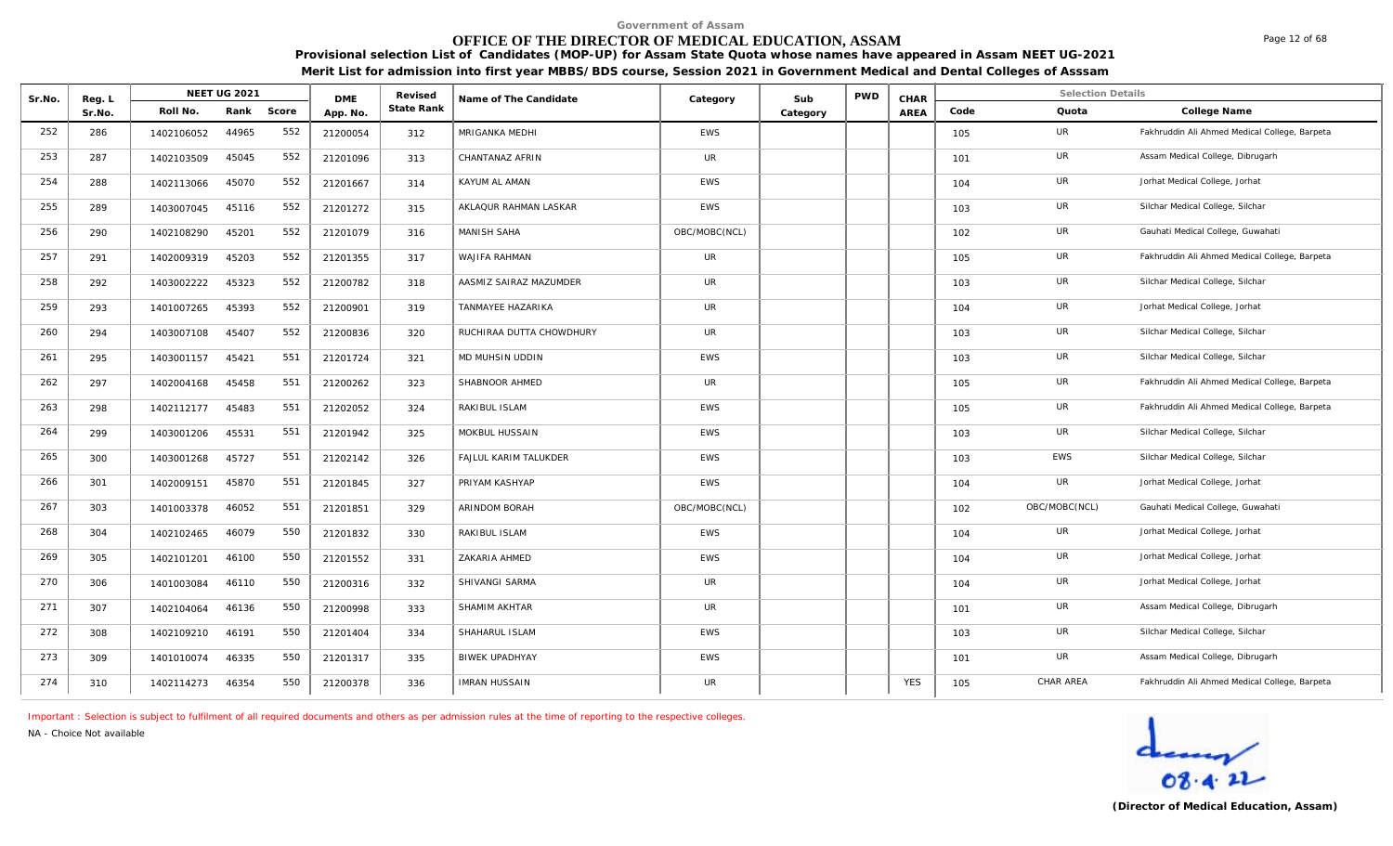# **OFFICE OF THE DIRECTOR OF MEDICAL EDUCATION, ASSAM**

**Provisional selection List of Candidates (MOP-UP) for Assam State Quota whose names have appeared in Assam NEET UG-2021 Merit List for admission into first year MBBS/BDS course, Session 2021 in Government Medical and Dental Colleges of Asssam**

| Sr.No. | Reg. L |            | <b>NEET UG 2021</b> |       | <b>DME</b> | Revised    | Name of The Candidate    | Category      | Sub      | <b>PWD</b> | CHAR       |      | <b>Selection Details</b> |                                               |
|--------|--------|------------|---------------------|-------|------------|------------|--------------------------|---------------|----------|------------|------------|------|--------------------------|-----------------------------------------------|
|        | Sr.No. | Roll No.   | Rank                | Score | App. No.   | State Rank |                          |               | Category |            | AREA       | Code | Quota                    | College Name                                  |
| 252    | 286    | 1402106052 | 44965               | 552   | 21200054   | 312        | <b>MRIGANKA MEDHI</b>    | <b>EWS</b>    |          |            |            | 105  | UR                       | Fakhruddin Ali Ahmed Medical College, Barpeta |
| 253    | 287    | 1402103509 | 45045               | 552   | 21201096   | 313        | CHANTANAZ AFRIN          | UR            |          |            |            | 101  | UR                       | Assam Medical College, Dibrugarh              |
| 254    | 288    | 1402113066 | 45070               | 552   | 21201667   | 314        | KAYUM AL AMAN            | <b>EWS</b>    |          |            |            | 104  | UR                       | Jorhat Medical College, Jorhat                |
| 255    | 289    | 1403007045 | 45116               | 552   | 21201272   | 315        | AKLAQUR RAHMAN LASKAR    | <b>EWS</b>    |          |            |            | 103  | UR                       | Silchar Medical College, Silchar              |
| 256    | 290    | 1402108290 | 45201               | 552   | 21201079   | 316        | MANISH SAHA              | OBC/MOBC(NCL) |          |            |            | 102  | UR                       | Gauhati Medical College, Guwahati             |
| 257    | 291    | 1402009319 | 45203               | 552   | 21201355   | 317        | WAJIFA RAHMAN            | UR            |          |            |            | 105  | UR                       | Fakhruddin Ali Ahmed Medical College, Barpeta |
| 258    | 292    | 1403002222 | 45323               | 552   | 21200782   | 318        | AASMIZ SAIRAZ MAZUMDER   | UR            |          |            |            | 103  | UR                       | Silchar Medical College, Silchar              |
| 259    | 293    | 1401007265 | 45393               | 552   | 21200901   | 319        | <b>TANMAYEE HAZARIKA</b> | UR            |          |            |            | 104  | UR                       | Jorhat Medical College, Jorhat                |
| 260    | 294    | 1403007108 | 45407               | 552   | 21200836   | 320        | RUCHIRAA DUTTA CHOWDHURY | <b>UR</b>     |          |            |            | 103  | UR                       | Silchar Medical College, Silchar              |
| 261    | 295    | 1403001157 | 45421               | 551   | 21201724   | 321        | MD MUHSIN UDDIN          | <b>EWS</b>    |          |            |            | 103  | UR                       | Silchar Medical College, Silchar              |
| 262    | 297    | 1402004168 | 45458               | 551   | 21200262   | 323        | SHABNOOR AHMED           | UR            |          |            |            | 105  | UR                       | Fakhruddin Ali Ahmed Medical College, Barpeta |
| 263    | 298    | 1402112177 | 45483               | 551   | 21202052   | 324        | RAKIBUL ISLAM            | <b>EWS</b>    |          |            |            | 105  | UR                       | Fakhruddin Ali Ahmed Medical College, Barpeta |
| 264    | 299    | 1403001206 | 45531               | 551   | 21201942   | 325        | MOKBUL HUSSAIN           | <b>EWS</b>    |          |            |            | 103  | <b>UR</b>                | Silchar Medical College, Silchar              |
| 265    | 300    | 1403001268 | 45727               | 551   | 21202142   | 326        | FAJLUL KARIM TALUKDER    | EWS           |          |            |            | 103  | EWS                      | Silchar Medical College, Silchar              |
| 266    | 301    | 1402009151 | 45870               | 551   | 21201845   | 327        | PRIYAM KASHYAP           | <b>EWS</b>    |          |            |            | 104  | UR                       | Jorhat Medical College, Jorhat                |
| 267    | 303    | 1401003378 | 46052               | 551   | 21201851   | 329        | ARINDOM BORAH            | OBC/MOBC(NCL) |          |            |            | 102  | OBC/MOBC(NCL)            | Gauhati Medical College, Guwahati             |
| 268    | 304    | 1402102465 | 46079               | 550   | 21201832   | 330        | RAKIBUL ISLAM            | <b>EWS</b>    |          |            |            | 104  | UR                       | Jorhat Medical College, Jorhat                |
| 269    | 305    | 1402101201 | 46100               | 550   | 21201552   | 331        | ZAKARIA AHMED            | <b>EWS</b>    |          |            |            | 104  | UR                       | Jorhat Medical College, Jorhat                |
| 270    | 306    | 1401003084 | 46110               | 550   | 21200316   | 332        | SHIVANGI SARMA           | UR            |          |            |            | 104  | UR                       | Jorhat Medical College, Jorhat                |
| 271    | 307    | 1402104064 | 46136               | 550   | 21200998   | 333        | SHAMIM AKHTAR            | <b>UR</b>     |          |            |            | 101  | UR                       | Assam Medical College, Dibrugarh              |
| 272    | 308    | 1402109210 | 46191               | 550   | 21201404   | 334        | SHAHARUL ISLAM           | <b>EWS</b>    |          |            |            | 103  | UR                       | Silchar Medical College, Silchar              |
| 273    | 309    | 1401010074 | 46335               | 550   | 21201317   | 335        | <b>BIWEK UPADHYAY</b>    | <b>EWS</b>    |          |            |            | 101  | UR                       | Assam Medical College, Dibrugarh              |
| 274    | 310    | 1402114273 | 46354               | 550   | 21200378   | 336        | <b>IMRAN HUSSAIN</b>     | <b>UR</b>     |          |            | <b>YES</b> | 105  | CHAR AREA                | Fakhruddin Ali Ahmed Medical College, Barpeta |

*Important : Selection is subject to fulfilment of all required documents and others as per admission rules at the time of reporting to the respective colleges.*

*NA - Choice Not available*



Page 12 of 68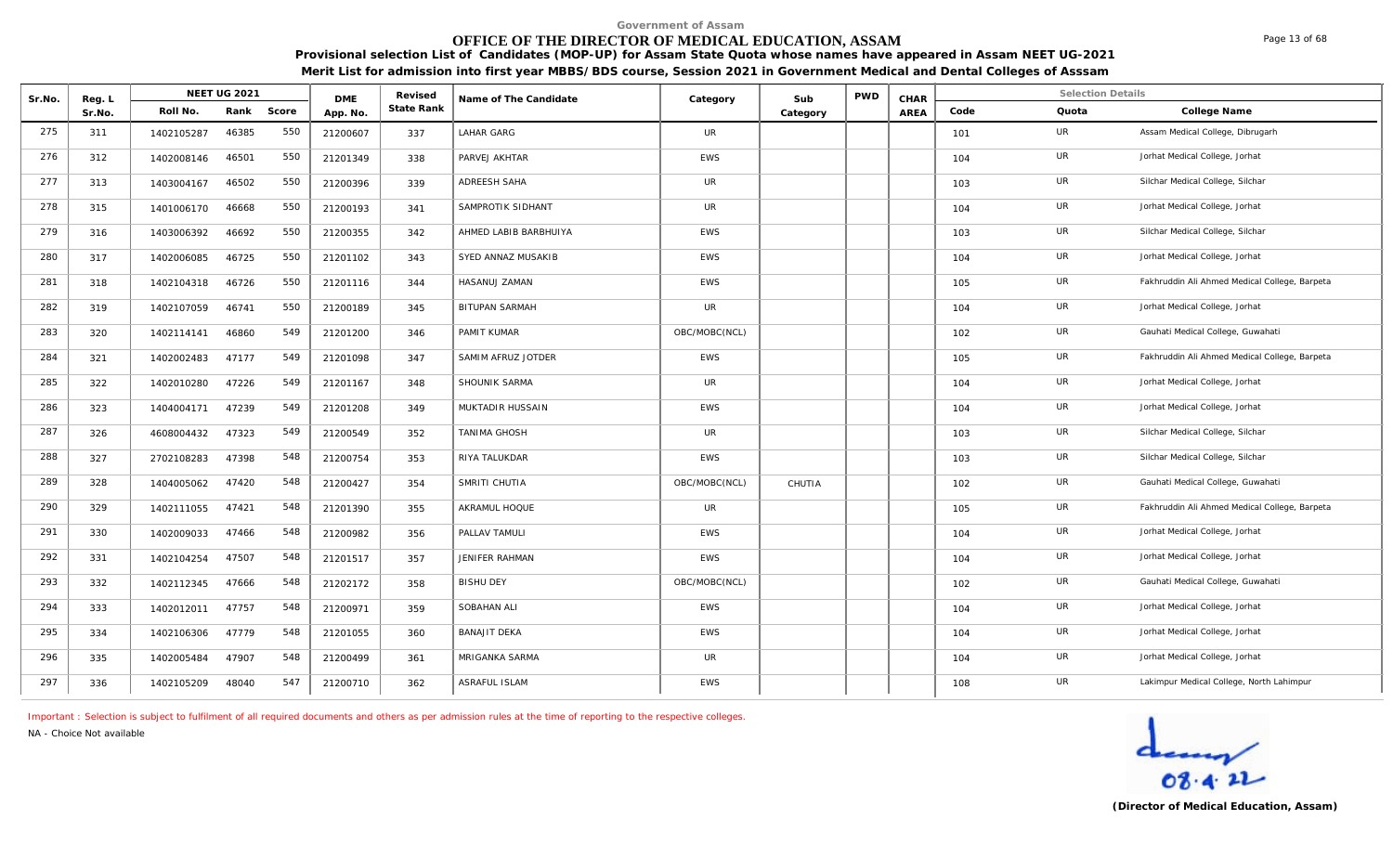# **OFFICE OF THE DIRECTOR OF MEDICAL EDUCATION, ASSAM**

Page 13 of 68

**Provisional selection List of Candidates (MOP-UP) for Assam State Quota whose names have appeared in Assam NEET UG-2021 Merit List for admission into first year MBBS/BDS course, Session 2021 in Government Medical and Dental Colleges of Asssam**

| Sr.No. | Reg. L |            | <b>NEET UG 2021</b> |       | <b>DME</b> | Revised    | Name of The Candidate |               | Sub      | <b>PWD</b> | CHAR        |      | <b>Selection Details</b> |                                               |
|--------|--------|------------|---------------------|-------|------------|------------|-----------------------|---------------|----------|------------|-------------|------|--------------------------|-----------------------------------------------|
|        | Sr.No. | Roll No.   | Rank                | Score | App. No.   | State Rank |                       | Category      | Category |            | <b>AREA</b> | Code | Quota                    | College Name                                  |
| 275    | 311    | 1402105287 | 46385               | 550   | 21200607   | 337        | LAHAR GARG            | <b>UR</b>     |          |            |             | 101  | UR                       | Assam Medical College, Dibrugarh              |
| 276    | 312    | 1402008146 | 46501               | 550   | 21201349   | 338        | PARVEJ AKHTAR         | <b>EWS</b>    |          |            |             | 104  | <b>UR</b>                | Jorhat Medical College, Jorhat                |
| 277    | 313    | 1403004167 | 46502               | 550   | 21200396   | 339        | ADREESH SAHA          | <b>UR</b>     |          |            |             | 103  | UR                       | Silchar Medical College, Silchar              |
| 278    | 315    | 1401006170 | 46668               | 550   | 21200193   | 341        | SAMPROTIK SIDHANT     | <b>UR</b>     |          |            |             | 104  | UR                       | Jorhat Medical College, Jorhat                |
| 279    | 316    | 1403006392 | 46692               | 550   | 21200355   | 342        | AHMED LABIB BARBHUIYA | EWS           |          |            |             | 103  | <b>UR</b>                | Silchar Medical College, Silchar              |
| 280    | 317    | 1402006085 | 46725               | 550   | 21201102   | 343        | SYED ANNAZ MUSAKIB    | EWS           |          |            |             | 104  | UR                       | Jorhat Medical College, Jorhat                |
| 281    | 318    | 1402104318 | 46726               | 550   | 21201116   | 344        | HASANUJ ZAMAN         | <b>EWS</b>    |          |            |             | 105  | UR                       | Fakhruddin Ali Ahmed Medical College, Barpeta |
| 282    | 319    | 1402107059 | 46741               | 550   | 21200189   | 345        | <b>BITUPAN SARMAH</b> | <b>UR</b>     |          |            |             | 104  | UR                       | Jorhat Medical College, Jorhat                |
| 283    | 320    | 1402114141 | 46860               | 549   | 21201200   | 346        | PAMIT KUMAR           | OBC/MOBC(NCL) |          |            |             | 102  | UR                       | Gauhati Medical College, Guwahati             |
| 284    | 321    | 1402002483 | 47177               | 549   | 21201098   | 347        | SAMIM AFRUZ JOTDER    | <b>EWS</b>    |          |            |             | 105  | UR                       | Fakhruddin Ali Ahmed Medical College, Barpeta |
| 285    | 322    | 1402010280 | 47226               | 549   | 21201167   | 348        | SHOUNIK SARMA         | <b>UR</b>     |          |            |             | 104  | UR                       | Jorhat Medical College, Jorhat                |
| 286    | 323    | 1404004171 | 47239               | 549   | 21201208   | 349        | MUKTADIR HUSSAIN      | <b>EWS</b>    |          |            |             | 104  | UR                       | Jorhat Medical College, Jorhat                |
| 287    | 326    | 4608004432 | 47323               | 549   | 21200549   | 352        | <b>TANIMA GHOSH</b>   | <b>UR</b>     |          |            |             | 103  | UR                       | Silchar Medical College, Silchar              |
| 288    | 327    | 2702108283 | 47398               | 548   | 21200754   | 353        | RIYA TALUKDAR         | <b>EWS</b>    |          |            |             | 103  | UR                       | Silchar Medical College, Silchar              |
| 289    | 328    | 1404005062 | 47420               | 548   | 21200427   | 354        | SMRITI CHUTIA         | OBC/MOBC(NCL) | CHUTIA   |            |             | 102  | UR                       | Gauhati Medical College, Guwahati             |
| 290    | 329    | 1402111055 | 47421               | 548   | 21201390   | 355        | AKRAMUL HOQUE         | <b>UR</b>     |          |            |             | 105  | <b>UR</b>                | Fakhruddin Ali Ahmed Medical College, Barpeta |
| 291    | 330    | 1402009033 | 47466               | 548   | 21200982   | 356        | PALLAV TAMULI         | <b>EWS</b>    |          |            |             | 104  | UR                       | Jorhat Medical College, Jorhat                |
| 292    | 331    | 1402104254 | 47507               | 548   | 21201517   | 357        | JENIFER RAHMAN        | <b>EWS</b>    |          |            |             | 104  | UR                       | Jorhat Medical College, Jorhat                |
| 293    | 332    | 1402112345 | 47666               | 548   | 21202172   | 358        | <b>BISHU DEY</b>      | OBC/MOBC(NCL) |          |            |             | 102  | UR                       | Gauhati Medical College, Guwahati             |
| 294    | 333    | 1402012011 | 47757               | 548   | 21200971   | 359        | SOBAHAN ALI           | <b>EWS</b>    |          |            |             | 104  | UR                       | Jorhat Medical College, Jorhat                |
| 295    | 334    | 1402106306 | 47779               | 548   | 21201055   | 360        | <b>BANAJIT DEKA</b>   | EWS           |          |            |             | 104  | UR                       | Jorhat Medical College, Jorhat                |
| 296    | 335    | 1402005484 | 47907               | 548   | 21200499   | 361        | MRIGANKA SARMA        | <b>UR</b>     |          |            |             | 104  | UR                       | Jorhat Medical College, Jorhat                |
| 297    | 336    | 1402105209 | 48040               | 547   | 21200710   | 362        | ASRAFUL ISLAM         | <b>EWS</b>    |          |            |             | 108  | UR                       | Lakimpur Medical College, North Lahimpur      |

*Important : Selection is subject to fulfilment of all required documents and others as per admission rules at the time of reporting to the respective colleges.*

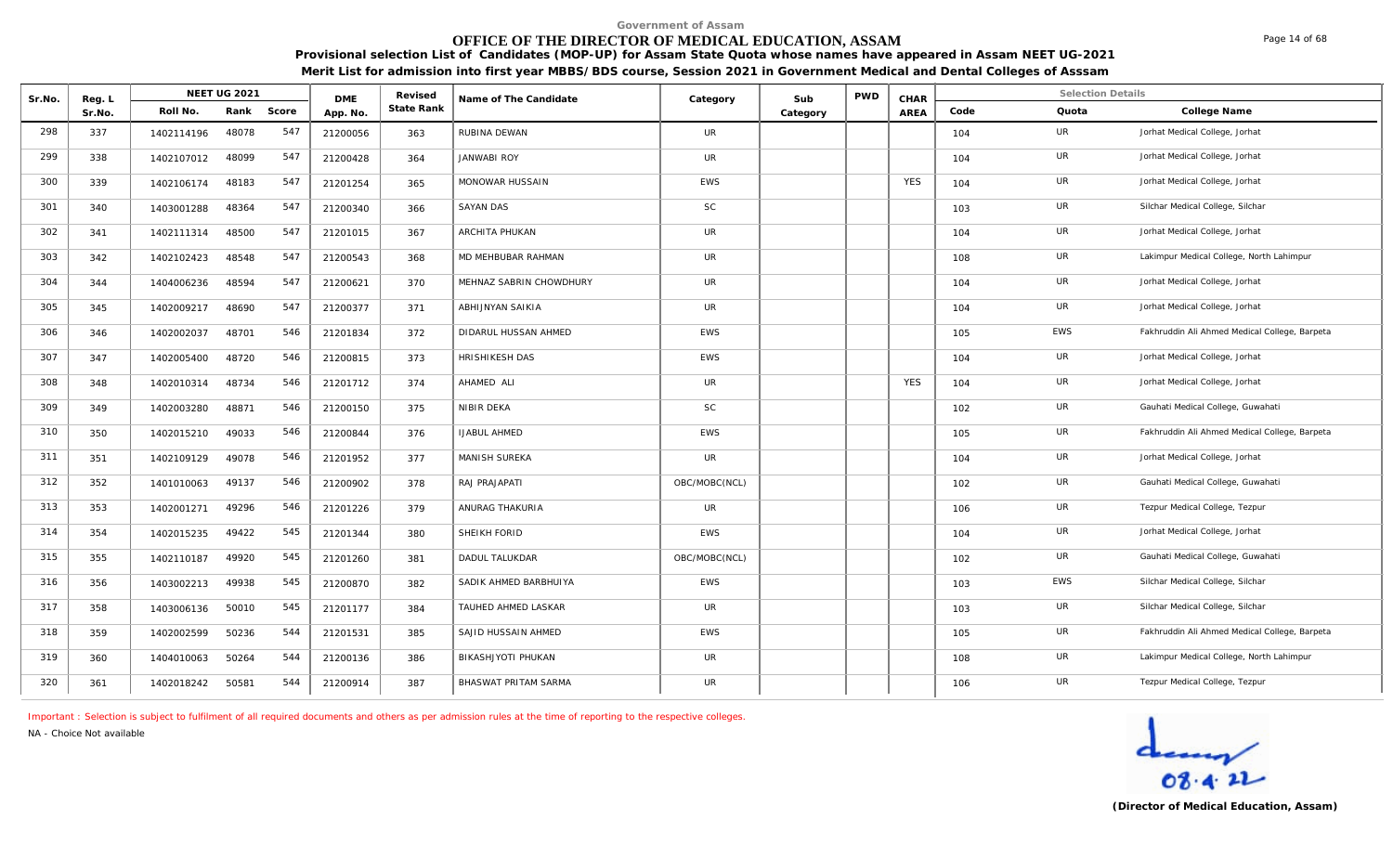# **OFFICE OF THE DIRECTOR OF MEDICAL EDUCATION, ASSAM**

Page 14 of 68

**Provisional selection List of Candidates (MOP-UP) for Assam State Quota whose names have appeared in Assam NEET UG-2021 Merit List for admission into first year MBBS/BDS course, Session 2021 in Government Medical and Dental Colleges of Asssam**

| Sr.No. | Reg. L |            | <b>NEET UG 2021</b> |       | <b>DME</b> | Revised    | Name of The Candidate   | Category      | Sub      | <b>PWD</b> | CHAR       |      | <b>Selection Details</b> |                                               |
|--------|--------|------------|---------------------|-------|------------|------------|-------------------------|---------------|----------|------------|------------|------|--------------------------|-----------------------------------------------|
|        | Sr.No. | Roll No.   | Rank                | Score | App. No.   | State Rank |                         |               | Category |            | AREA       | Code | Quota                    | College Name                                  |
| 298    | 337    | 1402114196 | 48078               | 547   | 21200056   | 363        | RUBINA DEWAN            | <b>UR</b>     |          |            |            | 104  | UR                       | Jorhat Medical College, Jorhat                |
| 299    | 338    | 1402107012 | 48099               | 547   | 21200428   | 364        | <b>JANWABI ROY</b>      | <b>UR</b>     |          |            |            | 104  | UR                       | Jorhat Medical College, Jorhat                |
| 300    | 339    | 1402106174 | 48183               | 547   | 21201254   | 365        | MONOWAR HUSSAIN         | <b>EWS</b>    |          |            | <b>YES</b> | 104  | UR                       | Jorhat Medical College, Jorhat                |
| 301    | 340    | 1403001288 | 48364               | 547   | 21200340   | 366        | <b>SAYAN DAS</b>        | SC            |          |            |            | 103  | UR                       | Silchar Medical College, Silchar              |
| 302    | 341    | 1402111314 | 48500               | 547   | 21201015   | 367        | ARCHITA PHUKAN          | <b>UR</b>     |          |            |            | 104  | UR                       | Jorhat Medical College, Jorhat                |
| 303    | 342    | 1402102423 | 48548               | 547   | 21200543   | 368        | MD MEHBUBAR RAHMAN      | UR            |          |            |            | 108  | UR                       | Lakimpur Medical College, North Lahimpur      |
| 304    | 344    | 1404006236 | 48594               | 547   | 21200621   | 370        | MEHNAZ SABRIN CHOWDHURY | UR            |          |            |            | 104  | UR                       | Jorhat Medical College, Jorhat                |
| 305    | 345    | 1402009217 | 48690               | 547   | 21200377   | 371        | ABHIJNYAN SAIKIA        | <b>UR</b>     |          |            |            | 104  | UR                       | Jorhat Medical College, Jorhat                |
| 306    | 346    | 1402002037 | 48701               | 546   | 21201834   | 372        | DIDARUL HUSSAN AHMED    | EWS           |          |            |            | 105  | EWS                      | Fakhruddin Ali Ahmed Medical College, Barpeta |
| 307    | 347    | 1402005400 | 48720               | 546   | 21200815   | 373        | HRISHIKESH DAS          | EWS           |          |            |            | 104  | UR                       | Jorhat Medical College, Jorhat                |
| 308    | 348    | 1402010314 | 48734               | 546   | 21201712   | 374        | AHAMED ALI              | UR            |          |            | <b>YES</b> | 104  | UR                       | Jorhat Medical College, Jorhat                |
| 309    | 349    | 1402003280 | 48871               | 546   | 21200150   | 375        | NIBIR DEKA              | <b>SC</b>     |          |            |            | 102  | UR                       | Gauhati Medical College, Guwahati             |
| 310    | 350    | 1402015210 | 49033               | 546   | 21200844   | 376        | <b>IJABUL AHMED</b>     | <b>EWS</b>    |          |            |            | 105  | UR                       | Fakhruddin Ali Ahmed Medical College, Barpeta |
| 311    | 351    | 1402109129 | 49078               | 546   | 21201952   | 377        | MANISH SUREKA           | <b>UR</b>     |          |            |            | 104  | UR                       | Jorhat Medical College, Jorhat                |
| 312    | 352    | 1401010063 | 49137               | 546   | 21200902   | 378        | RAJ PRAJAPATI           | OBC/MOBC(NCL) |          |            |            | 102  | UR                       | Gauhati Medical College, Guwahati             |
| 313    | 353    | 1402001271 | 49296               | 546   | 21201226   | 379        | ANURAG THAKURIA         | <b>UR</b>     |          |            |            | 106  | UR                       | Tezpur Medical College, Tezpur                |
| 314    | 354    | 1402015235 | 49422               | 545   | 21201344   | 380        | SHEIKH FORID            | <b>EWS</b>    |          |            |            | 104  | UR                       | Jorhat Medical College, Jorhat                |
| 315    | 355    | 1402110187 | 49920               | 545   | 21201260   | 381        | DADUL TALUKDAR          | OBC/MOBC(NCL) |          |            |            | 102  | UR                       | Gauhati Medical College, Guwahati             |
| 316    | 356    | 1403002213 | 49938               | 545   | 21200870   | 382        | SADIK AHMED BARBHUIYA   | <b>EWS</b>    |          |            |            | 103  | <b>EWS</b>               | Silchar Medical College, Silchar              |
| 317    | 358    | 1403006136 | 50010               | 545   | 21201177   | 384        | TAUHED AHMED LASKAR     | UR            |          |            |            | 103  | UR                       | Silchar Medical College, Silchar              |
| 318    | 359    | 1402002599 | 50236               | 544   | 21201531   | 385        | SAJID HUSSAIN AHMED     | EWS           |          |            |            | 105  | UR                       | Fakhruddin Ali Ahmed Medical College, Barpeta |
| 319    | 360    | 1404010063 | 50264               | 544   | 21200136   | 386        | BIKASHJYOTI PHUKAN      | <b>UR</b>     |          |            |            | 108  | UR                       | Lakimpur Medical College, North Lahimpur      |
| 320    | 361    | 1402018242 | 50581               | 544   | 21200914   | 387        | BHASWAT PRITAM SARMA    | <b>UR</b>     |          |            |            | 106  | UR                       | Tezpur Medical College, Tezpur                |

*Important : Selection is subject to fulfilment of all required documents and others as per admission rules at the time of reporting to the respective colleges.*

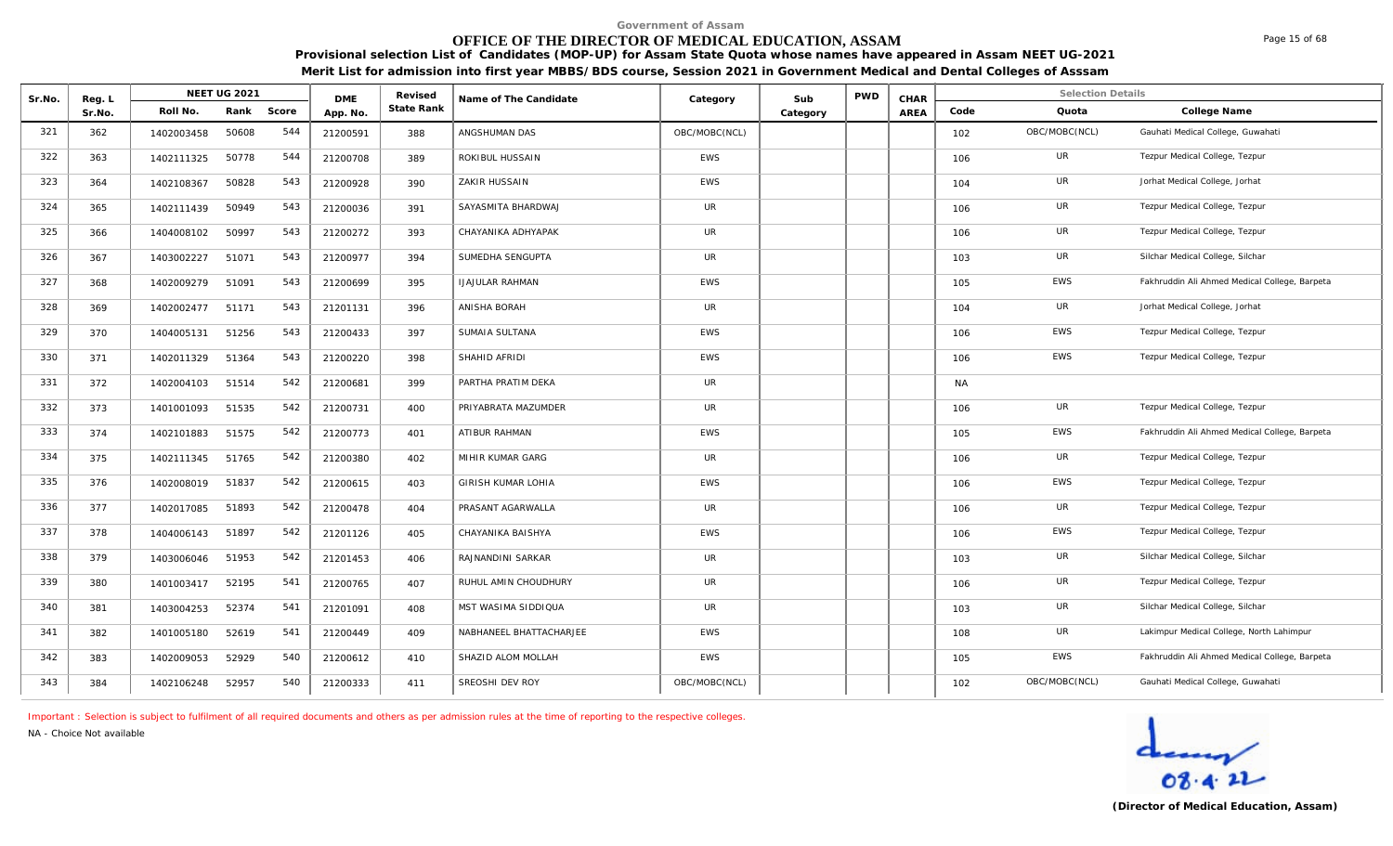# **OFFICE OF THE DIRECTOR OF MEDICAL EDUCATION, ASSAM**

**Provisional selection List of Candidates (MOP-UP) for Assam State Quota whose names have appeared in Assam NEET UG-2021 Merit List for admission into first year MBBS/BDS course, Session 2021 in Government Medical and Dental Colleges of Asssam**

| Sr.No. | Reg. L |            | <b>NEET UG 2021</b> |       | <b>DME</b> | Revised    | Name of The Candidate   | Category      | Sub      | <b>PWD</b> | CHAR |           | <b>Selection Details</b> |                                               |
|--------|--------|------------|---------------------|-------|------------|------------|-------------------------|---------------|----------|------------|------|-----------|--------------------------|-----------------------------------------------|
|        | Sr.No. | Roll No.   | Rank                | Score | App. No.   | State Rank |                         |               | Category |            | AREA | Code      | Quota                    | College Name                                  |
| 321    | 362    | 1402003458 | 50608               | 544   | 21200591   | 388        | ANGSHUMAN DAS           | OBC/MOBC(NCL) |          |            |      | 102       | OBC/MOBC(NCL)            | Gauhati Medical College, Guwahati             |
| 322    | 363    | 1402111325 | 50778               | 544   | 21200708   | 389        | ROKIBUL HUSSAIN         | EWS           |          |            |      | 106       | UR                       | Tezpur Medical College, Tezpur                |
| 323    | 364    | 1402108367 | 50828               | 543   | 21200928   | 390        | ZAKIR HUSSAIN           | <b>EWS</b>    |          |            |      | 104       | UR                       | Jorhat Medical College, Jorhat                |
| 324    | 365    | 1402111439 | 50949               | 543   | 21200036   | 391        | SAYASMITA BHARDWAJ      | <b>UR</b>     |          |            |      | 106       | UR                       | Tezpur Medical College, Tezpur                |
| 325    | 366    | 1404008102 | 50997               | 543   | 21200272   | 393        | CHAYANIKA ADHYAPAK      | UR            |          |            |      | 106       | UR                       | Tezpur Medical College, Tezpur                |
| 326    | 367    | 1403002227 | 51071               | 543   | 21200977   | 394        | SUMEDHA SENGUPTA        | UR            |          |            |      | 103       | UR                       | Silchar Medical College, Silchar              |
| 327    | 368    | 1402009279 | 51091               | 543   | 21200699   | 395        | <b>IJAJULAR RAHMAN</b>  | <b>EWS</b>    |          |            |      | 105       | EWS                      | Fakhruddin Ali Ahmed Medical College, Barpeta |
| 328    | 369    | 1402002477 | 51171               | 543   | 21201131   | 396        | ANISHA BORAH            | <b>UR</b>     |          |            |      | 104       | UR                       | Jorhat Medical College, Jorhat                |
| 329    | 370    | 1404005131 | 51256               | 543   | 21200433   | 397        | SUMAIA SULTANA          | <b>EWS</b>    |          |            |      | 106       | <b>EWS</b>               | Tezpur Medical College, Tezpur                |
| 330    | 371    | 1402011329 | 51364               | 543   | 21200220   | 398        | SHAHID AFRIDI           | EWS           |          |            |      | 106       | <b>EWS</b>               | Tezpur Medical College, Tezpur                |
| 331    | 372    | 1402004103 | 51514               | 542   | 21200681   | 399        | PARTHA PRATIM DEKA      | <b>UR</b>     |          |            |      | <b>NA</b> |                          |                                               |
| 332    | 373    | 1401001093 | 51535               | 542   | 21200731   | 400        | PRIYABRATA MAZUMDER     | <b>UR</b>     |          |            |      | 106       | <b>UR</b>                | Tezpur Medical College, Tezpur                |
| 333    | 374    | 1402101883 | 51575               | 542   | 21200773   | 401        | ATIBUR RAHMAN           | <b>EWS</b>    |          |            |      | 105       | EWS                      | Fakhruddin Ali Ahmed Medical College, Barpeta |
| 334    | 375    | 1402111345 | 51765               | 542   | 21200380   | 402        | MIHIR KUMAR GARG        | <b>UR</b>     |          |            |      | 106       | <b>UR</b>                | Tezpur Medical College, Tezpur                |
| 335    | 376    | 1402008019 | 51837               | 542   | 21200615   | 403        | GIRISH KUMAR LOHIA      | <b>EWS</b>    |          |            |      | 106       | EWS                      | Tezpur Medical College, Tezpur                |
| 336    | 377    | 1402017085 | 51893               | 542   | 21200478   | 404        | PRASANT AGARWALLA       | <b>UR</b>     |          |            |      | 106       | UR                       | Tezpur Medical College, Tezpur                |
| 337    | 378    | 1404006143 | 51897               | 542   | 21201126   | 405        | CHAYANIKA BAISHYA       | <b>EWS</b>    |          |            |      | 106       | <b>EWS</b>               | Tezpur Medical College, Tezpur                |
| 338    | 379    | 1403006046 | 51953               | 542   | 21201453   | 406        | RAJNANDINI SARKAR       | UR            |          |            |      | 103       | UR                       | Silchar Medical College, Silchar              |
| 339    | 380    | 1401003417 | 52195               | 541   | 21200765   | 407        | RUHUL AMIN CHOUDHURY    | UR            |          |            |      | 106       | UR                       | Tezpur Medical College, Tezpur                |
| 340    | 381    | 1403004253 | 52374               | 541   | 21201091   | 408        | MST WASIMA SIDDIQUA     | UR            |          |            |      | 103       | UR                       | Silchar Medical College, Silchar              |
| 341    | 382    | 1401005180 | 52619               | 541   | 21200449   | 409        | NABHANEEL BHATTACHARJEE | <b>EWS</b>    |          |            |      | 108       | UR                       | Lakimpur Medical College, North Lahimpur      |
| 342    | 383    | 1402009053 | 52929               | 540   | 21200612   | 410        | SHAZID ALOM MOLLAH      | <b>EWS</b>    |          |            |      | 105       | EWS                      | Fakhruddin Ali Ahmed Medical College, Barpeta |
| 343    | 384    | 1402106248 | 52957               | 540   | 21200333   | 411        | SREOSHI DEV ROY         | OBC/MOBC(NCL) |          |            |      | 102       | OBC/MOBC(NCL)            | Gauhati Medical College, Guwahati             |

*Important : Selection is subject to fulfilment of all required documents and others as per admission rules at the time of reporting to the respective colleges.*

*NA - Choice Not available*



Page 15 of 68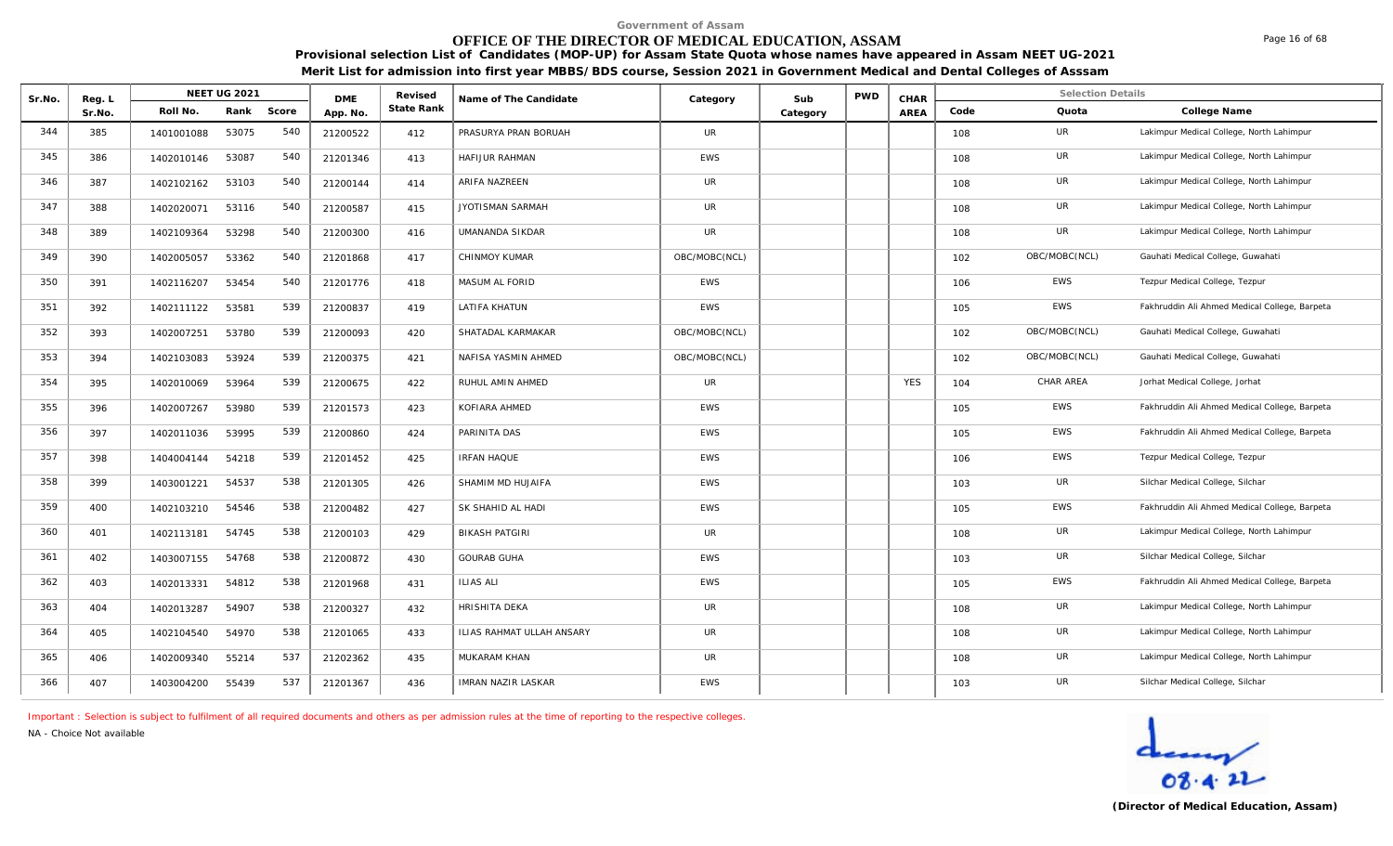#### **Provisional selection List of Candidates (MOP-UP) for Assam State Quota whose names have appeared in Assam NEET UG-2021 OFFICE OF THE DIRECTOR OF MEDICAL EDUCATION, ASSAM**

**Merit List for admission into first year MBBS/BDS course, Session 2021 in Government Medical and Dental Colleges of Asssam**

| Sr.No. | Reg. L |            | <b>NEET UG 2021</b> |       | <b>DME</b> | Revised    | Name of The Candidate            | Category      | Sub      | <b>PWD</b> | CHAR       |      | <b>Selection Details</b> |                                               |
|--------|--------|------------|---------------------|-------|------------|------------|----------------------------------|---------------|----------|------------|------------|------|--------------------------|-----------------------------------------------|
|        | Sr.No. | Roll No.   | Rank                | Score | App. No.   | State Rank |                                  |               | Category |            | AREA       | Code | Quota                    | College Name                                  |
| 344    | 385    | 1401001088 | 53075               | 540   | 21200522   | 412        | PRASURYA PRAN BORUAH             | <b>UR</b>     |          |            |            | 108  | UR                       | Lakimpur Medical College, North Lahimpur      |
| 345    | 386    | 1402010146 | 53087               | 540   | 21201346   | 413        | HAFIJUR RAHMAN                   | <b>EWS</b>    |          |            |            | 108  | UR                       | Lakimpur Medical College, North Lahimpur      |
| 346    | 387    | 1402102162 | 53103               | 540   | 21200144   | 414        | <b>ARIFA NAZREEN</b>             | <b>UR</b>     |          |            |            | 108  | UR                       | Lakimpur Medical College, North Lahimpur      |
| 347    | 388    | 1402020071 | 53116               | 540   | 21200587   | 415        | JYOTISMAN SARMAH                 | <b>UR</b>     |          |            |            | 108  | UR                       | Lakimpur Medical College, North Lahimpur      |
| 348    | 389    | 1402109364 | 53298               | 540   | 21200300   | 416        | UMANANDA SIKDAR                  | <b>UR</b>     |          |            |            | 108  | UR                       | Lakimpur Medical College, North Lahimpur      |
| 349    | 390    | 1402005057 | 53362               | 540   | 21201868   | 417        | CHINMOY KUMAR                    | OBC/MOBC(NCL) |          |            |            | 102  | OBC/MOBC(NCL)            | Gauhati Medical College, Guwahati             |
| 350    | 391    | 1402116207 | 53454               | 540   | 21201776   | 418        | MASUM AL FORID                   | EWS           |          |            |            | 106  | EWS                      | Tezpur Medical College, Tezpur                |
| 351    | 392    | 1402111122 | 53581               | 539   | 21200837   | 419        | LATIFA KHATUN                    | <b>EWS</b>    |          |            |            | 105  | <b>EWS</b>               | Fakhruddin Ali Ahmed Medical College, Barpeta |
| 352    | 393    | 1402007251 | 53780               | 539   | 21200093   | 420        | SHATADAL KARMAKAR                | OBC/MOBC(NCL) |          |            |            | 102  | OBC/MOBC(NCL)            | Gauhati Medical College, Guwahati             |
| 353    | 394    | 1402103083 | 53924               | 539   | 21200375   | 421        | NAFISA YASMIN AHMED              | OBC/MOBC(NCL) |          |            |            | 102  | OBC/MOBC(NCL)            | Gauhati Medical College, Guwahati             |
| 354    | 395    | 1402010069 | 53964               | 539   | 21200675   | 422        | RUHUL AMIN AHMED                 | <b>UR</b>     |          |            | <b>YES</b> | 104  | CHAR AREA                | Jorhat Medical College, Jorhat                |
| 355    | 396    | 1402007267 | 53980               | 539   | 21201573   | 423        | KOFIARA AHMED                    | <b>EWS</b>    |          |            |            | 105  | <b>EWS</b>               | Fakhruddin Ali Ahmed Medical College, Barpeta |
| 356    | 397    | 1402011036 | 53995               | 539   | 21200860   | 424        | PARINITA DAS                     | <b>EWS</b>    |          |            |            | 105  | <b>EWS</b>               | Fakhruddin Ali Ahmed Medical College, Barpeta |
| 357    | 398    | 1404004144 | 54218               | 539   | 21201452   | 425        | <b>IRFAN HAQUE</b>               | <b>EWS</b>    |          |            |            | 106  | <b>EWS</b>               | Tezpur Medical College, Tezpur                |
| 358    | 399    | 1403001221 | 54537               | 538   | 21201305   | 426        | SHAMIM MD HUJAIFA                | <b>EWS</b>    |          |            |            | 103  | UR                       | Silchar Medical College, Silchar              |
| 359    | 400    | 1402103210 | 54546               | 538   | 21200482   | 427        | SK SHAHID AL HADI                | <b>EWS</b>    |          |            |            | 105  | EWS                      | Fakhruddin Ali Ahmed Medical College, Barpeta |
| 360    | 401    | 1402113181 | 54745               | 538   | 21200103   | 429        | <b>BIKASH PATGIRI</b>            | <b>UR</b>     |          |            |            | 108  | UR                       | Lakimpur Medical College, North Lahimpur      |
| 361    | 402    | 1403007155 | 54768               | 538   | 21200872   | 430        | <b>GOURAB GUHA</b>               | <b>EWS</b>    |          |            |            | 103  | UR                       | Silchar Medical College, Silchar              |
| 362    | 403    | 1402013331 | 54812               | 538   | 21201968   | 431        | <b>ILIAS ALI</b>                 | EWS           |          |            |            | 105  | <b>EWS</b>               | Fakhruddin Ali Ahmed Medical College, Barpeta |
| 363    | 404    | 1402013287 | 54907               | 538   | 21200327   | 432        | HRISHITA DEKA                    | <b>UR</b>     |          |            |            | 108  | UR                       | Lakimpur Medical College, North Lahimpur      |
| 364    | 405    | 1402104540 | 54970               | 538   | 21201065   | 433        | <b>ILIAS RAHMAT ULLAH ANSARY</b> | <b>UR</b>     |          |            |            | 108  | UR                       | Lakimpur Medical College, North Lahimpur      |
| 365    | 406    | 1402009340 | 55214               | 537   | 21202362   | 435        | MUKARAM KHAN                     | <b>UR</b>     |          |            |            | 108  | UR                       | Lakimpur Medical College, North Lahimpur      |
| 366    | 407    | 1403004200 | 55439               | 537   | 21201367   | 436        | <b>IMRAN NAZIR LASKAR</b>        | <b>EWS</b>    |          |            |            | 103  | UR                       | Silchar Medical College, Silchar              |

*Important : Selection is subject to fulfilment of all required documents and others as per admission rules at the time of reporting to the respective colleges.*

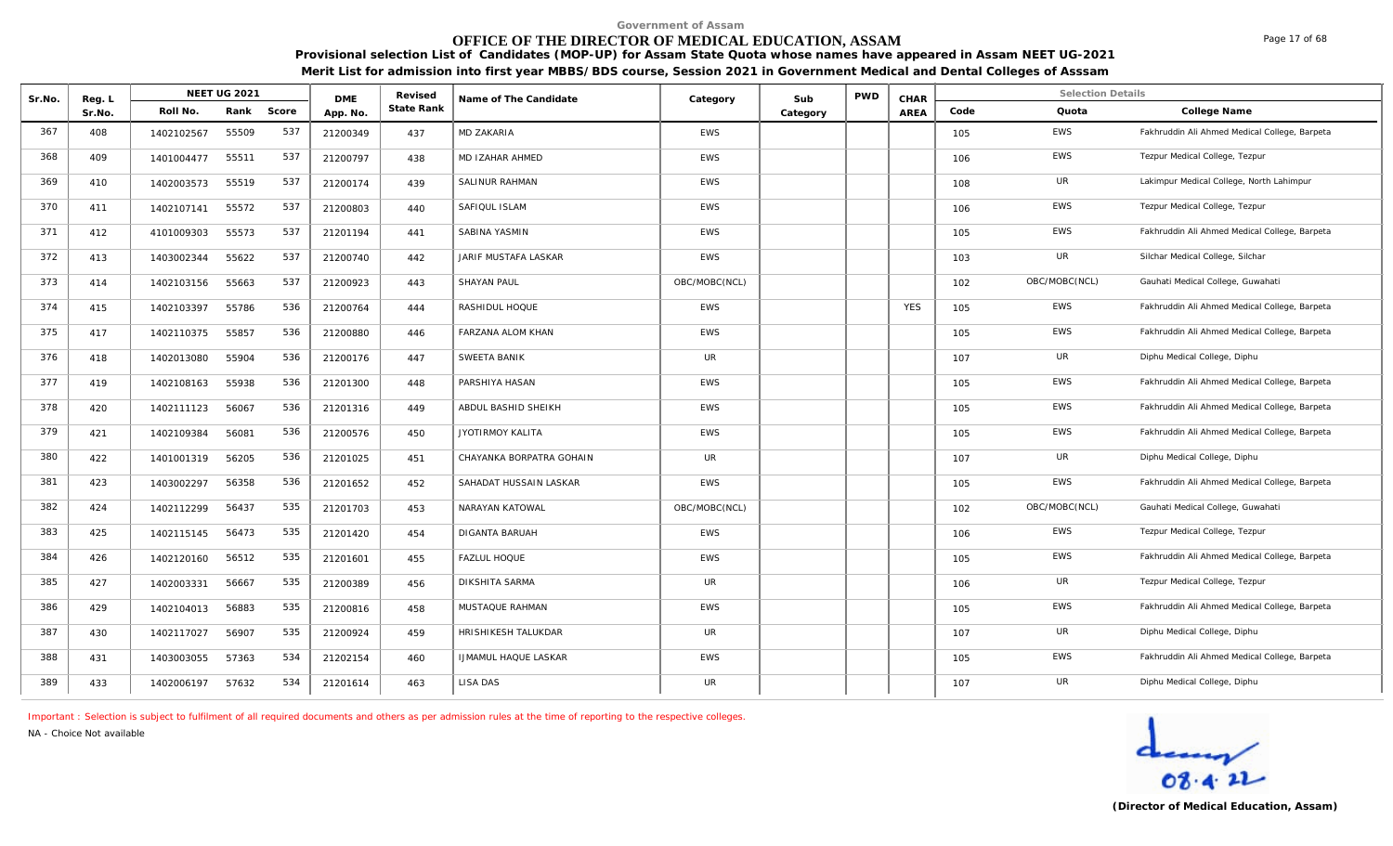# **OFFICE OF THE DIRECTOR OF MEDICAL EDUCATION, ASSAM**

**Provisional selection List of Candidates (MOP-UP) for Assam State Quota whose names have appeared in Assam NEET UG-2021 Merit List for admission into first year MBBS/BDS course, Session 2021 in Government Medical and Dental Colleges of Asssam**

| Sr.No. | Reg. L |            | NEET UG 2021 |       | <b>DME</b> | Revised    | Name of The Candidate       | Category      | Sub      | <b>PWD</b> | CHAR       |      | <b>Selection Details</b> |                                               |
|--------|--------|------------|--------------|-------|------------|------------|-----------------------------|---------------|----------|------------|------------|------|--------------------------|-----------------------------------------------|
|        | Sr.No. | Roll No.   | Rank         | Score | App. No.   | State Rank |                             |               | Category |            | AREA       | Code | Quota                    | College Name                                  |
| 367    | 408    | 1402102567 | 55509        | 537   | 21200349   | 437        | MD ZAKARIA                  | EWS           |          |            |            | 105  | <b>EWS</b>               | Fakhruddin Ali Ahmed Medical College, Barpeta |
| 368    | 409    | 1401004477 | 55511        | 537   | 21200797   | 438        | MD IZAHAR AHMED             | <b>EWS</b>    |          |            |            | 106  | <b>EWS</b>               | Tezpur Medical College, Tezpur                |
| 369    | 410    | 1402003573 | 55519        | 537   | 21200174   | 439        | SALINUR RAHMAN              | <b>EWS</b>    |          |            |            | 108  | UR                       | Lakimpur Medical College, North Lahimpur      |
| 370    | 411    | 1402107141 | 55572        | 537   | 21200803   | 440        | SAFIQUL ISLAM               | <b>EWS</b>    |          |            |            | 106  | EWS                      | Tezpur Medical College, Tezpur                |
| 371    | 412    | 4101009303 | 55573        | 537   | 21201194   | 441        | SABINA YASMIN               | <b>EWS</b>    |          |            |            | 105  | <b>EWS</b>               | Fakhruddin Ali Ahmed Medical College, Barpeta |
| 372    | 413    | 1403002344 | 55622        | 537   | 21200740   | 442        | JARIF MUSTAFA LASKAR        | <b>EWS</b>    |          |            |            | 103  | UR                       | Silchar Medical College, Silchar              |
| 373    | 414    | 1402103156 | 55663        | 537   | 21200923   | 443        | <b>SHAYAN PAUL</b>          | OBC/MOBC(NCL) |          |            |            | 102  | OBC/MOBC(NCL)            | Gauhati Medical College, Guwahati             |
| 374    | 415    | 1402103397 | 55786        | 536   | 21200764   | 444        | RASHIDUL HOQUE              | <b>EWS</b>    |          |            | <b>YES</b> | 105  | <b>EWS</b>               | Fakhruddin Ali Ahmed Medical College, Barpeta |
| 375    | 417    | 1402110375 | 55857        | 536   | 21200880   | 446        | FARZANA ALOM KHAN           | EWS           |          |            |            | 105  | <b>EWS</b>               | Fakhruddin Ali Ahmed Medical College, Barpeta |
| 376    | 418    | 1402013080 | 55904        | 536   | 21200176   | 447        | SWEETA BANIK                | UR            |          |            |            | 107  | UR                       | Diphu Medical College, Diphu                  |
| 377    | 419    | 1402108163 | 55938        | 536   | 21201300   | 448        | PARSHIYA HASAN              | <b>EWS</b>    |          |            |            | 105  | <b>EWS</b>               | Fakhruddin Ali Ahmed Medical College, Barpeta |
| 378    | 420    | 1402111123 | 56067        | 536   | 21201316   | 449        | ABDUL BASHID SHEIKH         | EWS           |          |            |            | 105  | <b>EWS</b>               | Fakhruddin Ali Ahmed Medical College, Barpeta |
| 379    | 421    | 1402109384 | 56081        | 536   | 21200576   | 450        | JYOTIRMOY KALITA            | <b>EWS</b>    |          |            |            | 105  | EWS                      | Fakhruddin Ali Ahmed Medical College, Barpeta |
| 380    | 422    | 1401001319 | 56205        | 536   | 21201025   | 451        | CHAYANKA BORPATRA GOHAIN    | <b>UR</b>     |          |            |            | 107  | UR                       | Diphu Medical College, Diphu                  |
| 381    | 423    | 1403002297 | 56358        | 536   | 21201652   | 452        | SAHADAT HUSSAIN LASKAR      | <b>EWS</b>    |          |            |            | 105  | <b>EWS</b>               | Fakhruddin Ali Ahmed Medical College, Barpeta |
| 382    | 424    | 1402112299 | 56437        | 535   | 21201703   | 453        | NARAYAN KATOWAL             | OBC/MOBC(NCL) |          |            |            | 102  | OBC/MOBC(NCL)            | Gauhati Medical College, Guwahati             |
| 383    | 425    | 1402115145 | 56473        | 535   | 21201420   | 454        | <b>DIGANTA BARUAH</b>       | <b>EWS</b>    |          |            |            | 106  | <b>EWS</b>               | Tezpur Medical College, Tezpur                |
| 384    | 426    | 1402120160 | 56512        | 535   | 21201601   | 455        | <b>FAZLUL HOQUE</b>         | <b>EWS</b>    |          |            |            | 105  | <b>EWS</b>               | Fakhruddin Ali Ahmed Medical College, Barpeta |
| 385    | 427    | 1402003331 | 56667        | 535   | 21200389   | 456        | <b>DIKSHITA SARMA</b>       | <b>UR</b>     |          |            |            | 106  | UR                       | Tezpur Medical College, Tezpur                |
| 386    | 429    | 1402104013 | 56883        | 535   | 21200816   | 458        | MUSTAQUE RAHMAN             | <b>EWS</b>    |          |            |            | 105  | <b>EWS</b>               | Fakhruddin Ali Ahmed Medical College, Barpeta |
| 387    | 430    | 1402117027 | 56907        | 535   | 21200924   | 459        | HRISHIKESH TALUKDAR         | <b>UR</b>     |          |            |            | 107  | <b>UR</b>                | Diphu Medical College, Diphu                  |
| 388    | 431    | 1403003055 | 57363        | 534   | 21202154   | 460        | <b>IJMAMUL HAQUE LASKAR</b> | <b>EWS</b>    |          |            |            | 105  | <b>EWS</b>               | Fakhruddin Ali Ahmed Medical College, Barpeta |
| 389    | 433    | 1402006197 | 57632        | 534   | 21201614   | 463        | LISA DAS                    | <b>UR</b>     |          |            |            | 107  | UR                       | Diphu Medical College, Diphu                  |

*Important : Selection is subject to fulfilment of all required documents and others as per admission rules at the time of reporting to the respective colleges.*

*NA - Choice Not available*

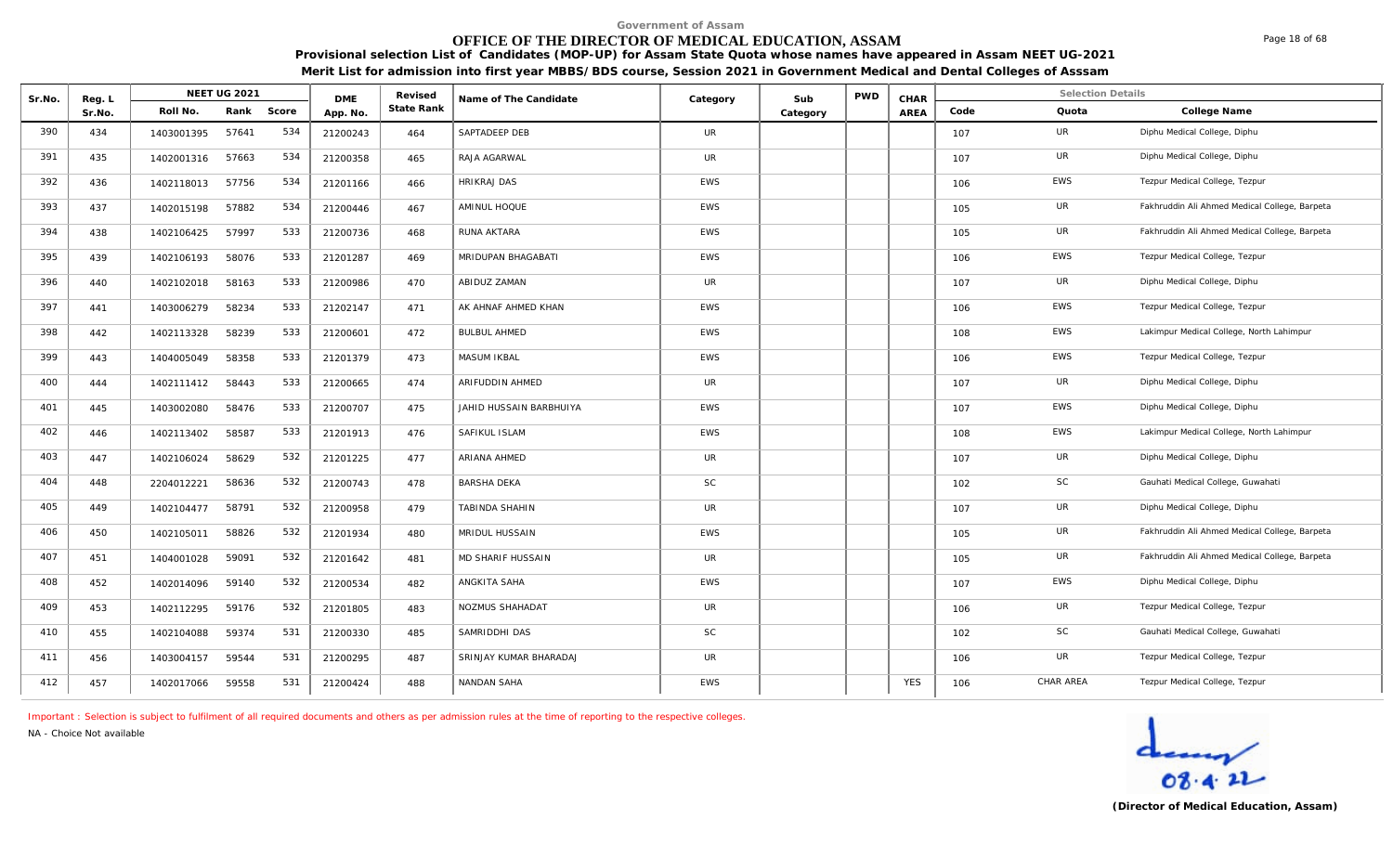# **OFFICE OF THE DIRECTOR OF MEDICAL EDUCATION, ASSAM**

Page 18 of 68

**Provisional selection List of Candidates (MOP-UP) for Assam State Quota whose names have appeared in Assam NEET UG-2021 Merit List for admission into first year MBBS/BDS course, Session 2021 in Government Medical and Dental Colleges of Asssam**

| Sr.No. | Reg. L | <b>NEET UG 2021</b> |       |       | <b>DME</b> | Revised    | Name of The Candidate   | Category   | Sub      | <b>PWD</b> | CHAR        |      | <b>Selection Details</b> |                                               |
|--------|--------|---------------------|-------|-------|------------|------------|-------------------------|------------|----------|------------|-------------|------|--------------------------|-----------------------------------------------|
|        | Sr.No. | Roll No.            | Rank  | Score | App. No.   | State Rank |                         |            | Category |            | <b>AREA</b> | Code | Quota                    | College Name                                  |
| 390    | 434    | 1403001395          | 57641 | 534   | 21200243   | 464        | SAPTADEEP DEB           | UR         |          |            |             | 107  | UR                       | Diphu Medical College, Diphu                  |
| 391    | 435    | 1402001316          | 57663 | 534   | 21200358   | 465        | RAJA AGARWAL            | <b>UR</b>  |          |            |             | 107  | UR                       | Diphu Medical College, Diphu                  |
| 392    | 436    | 1402118013          | 57756 | 534   | 21201166   | 466        | <b>HRIKRAJ DAS</b>      | <b>EWS</b> |          |            |             | 106  | EWS                      | Tezpur Medical College, Tezpur                |
| 393    | 437    | 1402015198          | 57882 | 534   | 21200446   | 467        | AMINUL HOQUE            | EWS        |          |            |             | 105  | UR                       | Fakhruddin Ali Ahmed Medical College, Barpeta |
| 394    | 438    | 1402106425          | 57997 | 533   | 21200736   | 468        | RUNA AKTARA             | <b>EWS</b> |          |            |             | 105  | UR                       | Fakhruddin Ali Ahmed Medical College, Barpeta |
| 395    | 439    | 1402106193          | 58076 | 533   | 21201287   | 469        | MRIDUPAN BHAGABATI      | <b>EWS</b> |          |            |             | 106  | EWS                      | Tezpur Medical College, Tezpur                |
| 396    | 440    | 1402102018          | 58163 | 533   | 21200986   | 470        | ABIDUZ ZAMAN            | <b>UR</b>  |          |            |             | 107  | UR                       | Diphu Medical College, Diphu                  |
| 397    | 441    | 1403006279          | 58234 | 533   | 21202147   | 471        | AK AHNAF AHMED KHAN     | EWS        |          |            |             | 106  | EWS                      | Tezpur Medical College, Tezpur                |
| 398    | 442    | 1402113328          | 58239 | 533   | 21200601   | 472        | <b>BULBUL AHMED</b>     | <b>EWS</b> |          |            |             | 108  | EWS                      | Lakimpur Medical College, North Lahimpur      |
| 399    | 443    | 1404005049          | 58358 | 533   | 21201379   | 473        | MASUM IKBAL             | <b>EWS</b> |          |            |             | 106  | EWS                      | Tezpur Medical College, Tezpur                |
| 400    | 444    | 1402111412          | 58443 | 533   | 21200665   | 474        | ARIFUDDIN AHMED         | UR         |          |            |             | 107  | UR                       | Diphu Medical College, Diphu                  |
| 401    | 445    | 1403002080          | 58476 | 533   | 21200707   | 475        | JAHID HUSSAIN BARBHUIYA | EWS        |          |            |             | 107  | EWS                      | Diphu Medical College, Diphu                  |
| 402    | 446    | 1402113402          | 58587 | 533   | 21201913   | 476        | SAFIKUL ISLAM           | <b>EWS</b> |          |            |             | 108  | EWS                      | Lakimpur Medical College, North Lahimpur      |
| 403    | 447    | 1402106024          | 58629 | 532   | 21201225   | 477        | <b>ARIANA AHMED</b>     | <b>UR</b>  |          |            |             | 107  | UR                       | Diphu Medical College, Diphu                  |
| 404    | 448    | 2204012221          | 58636 | 532   | 21200743   | 478        | BARSHA DEKA             | <b>SC</b>  |          |            |             | 102  | <b>SC</b>                | Gauhati Medical College, Guwahati             |
| 405    | 449    | 1402104477          | 58791 | 532   | 21200958   | 479        | TABINDA SHAHIN          | <b>UR</b>  |          |            |             | 107  | UR                       | Diphu Medical College, Diphu                  |
| 406    | 450    | 1402105011          | 58826 | 532   | 21201934   | 480        | MRIDUL HUSSAIN          | <b>EWS</b> |          |            |             | 105  | UR                       | Fakhruddin Ali Ahmed Medical College, Barpeta |
| 407    | 451    | 1404001028          | 59091 | 532   | 21201642   | 481        | MD SHARIF HUSSAIN       | <b>UR</b>  |          |            |             | 105  | UR                       | Fakhruddin Ali Ahmed Medical College, Barpeta |
| 408    | 452    | 1402014096          | 59140 | 532   | 21200534   | 482        | ANGKITA SAHA            | EWS        |          |            |             | 107  | EWS                      | Diphu Medical College, Diphu                  |
| 409    | 453    | 1402112295          | 59176 | 532   | 21201805   | 483        | NOZMUS SHAHADAT         | UR         |          |            |             | 106  | UR                       | Tezpur Medical College, Tezpur                |
| 410    | 455    | 1402104088          | 59374 | 531   | 21200330   | 485        | SAMRIDDHI DAS           | <b>SC</b>  |          |            |             | 102  | SC                       | Gauhati Medical College, Guwahati             |
| 411    | 456    | 1403004157          | 59544 | 531   | 21200295   | 487        | SRINJAY KUMAR BHARADAJ  | <b>UR</b>  |          |            |             | 106  | UR                       | Tezpur Medical College, Tezpur                |
| 412    | 457    | 1402017066          | 59558 | 531   | 21200424   | 488        | NANDAN SAHA             | EWS        |          |            | <b>YES</b>  | 106  | CHAR AREA                | Tezpur Medical College, Tezpur                |

*Important : Selection is subject to fulfilment of all required documents and others as per admission rules at the time of reporting to the respective colleges.*

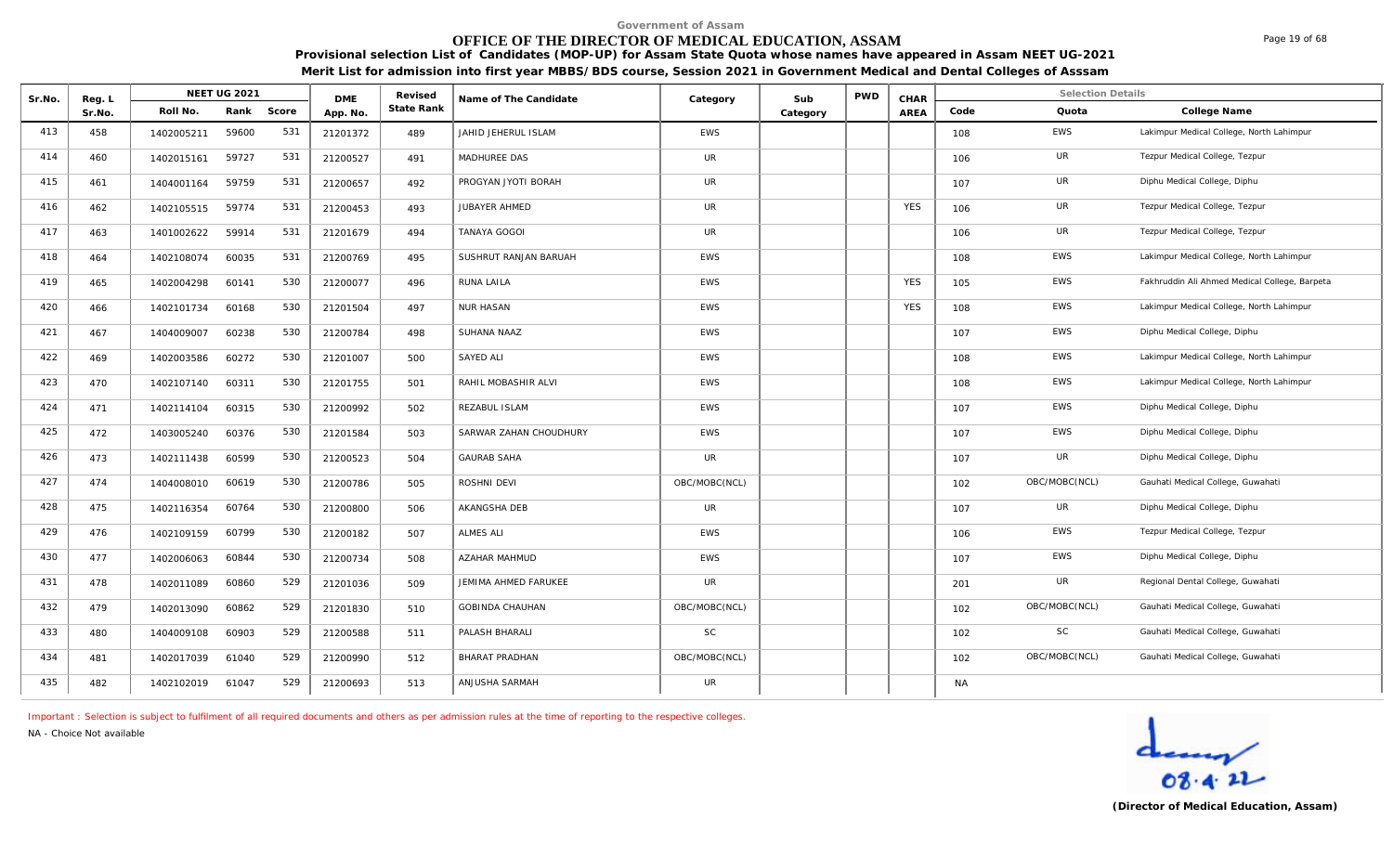# **OFFICE OF THE DIRECTOR OF MEDICAL EDUCATION, ASSAM**

Page 19 of 68

**Provisional selection List of Candidates (MOP-UP) for Assam State Quota whose names have appeared in Assam NEET UG-2021 Merit List for admission into first year MBBS/BDS course, Session 2021 in Government Medical and Dental Colleges of Asssam**

| Sr.No. | Reg. L |            | <b>NEET UG 2021</b> |       | <b>DME</b> | Revised    | Name of The Candidate  | Category      | Sub      | <b>PWD</b> | CHAR       |           | <b>Selection Details</b> |                                               |
|--------|--------|------------|---------------------|-------|------------|------------|------------------------|---------------|----------|------------|------------|-----------|--------------------------|-----------------------------------------------|
|        | Sr.No. | Roll No.   | Rank                | Score | App. No.   | State Rank |                        |               | Category |            | AREA       | Code      | Quota                    | College Name                                  |
| 413    | 458    | 1402005211 | 59600               | 531   | 21201372   | 489        | JAHID JEHERUL ISLAM    | <b>EWS</b>    |          |            |            | 108       | EWS                      | Lakimpur Medical College, North Lahimpur      |
| 414    | 460    | 1402015161 | 59727               | 531   | 21200527   | 491        | MADHUREE DAS           | UR            |          |            |            | 106       | UR                       | Tezpur Medical College, Tezpur                |
| 415    | 461    | 1404001164 | 59759               | 531   | 21200657   | 492        | PROGYAN JYOTI BORAH    | <b>UR</b>     |          |            |            | 107       | UR                       | Diphu Medical College, Diphu                  |
| 416    | 462    | 1402105515 | 59774               | 531   | 21200453   | 493        | JUBAYER AHMED          | <b>UR</b>     |          |            | <b>YES</b> | 106       | UR                       | Tezpur Medical College, Tezpur                |
| 417    | 463    | 1401002622 | 59914               | 531   | 21201679   | 494        | <b>TANAYA GOGOI</b>    | <b>UR</b>     |          |            |            | 106       | UR                       | Tezpur Medical College, Tezpur                |
| 418    | 464    | 1402108074 | 60035               | 531   | 21200769   | 495        | SUSHRUT RANJAN BARUAH  | <b>EWS</b>    |          |            |            | 108       | EWS                      | Lakimpur Medical College, North Lahimpur      |
| 419    | 465    | 1402004298 | 60141               | 530   | 21200077   | 496        | RUNA LAILA             | <b>EWS</b>    |          |            | <b>YES</b> | 105       | EWS                      | Fakhruddin Ali Ahmed Medical College, Barpeta |
| 420    | 466    | 1402101734 | 60168               | 530   | 21201504   | 497        | <b>NUR HASAN</b>       | <b>EWS</b>    |          |            | <b>YES</b> | 108       | EWS                      | Lakimpur Medical College, North Lahimpur      |
| 421    | 467    | 1404009007 | 60238               | 530   | 21200784   | 498        | SUHANA NAAZ            | <b>EWS</b>    |          |            |            | 107       | <b>EWS</b>               | Diphu Medical College, Diphu                  |
| 422    | 469    | 1402003586 | 60272               | 530   | 21201007   | 500        | SAYED ALI              | EWS           |          |            |            | 108       | EWS                      | Lakimpur Medical College, North Lahimpur      |
| 423    | 470    | 1402107140 | 60311               | 530   | 21201755   | 501        | RAHIL MOBASHIR ALVI    | <b>EWS</b>    |          |            |            | 108       | EWS                      | Lakimpur Medical College, North Lahimpur      |
| 424    | 471    | 1402114104 | 60315               | 530   | 21200992   | 502        | REZABUL ISLAM          | <b>EWS</b>    |          |            |            | 107       | EWS                      | Diphu Medical College, Diphu                  |
| 425    | 472    | 1403005240 | 60376               | 530   | 21201584   | 503        | SARWAR ZAHAN CHOUDHURY | EWS           |          |            |            | 107       | EWS                      | Diphu Medical College, Diphu                  |
| 426    | 473    | 1402111438 | 60599               | 530   | 21200523   | 504        | <b>GAURAB SAHA</b>     | <b>UR</b>     |          |            |            | 107       | UR                       | Diphu Medical College, Diphu                  |
| 427    | 474    | 1404008010 | 60619               | 530   | 21200786   | 505        | ROSHNI DEVI            | OBC/MOBC(NCL) |          |            |            | 102       | OBC/MOBC(NCL)            | Gauhati Medical College, Guwahati             |
| 428    | 475    | 1402116354 | 60764               | 530   | 21200800   | 506        | AKANGSHA DEB           | <b>UR</b>     |          |            |            | 107       | UR                       | Diphu Medical College, Diphu                  |
| 429    | 476    | 1402109159 | 60799               | 530   | 21200182   | 507        | <b>ALMES ALI</b>       | <b>EWS</b>    |          |            |            | 106       | EWS                      | Tezpur Medical College, Tezpur                |
| 430    | 477    | 1402006063 | 60844               | 530   | 21200734   | 508        | AZAHAR MAHMUD          | <b>EWS</b>    |          |            |            | 107       | EWS                      | Diphu Medical College, Diphu                  |
| 431    | 478    | 1402011089 | 60860               | 529   | 21201036   | 509        | JEMIMA AHMED FARUKEE   | <b>UR</b>     |          |            |            | 201       | UR                       | Regional Dental College, Guwahati             |
| 432    | 479    | 1402013090 | 60862               | 529   | 21201830   | 510        | GOBINDA CHAUHAN        | OBC/MOBC(NCL) |          |            |            | 102       | OBC/MOBC(NCL)            | Gauhati Medical College, Guwahati             |
| 433    | 480    | 1404009108 | 60903               | 529   | 21200588   | 511        | PALASH BHARALI         | <b>SC</b>     |          |            |            | 102       | SC                       | Gauhati Medical College, Guwahati             |
| 434    | 481    | 1402017039 | 61040               | 529   | 21200990   | 512        | <b>BHARAT PRADHAN</b>  | OBC/MOBC(NCL) |          |            |            | 102       | OBC/MOBC(NCL)            | Gauhati Medical College, Guwahati             |
| 435    | 482    | 1402102019 | 61047               | 529   | 21200693   | 513        | ANJUSHA SARMAH         | UR            |          |            |            | <b>NA</b> |                          |                                               |

*Important : Selection is subject to fulfilment of all required documents and others as per admission rules at the time of reporting to the respective colleges.*

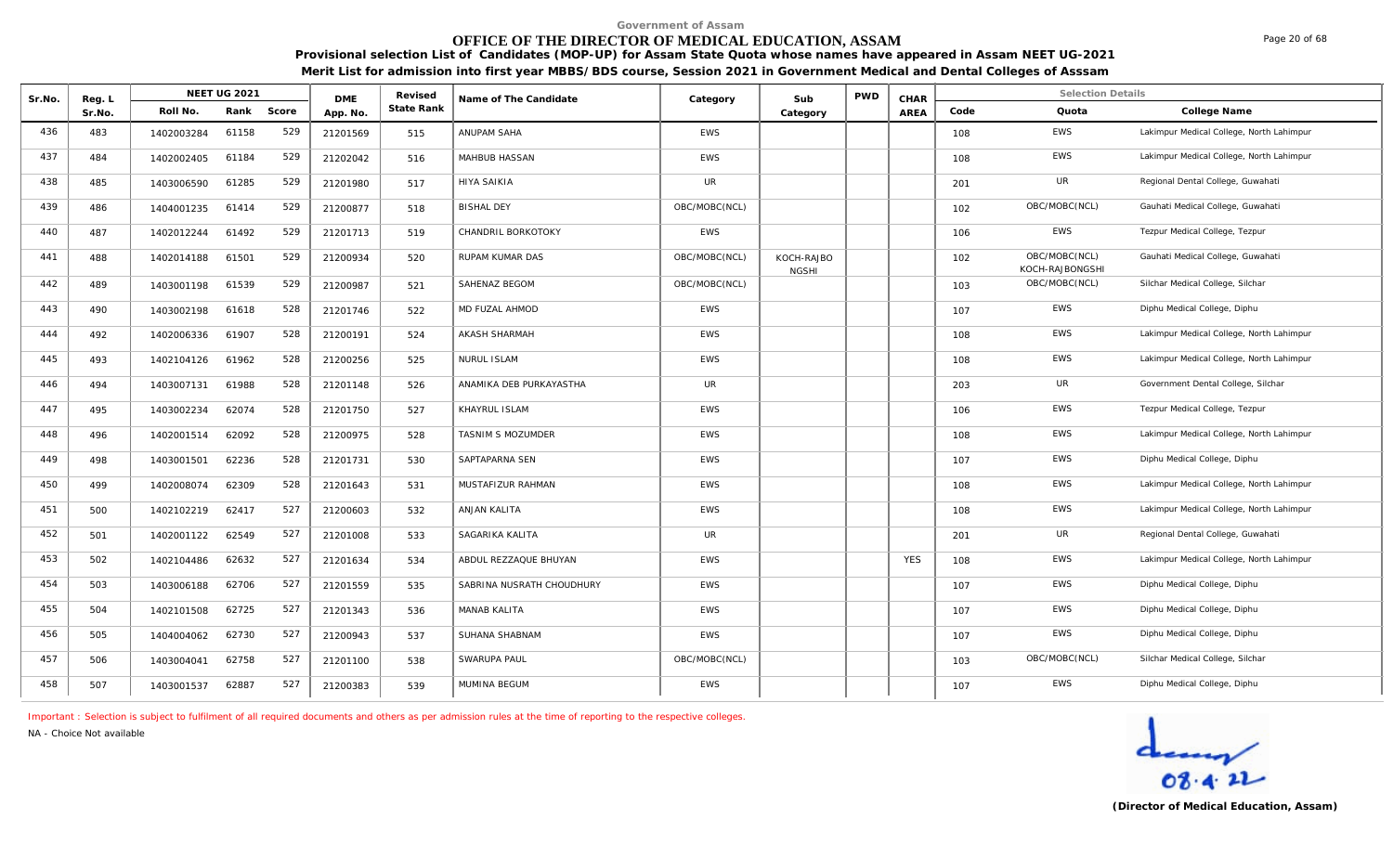# **OFFICE OF THE DIRECTOR OF MEDICAL EDUCATION, ASSAM**

**Provisional selection List of Candidates (MOP-UP) for Assam State Quota whose names have appeared in Assam NEET UG-2021 Merit List for admission into first year MBBS/BDS course, Session 2021 in Government Medical and Dental Colleges of Asssam**

| Sr.No. | Reg. L |            | <b>NEET UG 2021</b> |       | <b>DME</b> | Revised    | Name of The Candidate     | Category      | Sub                        | <b>PWD</b> | CHAR       |      | <b>Selection Details</b>         |                                          |
|--------|--------|------------|---------------------|-------|------------|------------|---------------------------|---------------|----------------------------|------------|------------|------|----------------------------------|------------------------------------------|
|        | Sr.No. | Roll No.   | Rank                | Score | App. No.   | State Rank |                           |               | Category                   |            | AREA       | Code | Quota                            | College Name                             |
| 436    | 483    | 1402003284 | 61158               | 529   | 21201569   | 515        | ANUPAM SAHA               | EWS           |                            |            |            | 108  | EWS                              | Lakimpur Medical College, North Lahimpur |
| 437    | 484    | 1402002405 | 61184               | 529   | 21202042   | 516        | MAHBUB HASSAN             | <b>EWS</b>    |                            |            |            | 108  | <b>EWS</b>                       | Lakimpur Medical College, North Lahimpur |
| 438    | 485    | 1403006590 | 61285               | 529   | 21201980   | 517        | <b>HIYA SAIKIA</b>        | <b>UR</b>     |                            |            |            | 201  | UR                               | Regional Dental College, Guwahati        |
| 439    | 486    | 1404001235 | 61414               | 529   | 21200877   | 518        | <b>BISHAL DEY</b>         | OBC/MOBC(NCL) |                            |            |            | 102  | OBC/MOBC(NCL)                    | Gauhati Medical College, Guwahati        |
| 440    | 487    | 1402012244 | 61492               | 529   | 21201713   | 519        | CHANDRIL BORKOTOKY        | <b>EWS</b>    |                            |            |            | 106  | EWS                              | Tezpur Medical College, Tezpur           |
| 441    | 488    | 1402014188 | 61501               | 529   | 21200934   | 520        | RUPAM KUMAR DAS           | OBC/MOBC(NCL) | KOCH-RAJBO<br><b>NGSHI</b> |            |            | 102  | OBC/MOBC(NCL)<br>KOCH-RAJBONGSHI | Gauhati Medical College, Guwahati        |
| 442    | 489    | 1403001198 | 61539               | 529   | 21200987   | 521        | SAHENAZ BEGOM             | OBC/MOBC(NCL) |                            |            |            | 103  | OBC/MOBC(NCL)                    | Silchar Medical College, Silchar         |
| 443    | 490    | 1403002198 | 61618               | 528   | 21201746   | 522        | MD FUZAL AHMOD            | <b>EWS</b>    |                            |            |            | 107  | <b>EWS</b>                       | Diphu Medical College, Diphu             |
| 444    | 492    | 1402006336 | 61907               | 528   | 21200191   | 524        | AKASH SHARMAH             | <b>EWS</b>    |                            |            |            | 108  | <b>EWS</b>                       | Lakimpur Medical College, North Lahimpur |
| 445    | 493    | 1402104126 | 61962               | 528   | 21200256   | 525        | <b>NURUL ISLAM</b>        | <b>EWS</b>    |                            |            |            | 108  | <b>EWS</b>                       | Lakimpur Medical College, North Lahimpur |
| 446    | 494    | 1403007131 | 61988               | 528   | 21201148   | 526        | ANAMIKA DEB PURKAYASTHA   | <b>UR</b>     |                            |            |            | 203  | UR                               | Government Dental College, Silchar       |
| 447    | 495    | 1403002234 | 62074               | 528   | 21201750   | 527        | KHAYRUL ISLAM             | <b>EWS</b>    |                            |            |            | 106  | <b>EWS</b>                       | Tezpur Medical College, Tezpur           |
| 448    | 496    | 1402001514 | 62092               | 528   | 21200975   | 528        | TASNIM S MOZUMDER         | <b>EWS</b>    |                            |            |            | 108  | EWS                              | Lakimpur Medical College, North Lahimpur |
| 449    | 498    | 1403001501 | 62236               | 528   | 21201731   | 530        | SAPTAPARNA SEN            | <b>EWS</b>    |                            |            |            | 107  | EWS                              | Diphu Medical College, Diphu             |
| 450    | 499    | 1402008074 | 62309               | 528   | 21201643   | 531        | MUSTAFIZUR RAHMAN         | <b>EWS</b>    |                            |            |            | 108  | <b>EWS</b>                       | Lakimpur Medical College, North Lahimpur |
| 451    | 500    | 1402102219 | 62417               | 527   | 21200603   | 532        | ANJAN KALITA              | <b>EWS</b>    |                            |            |            | 108  | <b>EWS</b>                       | Lakimpur Medical College, North Lahimpur |
| 452    | 501    | 1402001122 | 62549               | 527   | 21201008   | 533        | SAGARIKA KALITA           | <b>UR</b>     |                            |            |            | 201  | UR                               | Regional Dental College, Guwahati        |
| 453    | 502    | 1402104486 | 62632               | 527   | 21201634   | 534        | ABDUL REZZAQUE BHUYAN     | <b>EWS</b>    |                            |            | <b>YES</b> | 108  | <b>EWS</b>                       | Lakimpur Medical College, North Lahimpur |
| 454    | 503    | 1403006188 | 62706               | 527   | 21201559   | 535        | SABRINA NUSRATH CHOUDHURY | <b>EWS</b>    |                            |            |            | 107  | <b>EWS</b>                       | Diphu Medical College, Diphu             |
| 455    | 504    | 1402101508 | 62725               | 527   | 21201343   | 536        | MANAB KALITA              | <b>EWS</b>    |                            |            |            | 107  | EWS                              | Diphu Medical College, Diphu             |
| 456    | 505    | 1404004062 | 62730               | 527   | 21200943   | 537        | SUHANA SHABNAM            | <b>EWS</b>    |                            |            |            | 107  | <b>EWS</b>                       | Diphu Medical College, Diphu             |
| 457    | 506    | 1403004041 | 62758               | 527   | 21201100   | 538        | SWARUPA PAUL              | OBC/MOBC(NCL) |                            |            |            | 103  | OBC/MOBC(NCL)                    | Silchar Medical College, Silchar         |
| 458    | 507    | 1403001537 | 62887               | 527   | 21200383   | 539        | MUMINA BEGUM              | <b>EWS</b>    |                            |            |            | 107  | <b>EWS</b>                       | Diphu Medical College, Diphu             |

*Important : Selection is subject to fulfilment of all required documents and others as per admission rules at the time of reporting to the respective colleges.*

*NA - Choice Not available*

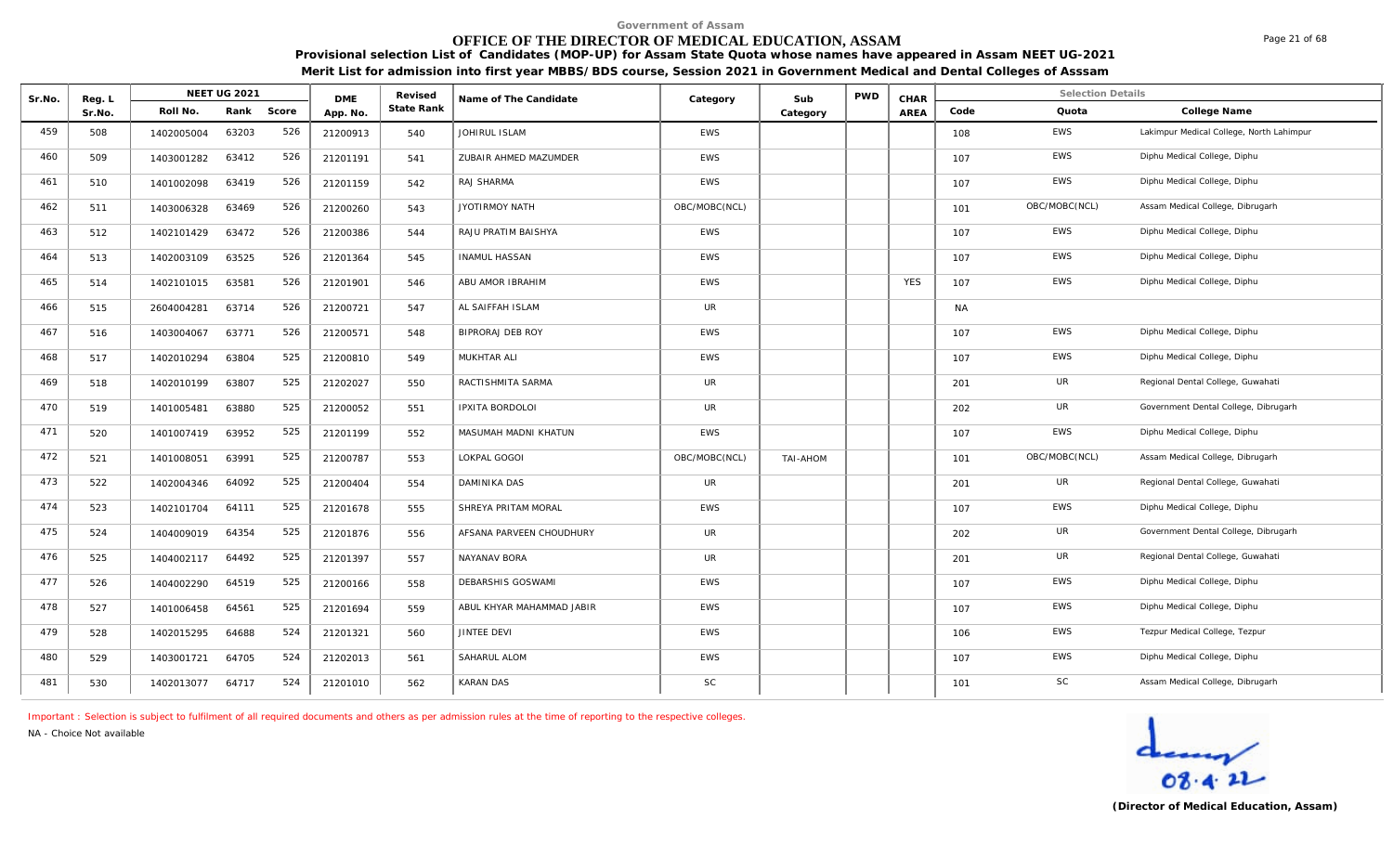# **OFFICE OF THE DIRECTOR OF MEDICAL EDUCATION, ASSAM**

**Provisional selection List of Candidates (MOP-UP) for Assam State Quota whose names have appeared in Assam NEET UG-2021 Merit List for admission into first year MBBS/BDS course, Session 2021 in Government Medical and Dental Colleges of Asssam**

| Sr.No. | Reg. L |            | NEET UG 2021 |       | <b>DME</b> | Revised    | Name of The Candidate     | Category      | Sub      | <b>PWD</b> | CHAR       |           | <b>Selection Details</b> |                                          |
|--------|--------|------------|--------------|-------|------------|------------|---------------------------|---------------|----------|------------|------------|-----------|--------------------------|------------------------------------------|
|        | Sr.No. | Roll No.   | Rank         | Score | App. No.   | State Rank |                           |               | Category |            | AREA       | Code      | Quota                    | College Name                             |
| 459    | 508    | 1402005004 | 63203        | 526   | 21200913   | 540        | JOHIRUL ISLAM             | EWS           |          |            |            | 108       | <b>EWS</b>               | Lakimpur Medical College, North Lahimpur |
| 460    | 509    | 1403001282 | 63412        | 526   | 21201191   | 541        | ZUBAIR AHMED MAZUMDER     | <b>EWS</b>    |          |            |            | 107       | <b>EWS</b>               | Diphu Medical College, Diphu             |
| 461    | 510    | 1401002098 | 63419        | 526   | 21201159   | 542        | RAJ SHARMA                | <b>EWS</b>    |          |            |            | 107       | EWS                      | Diphu Medical College, Diphu             |
| 462    | 511    | 1403006328 | 63469        | 526   | 21200260   | 543        | JYOTIRMOY NATH            | OBC/MOBC(NCL) |          |            |            | 101       | OBC/MOBC(NCL)            | Assam Medical College, Dibrugarh         |
| 463    | 512    | 1402101429 | 63472        | 526   | 21200386   | 544        | RAJU PRATIM BAISHYA       | <b>EWS</b>    |          |            |            | 107       | EWS                      | Diphu Medical College, Diphu             |
| 464    | 513    | 1402003109 | 63525        | 526   | 21201364   | 545        | <b>INAMUL HASSAN</b>      | <b>EWS</b>    |          |            |            | 107       | <b>EWS</b>               | Diphu Medical College, Diphu             |
| 465    | 514    | 1402101015 | 63581        | 526   | 21201901   | 546        | ABU AMOR IBRAHIM          | EWS           |          |            | <b>YES</b> | 107       | EWS                      | Diphu Medical College, Diphu             |
| 466    | 515    | 2604004281 | 63714        | 526   | 21200721   | 547        | AL SAIFFAH ISLAM          | <b>UR</b>     |          |            |            | <b>NA</b> |                          |                                          |
| 467    | 516    | 1403004067 | 63771        | 526   | 21200571   | 548        | BIPRORAJ DEB ROY          | EWS           |          |            |            | 107       | EWS                      | Diphu Medical College, Diphu             |
| 468    | 517    | 1402010294 | 63804        | 525   | 21200810   | 549        | MUKHTAR ALI               | EWS           |          |            |            | 107       | <b>EWS</b>               | Diphu Medical College, Diphu             |
| 469    | 518    | 1402010199 | 63807        | 525   | 21202027   | 550        | RACTISHMITA SARMA         | UR            |          |            |            | 201       | UR                       | Regional Dental College, Guwahati        |
| 470    | 519    | 1401005481 | 63880        | 525   | 21200052   | 551        | IPXITA BORDOLOI           | <b>UR</b>     |          |            |            | 202       | UR                       | Government Dental College, Dibrugarh     |
| 471    | 520    | 1401007419 | 63952        | 525   | 21201199   | 552        | MASUMAH MADNI KHATUN      | <b>EWS</b>    |          |            |            | 107       | <b>EWS</b>               | Diphu Medical College, Diphu             |
| 472    | 521    | 1401008051 | 63991        | 525   | 21200787   | 553        | LOKPAL GOGOI              | OBC/MOBC(NCL) | TAI-AHOM |            |            | 101       | OBC/MOBC(NCL)            | Assam Medical College, Dibrugarh         |
| 473    | 522    | 1402004346 | 64092        | 525   | 21200404   | 554        | DAMINIKA DAS              | <b>UR</b>     |          |            |            | 201       | UR                       | Regional Dental College, Guwahati        |
| 474    | 523    | 1402101704 | 64111        | 525   | 21201678   | 555        | SHREYA PRITAM MORAL       | <b>EWS</b>    |          |            |            | 107       | EWS                      | Diphu Medical College, Diphu             |
| 475    | 524    | 1404009019 | 64354        | 525   | 21201876   | 556        | AFSANA PARVEEN CHOUDHURY  | UR            |          |            |            | 202       | UR                       | Government Dental College, Dibrugarh     |
| 476    | 525    | 1404002117 | 64492        | 525   | 21201397   | 557        | NAYANAV BORA              | UR            |          |            |            | 201       | UR                       | Regional Dental College, Guwahati        |
| 477    | 526    | 1404002290 | 64519        | 525   | 21200166   | 558        | DEBARSHIS GOSWAMI         | <b>EWS</b>    |          |            |            | 107       | <b>EWS</b>               | Diphu Medical College, Diphu             |
| 478    | 527    | 1401006458 | 64561        | 525   | 21201694   | 559        | ABUL KHYAR MAHAMMAD JABIR | <b>EWS</b>    |          |            |            | 107       | EWS                      | Diphu Medical College, Diphu             |
| 479    | 528    | 1402015295 | 64688        | 524   | 21201321   | 560        | <b>JINTEE DEVI</b>        | EWS           |          |            |            | 106       | <b>EWS</b>               | Tezpur Medical College, Tezpur           |
| 480    | 529    | 1403001721 | 64705        | 524   | 21202013   | 561        | SAHARUL ALOM              | <b>EWS</b>    |          |            |            | 107       | <b>EWS</b>               | Diphu Medical College, Diphu             |
| 481    | 530    | 1402013077 | 64717        | 524   | 21201010   | 562        | <b>KARAN DAS</b>          | SC            |          |            |            | 101       | SC                       | Assam Medical College, Dibrugarh         |

*Important : Selection is subject to fulfilment of all required documents and others as per admission rules at the time of reporting to the respective colleges.*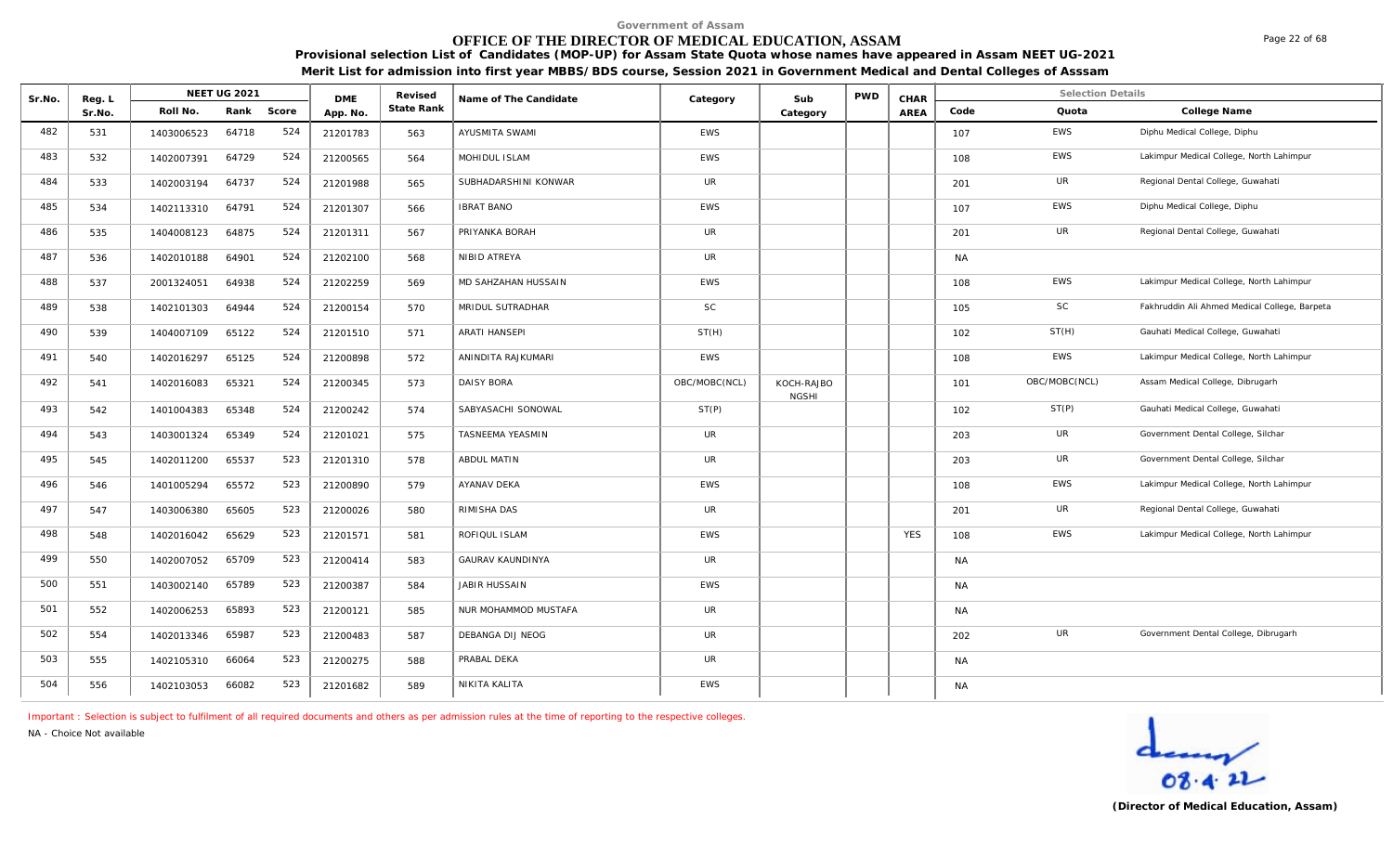# **OFFICE OF THE DIRECTOR OF MEDICAL EDUCATION, ASSAM**

**Provisional selection List of Candidates (MOP-UP) for Assam State Quota whose names have appeared in Assam NEET UG-2021 Merit List for admission into first year MBBS/BDS course, Session 2021 in Government Medical and Dental Colleges of Asssam**

| Sr.No. | Reg. L |            | NEET UG 2021 |       | <b>DME</b> | Revised    | Name of The Candidate   | Category      | Sub                        | <b>PWD</b> | CHAR       |           | <b>Selection Details</b> |                                               |
|--------|--------|------------|--------------|-------|------------|------------|-------------------------|---------------|----------------------------|------------|------------|-----------|--------------------------|-----------------------------------------------|
|        | Sr.No. | Roll No.   | Rank         | Score | App. No.   | State Rank |                         |               | Category                   |            | AREA       | Code      | Quota                    | College Name                                  |
| 482    | 531    | 1403006523 | 64718        | 524   | 21201783   | 563        | AYUSMITA SWAMI          | EWS           |                            |            |            | 107       | EWS                      | Diphu Medical College, Diphu                  |
| 483    | 532    | 1402007391 | 64729        | 524   | 21200565   | 564        | MOHIDUL ISLAM           | <b>EWS</b>    |                            |            |            | 108       | <b>EWS</b>               | Lakimpur Medical College, North Lahimpur      |
| 484    | 533    | 1402003194 | 64737        | 524   | 21201988   | 565        | SUBHADARSHINI KONWAR    | <b>UR</b>     |                            |            |            | 201       | UR                       | Regional Dental College, Guwahati             |
| 485    | 534    | 1402113310 | 64791        | 524   | 21201307   | 566        | <b>IBRAT BANO</b>       | EWS           |                            |            |            | 107       | <b>EWS</b>               | Diphu Medical College, Diphu                  |
| 486    | 535    | 1404008123 | 64875        | 524   | 21201311   | 567        | PRIYANKA BORAH          | <b>UR</b>     |                            |            |            | 201       | <b>UR</b>                | Regional Dental College, Guwahati             |
| 487    | 536    | 1402010188 | 64901        | 524   | 21202100   | 568        | NIBID ATREYA            | <b>UR</b>     |                            |            |            | <b>NA</b> |                          |                                               |
| 488    | 537    | 2001324051 | 64938        | 524   | 21202259   | 569        | MD SAHZAHAN HUSSAIN     | <b>EWS</b>    |                            |            |            | 108       | EWS                      | Lakimpur Medical College, North Lahimpur      |
| 489    | 538    | 1402101303 | 64944        | 524   | 21200154   | 570        | MRIDUL SUTRADHAR        | SC            |                            |            |            | 105       | <b>SC</b>                | Fakhruddin Ali Ahmed Medical College, Barpeta |
| 490    | 539    | 1404007109 | 65122        | 524   | 21201510   | 571        | <b>ARATI HANSEPI</b>    | ST(H)         |                            |            |            | 102       | ST(H)                    | Gauhati Medical College, Guwahati             |
| 491    | 540    | 1402016297 | 65125        | 524   | 21200898   | 572        | ANINDITA RAJKUMARI      | EWS           |                            |            |            | 108       | EWS                      | Lakimpur Medical College, North Lahimpur      |
| 492    | 541    | 1402016083 | 65321        | 524   | 21200345   | 573        | <b>DAISY BORA</b>       | OBC/MOBC(NCL) | KOCH-RAJBO<br><b>NGSHI</b> |            |            | 101       | OBC/MOBC(NCL)            | Assam Medical College, Dibrugarh              |
| 493    | 542    | 1401004383 | 65348        | 524   | 21200242   | 574        | SABYASACHI SONOWAL      | ST(P)         |                            |            |            | 102       | ST(P)                    | Gauhati Medical College, Guwahati             |
| 494    | 543    | 1403001324 | 65349        | 524   | 21201021   | 575        | TASNEEMA YEASMIN        | <b>UR</b>     |                            |            |            | 203       | UR                       | Government Dental College, Silchar            |
| 495    | 545    | 1402011200 | 65537        | 523   | 21201310   | 578        | ABDUL MATIN             | <b>UR</b>     |                            |            |            | 203       | <b>UR</b>                | Government Dental College, Silchar            |
| 496    | 546    | 1401005294 | 65572        | 523   | 21200890   | 579        | AYANAV DEKA             | <b>EWS</b>    |                            |            |            | 108       | <b>EWS</b>               | Lakimpur Medical College, North Lahimpur      |
| 497    | 547    | 1403006380 | 65605        | 523   | 21200026   | 580        | RIMISHA DAS             | UR.           |                            |            |            | 201       | UR                       | Regional Dental College, Guwahati             |
| 498    | 548    | 1402016042 | 65629        | 523   | 21201571   | 581        | ROFIQUL ISLAM           | <b>EWS</b>    |                            |            | <b>YES</b> | 108       | EWS                      | Lakimpur Medical College, North Lahimpur      |
| 499    | 550    | 1402007052 | 65709        | 523   | 21200414   | 583        | <b>GAURAV KAUNDINYA</b> | <b>UR</b>     |                            |            |            | NA        |                          |                                               |
| 500    | 551    | 1403002140 | 65789        | 523   | 21200387   | 584        | JABIR HUSSAIN           | <b>EWS</b>    |                            |            |            | <b>NA</b> |                          |                                               |
| 501    | 552    | 1402006253 | 65893        | 523   | 21200121   | 585        | NUR MOHAMMOD MUSTAFA    | <b>UR</b>     |                            |            |            | <b>NA</b> |                          |                                               |
| 502    | 554    | 1402013346 | 65987        | 523   | 21200483   | 587        | DEBANGA DIJ NEOG        | <b>UR</b>     |                            |            |            | 202       | UR                       | Government Dental College, Dibrugarh          |
| 503    | 555    | 1402105310 | 66064        | 523   | 21200275   | 588        | PRABAL DEKA             | <b>UR</b>     |                            |            |            | <b>NA</b> |                          |                                               |
| 504    | 556    | 1402103053 | 66082        | 523   | 21201682   | 589        | NIKITA KALITA           | <b>EWS</b>    |                            |            |            | <b>NA</b> |                          |                                               |

*Important : Selection is subject to fulfilment of all required documents and others as per admission rules at the time of reporting to the respective colleges.*

*NA - Choice Not available*



Page 22 of 68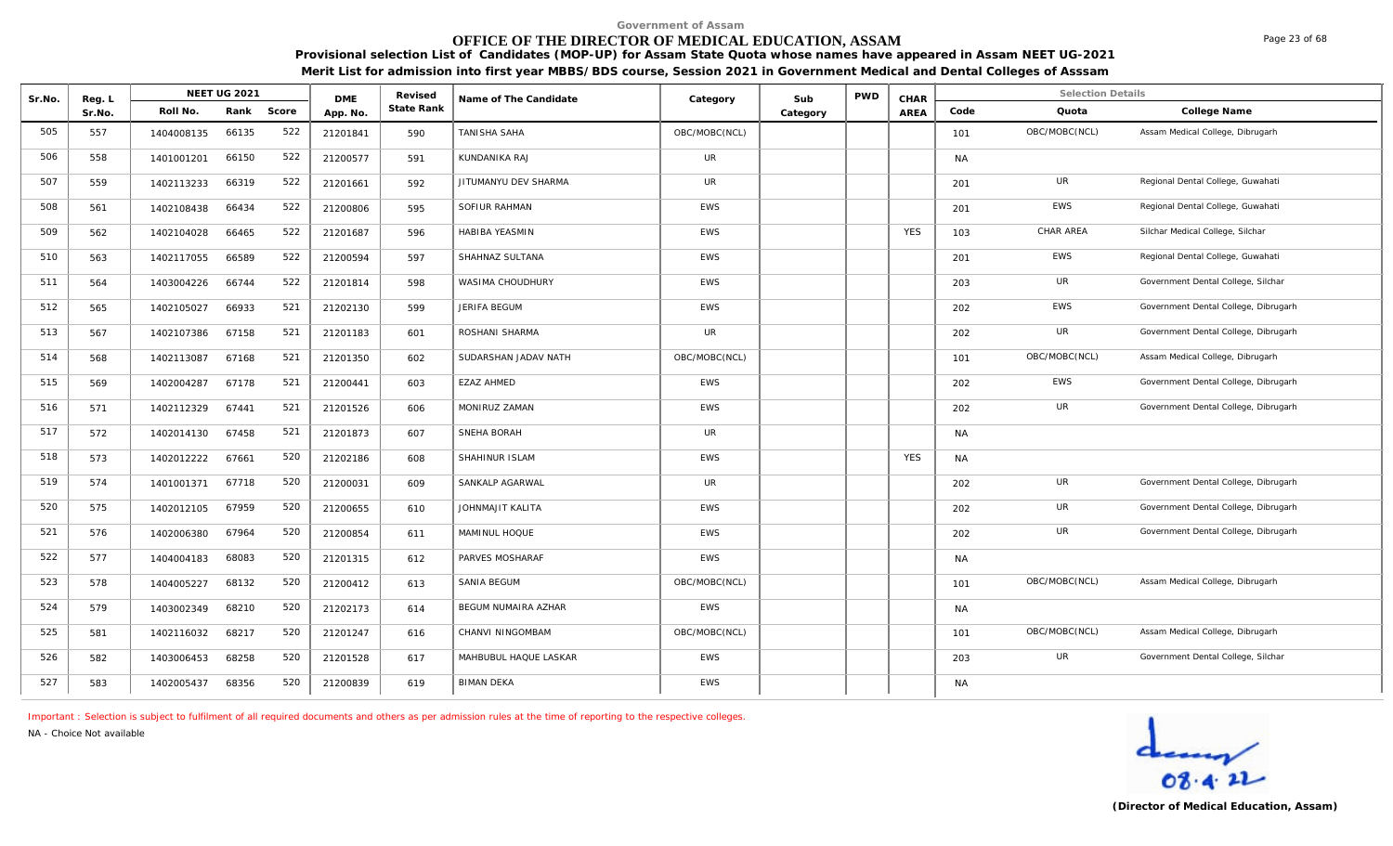# **OFFICE OF THE DIRECTOR OF MEDICAL EDUCATION, ASSAM**

**Provisional selection List of Candidates (MOP-UP) for Assam State Quota whose names have appeared in Assam NEET UG-2021 Merit List for admission into first year MBBS/BDS course, Session 2021 in Government Medical and Dental Colleges of Asssam**

| Sr.No. | Reg. L |            | <b>NEET UG 2021</b> |       | <b>DME</b> | Revised    | Name of The Candidate | Category      | Sub      | PWD | CHAR       |           | <b>Selection Details</b> |                                      |
|--------|--------|------------|---------------------|-------|------------|------------|-----------------------|---------------|----------|-----|------------|-----------|--------------------------|--------------------------------------|
|        | Sr.No. | Roll No.   | Rank                | Score | App. No.   | State Rank |                       |               | Category |     | AREA       | Code      | Quota                    | College Name                         |
| 505    | 557    | 1404008135 | 66135               | 522   | 21201841   | 590        | TANISHA SAHA          | OBC/MOBC(NCL) |          |     |            | 101       | OBC/MOBC(NCL)            | Assam Medical College, Dibrugarh     |
| 506    | 558    | 1401001201 | 66150               | 522   | 21200577   | 591        | KUNDANIKA RAJ         | <b>UR</b>     |          |     |            | <b>NA</b> |                          |                                      |
| 507    | 559    | 1402113233 | 66319               | 522   | 21201661   | 592        | JITUMANYU DEV SHARMA  | <b>UR</b>     |          |     |            | 201       | UR                       | Regional Dental College, Guwahati    |
| 508    | 561    | 1402108438 | 66434               | 522   | 21200806   | 595        | SOFIUR RAHMAN         | <b>EWS</b>    |          |     |            | 201       | EWS                      | Regional Dental College, Guwahati    |
| 509    | 562    | 1402104028 | 66465               | 522   | 21201687   | 596        | HABIBA YEASMIN        | <b>EWS</b>    |          |     | <b>YES</b> | 103       | CHAR AREA                | Silchar Medical College, Silchar     |
| 510    | 563    | 1402117055 | 66589               | 522   | 21200594   | 597        | SHAHNAZ SULTANA       | <b>EWS</b>    |          |     |            | 201       | <b>EWS</b>               | Regional Dental College, Guwahati    |
| 511    | 564    | 1403004226 | 66744               | 522   | 21201814   | 598        | WASIMA CHOUDHURY      | <b>EWS</b>    |          |     |            | 203       | UR                       | Government Dental College, Silchar   |
| 512    | 565    | 1402105027 | 66933               | 521   | 21202130   | 599        | JERIFA BEGUM          | <b>EWS</b>    |          |     |            | 202       | EWS                      | Government Dental College, Dibrugarh |
| 513    | 567    | 1402107386 | 67158               | 521   | 21201183   | 601        | ROSHANI SHARMA        | <b>UR</b>     |          |     |            | 202       | UR                       | Government Dental College, Dibrugarh |
| 514    | 568    | 1402113087 | 67168               | 521   | 21201350   | 602        | SUDARSHAN JADAV NATH  | OBC/MOBC(NCL) |          |     |            | 101       | OBC/MOBC(NCL)            | Assam Medical College, Dibrugarh     |
| 515    | 569    | 1402004287 | 67178               | 521   | 21200441   | 603        | <b>EZAZ AHMED</b>     | <b>EWS</b>    |          |     |            | 202       | <b>EWS</b>               | Government Dental College, Dibrugarh |
| 516    | 571    | 1402112329 | 67441               | 521   | 21201526   | 606        | MONIRUZ ZAMAN         | <b>EWS</b>    |          |     |            | 202       | UR                       | Government Dental College, Dibrugarh |
| 517    | 572    | 1402014130 | 67458               | 521   | 21201873   | 607        | SNEHA BORAH           | UR            |          |     |            | <b>NA</b> |                          |                                      |
| 518    | 573    | 1402012222 | 67661               | 520   | 21202186   | 608        | SHAHINUR ISLAM        | <b>EWS</b>    |          |     | <b>YES</b> | <b>NA</b> |                          |                                      |
| 519    | 574    | 1401001371 | 67718               | 520   | 21200031   | 609        | SANKALP AGARWAL       | UR            |          |     |            | 202       | UR                       | Government Dental College, Dibrugarh |
| 520    | 575    | 1402012105 | 67959               | 520   | 21200655   | 610        | JOHNMAJIT KALITA      | <b>EWS</b>    |          |     |            | 202       | UR                       | Government Dental College, Dibrugarh |
| 521    | 576    | 1402006380 | 67964               | 520   | 21200854   | 611        | MAMINUL HOQUE         | <b>EWS</b>    |          |     |            | 202       | UR                       | Government Dental College, Dibrugarh |
| 522    | 577    | 1404004183 | 68083               | 520   | 21201315   | 612        | PARVES MOSHARAF       | <b>EWS</b>    |          |     |            | <b>NA</b> |                          |                                      |
| 523    | 578    | 1404005227 | 68132               | 520   | 21200412   | 613        | SANIA BEGUM           | OBC/MOBC(NCL) |          |     |            | 101       | OBC/MOBC(NCL)            | Assam Medical College, Dibrugarh     |
| 524    | 579    | 1403002349 | 68210               | 520   | 21202173   | 614        | BEGUM NUMAIRA AZHAR   | <b>EWS</b>    |          |     |            | <b>NA</b> |                          |                                      |
| 525    | 581    | 1402116032 | 68217               | 520   | 21201247   | 616        | CHANVI NINGOMBAM      | OBC/MOBC(NCL) |          |     |            | 101       | OBC/MOBC(NCL)            | Assam Medical College, Dibrugarh     |
| 526    | 582    | 1403006453 | 68258               | 520   | 21201528   | 617        | MAHBUBUL HAQUE LASKAR | <b>EWS</b>    |          |     |            | 203       | UR                       | Government Dental College, Silchar   |
| 527    | 583    | 1402005437 | 68356               | 520   | 21200839   | 619        | <b>BIMAN DEKA</b>     | EWS           |          |     |            | <b>NA</b> |                          |                                      |

*Important : Selection is subject to fulfilment of all required documents and others as per admission rules at the time of reporting to the respective colleges.*

*NA - Choice Not available*



Page 23 of 68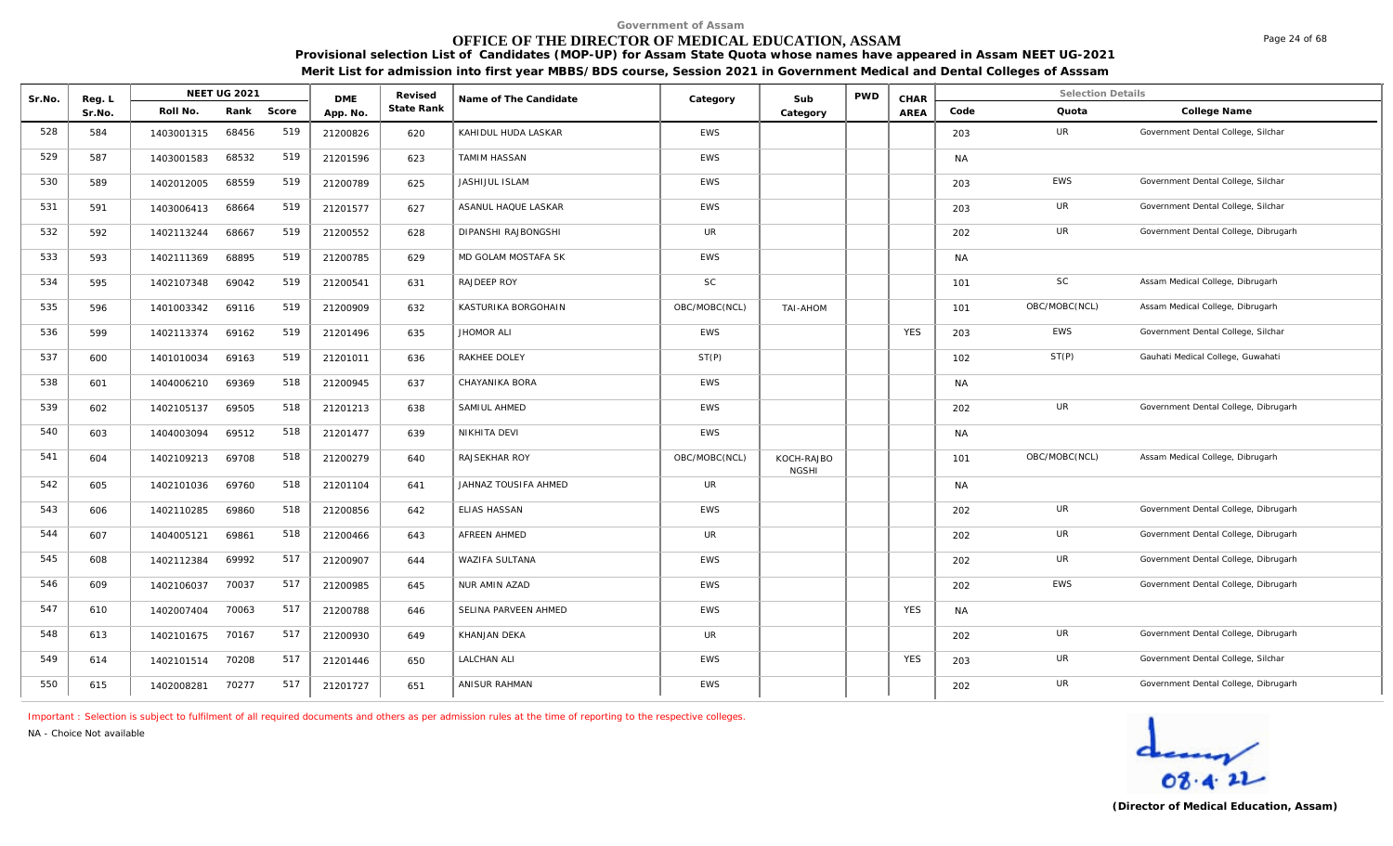# **OFFICE OF THE DIRECTOR OF MEDICAL EDUCATION, ASSAM**

**Provisional selection List of Candidates (MOP-UP) for Assam State Quota whose names have appeared in Assam NEET UG-2021 Merit List for admission into first year MBBS/BDS course, Session 2021 in Government Medical and Dental Colleges of Asssam**

| Sr.No. | Reg. L |            | <b>NEET UG 2021</b> |       | <b>DME</b> | Revised    | Name of The Candidate | Category      | Sub                        | <b>PWD</b> | CHAR       |           | <b>Selection Details</b> |                                      |
|--------|--------|------------|---------------------|-------|------------|------------|-----------------------|---------------|----------------------------|------------|------------|-----------|--------------------------|--------------------------------------|
|        | Sr.No. | Roll No.   | Rank                | Score | App. No.   | State Rank |                       |               | Category                   |            | AREA       | Code      | Quota                    | College Name                         |
| 528    | 584    | 1403001315 | 68456               | 519   | 21200826   | 620        | KAHIDUL HUDA LASKAR   | <b>EWS</b>    |                            |            |            | 203       | UR                       | Government Dental College, Silchar   |
| 529    | 587    | 1403001583 | 68532               | 519   | 21201596   | 623        | <b>TAMIM HASSAN</b>   | <b>EWS</b>    |                            |            |            | <b>NA</b> |                          |                                      |
| 530    | 589    | 1402012005 | 68559               | 519   | 21200789   | 625        | JASHIJUL ISLAM        | <b>EWS</b>    |                            |            |            | 203       | <b>EWS</b>               | Government Dental College, Silchar   |
| 531    | 591    | 1403006413 | 68664               | 519   | 21201577   | 627        | ASANUL HAQUE LASKAR   | <b>EWS</b>    |                            |            |            | 203       | UR                       | Government Dental College, Silchar   |
| 532    | 592    | 1402113244 | 68667               | 519   | 21200552   | 628        | DIPANSHI RAJBONGSHI   | UR            |                            |            |            | 202       | UR                       | Government Dental College, Dibrugarh |
| 533    | 593    | 1402111369 | 68895               | 519   | 21200785   | 629        | MD GOLAM MOSTAFA SK   | <b>EWS</b>    |                            |            |            | <b>NA</b> |                          |                                      |
| 534    | 595    | 1402107348 | 69042               | 519   | 21200541   | 631        | RAJDEEP ROY           | <b>SC</b>     |                            |            |            | 101       | <b>SC</b>                | Assam Medical College, Dibrugarh     |
| 535    | 596    | 1401003342 | 69116               | 519   | 21200909   | 632        | KASTURIKA BORGOHAIN   | OBC/MOBC(NCL) | TAI-AHOM                   |            |            | 101       | OBC/MOBC(NCL)            | Assam Medical College, Dibrugarh     |
| 536    | 599    | 1402113374 | 69162               | 519   | 21201496   | 635        | JHOMOR ALI            | <b>EWS</b>    |                            |            | <b>YES</b> | 203       | <b>EWS</b>               | Government Dental College, Silchar   |
| 537    | 600    | 1401010034 | 69163               | 519   | 21201011   | 636        | RAKHEE DOLEY          | ST(P)         |                            |            |            | 102       | ST(P)                    | Gauhati Medical College, Guwahati    |
| 538    | 601    | 1404006210 | 69369               | 518   | 21200945   | 637        | CHAYANIKA BORA        | <b>EWS</b>    |                            |            |            | <b>NA</b> |                          |                                      |
| 539    | 602    | 1402105137 | 69505               | 518   | 21201213   | 638        | SAMIUL AHMED          | <b>EWS</b>    |                            |            |            | 202       | UR                       | Government Dental College, Dibrugarh |
| 540    | 603    | 1404003094 | 69512               | 518   | 21201477   | 639        | NIKHITA DEVI          | <b>EWS</b>    |                            |            |            | <b>NA</b> |                          |                                      |
| 541    | 604    | 1402109213 | 69708               | 518   | 21200279   | 640        | RAJSEKHAR ROY         | OBC/MOBC(NCL) | KOCH-RAJBO<br><b>NGSHI</b> |            |            | 101       | OBC/MOBC(NCL)            | Assam Medical College, Dibrugarh     |
| 542    | 605    | 1402101036 | 69760               | 518   | 21201104   | 641        | JAHNAZ TOUSIFA AHMED  | <b>UR</b>     |                            |            |            | <b>NA</b> |                          |                                      |
| 543    | 606    | 1402110285 | 69860               | 518   | 21200856   | 642        | <b>ELIAS HASSAN</b>   | EWS           |                            |            |            | 202       | UR                       | Government Dental College, Dibrugarh |
| 544    | 607    | 1404005121 | 69861               | 518   | 21200466   | 643        | AFREEN AHMED          | <b>UR</b>     |                            |            |            | 202       | UR                       | Government Dental College, Dibrugarh |
| 545    | 608    | 1402112384 | 69992               | 517   | 21200907   | 644        | WAZIFA SULTANA        | <b>EWS</b>    |                            |            |            | 202       | UR                       | Government Dental College, Dibrugarh |
| 546    | 609    | 1402106037 | 70037               | 517   | 21200985   | 645        | NUR AMIN AZAD         | EWS           |                            |            |            | 202       | <b>EWS</b>               | Government Dental College, Dibrugarh |
| 547    | 610    | 1402007404 | 70063               | 517   | 21200788   | 646        | SELINA PARVEEN AHMED  | <b>EWS</b>    |                            |            | <b>YES</b> | <b>NA</b> |                          |                                      |
| 548    | 613    | 1402101675 | 70167               | 517   | 21200930   | 649        | KHANJAN DEKA          | UR            |                            |            |            | 202       | UR                       | Government Dental College, Dibrugarh |
| 549    | 614    | 1402101514 | 70208               | 517   | 21201446   | 650        | <b>LALCHAN ALI</b>    | EWS           |                            |            | <b>YES</b> | 203       | UR                       | Government Dental College, Silchar   |
| 550    | 615    | 1402008281 | 70277               | 517   | 21201727   | 651        | ANISUR RAHMAN         | <b>EWS</b>    |                            |            |            | 202       | UR                       | Government Dental College, Dibrugarh |

*Important : Selection is subject to fulfilment of all required documents and others as per admission rules at the time of reporting to the respective colleges.*

*NA - Choice Not available*

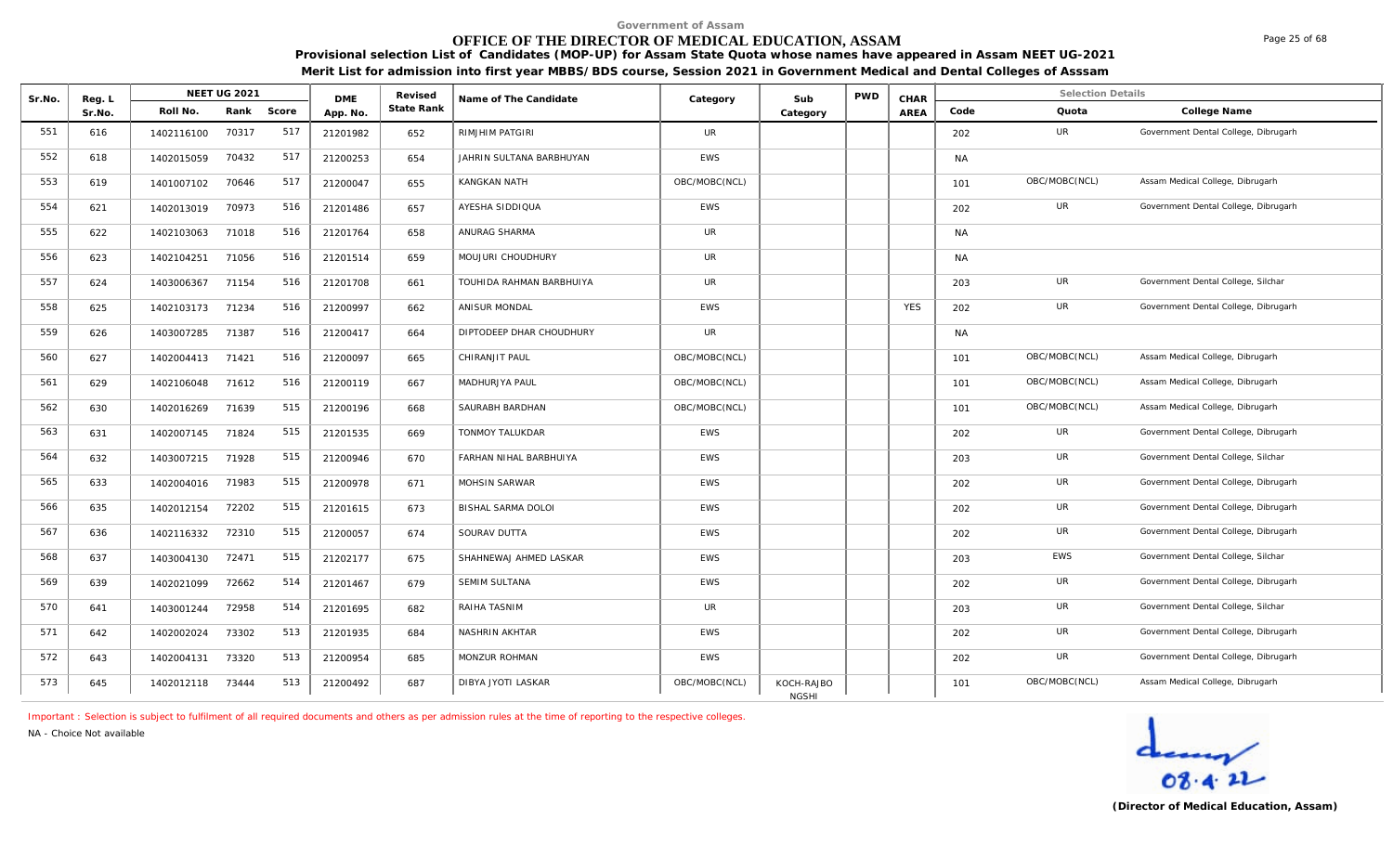# **OFFICE OF THE DIRECTOR OF MEDICAL EDUCATION, ASSAM**

**Provisional selection List of Candidates (MOP-UP) for Assam State Quota whose names have appeared in Assam NEET UG-2021 Merit List for admission into first year MBBS/BDS course, Session 2021 in Government Medical and Dental Colleges of Asssam**

| Sr.No. | Reg. L |            | <b>NEET UG 2021</b> |       | <b>DME</b> | Revised    | Name of The Candidate     | Category      | Sub                        | <b>PWD</b> | CHAR       |           | <b>Selection Details</b> |                                      |
|--------|--------|------------|---------------------|-------|------------|------------|---------------------------|---------------|----------------------------|------------|------------|-----------|--------------------------|--------------------------------------|
|        | Sr.No. | Roll No.   | Rank                | Score | App. No.   | State Rank |                           |               | Category                   |            | AREA       | Code      | Quota                    | College Name                         |
| 551    | 616    | 1402116100 | 70317               | 517   | 21201982   | 652        | RIMJHIM PATGIRI           | <b>UR</b>     |                            |            |            | 202       | UR                       | Government Dental College, Dibrugarh |
| 552    | 618    | 1402015059 | 70432               | 517   | 21200253   | 654        | JAHRIN SULTANA BARBHUYAN  | <b>EWS</b>    |                            |            |            | <b>NA</b> |                          |                                      |
| 553    | 619    | 1401007102 | 70646               | 517   | 21200047   | 655        | KANGKAN NATH              | OBC/MOBC(NCL) |                            |            |            | 101       | OBC/MOBC(NCL)            | Assam Medical College, Dibrugarh     |
| 554    | 621    | 1402013019 | 70973               | 516   | 21201486   | 657        | AYESHA SIDDIQUA           | <b>EWS</b>    |                            |            |            | 202       | <b>UR</b>                | Government Dental College, Dibrugarh |
| 555    | 622    | 1402103063 | 71018               | 516   | 21201764   | 658        | ANURAG SHARMA             | UR            |                            |            |            | <b>NA</b> |                          |                                      |
| 556    | 623    | 1402104251 | 71056               | 516   | 21201514   | 659        | MOUJURI CHOUDHURY         | UR            |                            |            |            | <b>NA</b> |                          |                                      |
| 557    | 624    | 1403006367 | 71154               | 516   | 21201708   | 661        | TOUHIDA RAHMAN BARBHUIYA  | UR            |                            |            |            | 203       | UR                       | Government Dental College, Silchar   |
| 558    | 625    | 1402103173 | 71234               | 516   | 21200997   | 662        | <b>ANISUR MONDAL</b>      | <b>EWS</b>    |                            |            | <b>YES</b> | 202       | UR                       | Government Dental College, Dibrugarh |
| 559    | 626    | 1403007285 | 71387               | 516   | 21200417   | 664        | DIPTODEEP DHAR CHOUDHURY  | <b>UR</b>     |                            |            |            | <b>NA</b> |                          |                                      |
| 560    | 627    | 1402004413 | 71421               | 516   | 21200097   | 665        | CHIRANJIT PAUL            | OBC/MOBC(NCL) |                            |            |            | 101       | OBC/MOBC(NCL)            | Assam Medical College, Dibrugarh     |
| 561    | 629    | 1402106048 | 71612               | 516   | 21200119   | 667        | MADHURJYA PAUL            | OBC/MOBC(NCL) |                            |            |            | 101       | OBC/MOBC(NCL)            | Assam Medical College, Dibrugarh     |
| 562    | 630    | 1402016269 | 71639               | 515   | 21200196   | 668        | SAURABH BARDHAN           | OBC/MOBC(NCL) |                            |            |            | 101       | OBC/MOBC(NCL)            | Assam Medical College, Dibrugarh     |
| 563    | 631    | 1402007145 | 71824               | 515   | 21201535   | 669        | TONMOY TALUKDAR           | <b>EWS</b>    |                            |            |            | 202       | UR                       | Government Dental College, Dibrugarh |
| 564    | 632    | 1403007215 | 71928               | 515   | 21200946   | 670        | FARHAN NIHAL BARBHUIYA    | <b>EWS</b>    |                            |            |            | 203       | UR                       | Government Dental College, Silchar   |
| 565    | 633    | 1402004016 | 71983               | 515   | 21200978   | 671        | MOHSIN SARWAR             | <b>EWS</b>    |                            |            |            | 202       | UR                       | Government Dental College, Dibrugarh |
| 566    | 635    | 1402012154 | 72202               | 515   | 21201615   | 673        | <b>BISHAL SARMA DOLOI</b> | <b>EWS</b>    |                            |            |            | 202       | UR                       | Government Dental College, Dibrugarh |
| 567    | 636    | 1402116332 | 72310               | 515   | 21200057   | 674        | SOURAV DUTTA              | EWS           |                            |            |            | 202       | UR                       | Government Dental College, Dibrugarh |
| 568    | 637    | 1403004130 | 72471               | 515   | 21202177   | 675        | SHAHNEWAJ AHMED LASKAR    | <b>EWS</b>    |                            |            |            | 203       | <b>EWS</b>               | Government Dental College, Silchar   |
| 569    | 639    | 1402021099 | 72662               | 514   | 21201467   | 679        | <b>SEMIM SULTANA</b>      | <b>EWS</b>    |                            |            |            | 202       | UR                       | Government Dental College, Dibrugarh |
| 570    | 641    | 1403001244 | 72958               | 514   | 21201695   | 682        | RAIHA TASNIM              | <b>UR</b>     |                            |            |            | 203       | UR                       | Government Dental College, Silchar   |
| 571    | 642    | 1402002024 | 73302               | 513   | 21201935   | 684        | NASHRIN AKHTAR            | EWS           |                            |            |            | 202       | UR                       | Government Dental College, Dibrugarh |
| 572    | 643    | 1402004131 | 73320               | 513   | 21200954   | 685        | MONZUR ROHMAN             | EWS           |                            |            |            | 202       | UR                       | Government Dental College, Dibrugarh |
| 573    | 645    | 1402012118 | 73444               | 513   | 21200492   | 687        | DIBYA JYOTI LASKAR        | OBC/MOBC(NCL) | KOCH-RAJBO<br><b>NGSHI</b> |            |            | 101       | OBC/MOBC(NCL)            | Assam Medical College, Dibrugarh     |

*Important : Selection is subject to fulfilment of all required documents and others as per admission rules at the time of reporting to the respective colleges.*

*NA - Choice Not available*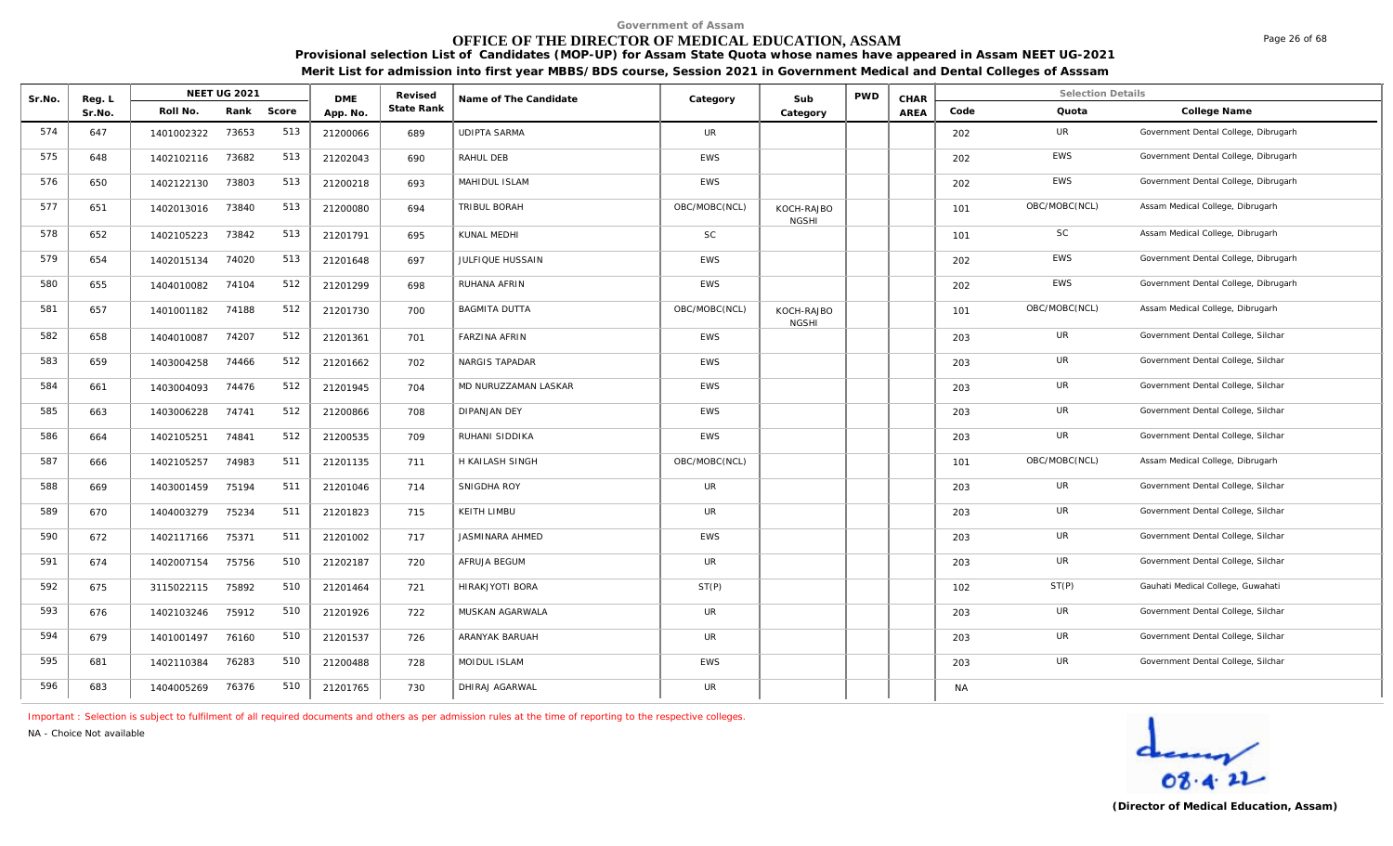# **OFFICE OF THE DIRECTOR OF MEDICAL EDUCATION, ASSAM**

**Provisional selection List of Candidates (MOP-UP) for Assam State Quota whose names have appeared in Assam NEET UG-2021 Merit List for admission into first year MBBS/BDS course, Session 2021 in Government Medical and Dental Colleges of Asssam**

| Sr.No. | Reg. L |            | <b>NEET UG 2021</b> |     | <b>DME</b> | Revised    | Name of The Candidate  | Category      | Sub                        | <b>PWD</b> | CHAR |           | <b>Selection Details</b> |                                      |
|--------|--------|------------|---------------------|-----|------------|------------|------------------------|---------------|----------------------------|------------|------|-----------|--------------------------|--------------------------------------|
|        | Sr.No. | Roll No.   | Rank Score          |     | App. No.   | State Rank |                        |               | Category                   |            | AREA | Code      | Quota                    | College Name                         |
| 574    | 647    | 1401002322 | 73653               | 513 | 21200066   | 689        | <b>UDIPTA SARMA</b>    | <b>UR</b>     |                            |            |      | 202       | UR                       | Government Dental College, Dibrugarh |
| 575    | 648    | 1402102116 | 73682               | 513 | 21202043   | 690        | RAHUL DEB              | <b>EWS</b>    |                            |            |      | 202       | EWS                      | Government Dental College, Dibrugarh |
| 576    | 650    | 1402122130 | 73803               | 513 | 21200218   | 693        | MAHIDUL ISLAM          | EWS           |                            |            |      | 202       | <b>EWS</b>               | Government Dental College, Dibrugarh |
| 577    | 651    | 1402013016 | 73840               | 513 | 21200080   | 694        | TRIBUL BORAH           | OBC/MOBC(NCL) | KOCH-RAJBO<br><b>NGSHI</b> |            |      | 101       | OBC/MOBC(NCL)            | Assam Medical College, Dibrugarh     |
| 578    | 652    | 1402105223 | 73842               | 513 | 21201791   | 695        | KUNAL MEDHI            | SC            |                            |            |      | 101       | <b>SC</b>                | Assam Medical College, Dibrugarh     |
| 579    | 654    | 1402015134 | 74020               | 513 | 21201648   | 697        | JULFIQUE HUSSAIN       | <b>EWS</b>    |                            |            |      | 202       | <b>EWS</b>               | Government Dental College, Dibrugarh |
| 580    | 655    | 1404010082 | 74104               | 512 | 21201299   | 698        | RUHANA AFRIN           | EWS           |                            |            |      | 202       | <b>EWS</b>               | Government Dental College, Dibrugarh |
| 581    | 657    | 1401001182 | 74188               | 512 | 21201730   | 700        | <b>BAGMITA DUTTA</b>   | OBC/MOBC(NCL) | KOCH-RAJBO<br><b>NGSHI</b> |            |      | 101       | OBC/MOBC(NCL)            | Assam Medical College, Dibrugarh     |
| 582    | 658    | 1404010087 | 74207               | 512 | 21201361   | 701        | <b>FARZINA AFRIN</b>   | EWS           |                            |            |      | 203       | UR                       | Government Dental College, Silchar   |
| 583    | 659    | 1403004258 | 74466               | 512 | 21201662   | 702        | NARGIS TAPADAR         | EWS           |                            |            |      | 203       | UR                       | Government Dental College, Silchar   |
| 584    | 661    | 1403004093 | 74476               | 512 | 21201945   | 704        | MD NURUZZAMAN LASKAR   | <b>EWS</b>    |                            |            |      | 203       | UR                       | Government Dental College, Silchar   |
| 585    | 663    | 1403006228 | 74741               | 512 | 21200866   | 708        | <b>DIPANJAN DEY</b>    | EWS           |                            |            |      | 203       | UR                       | Government Dental College, Silchar   |
| 586    | 664    | 1402105251 | 74841               | 512 | 21200535   | 709        | RUHANI SIDDIKA         | <b>EWS</b>    |                            |            |      | 203       | UR                       | Government Dental College, Silchar   |
| 587    | 666    | 1402105257 | 74983               | 511 | 21201135   | 711        | H KAILASH SINGH        | OBC/MOBC(NCL) |                            |            |      | 101       | OBC/MOBC(NCL)            | Assam Medical College, Dibrugarh     |
| 588    | 669    | 1403001459 | 75194               | 511 | 21201046   | 714        | SNIGDHA ROY            | <b>UR</b>     |                            |            |      | 203       | UR                       | Government Dental College, Silchar   |
| 589    | 670    | 1404003279 | 75234               | 511 | 21201823   | 715        | KEITH LIMBU            | <b>UR</b>     |                            |            |      | 203       | UR                       | Government Dental College, Silchar   |
| 590    | 672    | 1402117166 | 75371               | 511 | 21201002   | 717        | <b>JASMINARA AHMED</b> | <b>EWS</b>    |                            |            |      | 203       | UR                       | Government Dental College, Silchar   |
| 591    | 674    | 1402007154 | 75756               | 510 | 21202187   | 720        | AFRUJA BEGUM           | <b>UR</b>     |                            |            |      | 203       | UR                       | Government Dental College, Silchar   |
| 592    | 675    | 3115022115 | 75892               | 510 | 21201464   | 721        | HIRAKJYOTI BORA        | ST(P)         |                            |            |      | 102       | ST(P)                    | Gauhati Medical College, Guwahati    |
| 593    | 676    | 1402103246 | 75912               | 510 | 21201926   | 722        | MUSKAN AGARWALA        | <b>UR</b>     |                            |            |      | 203       | UR                       | Government Dental College, Silchar   |
| 594    | 679    | 1401001497 | 76160               | 510 | 21201537   | 726        | ARANYAK BARUAH         | <b>UR</b>     |                            |            |      | 203       | UR                       | Government Dental College, Silchar   |
| 595    | 681    | 1402110384 | 76283               | 510 | 21200488   | 728        | MOIDUL ISLAM           | EWS           |                            |            |      | 203       | UR                       | Government Dental College, Silchar   |
| 596    | 683    | 1404005269 | 76376               | 510 | 21201765   | 730        | DHIRAJ AGARWAL         | UR            |                            |            |      | <b>NA</b> |                          |                                      |

*Important : Selection is subject to fulfilment of all required documents and others as per admission rules at the time of reporting to the respective colleges.*

*NA - Choice Not available*

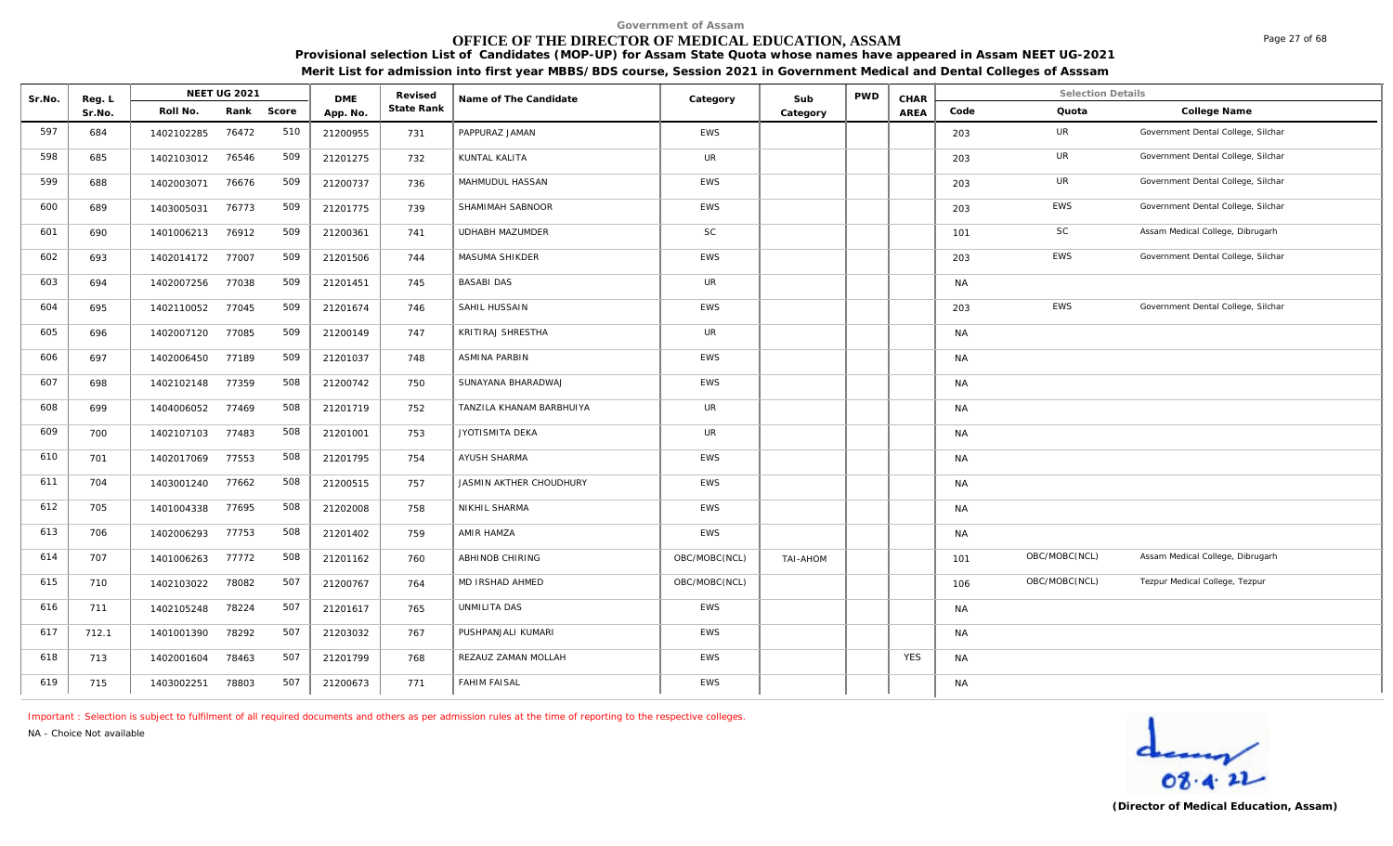# **OFFICE OF THE DIRECTOR OF MEDICAL EDUCATION, ASSAM**

Page 27 of 68

**Provisional selection List of Candidates (MOP-UP) for Assam State Quota whose names have appeared in Assam NEET UG-2021 Merit List for admission into first year MBBS/BDS course, Session 2021 in Government Medical and Dental Colleges of Asssam**

| Sr.No. | Reg. L |            | NEET UG 2021 |       | <b>DME</b> | Revised    | Name of The Candidate    | Category      | Sub      | <b>PWD</b> | CHAR       |           | Selection Details |                                    |
|--------|--------|------------|--------------|-------|------------|------------|--------------------------|---------------|----------|------------|------------|-----------|-------------------|------------------------------------|
|        | Sr.No. | Roll No.   | Rank         | Score | App. No.   | State Rank |                          |               | Category |            | AREA       | Code      | Quota             | College Name                       |
| 597    | 684    | 1402102285 | 76472        | 510   | 21200955   | 731        | PAPPURAZ JAMAN           | <b>EWS</b>    |          |            |            | 203       | UR                | Government Dental College, Silchar |
| 598    | 685    | 1402103012 | 76546        | 509   | 21201275   | 732        | KUNTAL KALITA            | <b>UR</b>     |          |            |            | 203       | UR                | Government Dental College, Silchar |
| 599    | 688    | 1402003071 | 76676        | 509   | 21200737   | 736        | MAHMUDUL HASSAN          | <b>EWS</b>    |          |            |            | 203       | UR                | Government Dental College, Silchar |
| 600    | 689    | 1403005031 | 76773        | 509   | 21201775   | 739        | SHAMIMAH SABNOOR         | <b>EWS</b>    |          |            |            | 203       | EWS               | Government Dental College, Silchar |
| 601    | 690    | 1401006213 | 76912        | 509   | 21200361   | 741        | UDHABH MAZUMDER          | <b>SC</b>     |          |            |            | 101       | SC                | Assam Medical College, Dibrugarh   |
| 602    | 693    | 1402014172 | 77007        | 509   | 21201506   | 744        | MASUMA SHIKDER           | EWS           |          |            |            | 203       | EWS               | Government Dental College, Silchar |
| 603    | 694    | 1402007256 | 77038        | 509   | 21201451   | 745        | <b>BASABI DAS</b>        | UR            |          |            |            | <b>NA</b> |                   |                                    |
| 604    | 695    | 1402110052 | 77045        | 509   | 21201674   | 746        | SAHIL HUSSAIN            | <b>EWS</b>    |          |            |            | 203       | <b>EWS</b>        | Government Dental College, Silchar |
| 605    | 696    | 1402007120 | 77085        | 509   | 21200149   | 747        | KRITIRAJ SHRESTHA        | <b>UR</b>     |          |            |            | <b>NA</b> |                   |                                    |
| 606    | 697    | 1402006450 | 77189        | 509   | 21201037   | 748        | ASMINA PARBIN            | <b>EWS</b>    |          |            |            | <b>NA</b> |                   |                                    |
| 607    | 698    | 1402102148 | 77359        | 508   | 21200742   | 750        | SUNAYANA BHARADWAJ       | EWS           |          |            |            | NA        |                   |                                    |
| 608    | 699    | 1404006052 | 77469        | 508   | 21201719   | 752        | TANZILA KHANAM BARBHUIYA | <b>UR</b>     |          |            |            | <b>NA</b> |                   |                                    |
| 609    | 700    | 1402107103 | 77483        | 508   | 21201001   | 753        | JYOTISMITA DEKA          | UR            |          |            |            | <b>NA</b> |                   |                                    |
| 610    | 701    | 1402017069 | 77553        | 508   | 21201795   | 754        | <b>AYUSH SHARMA</b>      | EWS           |          |            |            | <b>NA</b> |                   |                                    |
| 611    | 704    | 1403001240 | 77662        | 508   | 21200515   | 757        | JASMIN AKTHER CHOUDHURY  | <b>EWS</b>    |          |            |            | <b>NA</b> |                   |                                    |
| 612    | 705    | 1401004338 | 77695        | 508   | 21202008   | 758        | NIKHIL SHARMA            | <b>EWS</b>    |          |            |            | <b>NA</b> |                   |                                    |
| 613    | 706    | 1402006293 | 77753        | 508   | 21201402   | 759        | AMIR HAMZA               | <b>EWS</b>    |          |            |            | <b>NA</b> |                   |                                    |
| 614    | 707    | 1401006263 | 77772        | 508   | 21201162   | 760        | ABHINOB CHIRING          | OBC/MOBC(NCL) | TAI-AHOM |            |            | 101       | OBC/MOBC(NCL)     | Assam Medical College, Dibrugarh   |
| 615    | 710    | 1402103022 | 78082        | 507   | 21200767   | 764        | MD IRSHAD AHMED          | OBC/MOBC(NCL) |          |            |            | 106       | OBC/MOBC(NCL)     | Tezpur Medical College, Tezpur     |
| 616    | 711    | 1402105248 | 78224        | 507   | 21201617   | 765        | UNMILITA DAS             | <b>EWS</b>    |          |            |            | <b>NA</b> |                   |                                    |
| 617    | 712.1  | 1401001390 | 78292        | 507   | 21203032   | 767        | PUSHPANJALI KUMARI       | <b>EWS</b>    |          |            |            | <b>NA</b> |                   |                                    |
| 618    | 713    | 1402001604 | 78463        | 507   | 21201799   | 768        | REZAUZ ZAMAN MOLLAH      | EWS           |          |            | <b>YES</b> | <b>NA</b> |                   |                                    |
| 619    | 715    | 1403002251 | 78803        | 507   | 21200673   | 771        | <b>FAHIM FAISAL</b>      | <b>EWS</b>    |          |            |            | <b>NA</b> |                   |                                    |

*Important : Selection is subject to fulfilment of all required documents and others as per admission rules at the time of reporting to the respective colleges.*

*NA - Choice Not available*

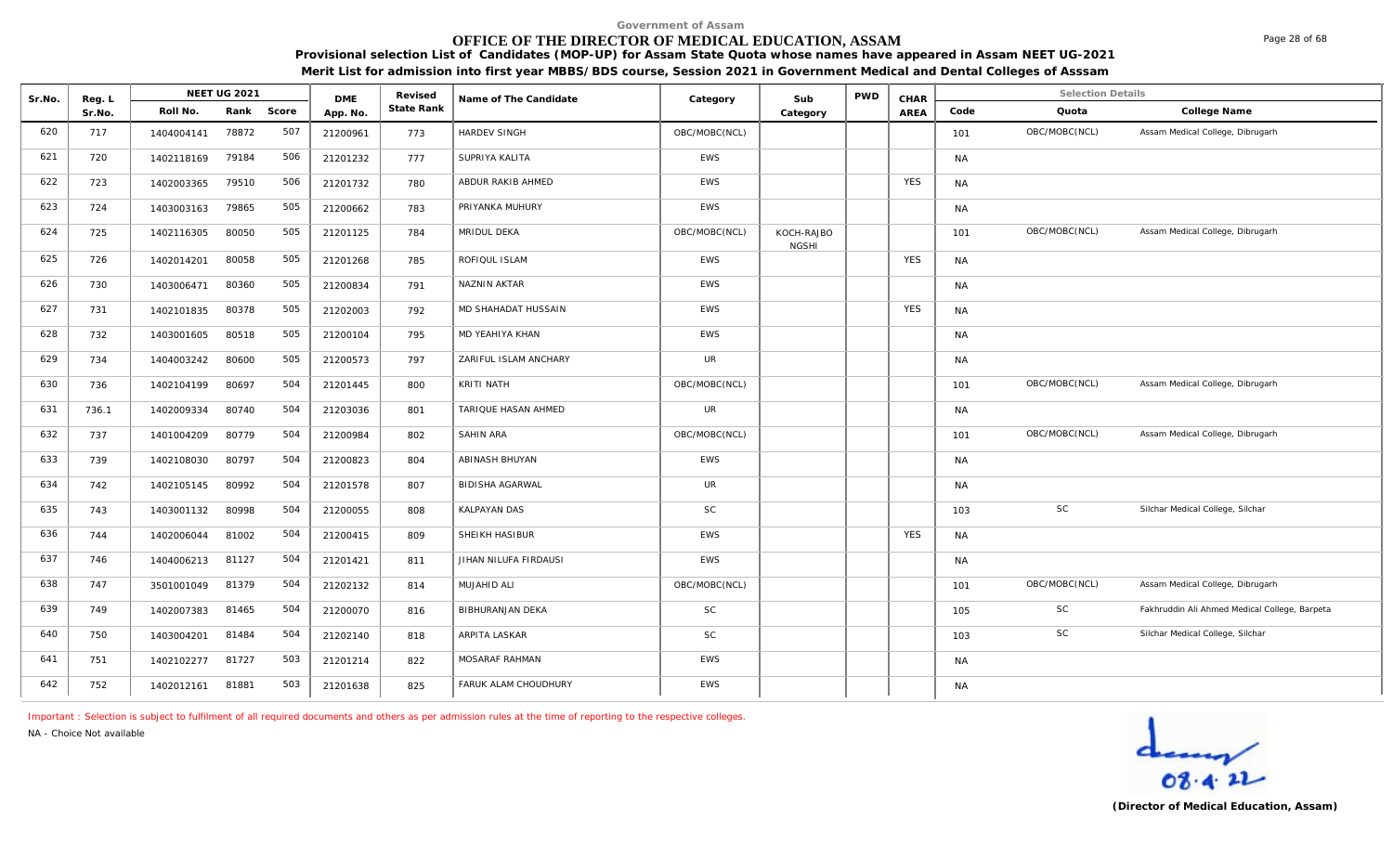# **OFFICE OF THE DIRECTOR OF MEDICAL EDUCATION, ASSAM**

**Provisional selection List of Candidates (MOP-UP) for Assam State Quota whose names have appeared in Assam NEET UG-2021 Merit List for admission into first year MBBS/BDS course, Session 2021 in Government Medical and Dental Colleges of Asssam**

| Sr.No. | Reg. L |            | <b>NEET UG 2021</b> |       | <b>DME</b> | Revised    | Name of The Candidate  | Category      | Sub                        | <b>PWD</b> | CHAR       |           | <b>Selection Details</b> |                                               |
|--------|--------|------------|---------------------|-------|------------|------------|------------------------|---------------|----------------------------|------------|------------|-----------|--------------------------|-----------------------------------------------|
|        | Sr.No. | Roll No.   | Rank                | Score | App. No.   | State Rank |                        |               | Category                   |            | AREA       | Code      | Quota                    | College Name                                  |
| 620    | 717    | 1404004141 | 78872               | 507   | 21200961   | 773        | HARDEV SINGH           | OBC/MOBC(NCL) |                            |            |            | 101       | OBC/MOBC(NCL)            | Assam Medical College, Dibrugarh              |
| 621    | 720    | 1402118169 | 79184               | 506   | 21201232   | 777        | SUPRIYA KALITA         | <b>EWS</b>    |                            |            |            | <b>NA</b> |                          |                                               |
| 622    | 723    | 1402003365 | 79510               | 506   | 21201732   | 780        | ABDUR RAKIB AHMED      | <b>EWS</b>    |                            |            | <b>YES</b> | <b>NA</b> |                          |                                               |
| 623    | 724    | 1403003163 | 79865               | 505   | 21200662   | 783        | PRIYANKA MUHURY        | <b>EWS</b>    |                            |            |            | <b>NA</b> |                          |                                               |
| 624    | 725    | 1402116305 | 80050               | 505   | 21201125   | 784        | MRIDUL DEKA            | OBC/MOBC(NCL) | KOCH-RAJBO<br><b>NGSHI</b> |            |            | 101       | OBC/MOBC(NCL)            | Assam Medical College, Dibrugarh              |
| 625    | 726    | 1402014201 | 80058               | 505   | 21201268   | 785        | ROFIQUL ISLAM          | <b>EWS</b>    |                            |            | <b>YES</b> | <b>NA</b> |                          |                                               |
| 626    | 730    | 1403006471 | 80360               | 505   | 21200834   | 791        | NAZNIN AKTAR           | EWS           |                            |            |            | <b>NA</b> |                          |                                               |
| 627    | 731    | 1402101835 | 80378               | 505   | 21202003   | 792        | MD SHAHADAT HUSSAIN    | <b>EWS</b>    |                            |            | <b>YES</b> | <b>NA</b> |                          |                                               |
| 628    | 732    | 1403001605 | 80518               | 505   | 21200104   | 795        | MD YEAHIYA KHAN        | <b>EWS</b>    |                            |            |            | <b>NA</b> |                          |                                               |
| 629    | 734    | 1404003242 | 80600               | 505   | 21200573   | 797        | ZARIFUL ISLAM ANCHARY  | <b>UR</b>     |                            |            |            | <b>NA</b> |                          |                                               |
| 630    | 736    | 1402104199 | 80697               | 504   | 21201445   | 800        | KRITI NATH             | OBC/MOBC(NCL) |                            |            |            | 101       | OBC/MOBC(NCL)            | Assam Medical College, Dibrugarh              |
| 631    | 736.1  | 1402009334 | 80740               | 504   | 21203036   | 801        | TARIQUE HASAN AHMED    | UR            |                            |            |            | <b>NA</b> |                          |                                               |
| 632    | 737    | 1401004209 | 80779               | 504   | 21200984   | 802        | <b>SAHIN ARA</b>       | OBC/MOBC(NCL) |                            |            |            | 101       | OBC/MOBC(NCL)            | Assam Medical College, Dibrugarh              |
| 633    | 739    | 1402108030 | 80797               | 504   | 21200823   | 804        | ABINASH BHUYAN         | <b>EWS</b>    |                            |            |            | <b>NA</b> |                          |                                               |
| 634    | 742    | 1402105145 | 80992               | 504   | 21201578   | 807        | <b>BIDISHA AGARWAL</b> | <b>UR</b>     |                            |            |            | <b>NA</b> |                          |                                               |
| 635    | 743    | 1403001132 | 80998               | 504   | 21200055   | 808        | <b>KALPAYAN DAS</b>    | <b>SC</b>     |                            |            |            | 103       | SC                       | Silchar Medical College, Silchar              |
| 636    | 744    | 1402006044 | 81002               | 504   | 21200415   | 809        | SHEIKH HASIBUR         | <b>EWS</b>    |                            |            | <b>YES</b> | <b>NA</b> |                          |                                               |
| 637    | 746    | 1404006213 | 81127               | 504   | 21201421   | 811        | JIHAN NILUFA FIRDAUSI  | <b>EWS</b>    |                            |            |            | <b>NA</b> |                          |                                               |
| 638    | 747    | 3501001049 | 81379               | 504   | 21202132   | 814        | MUJAHID ALI            | OBC/MOBC(NCL) |                            |            |            | 101       | OBC/MOBC(NCL)            | Assam Medical College, Dibrugarh              |
| 639    | 749    | 1402007383 | 81465               | 504   | 21200070   | 816        | BIBHURANJAN DEKA       | SC            |                            |            |            | 105       | SC                       | Fakhruddin Ali Ahmed Medical College, Barpeta |
| 640    | 750    | 1403004201 | 81484               | 504   | 21202140   | 818        | ARPITA LASKAR          | SC            |                            |            |            | 103       | SC                       | Silchar Medical College, Silchar              |
| 641    | 751    | 1402102277 | 81727               | 503   | 21201214   | 822        | MOSARAF RAHMAN         | <b>EWS</b>    |                            |            |            | <b>NA</b> |                          |                                               |
| 642    | 752    | 1402012161 | 81881               | 503   | 21201638   | 825        | FARUK ALAM CHOUDHURY   | EWS           |                            |            |            | <b>NA</b> |                          |                                               |

*Important : Selection is subject to fulfilment of all required documents and others as per admission rules at the time of reporting to the respective colleges.*

*NA - Choice Not available*



Page 28 of 68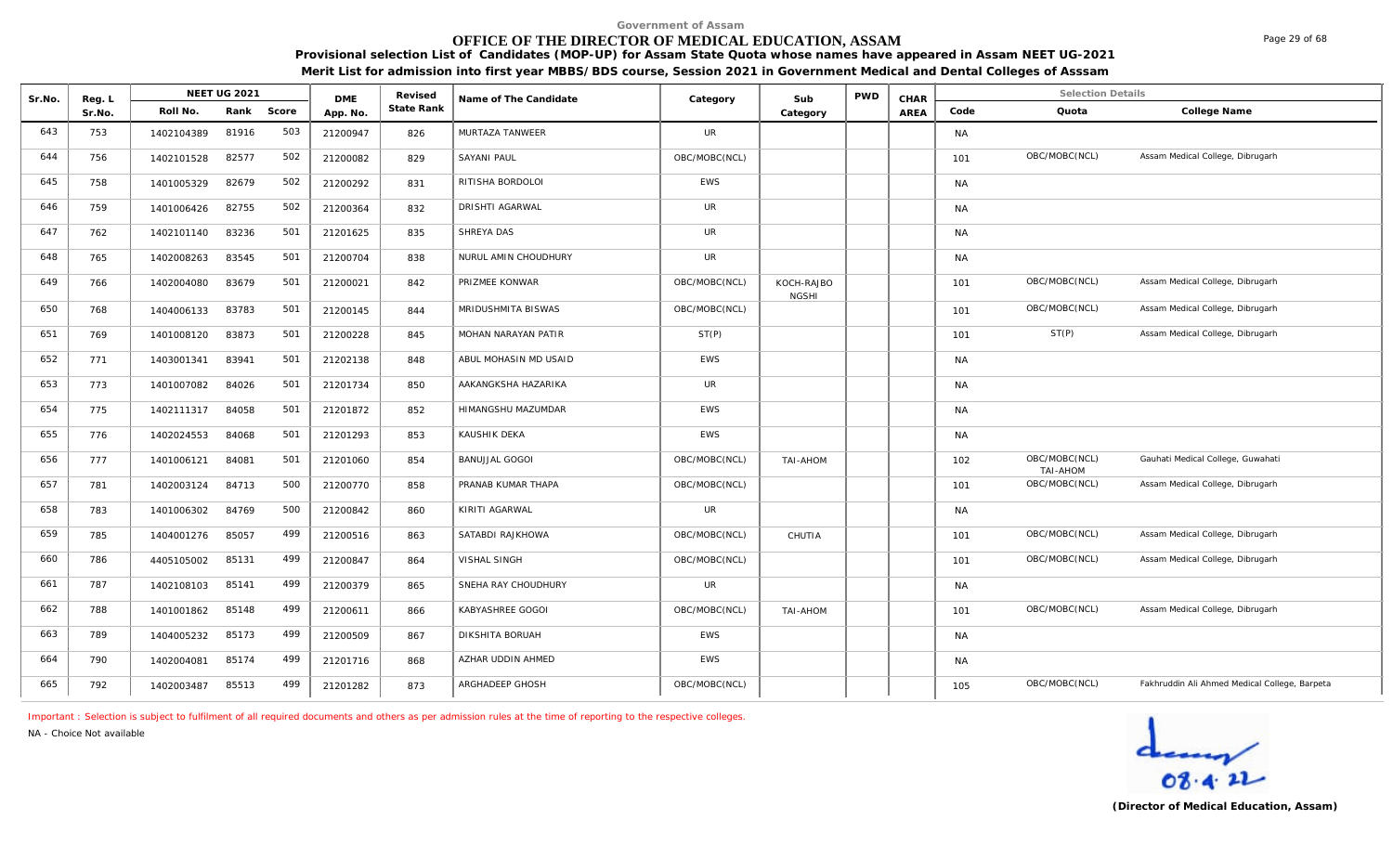# **OFFICE OF THE DIRECTOR OF MEDICAL EDUCATION, ASSAM**

**Provisional selection List of Candidates (MOP-UP) for Assam State Quota whose names have appeared in Assam NEET UG-2021 Merit List for admission into first year MBBS/BDS course, Session 2021 in Government Medical and Dental Colleges of Asssam**

| Sr.No. | Reg. L |            | NEET UG 2021 |       | <b>DME</b> | Revised    | Name of The Candidate | Category      | Sub                        | <b>PWD</b> | CHAR |           | <b>Selection Details</b>  |                                               |
|--------|--------|------------|--------------|-------|------------|------------|-----------------------|---------------|----------------------------|------------|------|-----------|---------------------------|-----------------------------------------------|
|        | Sr.No. | Roll No.   | Rank         | Score | App. No.   | State Rank |                       |               | Category                   |            | AREA | Code      | Quota                     | College Name                                  |
| 643    | 753    | 1402104389 | 81916        | 503   | 21200947   | 826        | MURTAZA TANWEER       | UR            |                            |            |      | <b>NA</b> |                           |                                               |
| 644    | 756    | 1402101528 | 82577        | 502   | 21200082   | 829        | <b>SAYANI PAUL</b>    | OBC/MOBC(NCL) |                            |            |      | 101       | OBC/MOBC(NCL)             | Assam Medical College, Dibrugarh              |
| 645    | 758    | 1401005329 | 82679        | 502   | 21200292   | 831        | RITISHA BORDOLOI      | <b>EWS</b>    |                            |            |      | <b>NA</b> |                           |                                               |
| 646    | 759    | 1401006426 | 82755        | 502   | 21200364   | 832        | DRISHTI AGARWAL       | UR            |                            |            |      | <b>NA</b> |                           |                                               |
| 647    | 762    | 1402101140 | 83236        | 501   | 21201625   | 835        | SHREYA DAS            | UR            |                            |            |      | <b>NA</b> |                           |                                               |
| 648    | 765    | 1402008263 | 83545        | 501   | 21200704   | 838        | NURUL AMIN CHOUDHURY  | <b>UR</b>     |                            |            |      | <b>NA</b> |                           |                                               |
| 649    | 766    | 1402004080 | 83679        | 501   | 21200021   | 842        | PRIZMEE KONWAR        | OBC/MOBC(NCL) | KOCH-RAJBO<br><b>NGSHI</b> |            |      | 101       | OBC/MOBC(NCL)             | Assam Medical College, Dibrugarh              |
| 650    | 768    | 1404006133 | 83783        | 501   | 21200145   | 844        | MRIDUSHMITA BISWAS    | OBC/MOBC(NCL) |                            |            |      | 101       | OBC/MOBC(NCL)             | Assam Medical College, Dibrugarh              |
| 651    | 769    | 1401008120 | 83873        | 501   | 21200228   | 845        | MOHAN NARAYAN PATIR   | ST(P)         |                            |            |      | 101       | ST(P)                     | Assam Medical College, Dibrugarh              |
| 652    | 771    | 1403001341 | 83941        | 501   | 21202138   | 848        | ABUL MOHASIN MD USAID | <b>EWS</b>    |                            |            |      | <b>NA</b> |                           |                                               |
| 653    | 773    | 1401007082 | 84026        | 501   | 21201734   | 850        | AAKANGKSHA HAZARIKA   | UR            |                            |            |      | <b>NA</b> |                           |                                               |
| 654    | 775    | 1402111317 | 84058        | 501   | 21201872   | 852        | HIMANGSHU MAZUMDAR    | <b>EWS</b>    |                            |            |      | <b>NA</b> |                           |                                               |
| 655    | 776    | 1402024553 | 84068        | 501   | 21201293   | 853        | KAUSHIK DEKA          | <b>EWS</b>    |                            |            |      | <b>NA</b> |                           |                                               |
| 656    | 777    | 1401006121 | 84081        | 501   | 21201060   | 854        | <b>BANUJJAL GOGOI</b> | OBC/MOBC(NCL) | <b>NOHA-IAT</b>            |            |      | 102       | OBC/MOBC(NCL)<br>TAI-AHOM | Gauhati Medical College, Guwahati             |
| 657    | 781    | 1402003124 | 84713        | 500   | 21200770   | 858        | PRANAB KUMAR THAPA    | OBC/MOBC(NCL) |                            |            |      | 101       | OBC/MOBC(NCL)             | Assam Medical College, Dibrugarh              |
| 658    | 783    | 1401006302 | 84769        | 500   | 21200842   | 860        | KIRITI AGARWAL        | UR            |                            |            |      | <b>NA</b> |                           |                                               |
| 659    | 785    | 1404001276 | 85057        | 499   | 21200516   | 863        | SATABDI RAJKHOWA      | OBC/MOBC(NCL) | CHUTIA                     |            |      | 101       | OBC/MOBC(NCL)             | Assam Medical College, Dibrugarh              |
| 660    | 786    | 4405105002 | 85131        | 499   | 21200847   | 864        | VISHAL SINGH          | OBC/MOBC(NCL) |                            |            |      | 101       | OBC/MOBC(NCL)             | Assam Medical College, Dibrugarh              |
| 661    | 787    | 1402108103 | 85141        | 499   | 21200379   | 865        | SNEHA RAY CHOUDHURY   | UR            |                            |            |      | <b>NA</b> |                           |                                               |
| 662    | 788    | 1401001862 | 85148        | 499   | 21200611   | 866        | KABYASHREE GOGOI      | OBC/MOBC(NCL) | TAI-AHOM                   |            |      | 101       | OBC/MOBC(NCL)             | Assam Medical College, Dibrugarh              |
| 663    | 789    | 1404005232 | 85173        | 499   | 21200509   | 867        | DIKSHITA BORUAH       | <b>EWS</b>    |                            |            |      | <b>NA</b> |                           |                                               |
| 664    | 790    | 1402004081 | 85174        | 499   | 21201716   | 868        | AZHAR UDDIN AHMED     | <b>EWS</b>    |                            |            |      | <b>NA</b> |                           |                                               |
| 665    | 792    | 1402003487 | 85513        | 499   | 21201282   | 873        | ARGHADEEP GHOSH       | OBC/MOBC(NCL) |                            |            |      | 105       | OBC/MOBC(NCL)             | Fakhruddin Ali Ahmed Medical College, Barpeta |

*Important : Selection is subject to fulfilment of all required documents and others as per admission rules at the time of reporting to the respective colleges.*

*NA - Choice Not available*

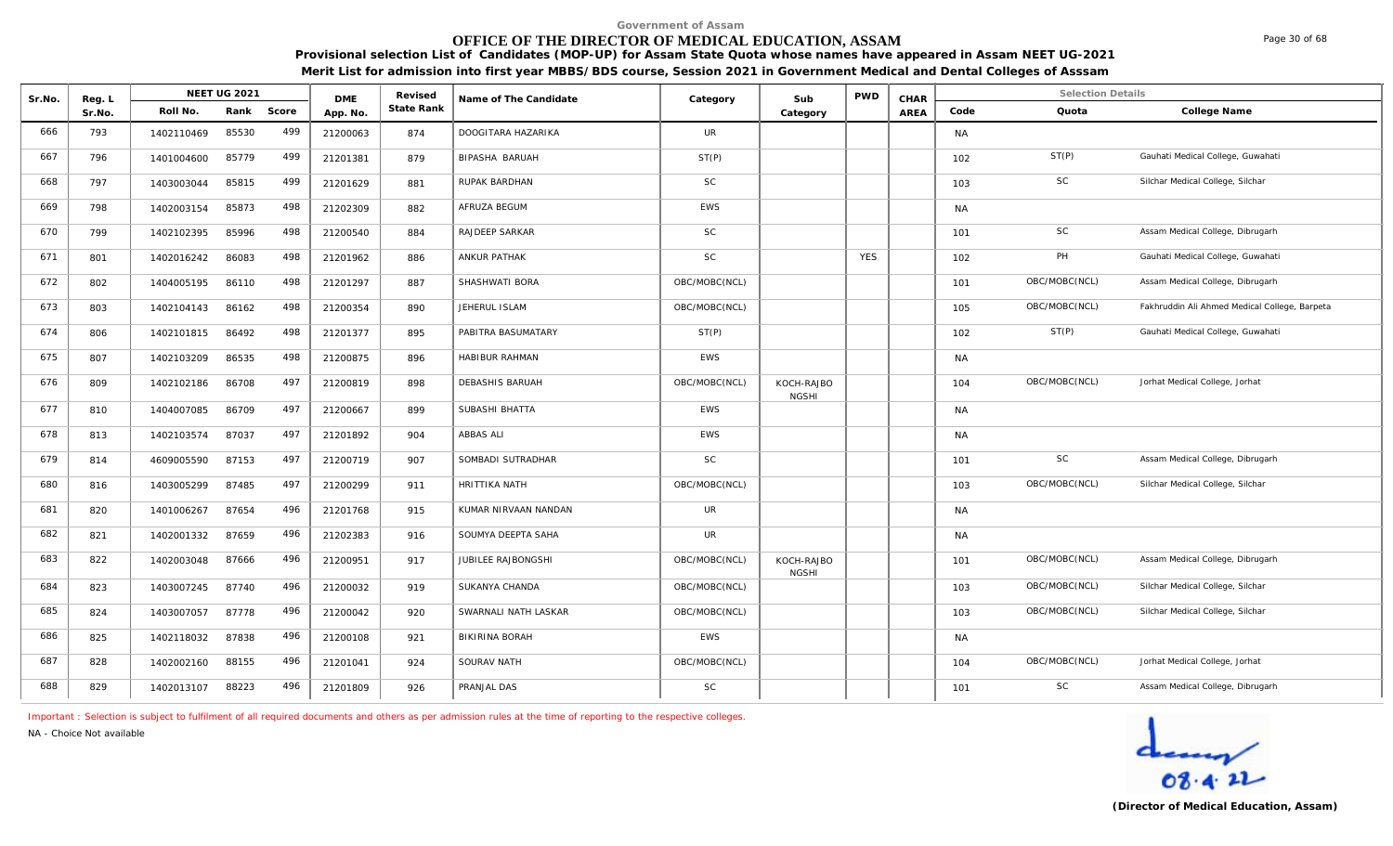# **OFFICE OF THE DIRECTOR OF MEDICAL EDUCATION, ASSAM**

**Provisional selection List of Candidates (MOP-UP) for Assam State Quota whose names have appeared in Assam NEET UG-2021 Merit List for admission into first year MBBS/BDS course, Session 2021 in Government Medical and Dental Colleges of Asssam**

| Sr.No. | Reg. L |            | <b>NEET UG 2021</b> |       | <b>DME</b> | Revised    | Name of The Candidate  | Category      | Sub                        | <b>PWD</b> | CHAR |           | <b>Selection Details</b> |                                               |
|--------|--------|------------|---------------------|-------|------------|------------|------------------------|---------------|----------------------------|------------|------|-----------|--------------------------|-----------------------------------------------|
|        | Sr.No. | Roll No.   | Rank                | Score | App. No.   | State Rank |                        |               | Category                   |            | AREA | Code      | Quota                    | College Name                                  |
| 666    | 793    | 1402110469 | 85530               | 499   | 21200063   | 874        | DOOGITARA HAZARIKA     | <b>UR</b>     |                            |            |      | <b>NA</b> |                          |                                               |
| 667    | 796    | 1401004600 | 85779               | 499   | 21201381   | 879        | BIPASHA BARUAH         | ST(P)         |                            |            |      | 102       | ST(P)                    | Gauhati Medical College, Guwahati             |
| 668    | 797    | 1403003044 | 85815               | 499   | 21201629   | 881        | RUPAK BARDHAN          | <b>SC</b>     |                            |            |      | 103       | <b>SC</b>                | Silchar Medical College, Silchar              |
| 669    | 798    | 1402003154 | 85873               | 498   | 21202309   | 882        | AFRUZA BEGUM           | <b>EWS</b>    |                            |            |      | <b>NA</b> |                          |                                               |
| 670    | 799    | 1402102395 | 85996               | 498   | 21200540   | 884        | RAJDEEP SARKAR         | <b>SC</b>     |                            |            |      | 101       | SC                       | Assam Medical College, Dibrugarh              |
| 671    | 801    | 1402016242 | 86083               | 498   | 21201962   | 886        | <b>ANKUR PATHAK</b>    | <b>SC</b>     |                            | <b>YES</b> |      | 102       | PH                       | Gauhati Medical College, Guwahati             |
| 672    | 802    | 1404005195 | 86110               | 498   | 21201297   | 887        | SHASHWATI BORA         | OBC/MOBC(NCL) |                            |            |      | 101       | OBC/MOBC(NCL)            | Assam Medical College, Dibrugarh              |
| 673    | 803    | 1402104143 | 86162               | 498   | 21200354   | 890        | JEHERUL ISLAM          | OBC/MOBC(NCL) |                            |            |      | 105       | OBC/MOBC(NCL)            | Fakhruddin Ali Ahmed Medical College, Barpeta |
| 674    | 806    | 1402101815 | 86492               | 498   | 21201377   | 895        | PABITRA BASUMATARY     | ST(P)         |                            |            |      | 102       | ST(P)                    | Gauhati Medical College, Guwahati             |
| 675    | 807    | 1402103209 | 86535               | 498   | 21200875   | 896        | HABIBUR RAHMAN         | EWS           |                            |            |      | <b>NA</b> |                          |                                               |
| 676    | 809    | 1402102186 | 86708               | 497   | 21200819   | 898        | <b>DEBASHIS BARUAH</b> | OBC/MOBC(NCL) | KOCH-RAJBO<br><b>NGSHI</b> |            |      | 104       | OBC/MOBC(NCL)            | Jorhat Medical College, Jorhat                |
| 677    | 810    | 1404007085 | 86709               | 497   | 21200667   | 899        | SUBASHI BHATTA         | <b>EWS</b>    |                            |            |      | <b>NA</b> |                          |                                               |
| 678    | 813    | 1402103574 | 87037               | 497   | 21201892   | 904        | ABBAS ALI              | <b>EWS</b>    |                            |            |      | <b>NA</b> |                          |                                               |
| 679    | 814    | 4609005590 | 87153               | 497   | 21200719   | 907        | SOMBADI SUTRADHAR      | <b>SC</b>     |                            |            |      | 101       | SC                       | Assam Medical College, Dibrugarh              |
| 680    | 816    | 1403005299 | 87485               | 497   | 21200299   | 911        | HRITTIKA NATH          | OBC/MOBC(NCL) |                            |            |      | 103       | OBC/MOBC(NCL)            | Silchar Medical College, Silchar              |
| 681    | 820    | 1401006267 | 87654               | 496   | 21201768   | 915        | KUMAR NIRVAAN NANDAN   | UR            |                            |            |      | <b>NA</b> |                          |                                               |
| 682    | 821    | 1402001332 | 87659               | 496   | 21202383   | 916        | SOUMYA DEEPTA SAHA     | UR            |                            |            |      | <b>NA</b> |                          |                                               |
| 683    | 822    | 1402003048 | 87666               | 496   | 21200951   | 917        | JUBILEE RAJBONGSHI     | OBC/MOBC(NCL) | KOCH-RAJBO<br><b>NGSHI</b> |            |      | 101       | OBC/MOBC(NCL)            | Assam Medical College, Dibrugarh              |
| 684    | 823    | 1403007245 | 87740               | 496   | 21200032   | 919        | SUKANYA CHANDA         | OBC/MOBC(NCL) |                            |            |      | 103       | OBC/MOBC(NCL)            | Silchar Medical College, Silchar              |
| 685    | 824    | 1403007057 | 87778               | 496   | 21200042   | 920        | SWARNALI NATH LASKAR   | OBC/MOBC(NCL) |                            |            |      | 103       | OBC/MOBC(NCL)            | Silchar Medical College, Silchar              |
| 686    | 825    | 1402118032 | 87838               | 496   | 21200108   | 921        | <b>BIKIRINA BORAH</b>  | <b>EWS</b>    |                            |            |      | <b>NA</b> |                          |                                               |
| 687    | 828    | 1402002160 | 88155               | 496   | 21201041   | 924        | SOURAV NATH            | OBC/MOBC(NCL) |                            |            |      | 104       | OBC/MOBC(NCL)            | Jorhat Medical College, Jorhat                |
| 688    | 829    | 1402013107 | 88223               | 496   | 21201809   | 926        | PRANJAL DAS            | SC            |                            |            |      | 101       | SC                       | Assam Medical College, Dibrugarh              |

*Important : Selection is subject to fulfilment of all required documents and others as per admission rules at the time of reporting to the respective colleges.*

*NA - Choice Not available*



**(Director of Medical Education, Assam)**

Page 30 of 68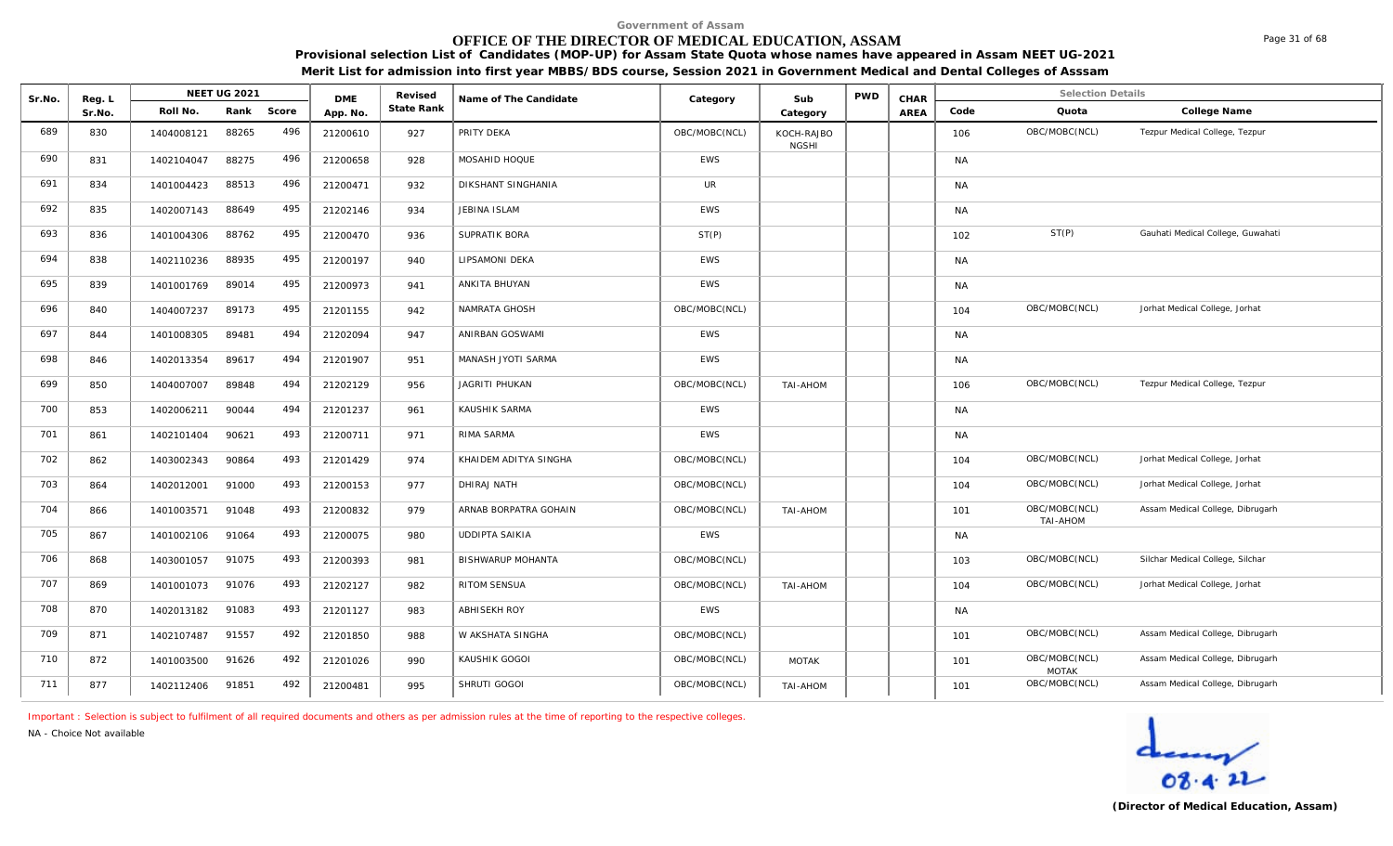# **OFFICE OF THE DIRECTOR OF MEDICAL EDUCATION, ASSAM**

**Provisional selection List of Candidates (MOP-UP) for Assam State Quota whose names have appeared in Assam NEET UG-2021 Merit List for admission into first year MBBS/BDS course, Session 2021 in Government Medical and Dental Colleges of Asssam**

| Sr.No. | Reg. L |            | <b>NEET UG 2021</b> |       | <b>DME</b> | Revised    | Name of The Candidate    | Category      | Sub                        | <b>PWD</b> | CHAR        |           | <b>Selection Details</b>      |                                   |
|--------|--------|------------|---------------------|-------|------------|------------|--------------------------|---------------|----------------------------|------------|-------------|-----------|-------------------------------|-----------------------------------|
|        | Sr.No. | Roll No.   | Rank                | Score | App. No.   | State Rank |                          |               | Category                   |            | <b>AREA</b> | Code      | Quota                         | College Name                      |
| 689    | 830    | 1404008121 | 88265               | 496   | 21200610   | 927        | PRITY DEKA               | OBC/MOBC(NCL) | KOCH-RAJBO<br><b>NGSHI</b> |            |             | 106       | OBC/MOBC(NCL)                 | Tezpur Medical College, Tezpur    |
| 690    | 831    | 1402104047 | 88275               | 496   | 21200658   | 928        | MOSAHID HOQUE            | EWS           |                            |            |             | <b>NA</b> |                               |                                   |
| 691    | 834    | 1401004423 | 88513               | 496   | 21200471   | 932        | DIKSHANT SINGHANIA       | UR            |                            |            |             | <b>NA</b> |                               |                                   |
| 692    | 835    | 1402007143 | 88649               | 495   | 21202146   | 934        | JEBINA ISLAM             | EWS           |                            |            |             | <b>NA</b> |                               |                                   |
| 693    | 836    | 1401004306 | 88762               | 495   | 21200470   | 936        | SUPRATIK BORA            | ST(P)         |                            |            |             | 102       | ST(P)                         | Gauhati Medical College, Guwahati |
| 694    | 838    | 1402110236 | 88935               | 495   | 21200197   | 940        | LIPSAMONI DEKA           | <b>EWS</b>    |                            |            |             | <b>NA</b> |                               |                                   |
| 695    | 839    | 1401001769 | 89014               | 495   | 21200973   | 941        | ANKITA BHUYAN            | <b>EWS</b>    |                            |            |             | <b>NA</b> |                               |                                   |
| 696    | 840    | 1404007237 | 89173               | 495   | 21201155   | 942        | NAMRATA GHOSH            | OBC/MOBC(NCL) |                            |            |             | 104       | OBC/MOBC(NCL)                 | Jorhat Medical College, Jorhat    |
| 697    | 844    | 1401008305 | 89481               | 494   | 21202094   | 947        | ANIRBAN GOSWAMI          | EWS           |                            |            |             | <b>NA</b> |                               |                                   |
| 698    | 846    | 1402013354 | 89617               | 494   | 21201907   | 951        | MANASH JYOTI SARMA       | <b>EWS</b>    |                            |            |             | <b>NA</b> |                               |                                   |
| 699    | 850    | 1404007007 | 89848               | 494   | 21202129   | 956        | JAGRITI PHUKAN           | OBC/MOBC(NCL) | TAI-AHOM                   |            |             | 106       | OBC/MOBC(NCL)                 | Tezpur Medical College, Tezpur    |
| 700    | 853    | 1402006211 | 90044               | 494   | 21201237   | 961        | KAUSHIK SARMA            | <b>EWS</b>    |                            |            |             | <b>NA</b> |                               |                                   |
| 701    | 861    | 1402101404 | 90621               | 493   | 21200711   | 971        | RIMA SARMA               | <b>EWS</b>    |                            |            |             | <b>NA</b> |                               |                                   |
| 702    | 862    | 1403002343 | 90864               | 493   | 21201429   | 974        | KHAIDEM ADITYA SINGHA    | OBC/MOBC(NCL) |                            |            |             | 104       | OBC/MOBC(NCL)                 | Jorhat Medical College, Jorhat    |
| 703    | 864    | 1402012001 | 91000               | 493   | 21200153   | 977        | DHIRAJ NATH              | OBC/MOBC(NCL) |                            |            |             | 104       | OBC/MOBC(NCL)                 | Jorhat Medical College, Jorhat    |
| 704    | 866    | 1401003571 | 91048               | 493   | 21200832   | 979        | ARNAB BORPATRA GOHAIN    | OBC/MOBC(NCL) | TAI-AHOM                   |            |             | 101       | OBC/MOBC(NCL)<br>TAI-AHOM     | Assam Medical College, Dibrugarh  |
| 705    | 867    | 1401002106 | 91064               | 493   | 21200075   | 980        | <b>UDDIPTA SAIKIA</b>    | EWS           |                            |            |             | <b>NA</b> |                               |                                   |
| 706    | 868    | 1403001057 | 91075               | 493   | 21200393   | 981        | <b>BISHWARUP MOHANTA</b> | OBC/MOBC(NCL) |                            |            |             | 103       | OBC/MOBC(NCL)                 | Silchar Medical College, Silchar  |
| 707    | 869    | 1401001073 | 91076               | 493   | 21202127   | 982        | RITOM SENSUA             | OBC/MOBC(NCL) | TAI-AHOM                   |            |             | 104       | OBC/MOBC(NCL)                 | Jorhat Medical College, Jorhat    |
| 708    | 870    | 1402013182 | 91083               | 493   | 21201127   | 983        | ABHISEKH ROY             | <b>EWS</b>    |                            |            |             | <b>NA</b> |                               |                                   |
| 709    | 871    | 1402107487 | 91557               | 492   | 21201850   | 988        | W AKSHATA SINGHA         | OBC/MOBC(NCL) |                            |            |             | 101       | OBC/MOBC(NCL)                 | Assam Medical College, Dibrugarh  |
| 710    | 872    | 1401003500 | 91626               | 492   | 21201026   | 990        | KAUSHIK GOGOI            | OBC/MOBC(NCL) | <b>MOTAK</b>               |            |             | 101       | OBC/MOBC(NCL)<br><b>MOTAK</b> | Assam Medical College, Dibrugarh  |
| 711    | 877    | 1402112406 | 91851               | 492   | 21200481   | 995        | SHRUTI GOGOI             | OBC/MOBC(NCL) | <b>TAI-AHOM</b>            |            |             | 101       | OBC/MOBC(NCL)                 | Assam Medical College, Dibrugarh  |

*Important : Selection is subject to fulfilment of all required documents and others as per admission rules at the time of reporting to the respective colleges.*

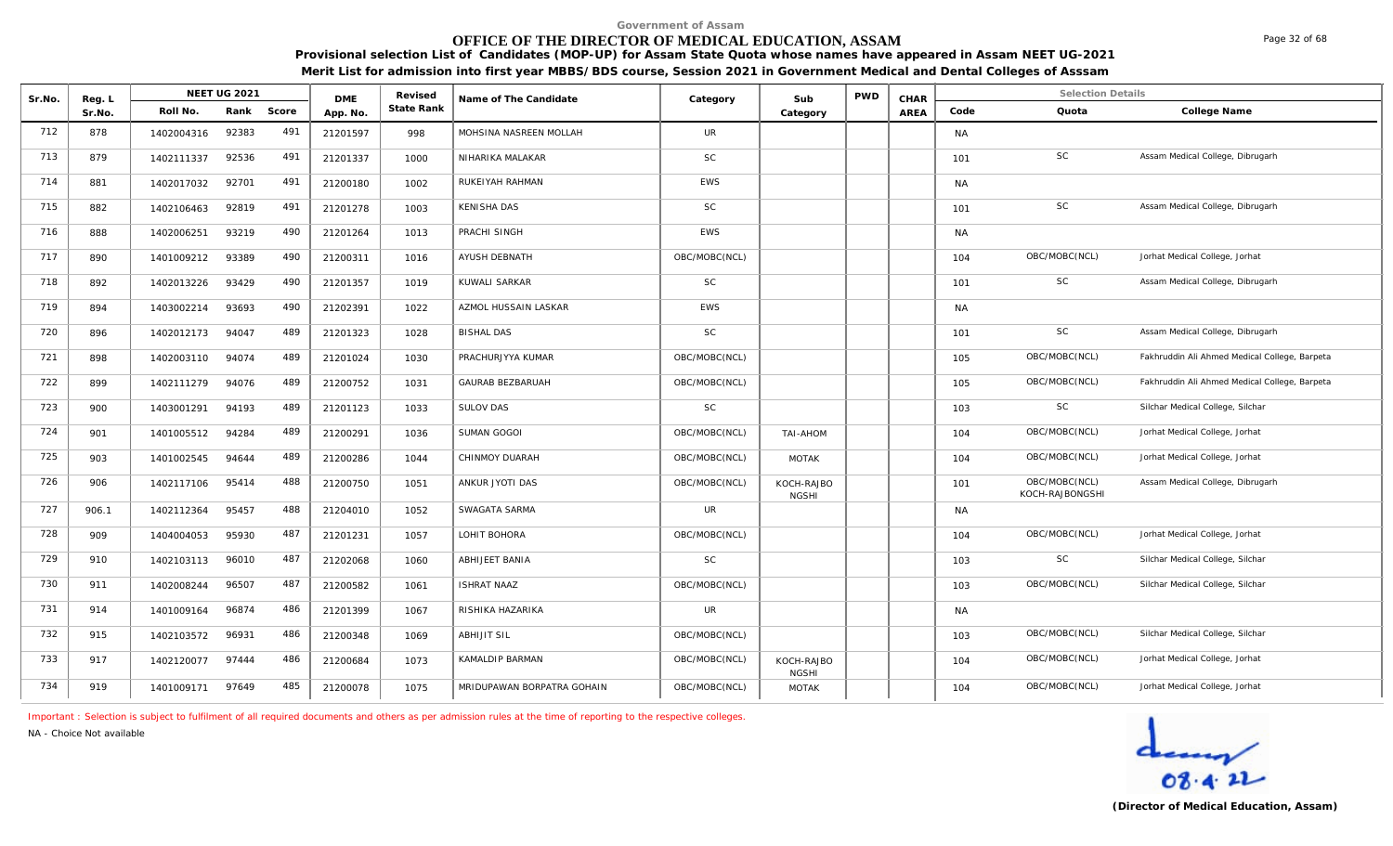# **OFFICE OF THE DIRECTOR OF MEDICAL EDUCATION, ASSAM**

**Provisional selection List of Candidates (MOP-UP) for Assam State Quota whose names have appeared in Assam NEET UG-2021 Merit List for admission into first year MBBS/BDS course, Session 2021 in Government Medical and Dental Colleges of Asssam**

| Sr.No. | Reg. L |            | <b>NEET UG 2021</b> |       | <b>DME</b> | Revised    | Name of The Candidate      | Category      | Sub                        | <b>PWD</b> | CHAR |           | <b>Selection Details</b>         |                                               |
|--------|--------|------------|---------------------|-------|------------|------------|----------------------------|---------------|----------------------------|------------|------|-----------|----------------------------------|-----------------------------------------------|
|        | Sr.No. | Roll No.   | Rank                | Score | App. No.   | State Rank |                            |               | Category                   |            | AREA | Code      | Quota                            | College Name                                  |
| 712    | 878    | 1402004316 | 92383               | 491   | 21201597   | 998        | MOHSINA NASREEN MOLLAH     | <b>UR</b>     |                            |            |      | <b>NA</b> |                                  |                                               |
| 713    | 879    | 1402111337 | 92536               | 491   | 21201337   | 1000       | NIHARIKA MALAKAR           | <b>SC</b>     |                            |            |      | 101       | SC                               | Assam Medical College, Dibrugarh              |
| 714    | 881    | 1402017032 | 92701               | 491   | 21200180   | 1002       | RUKEIYAH RAHMAN            | <b>EWS</b>    |                            |            |      | <b>NA</b> |                                  |                                               |
| 715    | 882    | 1402106463 | 92819               | 491   | 21201278   | 1003       | <b>KENISHA DAS</b>         | <b>SC</b>     |                            |            |      | 101       | <b>SC</b>                        | Assam Medical College, Dibrugarh              |
| 716    | 888    | 1402006251 | 93219               | 490   | 21201264   | 1013       | PRACHI SINGH               | <b>EWS</b>    |                            |            |      | <b>NA</b> |                                  |                                               |
| 717    | 890    | 1401009212 | 93389               | 490   | 21200311   | 1016       | AYUSH DEBNATH              | OBC/MOBC(NCL) |                            |            |      | 104       | OBC/MOBC(NCL)                    | Jorhat Medical College, Jorhat                |
| 718    | 892    | 1402013226 | 93429               | 490   | 21201357   | 1019       | KUWALI SARKAR              | SC            |                            |            |      | 101       | SC                               | Assam Medical College, Dibrugarh              |
| 719    | 894    | 1403002214 | 93693               | 490   | 21202391   | 1022       | AZMOL HUSSAIN LASKAR       | <b>EWS</b>    |                            |            |      | <b>NA</b> |                                  |                                               |
| 720    | 896    | 1402012173 | 94047               | 489   | 21201323   | 1028       | <b>BISHAL DAS</b>          | <b>SC</b>     |                            |            |      | 101       | SC                               | Assam Medical College, Dibrugarh              |
| 721    | 898    | 1402003110 | 94074               | 489   | 21201024   | 1030       | PRACHURJYYA KUMAR          | OBC/MOBC(NCL) |                            |            |      | 105       | OBC/MOBC(NCL)                    | Fakhruddin Ali Ahmed Medical College, Barpeta |
| 722    | 899    | 1402111279 | 94076               | 489   | 21200752   | 1031       | GAURAB BEZBARUAH           | OBC/MOBC(NCL) |                            |            |      | 105       | OBC/MOBC(NCL)                    | Fakhruddin Ali Ahmed Medical College, Barpeta |
| 723    | 900    | 1403001291 | 94193               | 489   | 21201123   | 1033       | <b>SULOV DAS</b>           | <b>SC</b>     |                            |            |      | 103       | SC                               | Silchar Medical College, Silchar              |
| 724    | 901    | 1401005512 | 94284               | 489   | 21200291   | 1036       | SUMAN GOGOI                | OBC/MOBC(NCL) | TAI-AHOM                   |            |      | 104       | OBC/MOBC(NCL)                    | Jorhat Medical College, Jorhat                |
| 725    | 903    | 1401002545 | 94644               | 489   | 21200286   | 1044       | CHINMOY DUARAH             | OBC/MOBC(NCL) | <b>MOTAK</b>               |            |      | 104       | OBC/MOBC(NCL)                    | Jorhat Medical College, Jorhat                |
| 726    | 906    | 1402117106 | 95414               | 488   | 21200750   | 1051       | ANKUR JYOTI DAS            | OBC/MOBC(NCL) | KOCH-RAJBO<br><b>NGSHI</b> |            |      | 101       | OBC/MOBC(NCL)<br>KOCH-RAJBONGSHI | Assam Medical College, Dibrugarh              |
| 727    | 906.1  | 1402112364 | 95457               | 488   | 21204010   | 1052       | SWAGATA SARMA              | <b>UR</b>     |                            |            |      | <b>NA</b> |                                  |                                               |
| 728    | 909    | 1404004053 | 95930               | 487   | 21201231   | 1057       | LOHIT BOHORA               | OBC/MOBC(NCL) |                            |            |      | 104       | OBC/MOBC(NCL)                    | Jorhat Medical College, Jorhat                |
| 729    | 910    | 1402103113 | 96010               | 487   | 21202068   | 1060       | ABHIJEET BANIA             | <b>SC</b>     |                            |            |      | 103       | <b>SC</b>                        | Silchar Medical College, Silchar              |
| 730    | 911    | 1402008244 | 96507               | 487   | 21200582   | 1061       | <b>ISHRAT NAAZ</b>         | OBC/MOBC(NCL) |                            |            |      | 103       | OBC/MOBC(NCL)                    | Silchar Medical College, Silchar              |
| 731    | 914    | 1401009164 | 96874               | 486   | 21201399   | 1067       | RISHIKA HAZARIKA           | <b>UR</b>     |                            |            |      | <b>NA</b> |                                  |                                               |
| 732    | 915    | 1402103572 | 96931               | 486   | 21200348   | 1069       | <b>ABHIJIT SIL</b>         | OBC/MOBC(NCL) |                            |            |      | 103       | OBC/MOBC(NCL)                    | Silchar Medical College, Silchar              |
| 733    | 917    | 1402120077 | 97444               | 486   | 21200684   | 1073       | KAMALDIP BARMAN            | OBC/MOBC(NCL) | KOCH-RAJBO<br><b>NGSHI</b> |            |      | 104       | OBC/MOBC(NCL)                    | Jorhat Medical College, Jorhat                |
| 734    | 919    | 1401009171 | 97649               | 485   | 21200078   | 1075       | MRIDUPAWAN BORPATRA GOHAIN | OBC/MOBC(NCL) | <b>MOTAK</b>               |            |      | 104       | OBC/MOBC(NCL)                    | Jorhat Medical College, Jorhat                |

*Important : Selection is subject to fulfilment of all required documents and others as per admission rules at the time of reporting to the respective colleges.*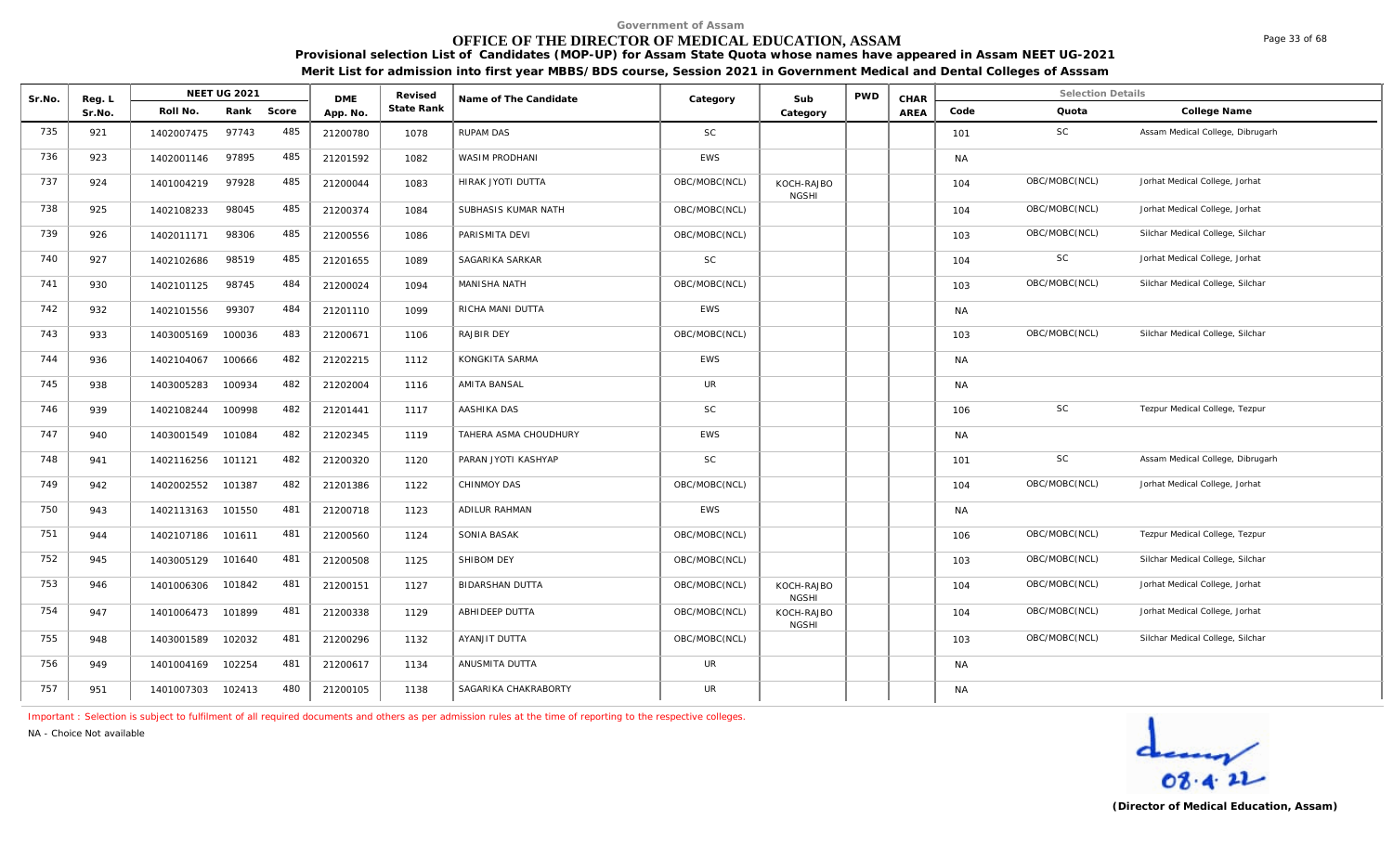# **OFFICE OF THE DIRECTOR OF MEDICAL EDUCATION, ASSAM**

**Provisional selection List of Candidates (MOP-UP) for Assam State Quota whose names have appeared in Assam NEET UG-2021 Merit List for admission into first year MBBS/BDS course, Session 2021 in Government Medical and Dental Colleges of Asssam**

| Sr.No. | Reg. L |            | NEET UG 2021 |       | <b>DME</b> | Revised    | Name of The Candidate  | Category      | Sub                        | <b>PWD</b> | CHAR |           | <b>Selection Details</b> |                                  |
|--------|--------|------------|--------------|-------|------------|------------|------------------------|---------------|----------------------------|------------|------|-----------|--------------------------|----------------------------------|
|        | Sr.No. | Roll No.   | Rank         | Score | App. No.   | State Rank |                        |               | Category                   |            | AREA | Code      | Quota                    | College Name                     |
| 735    | 921    | 1402007475 | 97743        | 485   | 21200780   | 1078       | RUPAM DAS              | <b>SC</b>     |                            |            |      | 101       | SC                       | Assam Medical College, Dibrugarh |
| 736    | 923    | 1402001146 | 97895        | 485   | 21201592   | 1082       | WASIM PRODHANI         | <b>EWS</b>    |                            |            |      | <b>NA</b> |                          |                                  |
| 737    | 924    | 1401004219 | 97928        | 485   | 21200044   | 1083       | HIRAK JYOTI DUTTA      | OBC/MOBC(NCL) | KOCH-RAJBO<br><b>NGSHI</b> |            |      | 104       | OBC/MOBC(NCL)            | Jorhat Medical College, Jorhat   |
| 738    | 925    | 1402108233 | 98045        | 485   | 21200374   | 1084       | SUBHASIS KUMAR NATH    | OBC/MOBC(NCL) |                            |            |      | 104       | OBC/MOBC(NCL)            | Jorhat Medical College, Jorhat   |
| 739    | 926    | 1402011171 | 98306        | 485   | 21200556   | 1086       | PARISMITA DEVI         | OBC/MOBC(NCL) |                            |            |      | 103       | OBC/MOBC(NCL)            | Silchar Medical College, Silchar |
| 740    | 927    | 1402102686 | 98519        | 485   | 21201655   | 1089       | SAGARIKA SARKAR        | SC            |                            |            |      | 104       | SC                       | Jorhat Medical College, Jorhat   |
| 741    | 930    | 1402101125 | 98745        | 484   | 21200024   | 1094       | MANISHA NATH           | OBC/MOBC(NCL) |                            |            |      | 103       | OBC/MOBC(NCL)            | Silchar Medical College, Silchar |
| 742    | 932    | 1402101556 | 99307        | 484   | 21201110   | 1099       | RICHA MANI DUTTA       | EWS           |                            |            |      | <b>NA</b> |                          |                                  |
| 743    | 933    | 1403005169 | 100036       | 483   | 21200671   | 1106       | <b>RAJBIR DEY</b>      | OBC/MOBC(NCL) |                            |            |      | 103       | OBC/MOBC(NCL)            | Silchar Medical College, Silchar |
| 744    | 936    | 1402104067 | 100666       | 482   | 21202215   | 1112       | KONGKITA SARMA         | EWS           |                            |            |      | <b>NA</b> |                          |                                  |
| 745    | 938    | 1403005283 | 100934       | 482   | 21202004   | 1116       | AMITA BANSAL           | UR            |                            |            |      | <b>NA</b> |                          |                                  |
| 746    | 939    | 1402108244 | 100998       | 482   | 21201441   | 1117       | AASHIKA DAS            | SC            |                            |            |      | 106       | SC                       | Tezpur Medical College, Tezpur   |
| 747    | 940    | 1403001549 | 101084       | 482   | 21202345   | 1119       | TAHERA ASMA CHOUDHURY  | <b>EWS</b>    |                            |            |      | <b>NA</b> |                          |                                  |
| 748    | 941    | 1402116256 | 101121       | 482   | 21200320   | 1120       | PARAN JYOTI KASHYAP    | SC            |                            |            |      | 101       | SC                       | Assam Medical College, Dibrugarh |
| 749    | 942    | 1402002552 | 101387       | 482   | 21201386   | 1122       | CHINMOY DAS            | OBC/MOBC(NCL) |                            |            |      | 104       | OBC/MOBC(NCL)            | Jorhat Medical College, Jorhat   |
| 750    | 943    | 1402113163 | 101550       | 481   | 21200718   | 1123       | ADILUR RAHMAN          | EWS           |                            |            |      | <b>NA</b> |                          |                                  |
| 751    | 944    | 1402107186 | 101611       | 481   | 21200560   | 1124       | SONIA BASAK            | OBC/MOBC(NCL) |                            |            |      | 106       | OBC/MOBC(NCL)            | Tezpur Medical College, Tezpur   |
| 752    | 945    | 1403005129 | 101640       | 481   | 21200508   | 1125       | SHIBOM DEY             | OBC/MOBC(NCL) |                            |            |      | 103       | OBC/MOBC(NCL)            | Silchar Medical College, Silchar |
| 753    | 946    | 1401006306 | 101842       | 481   | 21200151   | 1127       | <b>BIDARSHAN DUTTA</b> | OBC/MOBC(NCL) | KOCH-RAJBO<br><b>NGSHI</b> |            |      | 104       | OBC/MOBC(NCL)            | Jorhat Medical College, Jorhat   |
| 754    | 947    | 1401006473 | 101899       | 481   | 21200338   | 1129       | ABHIDEEP DUTTA         | OBC/MOBC(NCL) | KOCH-RAJBO<br><b>NGSHI</b> |            |      | 104       | OBC/MOBC(NCL)            | Jorhat Medical College, Jorhat   |
| 755    | 948    | 1403001589 | 102032       | 481   | 21200296   | 1132       | AYANJIT DUTTA          | OBC/MOBC(NCL) |                            |            |      | 103       | OBC/MOBC(NCL)            | Silchar Medical College, Silchar |
| 756    | 949    | 1401004169 | 102254       | 481   | 21200617   | 1134       | ANUSMITA DUTTA         | UR            |                            |            |      | <b>NA</b> |                          |                                  |
| 757    | 951    | 1401007303 | 102413       | 480   | 21200105   | 1138       | SAGARIKA CHAKRABORTY   | UR            |                            |            |      | <b>NA</b> |                          |                                  |

*Important : Selection is subject to fulfilment of all required documents and others as per admission rules at the time of reporting to the respective colleges.*

*NA - Choice Not available*

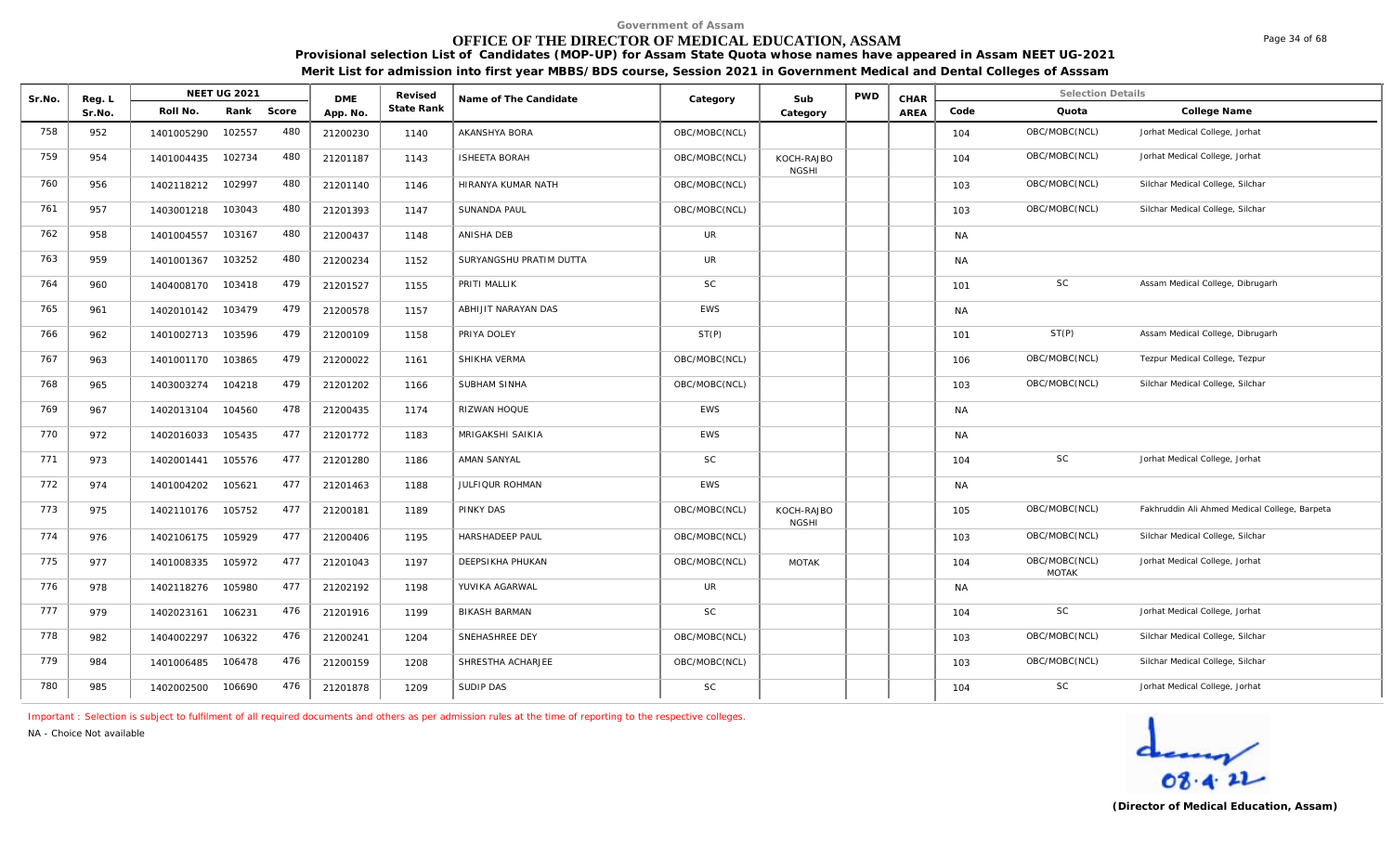## **OFFICE OF THE DIRECTOR OF MEDICAL EDUCATION, ASSAM**

**Provisional selection List of Candidates (MOP-UP) for Assam State Quota whose names have appeared in Assam NEET UG-2021 Merit List for admission into first year MBBS/BDS course, Session 2021 in Government Medical and Dental Colleges of Asssam**

| Sr.No. | Reg. L | <b>NEET UG 2021</b>         | <b>DME</b> | Revised    | Name of The Candidate   | Category      | Sub                        | <b>PWD</b> | CHAR |           | <b>Selection Details</b>      |                                               |
|--------|--------|-----------------------------|------------|------------|-------------------------|---------------|----------------------------|------------|------|-----------|-------------------------------|-----------------------------------------------|
|        | Sr.No. | Rank<br>Score<br>Roll No.   | App. No.   | State Rank |                         |               | Category                   |            | AREA | Code      | Quota                         | College Name                                  |
| 758    | 952    | 480<br>102557<br>1401005290 | 21200230   | 1140       | AKANSHYA BORA           | OBC/MOBC(NCL) |                            |            |      | 104       | OBC/MOBC(NCL)                 | Jorhat Medical College, Jorhat                |
| 759    | 954    | 480<br>102734<br>1401004435 | 21201187   | 1143       | <b>ISHEETA BORAH</b>    | OBC/MOBC(NCL) | KOCH-RAJBO<br><b>NGSHI</b> |            |      | 104       | OBC/MOBC(NCL)                 | Jorhat Medical College, Jorhat                |
| 760    | 956    | 480<br>102997<br>1402118212 | 21201140   | 1146       | HIRANYA KUMAR NATH      | OBC/MOBC(NCL) |                            |            |      | 103       | OBC/MOBC(NCL)                 | Silchar Medical College, Silchar              |
| 761    | 957    | 480<br>103043<br>1403001218 | 21201393   | 1147       | SUNANDA PAUL            | OBC/MOBC(NCL) |                            |            |      | 103       | OBC/MOBC(NCL)                 | Silchar Medical College, Silchar              |
| 762    | 958    | 480<br>103167<br>1401004557 | 21200437   | 1148       | ANISHA DEB              | <b>UR</b>     |                            |            |      | <b>NA</b> |                               |                                               |
| 763    | 959    | 480<br>103252<br>1401001367 | 21200234   | 1152       | SURYANGSHU PRATIM DUTTA | <b>UR</b>     |                            |            |      | <b>NA</b> |                               |                                               |
| 764    | 960    | 479<br>103418<br>1404008170 | 21201527   | 1155       | PRITI MALLIK            | <b>SC</b>     |                            |            |      | 101       | SC                            | Assam Medical College, Dibrugarh              |
| 765    | 961    | 479<br>103479<br>1402010142 | 21200578   | 1157       | ABHIJIT NARAYAN DAS     | <b>EWS</b>    |                            |            |      | <b>NA</b> |                               |                                               |
| 766    | 962    | 479<br>103596<br>1401002713 | 21200109   | 1158       | PRIYA DOLEY             | ST(P)         |                            |            |      | 101       | ST(P)                         | Assam Medical College, Dibrugarh              |
| 767    | 963    | 479<br>103865<br>1401001170 | 21200022   | 1161       | SHIKHA VERMA            | OBC/MOBC(NCL) |                            |            |      | 106       | OBC/MOBC(NCL)                 | Tezpur Medical College, Tezpur                |
| 768    | 965    | 479<br>104218<br>1403003274 | 21201202   | 1166       | SUBHAM SINHA            | OBC/MOBC(NCL) |                            |            |      | 103       | OBC/MOBC(NCL)                 | Silchar Medical College, Silchar              |
| 769    | 967    | 478<br>104560<br>1402013104 | 21200435   | 1174       | RIZWAN HOQUE            | <b>EWS</b>    |                            |            |      | <b>NA</b> |                               |                                               |
| 770    | 972    | 477<br>105435<br>1402016033 | 21201772   | 1183       | MRIGAKSHI SAIKIA        | <b>EWS</b>    |                            |            |      | <b>NA</b> |                               |                                               |
| 771    | 973    | 477<br>105576<br>1402001441 | 21201280   | 1186       | AMAN SANYAL             | <b>SC</b>     |                            |            |      | 104       | SC                            | Jorhat Medical College, Jorhat                |
| 772    | 974    | 477<br>105621<br>1401004202 | 21201463   | 1188       | JULFIQUR ROHMAN         | EWS           |                            |            |      | NA        |                               |                                               |
| 773    | 975    | 477<br>105752<br>1402110176 | 21200181   | 1189       | <b>PINKY DAS</b>        | OBC/MOBC(NCL) | KOCH-RAJBO<br><b>NGSHI</b> |            |      | 105       | OBC/MOBC(NCL)                 | Fakhruddin Ali Ahmed Medical College, Barpeta |
| 774    | 976    | 477<br>105929<br>1402106175 | 21200406   | 1195       | HARSHADEEP PAUL         | OBC/MOBC(NCL) |                            |            |      | 103       | OBC/MOBC(NCL)                 | Silchar Medical College, Silchar              |
| 775    | 977    | 477<br>1401008335<br>105972 | 21201043   | 1197       | DEEPSIKHA PHUKAN        | OBC/MOBC(NCL) | <b>MOTAK</b>               |            |      | 104       | OBC/MOBC(NCL)<br><b>MOTAK</b> | Jorhat Medical College, Jorhat                |
| 776    | 978    | 477<br>105980<br>1402118276 | 21202192   | 1198       | YUVIKA AGARWAL          | <b>UR</b>     |                            |            |      | <b>NA</b> |                               |                                               |
| 777    | 979    | 476<br>106231<br>1402023161 | 21201916   | 1199       | <b>BIKASH BARMAN</b>    | <b>SC</b>     |                            |            |      | 104       | SC                            | Jorhat Medical College, Jorhat                |
| 778    | 982    | 476<br>1404002297<br>106322 | 21200241   | 1204       | SNEHASHREE DEY          | OBC/MOBC(NCL) |                            |            |      | 103       | OBC/MOBC(NCL)                 | Silchar Medical College, Silchar              |
| 779    | 984    | 476<br>1401006485<br>106478 | 21200159   | 1208       | SHRESTHA ACHARJEE       | OBC/MOBC(NCL) |                            |            |      | 103       | OBC/MOBC(NCL)                 | Silchar Medical College, Silchar              |
| 780    | 985    | 476<br>106690<br>1402002500 | 21201878   | 1209       | SUDIP DAS               | SC            |                            |            |      | 104       | SC                            | Jorhat Medical College, Jorhat                |

*Important : Selection is subject to fulfilment of all required documents and others as per admission rules at the time of reporting to the respective colleges.*

*NA - Choice Not available*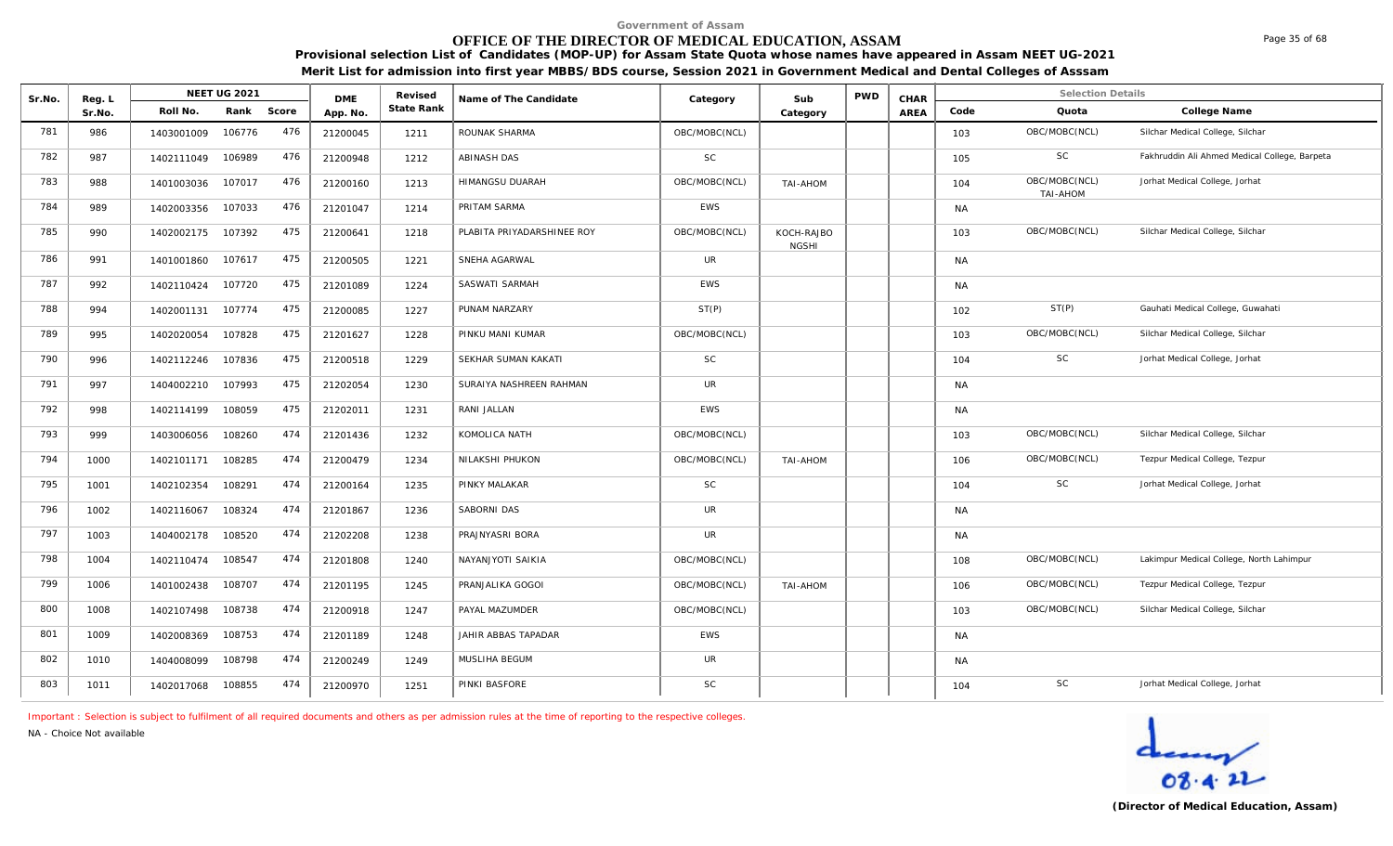# **OFFICE OF THE DIRECTOR OF MEDICAL EDUCATION, ASSAM**

**Provisional selection List of Candidates (MOP-UP) for Assam State Quota whose names have appeared in Assam NEET UG-2021 Merit List for admission into first year MBBS/BDS course, Session 2021 in Government Medical and Dental Colleges of Asssam**

| Sr.No. | Reg. L |            | <b>NEET UG 2021</b> |       | <b>DME</b> | Revised    | Name of The Candidate      | Category      | Sub                        | <b>PWD</b> | CHAR |           | <b>Selection Details</b>         |                                               |
|--------|--------|------------|---------------------|-------|------------|------------|----------------------------|---------------|----------------------------|------------|------|-----------|----------------------------------|-----------------------------------------------|
|        | Sr.No. | Roll No.   | Rank                | Score | App. No.   | State Rank |                            |               | Category                   |            | AREA | Code      | Quota                            | College Name                                  |
| 781    | 986    | 1403001009 | 106776              | 476   | 21200045   | 1211       | ROUNAK SHARMA              | OBC/MOBC(NCL) |                            |            |      | 103       | OBC/MOBC(NCL)                    | Silchar Medical College, Silchar              |
| 782    | 987    | 1402111049 | 106989              | 476   | 21200948   | 1212       | <b>ABINASH DAS</b>         | <b>SC</b>     |                            |            |      | 105       | <b>SC</b>                        | Fakhruddin Ali Ahmed Medical College, Barpeta |
| 783    | 988    | 1401003036 | 107017              | 476   | 21200160   | 1213       | HIMANGSU DUARAH            | OBC/MOBC(NCL) | TAI-AHOM                   |            |      | 104       | OBC/MOBC(NCL)<br><b>TAI-AHOM</b> | Jorhat Medical College, Jorhat                |
| 784    | 989    | 1402003356 | 107033              | 476   | 21201047   | 1214       | PRITAM SARMA               | <b>EWS</b>    |                            |            |      | <b>NA</b> |                                  |                                               |
| 785    | 990    | 1402002175 | 107392              | 475   | 21200641   | 1218       | PLABITA PRIYADARSHINEE ROY | OBC/MOBC(NCL) | KOCH-RAJBO<br><b>NGSHI</b> |            |      | 103       | OBC/MOBC(NCL)                    | Silchar Medical College, Silchar              |
| 786    | 991    | 1401001860 | 107617              | 475   | 21200505   | 1221       | SNEHA AGARWAL              | <b>UR</b>     |                            |            |      | <b>NA</b> |                                  |                                               |
| 787    | 992    | 1402110424 | 107720              | 475   | 21201089   | 1224       | SASWATI SARMAH             | <b>EWS</b>    |                            |            |      | <b>NA</b> |                                  |                                               |
| 788    | 994    | 1402001131 | 107774              | 475   | 21200085   | 1227       | PUNAM NARZARY              | ST(P)         |                            |            |      | 102       | ST(P)                            | Gauhati Medical College, Guwahati             |
| 789    | 995    | 1402020054 | 107828              | 475   | 21201627   | 1228       | PINKU MANI KUMAR           | OBC/MOBC(NCL) |                            |            |      | 103       | OBC/MOBC(NCL)                    | Silchar Medical College, Silchar              |
| 790    | 996    | 1402112246 | 107836              | 475   | 21200518   | 1229       | SEKHAR SUMAN KAKATI        | <b>SC</b>     |                            |            |      | 104       | SC                               | Jorhat Medical College, Jorhat                |
| 791    | 997    | 1404002210 | 107993              | 475   | 21202054   | 1230       | SURAIYA NASHREEN RAHMAN    | UR            |                            |            |      | <b>NA</b> |                                  |                                               |
| 792    | 998    | 1402114199 | 108059              | 475   | 21202011   | 1231       | RANI JALLAN                | <b>EWS</b>    |                            |            |      | <b>NA</b> |                                  |                                               |
| 793    | 999    | 1403006056 | 108260              | 474   | 21201436   | 1232       | KOMOLICA NATH              | OBC/MOBC(NCL) |                            |            |      | 103       | OBC/MOBC(NCL)                    | Silchar Medical College, Silchar              |
| 794    | 1000   | 1402101171 | 108285              | 474   | 21200479   | 1234       | NILAKSHI PHUKON            | OBC/MOBC(NCL) | TAI-AHOM                   |            |      | 106       | OBC/MOBC(NCL)                    | Tezpur Medical College, Tezpur                |
| 795    | 1001   | 1402102354 | 108291              | 474   | 21200164   | 1235       | PINKY MALAKAR              | <b>SC</b>     |                            |            |      | 104       | <b>SC</b>                        | Jorhat Medical College, Jorhat                |
| 796    | 1002   | 1402116067 | 108324              | 474   | 21201867   | 1236       | SABORNI DAS                | <b>UR</b>     |                            |            |      | <b>NA</b> |                                  |                                               |
| 797    | 1003   | 1404002178 | 108520              | 474   | 21202208   | 1238       | PRAJNYASRI BORA            | <b>UR</b>     |                            |            |      | <b>NA</b> |                                  |                                               |
| 798    | 1004   | 1402110474 | 108547              | 474   | 21201808   | 1240       | NAYANJYOTI SAIKIA          | OBC/MOBC(NCL) |                            |            |      | 108       | OBC/MOBC(NCL)                    | Lakimpur Medical College, North Lahimpur      |
| 799    | 1006   | 1401002438 | 108707              | 474   | 21201195   | 1245       | PRANJALIKA GOGOI           | OBC/MOBC(NCL) | TAI-AHOM                   |            |      | 106       | OBC/MOBC(NCL)                    | Tezpur Medical College, Tezpur                |
| 800    | 1008   | 1402107498 | 108738              | 474   | 21200918   | 1247       | PAYAL MAZUMDER             | OBC/MOBC(NCL) |                            |            |      | 103       | OBC/MOBC(NCL)                    | Silchar Medical College, Silchar              |
| 801    | 1009   | 1402008369 | 108753              | 474   | 21201189   | 1248       | JAHIR ABBAS TAPADAR        | <b>EWS</b>    |                            |            |      | <b>NA</b> |                                  |                                               |
| 802    | 1010   | 1404008099 | 108798              | 474   | 21200249   | 1249       | MUSLIHA BEGUM              | <b>UR</b>     |                            |            |      | <b>NA</b> |                                  |                                               |
| 803    | 1011   | 1402017068 | 108855              | 474   | 21200970   | 1251       | PINKI BASFORE              | <b>SC</b>     |                            |            |      | 104       | SC                               | Jorhat Medical College, Jorhat                |

*Important : Selection is subject to fulfilment of all required documents and others as per admission rules at the time of reporting to the respective colleges.*

*NA - Choice Not available*

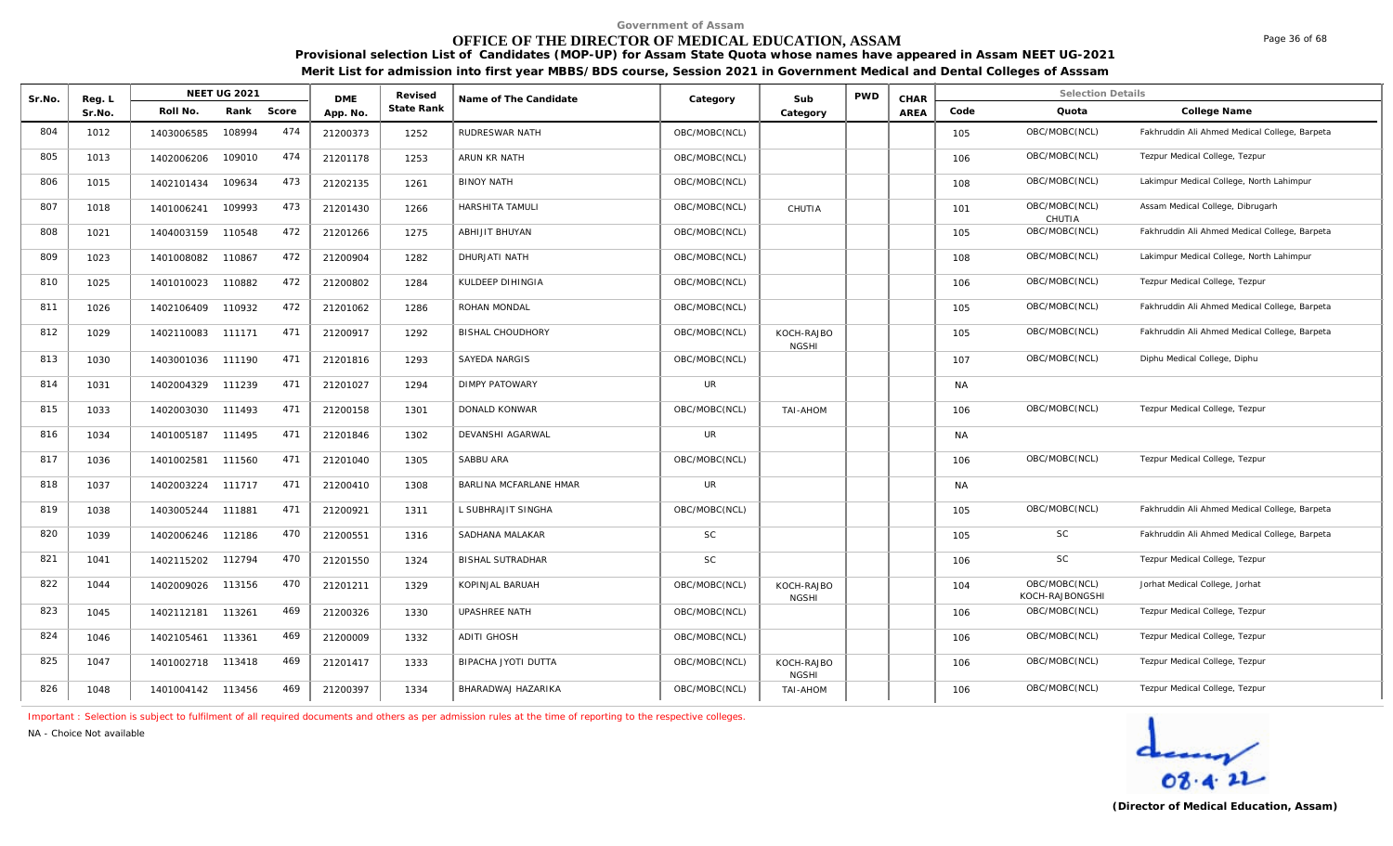#### **OFFICE OF THE DIRECTOR OF MEDICAL EDUCATION, ASSAM**

**Provisional selection List of Candidates (MOP-UP) for Assam State Quota whose names have appeared in Assam NEET UG-2021 Merit List for admission into first year MBBS/BDS course, Session 2021 in Government Medical and Dental Colleges of Asssam**

| Sr.No. | Reg. L |                   | <b>NEET UG 2021</b> |       | <b>DMF</b> | Revised    | Name of The Candidate   | Category      | Sub                        | <b>PWD</b> | CHAR |           | <b>Selection Details</b>         |                                               |
|--------|--------|-------------------|---------------------|-------|------------|------------|-------------------------|---------------|----------------------------|------------|------|-----------|----------------------------------|-----------------------------------------------|
|        | Sr.No. | Roll No.          | Rank                | Score | App. No.   | State Rank |                         |               | Category                   |            | AREA | Code      | Quota                            | College Name                                  |
| 804    | 1012   | 1403006585        | 108994              | 474   | 21200373   | 1252       | RUDRESWAR NATH          | OBC/MOBC(NCL) |                            |            |      | 105       | OBC/MOBC(NCL)                    | Fakhruddin Ali Ahmed Medical College, Barpeta |
| 805    | 1013   | 1402006206        | 109010              | 474   | 21201178   | 1253       | ARUN KR NATH            | OBC/MOBC(NCL) |                            |            |      | 106       | OBC/MOBC(NCL)                    | Tezpur Medical College, Tezpur                |
| 806    | 1015   | 1402101434        | 109634              | 473   | 21202135   | 1261       | <b>BINOY NATH</b>       | OBC/MOBC(NCL) |                            |            |      | 108       | OBC/MOBC(NCL)                    | Lakimpur Medical College, North Lahimpur      |
| 807    | 1018   | 1401006241        | 109993              | 473   | 21201430   | 1266       | <b>HARSHITA TAMULI</b>  | OBC/MOBC(NCL) | CHUTIA                     |            |      | 101       | OBC/MOBC(NCL)<br>CHUTIA          | Assam Medical College, Dibrugarh              |
| 808    | 1021   | 1404003159        | 110548              | 472   | 21201266   | 1275       | ABHIJIT BHUYAN          | OBC/MOBC(NCL) |                            |            |      | 105       | OBC/MOBC(NCL)                    | Fakhruddin Ali Ahmed Medical College, Barpeta |
| 809    | 1023   | 1401008082        | 110867              | 472   | 21200904   | 1282       | DHURJATI NATH           | OBC/MOBC(NCL) |                            |            |      | 108       | OBC/MOBC(NCL)                    | Lakimpur Medical College, North Lahimpur      |
| 810    | 1025   | 1401010023        | 110882              | 472   | 21200802   | 1284       | KULDEEP DIHINGIA        | OBC/MOBC(NCL) |                            |            |      | 106       | OBC/MOBC(NCL)                    | Tezpur Medical College, Tezpur                |
| 811    | 1026   | 1402106409        | 110932              | 472   | 21201062   | 1286       | ROHAN MONDAL            | OBC/MOBC(NCL) |                            |            |      | 105       | OBC/MOBC(NCL)                    | Fakhruddin Ali Ahmed Medical College, Barpeta |
| 812    | 1029   | 1402110083        | 111171              | 471   | 21200917   | 1292       | BISHAL CHOUDHORY        | OBC/MOBC(NCL) | KOCH-RAJBO<br><b>NGSHI</b> |            |      | 105       | OBC/MOBC(NCL)                    | Fakhruddin Ali Ahmed Medical College, Barpeta |
| 813    | 1030   | 1403001036        | 111190              | 471   | 21201816   | 1293       | SAYEDA NARGIS           | OBC/MOBC(NCL) |                            |            |      | 107       | OBC/MOBC(NCL)                    | Diphu Medical College, Diphu                  |
| 814    | 1031   | 1402004329        | 111239              | 471   | 21201027   | 1294       | <b>DIMPY PATOWARY</b>   | UR            |                            |            |      | <b>NA</b> |                                  |                                               |
| 815    | 1033   | 1402003030        | 111493              | 471   | 21200158   | 1301       | DONALD KONWAR           | OBC/MOBC(NCL) | TAI-AHOM                   |            |      | 106       | OBC/MOBC(NCL)                    | Tezpur Medical College, Tezpur                |
| 816    | 1034   | 1401005187        | 111495              | 471   | 21201846   | 1302       | DEVANSHI AGARWAL        | UR            |                            |            |      | <b>NA</b> |                                  |                                               |
| 817    | 1036   | 1401002581        | 111560              | 471   | 21201040   | 1305       | SABBU ARA               | OBC/MOBC(NCL) |                            |            |      | 106       | OBC/MOBC(NCL)                    | Tezpur Medical College, Tezpur                |
| 818    | 1037   | 1402003224        | 111717              | 471   | 21200410   | 1308       | BARLINA MCFARLANE HMAR  | UR            |                            |            |      | <b>NA</b> |                                  |                                               |
| 819    | 1038   | 1403005244        | 111881              | 471   | 21200921   | 1311       | L SUBHRAJIT SINGHA      | OBC/MOBC(NCL) |                            |            |      | 105       | OBC/MOBC(NCL)                    | Fakhruddin Ali Ahmed Medical College, Barpeta |
| 820    | 1039   | 1402006246        | 112186              | 470   | 21200551   | 1316       | SADHANA MALAKAR         | <b>SC</b>     |                            |            |      | 105       | SC                               | Fakhruddin Ali Ahmed Medical College, Barpeta |
| 821    | 1041   | 1402115202        | 112794              | 470   | 21201550   | 1324       | <b>BISHAL SUTRADHAR</b> | SC            |                            |            |      | 106       | SC                               | Tezpur Medical College, Tezpur                |
| 822    | 1044   | 1402009026        | 113156              | 470   | 21201211   | 1329       | KOPINJAL BARUAH         | OBC/MOBC(NCL) | KOCH-RAJBO<br><b>NGSHI</b> |            |      | 104       | OBC/MOBC(NCL)<br>KOCH-RAJBONGSHI | Jorhat Medical College, Jorhat                |
| 823    | 1045   | 1402112181        | 113261              | 469   | 21200326   | 1330       | UPASHREE NATH           | OBC/MOBC(NCL) |                            |            |      | 106       | OBC/MOBC(NCL)                    | Tezpur Medical College, Tezpur                |
| 824    | 1046   | 1402105461        | 113361              | 469   | 21200009   | 1332       | <b>ADITI GHOSH</b>      | OBC/MOBC(NCL) |                            |            |      | 106       | OBC/MOBC(NCL)                    | Tezpur Medical College, Tezpur                |
| 825    | 1047   | 1401002718        | 113418              | 469   | 21201417   | 1333       | BIPACHA JYOTI DUTTA     | OBC/MOBC(NCL) | KOCH-RAJBO<br><b>NGSHI</b> |            |      | 106       | OBC/MOBC(NCL)                    | Tezpur Medical College, Tezpur                |
| 826    | 1048   | 1401004142 113456 |                     | 469   | 21200397   | 1334       | BHARADWAJ HAZARIKA      | OBC/MOBC(NCL) | <b>TAI-AHOM</b>            |            |      | 106       | OBC/MOBC(NCL)                    | Tezpur Medical College, Tezpur                |

*Important : Selection is subject to fulfilment of all required documents and others as per admission rules at the time of reporting to the respective colleges.*

*NA - Choice Not available*

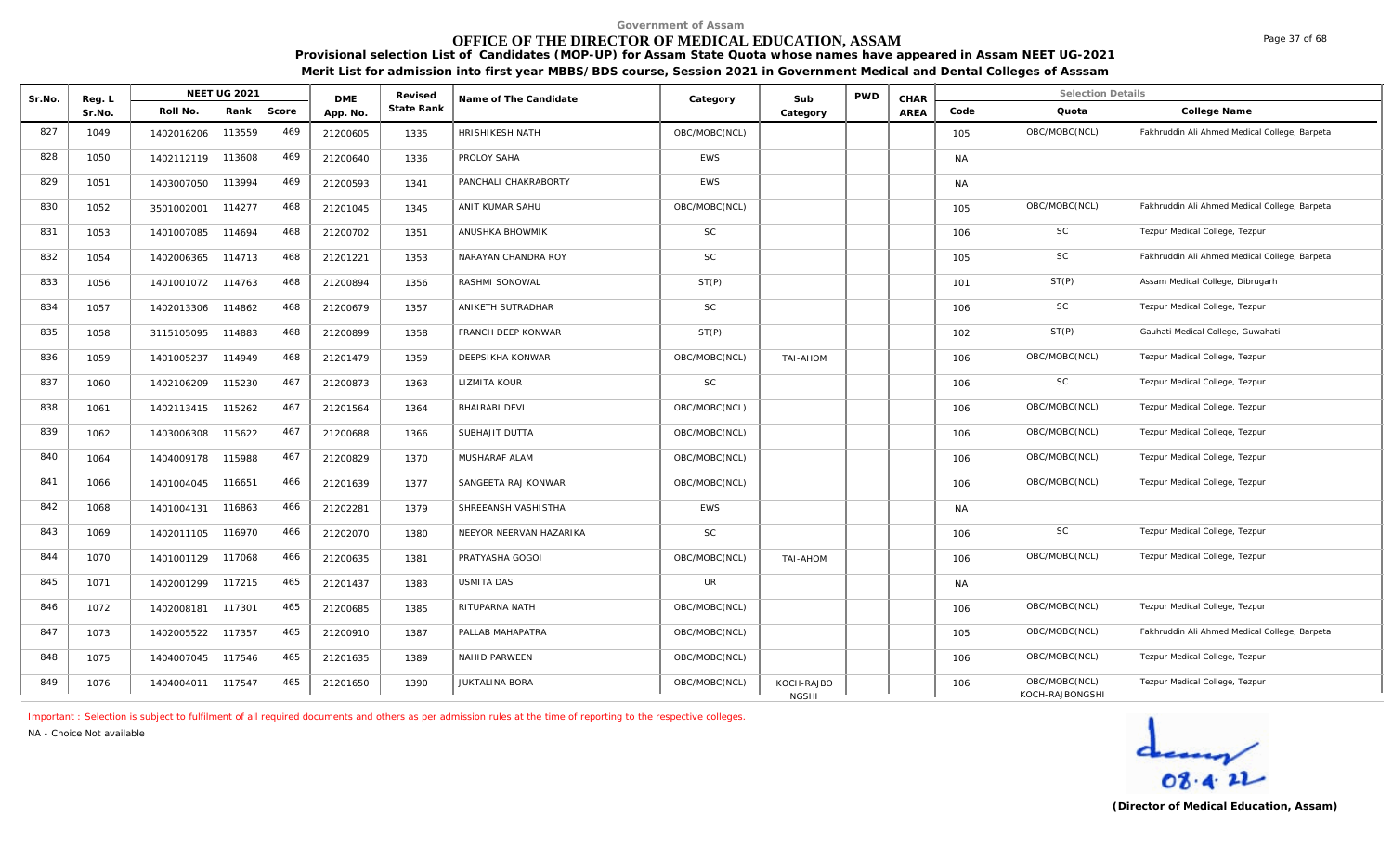# **OFFICE OF THE DIRECTOR OF MEDICAL EDUCATION, ASSAM**

**Provisional selection List of Candidates (MOP-UP) for Assam State Quota whose names have appeared in Assam NEET UG-2021 Merit List for admission into first year MBBS/BDS course, Session 2021 in Government Medical and Dental Colleges of Asssam**

| Sr.No. | Reg. L |                   | <b>NEET UG 2021</b> |       | <b>DME</b> | Revised    | Name of The Candidate   | Category      | Sub                        | <b>PWD</b> | CHAR |           | <b>Selection Details</b>         |                                               |
|--------|--------|-------------------|---------------------|-------|------------|------------|-------------------------|---------------|----------------------------|------------|------|-----------|----------------------------------|-----------------------------------------------|
|        | Sr.No. | Roll No.          | Rank                | Score | App. No.   | State Rank |                         |               | Category                   |            | AREA | Code      | Quota                            | College Name                                  |
| 827    | 1049   | 1402016206        | 113559              | 469   | 21200605   | 1335       | HRISHIKESH NATH         | OBC/MOBC(NCL) |                            |            |      | 105       | OBC/MOBC(NCL)                    | Fakhruddin Ali Ahmed Medical College, Barpeta |
| 828    | 1050   | 1402112119 113608 |                     | 469   | 21200640   | 1336       | PROLOY SAHA             | <b>EWS</b>    |                            |            |      | <b>NA</b> |                                  |                                               |
| 829    | 1051   | 1403007050        | 113994              | 469   | 21200593   | 1341       | PANCHALI CHAKRABORTY    | <b>EWS</b>    |                            |            |      | <b>NA</b> |                                  |                                               |
| 830    | 1052   | 3501002001        | 114277              | 468   | 21201045   | 1345       | ANIT KUMAR SAHU         | OBC/MOBC(NCL) |                            |            |      | 105       | OBC/MOBC(NCL)                    | Fakhruddin Ali Ahmed Medical College, Barpeta |
| 831    | 1053   | 1401007085        | 114694              | 468   | 21200702   | 1351       | ANUSHKA BHOWMIK         | <b>SC</b>     |                            |            |      | 106       | <b>SC</b>                        | Tezpur Medical College, Tezpur                |
| 832    | 1054   | 1402006365        | 114713              | 468   | 21201221   | 1353       | NARAYAN CHANDRA ROY     | <b>SC</b>     |                            |            |      | 105       | SC                               | Fakhruddin Ali Ahmed Medical College, Barpeta |
| 833    | 1056   | 1401001072 114763 |                     | 468   | 21200894   | 1356       | RASHMI SONOWAL          | ST(P)         |                            |            |      | 101       | ST(P)                            | Assam Medical College, Dibrugarh              |
| 834    | 1057   | 1402013306        | 114862              | 468   | 21200679   | 1357       | ANIKETH SUTRADHAR       | <b>SC</b>     |                            |            |      | 106       | $\mathsf{SC}$                    | Tezpur Medical College, Tezpur                |
| 835    | 1058   | 3115105095        | 114883              | 468   | 21200899   | 1358       | FRANCH DEEP KONWAR      | ST(P)         |                            |            |      | 102       | ST(P)                            | Gauhati Medical College, Guwahati             |
| 836    | 1059   | 1401005237        | 114949              | 468   | 21201479   | 1359       | DEEPSIKHA KONWAR        | OBC/MOBC(NCL) | <b>NOHA-IAT</b>            |            |      | 106       | OBC/MOBC(NCL)                    | Tezpur Medical College, Tezpur                |
| 837    | 1060   | 1402106209        | 115230              | 467   | 21200873   | 1363       | LIZMITA KOUR            | <b>SC</b>     |                            |            |      | 106       | SC                               | Tezpur Medical College, Tezpur                |
| 838    | 1061   | 1402113415        | 115262              | 467   | 21201564   | 1364       | <b>BHAIRABI DEVI</b>    | OBC/MOBC(NCL) |                            |            |      | 106       | OBC/MOBC(NCL)                    | Tezpur Medical College, Tezpur                |
| 839    | 1062   | 1403006308        | 115622              | 467   | 21200688   | 1366       | SUBHAJIT DUTTA          | OBC/MOBC(NCL) |                            |            |      | 106       | OBC/MOBC(NCL)                    | Tezpur Medical College, Tezpur                |
| 840    | 1064   | 1404009178        | 115988              | 467   | 21200829   | 1370       | MUSHARAF ALAM           | OBC/MOBC(NCL) |                            |            |      | 106       | OBC/MOBC(NCL)                    | Tezpur Medical College, Tezpur                |
| 841    | 1066   | 1401004045        | 116651              | 466   | 21201639   | 1377       | SANGEETA RAJ KONWAR     | OBC/MOBC(NCL) |                            |            |      | 106       | OBC/MOBC(NCL)                    | Tezpur Medical College, Tezpur                |
| 842    | 1068   | 1401004131        | 116863              | 466   | 21202281   | 1379       | SHREEANSH VASHISTHA     | <b>EWS</b>    |                            |            |      | <b>NA</b> |                                  |                                               |
| 843    | 1069   | 1402011105        | 116970              | 466   | 21202070   | 1380       | NEEYOR NEERVAN HAZARIKA | <b>SC</b>     |                            |            |      | 106       | SC                               | Tezpur Medical College, Tezpur                |
| 844    | 1070   | 1401001129        | 117068              | 466   | 21200635   | 1381       | PRATYASHA GOGOI         | OBC/MOBC(NCL) | <b>TAI-AHOM</b>            |            |      | 106       | OBC/MOBC(NCL)                    | Tezpur Medical College, Tezpur                |
| 845    | 1071   | 1402001299        | 117215              | 465   | 21201437   | 1383       | <b>USMITA DAS</b>       | UR            |                            |            |      | <b>NA</b> |                                  |                                               |
| 846    | 1072   | 1402008181        | 117301              | 465   | 21200685   | 1385       | RITUPARNA NATH          | OBC/MOBC(NCL) |                            |            |      | 106       | OBC/MOBC(NCL)                    | Tezpur Medical College, Tezpur                |
| 847    | 1073   | 1402005522        | 117357              | 465   | 21200910   | 1387       | PALLAB MAHAPATRA        | OBC/MOBC(NCL) |                            |            |      | 105       | OBC/MOBC(NCL)                    | Fakhruddin Ali Ahmed Medical College, Barpeta |
| 848    | 1075   | 1404007045        | 117546              | 465   | 21201635   | 1389       | NAHID PARWEEN           | OBC/MOBC(NCL) |                            |            |      | 106       | OBC/MOBC(NCL)                    | Tezpur Medical College, Tezpur                |
| 849    | 1076   | 1404004011        | 117547              | 465   | 21201650   | 1390       | <b>JUKTALINA BORA</b>   | OBC/MOBC(NCL) | KOCH-RAJBO<br><b>NGSHI</b> |            |      | 106       | OBC/MOBC(NCL)<br>KOCH-RAJBONGSHI | Tezpur Medical College, Tezpur                |

*Important : Selection is subject to fulfilment of all required documents and others as per admission rules at the time of reporting to the respective colleges.*

*NA - Choice Not available*

Page 37 of 68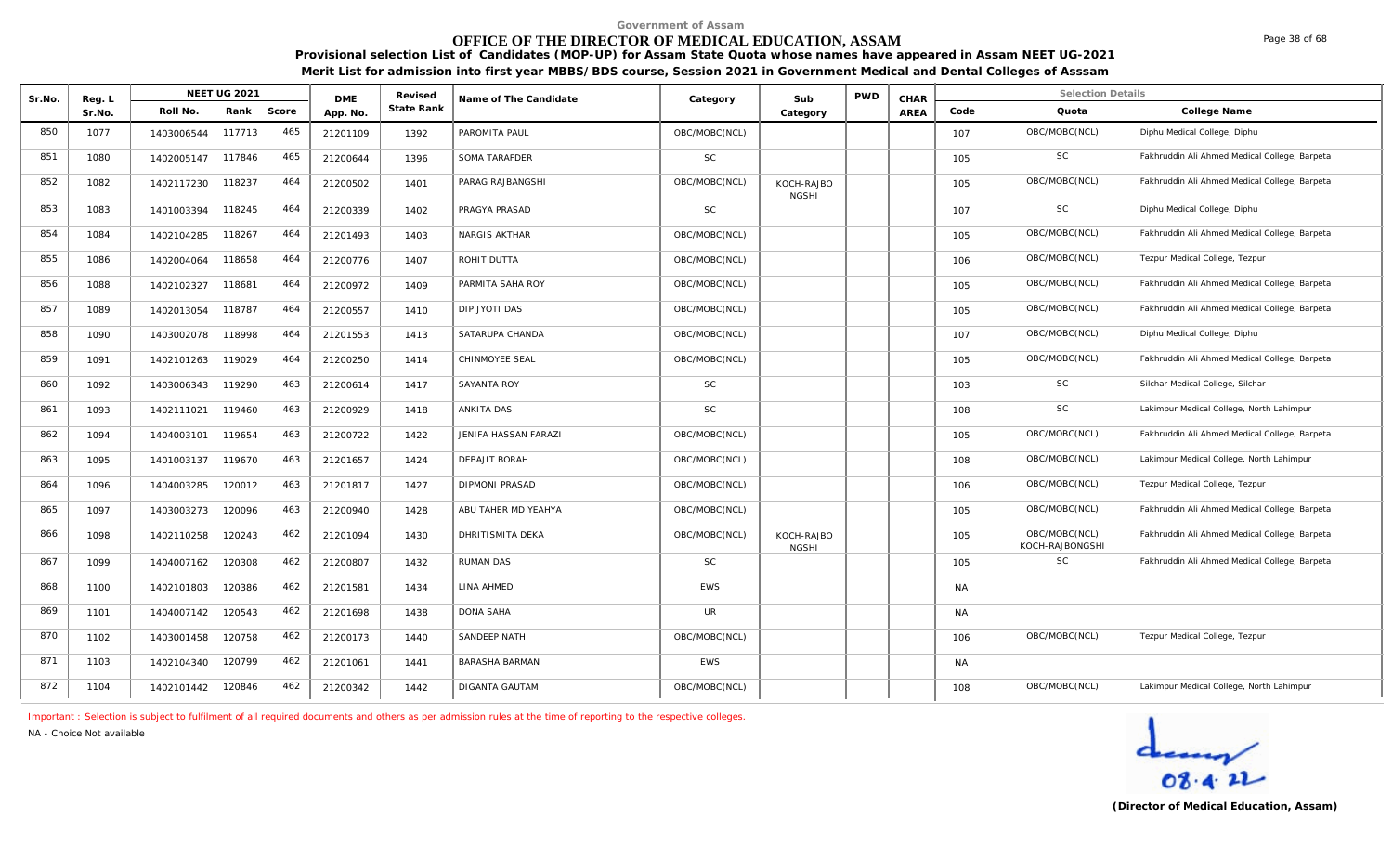# **OFFICE OF THE DIRECTOR OF MEDICAL EDUCATION, ASSAM**

**Provisional selection List of Candidates (MOP-UP) for Assam State Quota whose names have appeared in Assam NEET UG-2021 Merit List for admission into first year MBBS/BDS course, Session 2021 in Government Medical and Dental Colleges of Asssam**

| Sr.No. | Reg. L |            | <b>NEET UG 2021</b> |       | <b>DMF</b> | Revised    | Name of The Candidate   | Category      | Sub                        | <b>PWD</b> | CHAR |           | <b>Selection Details</b>         |                                               |
|--------|--------|------------|---------------------|-------|------------|------------|-------------------------|---------------|----------------------------|------------|------|-----------|----------------------------------|-----------------------------------------------|
|        | Sr.No. | Roll No.   | Rank                | Score | App. No.   | State Rank |                         |               | Category                   |            | AREA | Code      | Quota                            | College Name                                  |
| 850    | 1077   | 1403006544 | 117713              | 465   | 21201109   | 1392       | PAROMITA PAUL           | OBC/MOBC(NCL) |                            |            |      | 107       | OBC/MOBC(NCL)                    | Diphu Medical College, Diphu                  |
| 851    | 1080   | 1402005147 | 117846              | 465   | 21200644   | 1396       | SOMA TARAFDER           | <b>SC</b>     |                            |            |      | 105       | SC                               | Fakhruddin Ali Ahmed Medical College, Barpeta |
| 852    | 1082   | 1402117230 | 118237              | 464   | 21200502   | 1401       | PARAG RAJBANGSHI        | OBC/MOBC(NCL) | KOCH-RAJBO<br><b>NGSHI</b> |            |      | 105       | OBC/MOBC(NCL)                    | Fakhruddin Ali Ahmed Medical College, Barpeta |
| 853    | 1083   | 1401003394 | 118245              | 464   | 21200339   | 1402       | PRAGYA PRASAD           | <b>SC</b>     |                            |            |      | 107       | SC                               | Diphu Medical College, Diphu                  |
| 854    | 1084   | 1402104285 | 118267              | 464   | 21201493   | 1403       | NARGIS AKTHAR           | OBC/MOBC(NCL) |                            |            |      | 105       | OBC/MOBC(NCL)                    | Fakhruddin Ali Ahmed Medical College, Barpeta |
| 855    | 1086   | 1402004064 | 118658              | 464   | 21200776   | 1407       | ROHIT DUTTA             | OBC/MOBC(NCL) |                            |            |      | 106       | OBC/MOBC(NCL)                    | Tezpur Medical College, Tezpur                |
| 856    | 1088   | 1402102327 | 118681              | 464   | 21200972   | 1409       | PARMITA SAHA ROY        | OBC/MOBC(NCL) |                            |            |      | 105       | OBC/MOBC(NCL)                    | Fakhruddin Ali Ahmed Medical College, Barpeta |
| 857    | 1089   | 1402013054 | 118787              | 464   | 21200557   | 1410       | DIP JYOTI DAS           | OBC/MOBC(NCL) |                            |            |      | 105       | OBC/MOBC(NCL)                    | Fakhruddin Ali Ahmed Medical College, Barpeta |
| 858    | 1090   | 1403002078 | 118998              | 464   | 21201553   | 1413       | SATARUPA CHANDA         | OBC/MOBC(NCL) |                            |            |      | 107       | OBC/MOBC(NCL)                    | Diphu Medical College, Diphu                  |
| 859    | 1091   | 1402101263 | 119029              | 464   | 21200250   | 1414       | CHINMOYEE SEAL          | OBC/MOBC(NCL) |                            |            |      | 105       | OBC/MOBC(NCL)                    | Fakhruddin Ali Ahmed Medical College, Barpeta |
| 860    | 1092   | 1403006343 | 119290              | 463   | 21200614   | 1417       | SAYANTA ROY             | <b>SC</b>     |                            |            |      | 103       | SC                               | Silchar Medical College, Silchar              |
| 861    | 1093   | 1402111021 | 119460              | 463   | 21200929   | 1418       | ANKITA DAS              | <b>SC</b>     |                            |            |      | 108       | SC                               | Lakimpur Medical College, North Lahimpur      |
| 862    | 1094   | 1404003101 | 119654              | 463   | 21200722   | 1422       | JENIFA HASSAN FARAZI    | OBC/MOBC(NCL) |                            |            |      | 105       | OBC/MOBC(NCL)                    | Fakhruddin Ali Ahmed Medical College, Barpeta |
| 863    | 1095   | 1401003137 | 119670              | 463   | 21201657   | 1424       | DEBAJIT BORAH           | OBC/MOBC(NCL) |                            |            |      | 108       | OBC/MOBC(NCL)                    | Lakimpur Medical College, North Lahimpur      |
| 864    | 1096   | 1404003285 | 120012              | 463   | 21201817   | 1427       | <b>DIPMONI PRASAD</b>   | OBC/MOBC(NCL) |                            |            |      | 106       | OBC/MOBC(NCL)                    | Tezpur Medical College, Tezpur                |
| 865    | 1097   | 1403003273 | 120096              | 463   | 21200940   | 1428       | ABU TAHER MD YEAHYA     | OBC/MOBC(NCL) |                            |            |      | 105       | OBC/MOBC(NCL)                    | Fakhruddin Ali Ahmed Medical College, Barpeta |
| 866    | 1098   | 1402110258 | 120243              | 462   | 21201094   | 1430       | <b>DHRITISMITA DEKA</b> | OBC/MOBC(NCL) | KOCH-RAJBO<br><b>NGSHI</b> |            |      | 105       | OBC/MOBC(NCL)<br>KOCH-RAJBONGSHI | Fakhruddin Ali Ahmed Medical College, Barpeta |
| 867    | 1099   | 1404007162 | 120308              | 462   | 21200807   | 1432       | <b>RUMAN DAS</b>        | <b>SC</b>     |                            |            |      | 105       | SC                               | Fakhruddin Ali Ahmed Medical College, Barpeta |
| 868    | 1100   | 1402101803 | 120386              | 462   | 21201581   | 1434       | LINA AHMED              | <b>EWS</b>    |                            |            |      | <b>NA</b> |                                  |                                               |
| 869    | 1101   | 1404007142 | 120543              | 462   | 21201698   | 1438       | <b>DONA SAHA</b>        | <b>UR</b>     |                            |            |      | NA        |                                  |                                               |
| 870    | 1102   | 1403001458 | 120758              | 462   | 21200173   | 1440       | SANDEEP NATH            | OBC/MOBC(NCL) |                            |            |      | 106       | OBC/MOBC(NCL)                    | Tezpur Medical College, Tezpur                |
| 871    | 1103   | 1402104340 | 120799              | 462   | 21201061   | 1441       | BARASHA BARMAN          | <b>EWS</b>    |                            |            |      | <b>NA</b> |                                  |                                               |
| 872    | 1104   | 1402101442 | 120846              | 462   | 21200342   | 1442       | <b>DIGANTA GAUTAM</b>   | OBC/MOBC(NCL) |                            |            |      | 108       | OBC/MOBC(NCL)                    | Lakimpur Medical College, North Lahimpur      |

*Important : Selection is subject to fulfilment of all required documents and others as per admission rules at the time of reporting to the respective colleges.*

*NA - Choice Not available*

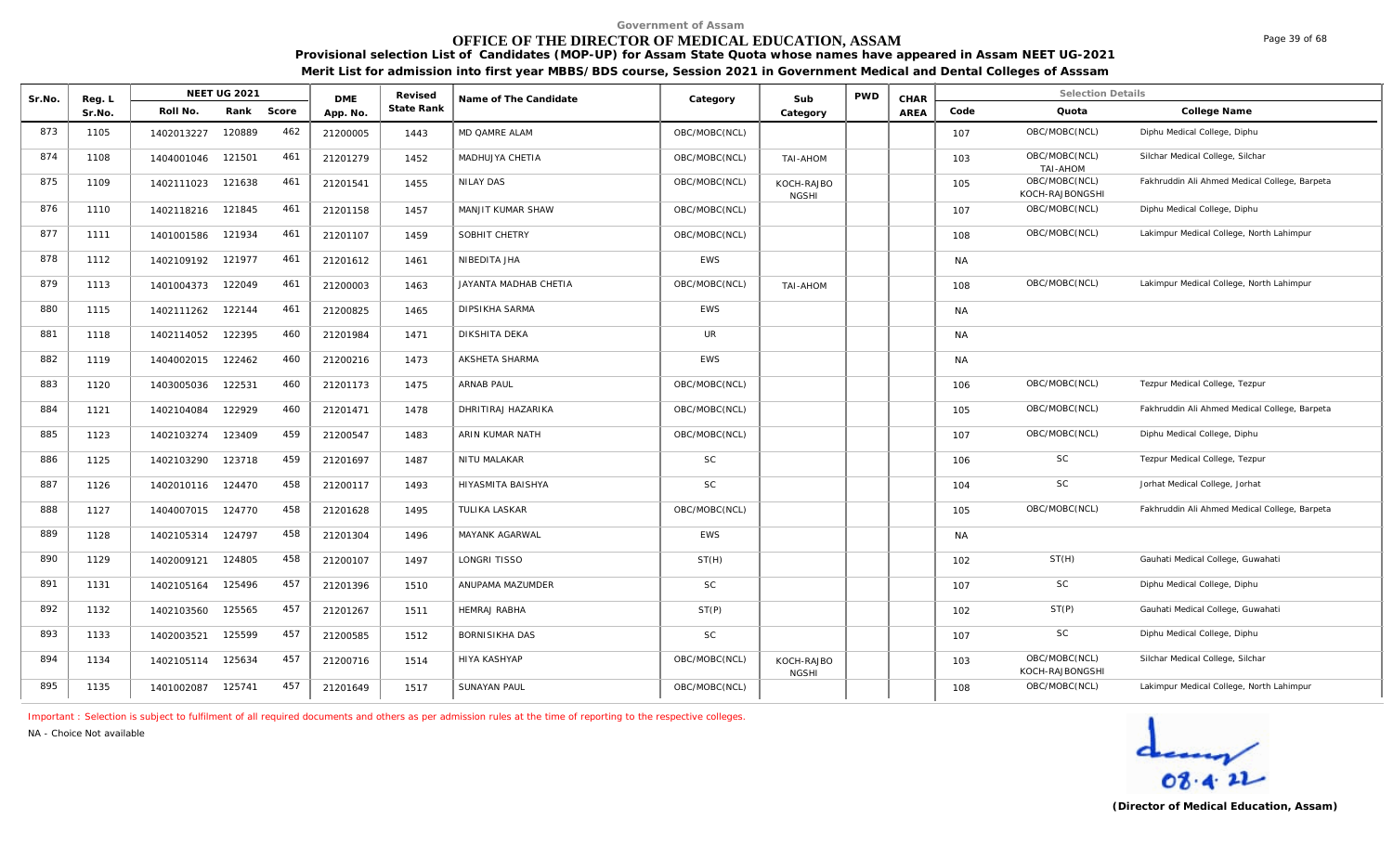## **OFFICE OF THE DIRECTOR OF MEDICAL EDUCATION, ASSAM**

**Provisional selection List of Candidates (MOP-UP) for Assam State Quota whose names have appeared in Assam NEET UG-2021 Merit List for admission into first year MBBS/BDS course, Session 2021 in Government Medical and Dental Colleges of Asssam**

| Sr.No. | Reg. L |            | <b>NEET UG 2021</b> |       | <b>DMF</b> | Revised    | Name of The Candidate | Category      | Sub                        | <b>PWD</b> | CHAR        |           | <b>Selection Details</b>         |                                               |
|--------|--------|------------|---------------------|-------|------------|------------|-----------------------|---------------|----------------------------|------------|-------------|-----------|----------------------------------|-----------------------------------------------|
|        | Sr.No. | Roll No.   | Rank                | Score | App. No.   | State Rank |                       |               | Category                   |            | <b>AREA</b> | Code      | Quota                            | College Name                                  |
| 873    | 1105   | 1402013227 | 120889              | 462   | 21200005   | 1443       | MD QAMRE ALAM         | OBC/MOBC(NCL) |                            |            |             | 107       | OBC/MOBC(NCL)                    | Diphu Medical College, Diphu                  |
| 874    | 1108   | 1404001046 | 121501              | 461   | 21201279   | 1452       | MADHUJYA CHETIA       | OBC/MOBC(NCL) | TAI-AHOM                   |            |             | 103       | OBC/MOBC(NCL)<br><b>TAI-AHOM</b> | Silchar Medical College, Silchar              |
| 875    | 1109   | 1402111023 | 121638              | 461   | 21201541   | 1455       | <b>NILAY DAS</b>      | OBC/MOBC(NCL) | KOCH-RAJBO<br><b>NGSHI</b> |            |             | 105       | OBC/MOBC(NCL)<br>KOCH-RAJBONGSHI | Fakhruddin Ali Ahmed Medical College, Barpeta |
| 876    | 1110   | 1402118216 | 121845              | 461   | 21201158   | 1457       | MANJIT KUMAR SHAW     | OBC/MOBC(NCL) |                            |            |             | 107       | OBC/MOBC(NCL)                    | Diphu Medical College, Diphu                  |
| 877    | 1111   | 1401001586 | 121934              | 461   | 21201107   | 1459       | SOBHIT CHETRY         | OBC/MOBC(NCL) |                            |            |             | 108       | OBC/MOBC(NCL)                    | Lakimpur Medical College, North Lahimpur      |
| 878    | 1112   | 1402109192 | 121977              | 461   | 21201612   | 1461       | NIBEDITA JHA          | <b>EWS</b>    |                            |            |             | <b>NA</b> |                                  |                                               |
| 879    | 1113   | 1401004373 | 122049              | 461   | 21200003   | 1463       | JAYANTA MADHAB CHETIA | OBC/MOBC(NCL) | TAI-AHOM                   |            |             | 108       | OBC/MOBC(NCL)                    | Lakimpur Medical College, North Lahimpur      |
| 880    | 1115   | 1402111262 | 122144              | 461   | 21200825   | 1465       | <b>DIPSIKHA SARMA</b> | <b>EWS</b>    |                            |            |             | <b>NA</b> |                                  |                                               |
| 881    | 1118   | 1402114052 | 122395              | 460   | 21201984   | 1471       | DIKSHITA DEKA         | UR            |                            |            |             | <b>NA</b> |                                  |                                               |
| 882    | 1119   | 1404002015 | 122462              | 460   | 21200216   | 1473       | <b>AKSHETA SHARMA</b> | <b>EWS</b>    |                            |            |             | <b>NA</b> |                                  |                                               |
| 883    | 1120   | 1403005036 | 122531              | 460   | 21201173   | 1475       | ARNAB PAUL            | OBC/MOBC(NCL) |                            |            |             | 106       | OBC/MOBC(NCL)                    | Tezpur Medical College, Tezpur                |
| 884    | 1121   | 1402104084 | 122929              | 460   | 21201471   | 1478       | DHRITIRAJ HAZARIKA    | OBC/MOBC(NCL) |                            |            |             | 105       | OBC/MOBC(NCL)                    | Fakhruddin Ali Ahmed Medical College, Barpeta |
| 885    | 1123   | 1402103274 | 123409              | 459   | 21200547   | 1483       | ARIN KUMAR NATH       | OBC/MOBC(NCL) |                            |            |             | 107       | OBC/MOBC(NCL)                    | Diphu Medical College, Diphu                  |
| 886    | 1125   | 1402103290 | 123718              | 459   | 21201697   | 1487       | NITU MALAKAR          | <b>SC</b>     |                            |            |             | 106       | SC                               | Tezpur Medical College, Tezpur                |
| 887    | 1126   | 1402010116 | 124470              | 458   | 21200117   | 1493       | HIYASMITA BAISHYA     | <b>SC</b>     |                            |            |             | 104       | SC                               | Jorhat Medical College, Jorhat                |
| 888    | 1127   | 1404007015 | 124770              | 458   | 21201628   | 1495       | <b>TULIKA LASKAR</b>  | OBC/MOBC(NCL) |                            |            |             | 105       | OBC/MOBC(NCL)                    | Fakhruddin Ali Ahmed Medical College, Barpeta |
| 889    | 1128   | 1402105314 | 124797              | 458   | 21201304   | 1496       | MAYANK AGARWAL        | <b>EWS</b>    |                            |            |             | <b>NA</b> |                                  |                                               |
| 890    | 1129   | 1402009121 | 124805              | 458   | 21200107   | 1497       | LONGRI TISSO          | ST(H)         |                            |            |             | 102       | ST(H)                            | Gauhati Medical College, Guwahati             |
| 891    | 1131   | 1402105164 | 125496              | 457   | 21201396   | 1510       | ANUPAMA MAZUMDER      | <b>SC</b>     |                            |            |             | 107       | <b>SC</b>                        | Diphu Medical College, Diphu                  |
| 892    | 1132   | 1402103560 | 125565              | 457   | 21201267   | 1511       | <b>HEMRAJ RABHA</b>   | ST(P)         |                            |            |             | 102       | ST(P)                            | Gauhati Medical College, Guwahati             |
| 893    | 1133   | 1402003521 | 125599              | 457   | 21200585   | 1512       | BORNISIKHA DAS        | <b>SC</b>     |                            |            |             | 107       | SC                               | Diphu Medical College, Diphu                  |
| 894    | 1134   | 1402105114 | 125634              | 457   | 21200716   | 1514       | HIYA KASHYAP          | OBC/MOBC(NCL) | KOCH-RAJBO<br><b>NGSHI</b> |            |             | 103       | OBC/MOBC(NCL)<br>KOCH-RAJBONGSHI | Silchar Medical College, Silchar              |
| 895    | 1135   | 1401002087 | 125741              | 457   | 21201649   | 1517       | <b>SUNAYAN PAUL</b>   | OBC/MOBC(NCL) |                            |            |             | 108       | OBC/MOBC(NCL)                    | Lakimpur Medical College, North Lahimpur      |

*Important : Selection is subject to fulfilment of all required documents and others as per admission rules at the time of reporting to the respective colleges.*

*NA - Choice Not available*

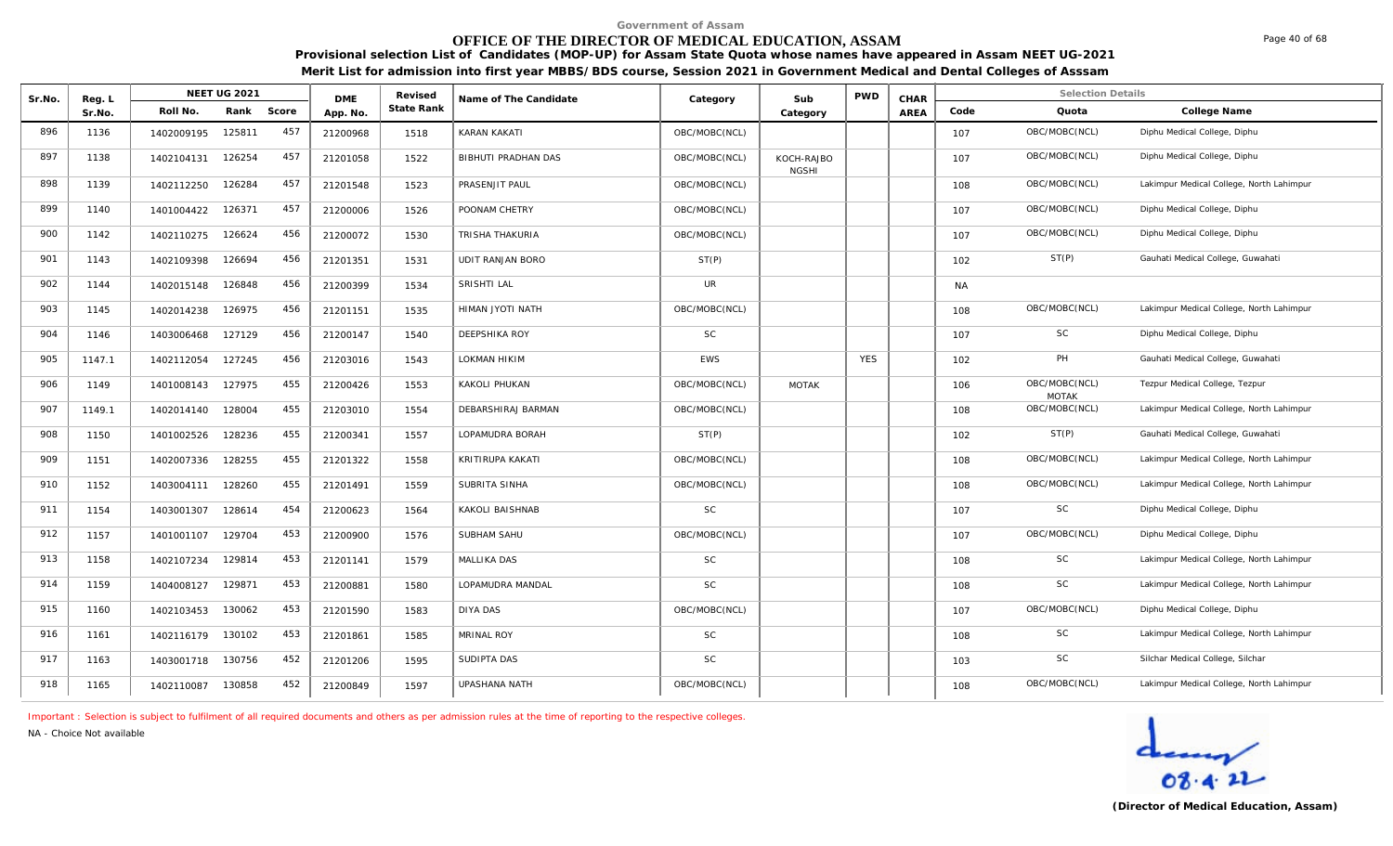## **OFFICE OF THE DIRECTOR OF MEDICAL EDUCATION, ASSAM**

**Provisional selection List of Candidates (MOP-UP) for Assam State Quota whose names have appeared in Assam NEET UG-2021 Merit List for admission into first year MBBS/BDS course, Session 2021 in Government Medical and Dental Colleges of Asssam**

| Sr.No. | Reg. L |                   | <b>NEET UG 2021</b> |       | <b>DME</b> | Revised    | Name of The Candidate   | Category      | Sub                        | <b>PWD</b> | CHAR |           | <b>Selection Details</b>      |                                          |
|--------|--------|-------------------|---------------------|-------|------------|------------|-------------------------|---------------|----------------------------|------------|------|-----------|-------------------------------|------------------------------------------|
|        | Sr.No. | Roll No.          | Rank                | Score | App. No.   | State Rank |                         |               | Category                   |            | AREA | Code      | Quota                         | College Name                             |
| 896    | 1136   | 1402009195        | 125811              | 457   | 21200968   | 1518       | KARAN KAKATI            | OBC/MOBC(NCL) |                            |            |      | 107       | OBC/MOBC(NCL)                 | Diphu Medical College, Diphu             |
| 897    | 1138   | 1402104131        | 126254              | 457   | 21201058   | 1522       | BIBHUTI PRADHAN DAS     | OBC/MOBC(NCL) | KOCH-RAJBO<br><b>NGSHI</b> |            |      | 107       | OBC/MOBC(NCL)                 | Diphu Medical College, Diphu             |
| 898    | 1139   | 1402112250        | 126284              | 457   | 21201548   | 1523       | PRASENJIT PAUL          | OBC/MOBC(NCL) |                            |            |      | 108       | OBC/MOBC(NCL)                 | Lakimpur Medical College, North Lahimpur |
| 899    | 1140   | 1401004422        | 126371              | 457   | 21200006   | 1526       | POONAM CHETRY           | OBC/MOBC(NCL) |                            |            |      | 107       | OBC/MOBC(NCL)                 | Diphu Medical College, Diphu             |
| 900    | 1142   | 1402110275        | 126624              | 456   | 21200072   | 1530       | TRISHA THAKURIA         | OBC/MOBC(NCL) |                            |            |      | 107       | OBC/MOBC(NCL)                 | Diphu Medical College, Diphu             |
| 901    | 1143   | 1402109398        | 126694              | 456   | 21201351   | 1531       | <b>UDIT RANJAN BORO</b> | ST(P)         |                            |            |      | 102       | ST(P)                         | Gauhati Medical College, Guwahati        |
| 902    | 1144   | 1402015148        | 126848              | 456   | 21200399   | 1534       | SRISHTI LAL             | UR            |                            |            |      | <b>NA</b> |                               |                                          |
| 903    | 1145   | 1402014238        | 126975              | 456   | 21201151   | 1535       | HIMAN JYOTI NATH        | OBC/MOBC(NCL) |                            |            |      | 108       | OBC/MOBC(NCL)                 | Lakimpur Medical College, North Lahimpur |
| 904    | 1146   | 1403006468        | 127129              | 456   | 21200147   | 1540       | DEEPSHIKA ROY           | $\mathsf{SC}$ |                            |            |      | 107       | SC                            | Diphu Medical College, Diphu             |
| 905    | 1147.1 | 1402112054        | 127245              | 456   | 21203016   | 1543       | LOKMAN HIKIM            | <b>EWS</b>    |                            | <b>YES</b> |      | 102       | PH                            | Gauhati Medical College, Guwahati        |
| 906    | 1149   | 1401008143        | 127975              | 455   | 21200426   | 1553       | KAKOLI PHUKAN           | OBC/MOBC(NCL) | <b>MOTAK</b>               |            |      | 106       | OBC/MOBC(NCL)<br><b>MOTAK</b> | Tezpur Medical College, Tezpur           |
| 907    | 1149.1 | 1402014140        | 128004              | 455   | 21203010   | 1554       | DEBARSHIRAJ BARMAN      | OBC/MOBC(NCL) |                            |            |      | 108       | OBC/MOBC(NCL)                 | Lakimpur Medical College, North Lahimpur |
| 908    | 1150   | 1401002526        | 128236              | 455   | 21200341   | 1557       | LOPAMUDRA BORAH         | ST(P)         |                            |            |      | 102       | ST(P)                         | Gauhati Medical College, Guwahati        |
| 909    | 1151   | 1402007336        | 128255              | 455   | 21201322   | 1558       | KRITIRUPA KAKATI        | OBC/MOBC(NCL) |                            |            |      | 108       | OBC/MOBC(NCL)                 | Lakimpur Medical College, North Lahimpur |
| 910    | 1152   | 1403004111        | 128260              | 455   | 21201491   | 1559       | SUBRITA SINHA           | OBC/MOBC(NCL) |                            |            |      | 108       | OBC/MOBC(NCL)                 | Lakimpur Medical College, North Lahimpur |
| 911    | 1154   | 1403001307        | 128614              | 454   | 21200623   | 1564       | KAKOLI BAISHNAB         | SC            |                            |            |      | 107       | SC                            | Diphu Medical College, Diphu             |
| 912    | 1157   | 1401001107        | 129704              | 453   | 21200900   | 1576       | SUBHAM SAHU             | OBC/MOBC(NCL) |                            |            |      | 107       | OBC/MOBC(NCL)                 | Diphu Medical College, Diphu             |
| 913    | 1158   | 1402107234        | 129814              | 453   | 21201141   | 1579       | <b>MALLIKA DAS</b>      | $\mathsf{SC}$ |                            |            |      | 108       | SC                            | Lakimpur Medical College, North Lahimpur |
| 914    | 1159   | 1404008127        | 129871              | 453   | 21200881   | 1580       | LOPAMUDRA MANDAL        | <b>SC</b>     |                            |            |      | 108       | SC                            | Lakimpur Medical College, North Lahimpur |
| 915    | 1160   | 1402103453        | 130062              | 453   | 21201590   | 1583       | DIYA DAS                | OBC/MOBC(NCL) |                            |            |      | 107       | OBC/MOBC(NCL)                 | Diphu Medical College, Diphu             |
| 916    | 1161   | 1402116179 130102 |                     | 453   | 21201861   | 1585       | <b>MRINAL ROY</b>       | $\mathsf{SC}$ |                            |            |      | 108       | <b>SC</b>                     | Lakimpur Medical College, North Lahimpur |
| 917    | 1163   | 1403001718        | 130756              | 452   | 21201206   | 1595       | SUDIPTA DAS             | $\mathsf{SC}$ |                            |            |      | 103       | SC                            | Silchar Medical College, Silchar         |
| 918    | 1165   | 1402110087        | 130858              | 452   | 21200849   | 1597       | UPASHANA NATH           | OBC/MOBC(NCL) |                            |            |      | 108       | OBC/MOBC(NCL)                 | Lakimpur Medical College, North Lahimpur |

*Important : Selection is subject to fulfilment of all required documents and others as per admission rules at the time of reporting to the respective colleges.*

*NA - Choice Not available*

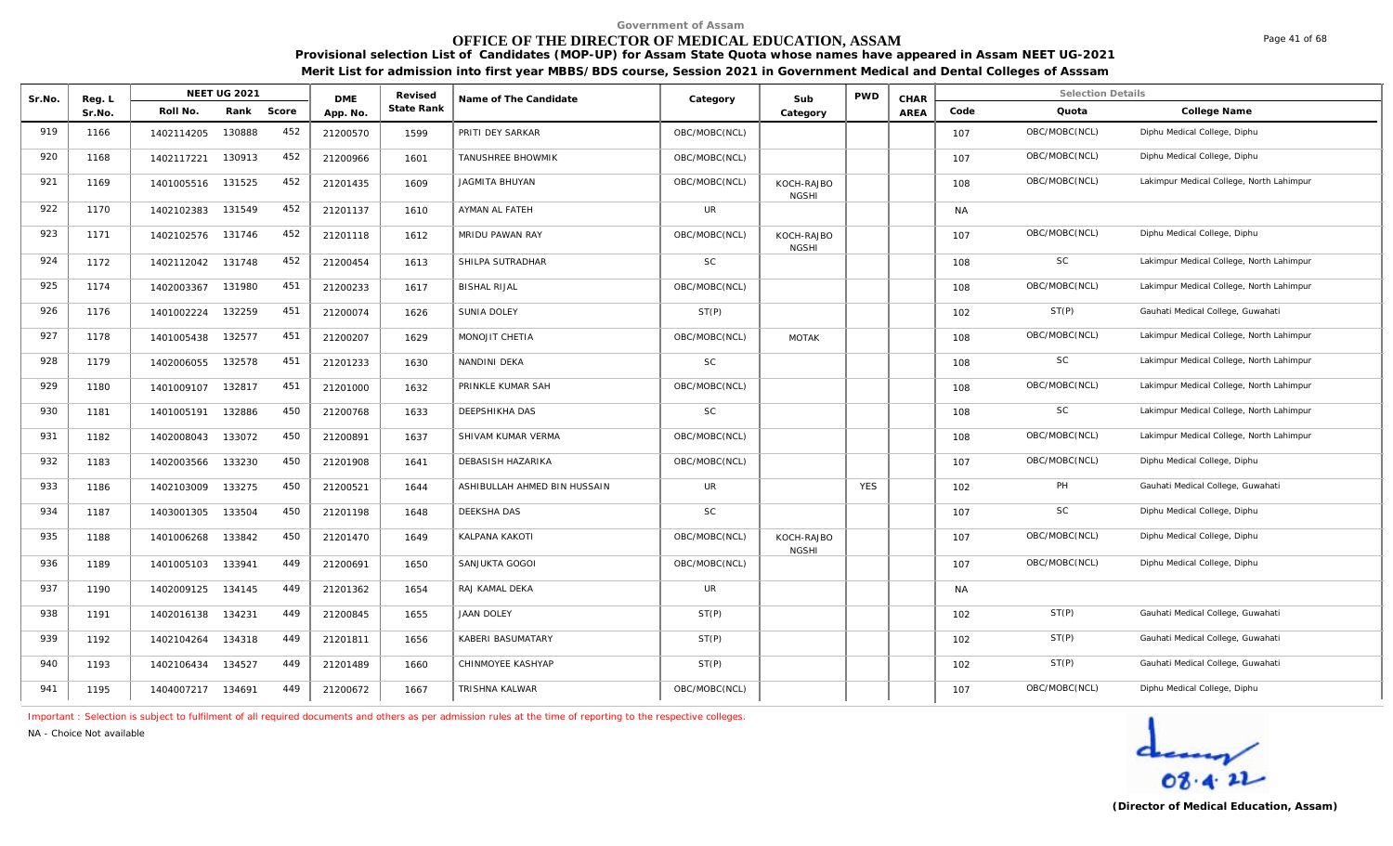## **OFFICE OF THE DIRECTOR OF MEDICAL EDUCATION, ASSAM**

**Provisional selection List of Candidates (MOP-UP) for Assam State Quota whose names have appeared in Assam NEET UG-2021 Merit List for admission into first year MBBS/BDS course, Session 2021 in Government Medical and Dental Colleges of Asssam**

| Sr.No. | Reg. L |                   | <b>NEET UG 2021</b> |     | <b>DMF</b> | Revised    | Name of The Candidate        | Category      | Sub                        | <b>PWD</b> | CHAR |           | <b>Selection Details</b> |                                          |
|--------|--------|-------------------|---------------------|-----|------------|------------|------------------------------|---------------|----------------------------|------------|------|-----------|--------------------------|------------------------------------------|
|        | Sr.No. | Roll No.          | Rank Score          |     | App. No.   | State Rank |                              |               | Category                   |            | AREA | Code      | Quota                    | College Name                             |
| 919    | 1166   | 1402114205        | 130888              | 452 | 21200570   | 1599       | PRITI DEY SARKAR             | OBC/MOBC(NCL) |                            |            |      | 107       | OBC/MOBC(NCL)            | Diphu Medical College, Diphu             |
| 920    | 1168   | 1402117221        | 130913              | 452 | 21200966   | 1601       | TANUSHREE BHOWMIK            | OBC/MOBC(NCL) |                            |            |      | 107       | OBC/MOBC(NCL)            | Diphu Medical College, Diphu             |
| 921    | 1169   | 1401005516        | 131525              | 452 | 21201435   | 1609       | <b>JAGMITA BHUYAN</b>        | OBC/MOBC(NCL) | KOCH-RAJBO<br><b>NGSHI</b> |            |      | 108       | OBC/MOBC(NCL)            | Lakimpur Medical College, North Lahimpur |
| 922    | 1170   | 1402102383        | 131549              | 452 | 21201137   | 1610       | AYMAN AL FATEH               | UR            |                            |            |      | <b>NA</b> |                          |                                          |
| 923    | 1171   | 1402102576        | 131746              | 452 | 21201118   | 1612       | MRIDU PAWAN RAY              | OBC/MOBC(NCL) | KOCH-RAJBO<br><b>NGSHI</b> |            |      | 107       | OBC/MOBC(NCL)            | Diphu Medical College, Diphu             |
| 924    | 1172   | 1402112042        | 131748              | 452 | 21200454   | 1613       | SHILPA SUTRADHAR             | SC            |                            |            |      | 108       | <b>SC</b>                | Lakimpur Medical College, North Lahimpur |
| 925    | 1174   | 1402003367        | 131980              | 451 | 21200233   | 1617       | <b>BISHAL RIJAL</b>          | OBC/MOBC(NCL) |                            |            |      | 108       | OBC/MOBC(NCL)            | Lakimpur Medical College, North Lahimpur |
| 926    | 1176   | 1401002224        | 132259              | 451 | 21200074   | 1626       | <b>SUNIA DOLEY</b>           | ST(P)         |                            |            |      | 102       | ST(P)                    | Gauhati Medical College, Guwahati        |
| 927    | 1178   | 1401005438        | 132577              | 451 | 21200207   | 1629       | MONOJIT CHETIA               | OBC/MOBC(NCL) | <b>MOTAK</b>               |            |      | 108       | OBC/MOBC(NCL)            | Lakimpur Medical College, North Lahimpur |
| 928    | 1179   | 1402006055        | 132578              | 451 | 21201233   | 1630       | NANDINI DEKA                 | SC            |                            |            |      | 108       | SC                       | Lakimpur Medical College, North Lahimpur |
| 929    | 1180   | 1401009107        | 132817              | 451 | 21201000   | 1632       | PRINKLE KUMAR SAH            | OBC/MOBC(NCL) |                            |            |      | 108       | OBC/MOBC(NCL)            | Lakimpur Medical College, North Lahimpur |
| 930    | 1181   | 1401005191        | 132886              | 450 | 21200768   | 1633       | DEEPSHIKHA DAS               | SC            |                            |            |      | 108       | SC                       | Lakimpur Medical College, North Lahimpur |
| 931    | 1182   | 1402008043        | 133072              | 450 | 21200891   | 1637       | SHIVAM KUMAR VERMA           | OBC/MOBC(NCL) |                            |            |      | 108       | OBC/MOBC(NCL)            | Lakimpur Medical College, North Lahimpur |
| 932    | 1183   | 1402003566        | 133230              | 450 | 21201908   | 1641       | DEBASISH HAZARIKA            | OBC/MOBC(NCL) |                            |            |      | 107       | OBC/MOBC(NCL)            | Diphu Medical College, Diphu             |
| 933    | 1186   | 1402103009        | 133275              | 450 | 21200521   | 1644       | ASHIBULLAH AHMED BIN HUSSAIN | <b>UR</b>     |                            | <b>YES</b> |      | 102       | PH                       | Gauhati Medical College, Guwahati        |
| 934    | 1187   | 1403001305        | 133504              | 450 | 21201198   | 1648       | DEEKSHA DAS                  | SC            |                            |            |      | 107       | <b>SC</b>                | Diphu Medical College, Diphu             |
| 935    | 1188   | 1401006268        | 133842              | 450 | 21201470   | 1649       | KALPANA KAKOTI               | OBC/MOBC(NCL) | KOCH-RAJBO<br><b>NGSHI</b> |            |      | 107       | OBC/MOBC(NCL)            | Diphu Medical College, Diphu             |
| 936    | 1189   | 1401005103        | 133941              | 449 | 21200691   | 1650       | SANJUKTA GOGOI               | OBC/MOBC(NCL) |                            |            |      | 107       | OBC/MOBC(NCL)            | Diphu Medical College, Diphu             |
| 937    | 1190   | 1402009125        | 134145              | 449 | 21201362   | 1654       | RAJ KAMAL DEKA               | <b>UR</b>     |                            |            |      | NA.       |                          |                                          |
| 938    | 1191   | 1402016138        | 134231              | 449 | 21200845   | 1655       | <b>JAAN DOLEY</b>            | ST(P)         |                            |            |      | 102       | ST(P)                    | Gauhati Medical College, Guwahati        |
| 939    | 1192   | 1402104264        | 134318              | 449 | 21201811   | 1656       | KABERI BASUMATARY            | ST(P)         |                            |            |      | 102       | ST(P)                    | Gauhati Medical College, Guwahati        |
| 940    | 1193   | 1402106434        | 134527              | 449 | 21201489   | 1660       | CHINMOYEE KASHYAP            | ST(P)         |                            |            |      | 102       | ST(P)                    | Gauhati Medical College, Guwahati        |
| 941    | 1195   | 1404007217 134691 |                     | 449 | 21200672   | 1667       | TRISHNA KALWAR               | OBC/MOBC(NCL) |                            |            |      | 107       | OBC/MOBC(NCL)            | Diphu Medical College, Diphu             |

*Important : Selection is subject to fulfilment of all required documents and others as per admission rules at the time of reporting to the respective colleges.*

*NA - Choice Not available*

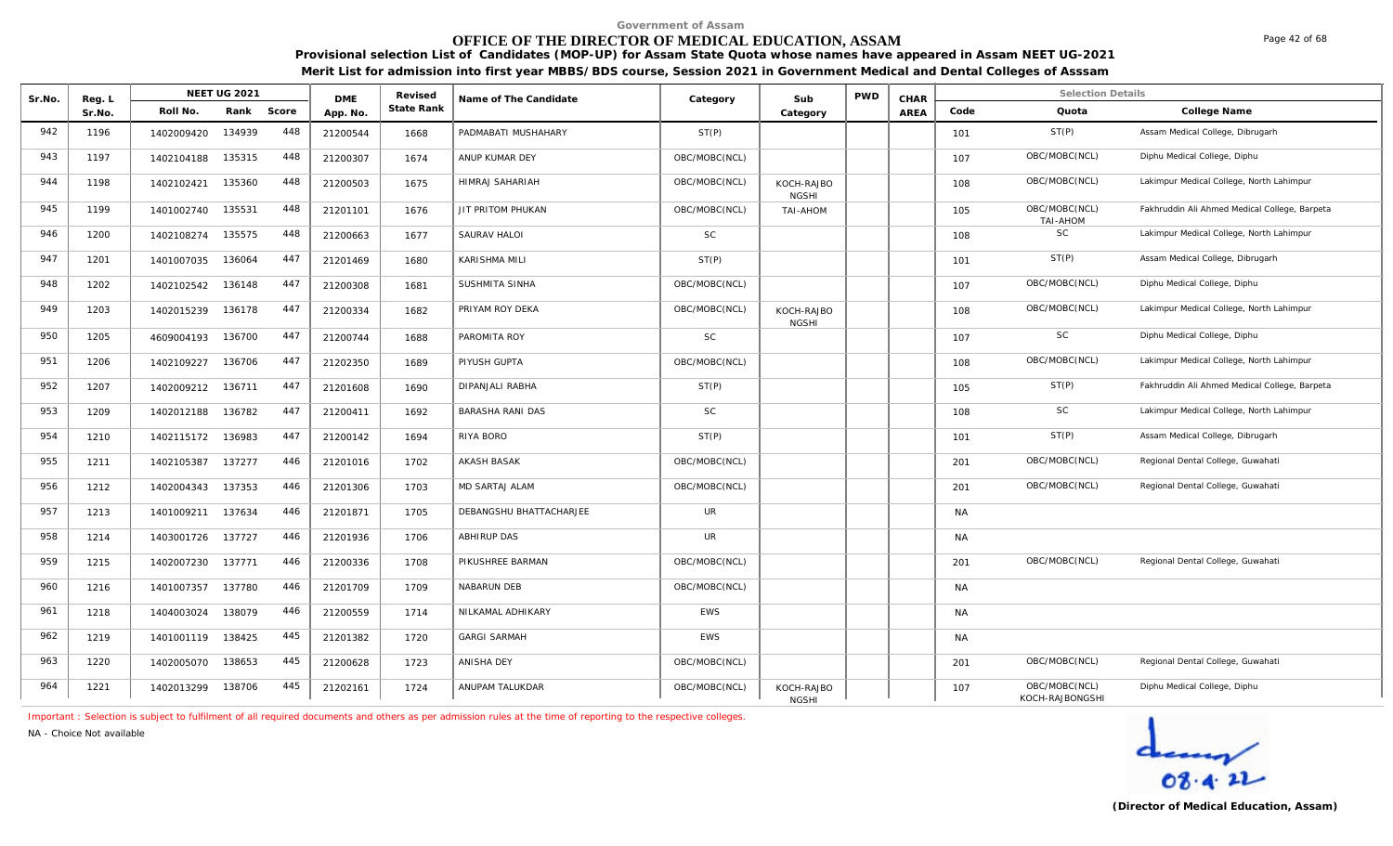# **OFFICE OF THE DIRECTOR OF MEDICAL EDUCATION, ASSAM**

**Provisional selection List of Candidates (MOP-UP) for Assam State Quota whose names have appeared in Assam NEET UG-2021 Merit List for admission into first year MBBS/BDS course, Session 2021 in Government Medical and Dental Colleges of Asssam**

| Sr.No. | Reg. L |            | NEET UG 2021 |       | <b>DME</b> | Revised    | Name of The Candidate   | Category      | Sub                        | <b>PWD</b> | CHAR |           | <b>Selection Details</b>         |                                               |
|--------|--------|------------|--------------|-------|------------|------------|-------------------------|---------------|----------------------------|------------|------|-----------|----------------------------------|-----------------------------------------------|
|        | Sr.No. | Roll No.   | Rank         | Score | App. No.   | State Rank |                         |               | Category                   |            | AREA | Code      | Quota                            | College Name                                  |
| 942    | 1196   | 1402009420 | 134939       | 448   | 21200544   | 1668       | PADMABATI MUSHAHARY     | ST(P)         |                            |            |      | 101       | ST(P)                            | Assam Medical College, Dibrugarh              |
| 943    | 1197   | 1402104188 | 135315       | 448   | 21200307   | 1674       | ANUP KUMAR DEY          | OBC/MOBC(NCL) |                            |            |      | 107       | OBC/MOBC(NCL)                    | Diphu Medical College, Diphu                  |
| 944    | 1198   | 1402102421 | 135360       | 448   | 21200503   | 1675       | HIMRAJ SAHARIAH         | OBC/MOBC(NCL) | KOCH-RAJBO<br><b>NGSHI</b> |            |      | 108       | OBC/MOBC(NCL)                    | Lakimpur Medical College, North Lahimpur      |
| 945    | 1199   | 1401002740 | 135531       | 448   | 21201101   | 1676       | JIT PRITOM PHUKAN       | OBC/MOBC(NCL) | <b>NOHA-IAT</b>            |            |      | 105       | OBC/MOBC(NCL)<br>TAI-AHOM        | Fakhruddin Ali Ahmed Medical College, Barpeta |
| 946    | 1200   | 1402108274 | 135575       | 448   | 21200663   | 1677       | SAURAV HALOI            | <b>SC</b>     |                            |            |      | 108       | SC                               | Lakimpur Medical College, North Lahimpur      |
| 947    | 1201   | 1401007035 | 136064       | 447   | 21201469   | 1680       | KARISHMA MILI           | ST(P)         |                            |            |      | 101       | ST(P)                            | Assam Medical College, Dibrugarh              |
| 948    | 1202   | 1402102542 | 136148       | 447   | 21200308   | 1681       | SUSHMITA SINHA          | OBC/MOBC(NCL) |                            |            |      | 107       | OBC/MOBC(NCL)                    | Diphu Medical College, Diphu                  |
| 949    | 1203   | 1402015239 | 136178       | 447   | 21200334   | 1682       | PRIYAM ROY DEKA         | OBC/MOBC(NCL) | KOCH-RAJBO<br><b>NGSHI</b> |            |      | 108       | OBC/MOBC(NCL)                    | Lakimpur Medical College, North Lahimpur      |
| 950    | 1205   | 4609004193 | 136700       | 447   | 21200744   | 1688       | PAROMITA ROY            | <b>SC</b>     |                            |            |      | 107       | SC                               | Diphu Medical College, Diphu                  |
| 951    | 1206   | 1402109227 | 136706       | 447   | 21202350   | 1689       | PIYUSH GUPTA            | OBC/MOBC(NCL) |                            |            |      | 108       | OBC/MOBC(NCL)                    | Lakimpur Medical College, North Lahimpur      |
| 952    | 1207   | 1402009212 | 136711       | 447   | 21201608   | 1690       | <b>DIPANJALI RABHA</b>  | ST(P)         |                            |            |      | 105       | ST(P)                            | Fakhruddin Ali Ahmed Medical College, Barpeta |
| 953    | 1209   | 1402012188 | 136782       | 447   | 21200411   | 1692       | <b>BARASHA RANI DAS</b> | <b>SC</b>     |                            |            |      | 108       | SC                               | Lakimpur Medical College, North Lahimpur      |
| 954    | 1210   | 1402115172 | 136983       | 447   | 21200142   | 1694       | RIYA BORO               | ST(P)         |                            |            |      | 101       | ST(P)                            | Assam Medical College, Dibrugarh              |
| 955    | 1211   | 1402105387 | 137277       | 446   | 21201016   | 1702       | <b>AKASH BASAK</b>      | OBC/MOBC(NCL) |                            |            |      | 201       | OBC/MOBC(NCL)                    | Regional Dental College, Guwahati             |
| 956    | 1212   | 1402004343 | 137353       | 446   | 21201306   | 1703       | MD SARTAJ ALAM          | OBC/MOBC(NCL) |                            |            |      | 201       | OBC/MOBC(NCL)                    | Regional Dental College, Guwahati             |
| 957    | 1213   | 1401009211 | 137634       | 446   | 21201871   | 1705       | DEBANGSHU BHATTACHARJEE | UR            |                            |            |      | <b>NA</b> |                                  |                                               |
| 958    | 1214   | 1403001726 | 137727       | 446   | 21201936   | 1706       | <b>ABHIRUP DAS</b>      | UR            |                            |            |      | <b>NA</b> |                                  |                                               |
| 959    | 1215   | 1402007230 | 137771       | 446   | 21200336   | 1708       | PIKUSHREE BARMAN        | OBC/MOBC(NCL) |                            |            |      | 201       | OBC/MOBC(NCL)                    | Regional Dental College, Guwahati             |
| 960    | 1216   | 1401007357 | 137780       | 446   | 21201709   | 1709       | NABARUN DEB             | OBC/MOBC(NCL) |                            |            |      | <b>NA</b> |                                  |                                               |
| 961    | 1218   | 1404003024 | 138079       | 446   | 21200559   | 1714       | NILKAMAL ADHIKARY       | EWS           |                            |            |      | <b>NA</b> |                                  |                                               |
| 962    | 1219   | 1401001119 | 138425       | 445   | 21201382   | 1720       | <b>GARGI SARMAH</b>     | <b>EWS</b>    |                            |            |      | <b>NA</b> |                                  |                                               |
| 963    | 1220   | 1402005070 | 138653       | 445   | 21200628   | 1723       | ANISHA DEY              | OBC/MOBC(NCL) |                            |            |      | 201       | OBC/MOBC(NCL)                    | Regional Dental College, Guwahati             |
| 964    | 1221   | 1402013299 | 138706       | 445   | 21202161   | 1724       | ANUPAM TALUKDAR         | OBC/MOBC(NCL) | KOCH-RAJBO<br><b>NGSHI</b> |            |      | 107       | OBC/MOBC(NCL)<br>KOCH-RAJBONGSHI | Diphu Medical College, Diphu                  |

*Important : Selection is subject to fulfilment of all required documents and others as per admission rules at the time of reporting to the respective colleges.*

*NA - Choice Not available*

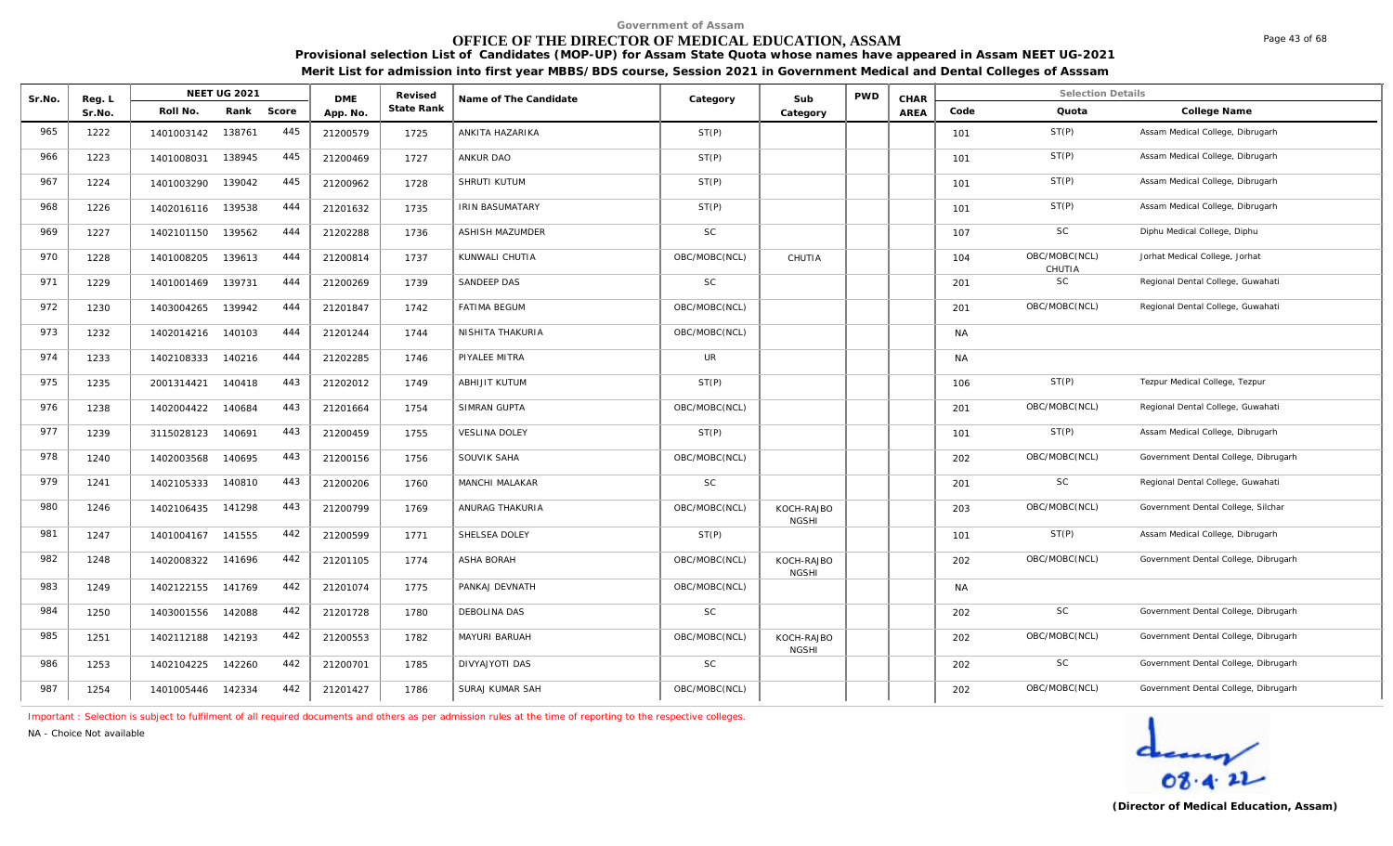# **OFFICE OF THE DIRECTOR OF MEDICAL EDUCATION, ASSAM**

Page 43 of 68

**Provisional selection List of Candidates (MOP-UP) for Assam State Quota whose names have appeared in Assam NEET UG-2021 Merit List for admission into first year MBBS/BDS course, Session 2021 in Government Medical and Dental Colleges of Asssam**

| Sr.No. | Reg. L |                   | <b>NEET UG 2021</b> |     | <b>DMF</b> | Revised    | Name of The Candidate  | Category      | Sub                        | <b>PWD</b> | CHAR |           | <b>Selection Details</b> |                                      |
|--------|--------|-------------------|---------------------|-----|------------|------------|------------------------|---------------|----------------------------|------------|------|-----------|--------------------------|--------------------------------------|
|        | Sr.No. | Roll No.          | Rank Score          |     | App. No.   | State Rank |                        |               | Category                   |            | AREA | Code      | Quota                    | College Name                         |
| 965    | 1222   | 1401003142        | 138761              | 445 | 21200579   | 1725       | ANKITA HAZARIKA        | ST(P)         |                            |            |      | 101       | ST(P)                    | Assam Medical College, Dibrugarh     |
| 966    | 1223   | 1401008031        | 138945              | 445 | 21200469   | 1727       | ANKUR DAO              | ST(P)         |                            |            |      | 101       | ST(P)                    | Assam Medical College, Dibrugarh     |
| 967    | 1224   | 1401003290        | 139042              | 445 | 21200962   | 1728       | SHRUTI KUTUM           | ST(P)         |                            |            |      | 101       | ST(P)                    | Assam Medical College, Dibrugarh     |
| 968    | 1226   | 1402016116 139538 |                     | 444 | 21201632   | 1735       | IRIN BASUMATARY        | ST(P)         |                            |            |      | 101       | ST(P)                    | Assam Medical College, Dibrugarh     |
| 969    | 1227   | 1402101150        | 139562              | 444 | 21202288   | 1736       | <b>ASHISH MAZUMDER</b> | <b>SC</b>     |                            |            |      | 107       | SC                       | Diphu Medical College, Diphu         |
| 970    | 1228   | 1401008205        | 139613              | 444 | 21200814   | 1737       | KUNWALI CHUTIA         | OBC/MOBC(NCL) | CHUTIA                     |            |      | 104       | OBC/MOBC(NCL)<br>CHUTIA  | Jorhat Medical College, Jorhat       |
| 971    | 1229   | 1401001469        | 139731              | 444 | 21200269   | 1739       | SANDEEP DAS            | <b>SC</b>     |                            |            |      | 201       | SC                       | Regional Dental College, Guwahati    |
| 972    | 1230   | 1403004265        | 139942              | 444 | 21201847   | 1742       | <b>FATIMA BEGUM</b>    | OBC/MOBC(NCL) |                            |            |      | 201       | OBC/MOBC(NCL)            | Regional Dental College, Guwahati    |
| 973    | 1232   | 1402014216        | 140103              | 444 | 21201244   | 1744       | NISHITA THAKURIA       | OBC/MOBC(NCL) |                            |            |      | <b>NA</b> |                          |                                      |
| 974    | 1233   | 1402108333        | 140216              | 444 | 21202285   | 1746       | PIYALEE MITRA          | UR            |                            |            |      | NA        |                          |                                      |
| 975    | 1235   | 2001314421        | 140418              | 443 | 21202012   | 1749       | ABHIJIT KUTUM          | ST(P)         |                            |            |      | 106       | ST(P)                    | Tezpur Medical College, Tezpur       |
| 976    | 1238   | 1402004422        | 140684              | 443 | 21201664   | 1754       | SIMRAN GUPTA           | OBC/MOBC(NCL) |                            |            |      | 201       | OBC/MOBC(NCL)            | Regional Dental College, Guwahati    |
| 977    | 1239   | 3115028123        | 140691              | 443 | 21200459   | 1755       | <b>VESLINA DOLEY</b>   | ST(P)         |                            |            |      | 101       | ST(P)                    | Assam Medical College, Dibrugarh     |
| 978    | 1240   | 1402003568        | 140695              | 443 | 21200156   | 1756       | SOUVIK SAHA            | OBC/MOBC(NCL) |                            |            |      | 202       | OBC/MOBC(NCL)            | Government Dental College, Dibrugarh |
| 979    | 1241   | 1402105333        | 140810              | 443 | 21200206   | 1760       | MANCHI MALAKAR         | <b>SC</b>     |                            |            |      | 201       | SC                       | Regional Dental College, Guwahati    |
| 980    | 1246   | 1402106435        | 141298              | 443 | 21200799   | 1769       | ANURAG THAKURIA        | OBC/MOBC(NCL) | KOCH-RAJBO<br><b>NGSHI</b> |            |      | 203       | OBC/MOBC(NCL)            | Government Dental College, Silchar   |
| 981    | 1247   | 1401004167        | 141555              | 442 | 21200599   | 1771       | SHELSEA DOLEY          | ST(P)         |                            |            |      | 101       | ST(P)                    | Assam Medical College, Dibrugarh     |
| 982    | 1248   | 1402008322        | 141696              | 442 | 21201105   | 1774       | <b>ASHA BORAH</b>      | OBC/MOBC(NCL) | KOCH-RAJBO<br><b>NGSHI</b> |            |      | 202       | OBC/MOBC(NCL)            | Government Dental College, Dibrugarh |
| 983    | 1249   | 1402122155        | 141769              | 442 | 21201074   | 1775       | PANKAJ DEVNATH         | OBC/MOBC(NCL) |                            |            |      | <b>NA</b> |                          |                                      |
| 984    | 1250   | 1403001556        | 142088              | 442 | 21201728   | 1780       | DEBOLINA DAS           | <b>SC</b>     |                            |            |      | 202       | SC                       | Government Dental College, Dibrugarh |
| 985    | 1251   | 1402112188        | 142193              | 442 | 21200553   | 1782       | MAYURI BARUAH          | OBC/MOBC(NCL) | KOCH-RAJBO<br><b>NGSHI</b> |            |      | 202       | OBC/MOBC(NCL)            | Government Dental College, Dibrugarh |
| 986    | 1253   | 1402104225        | 142260              | 442 | 21200701   | 1785       | DIVYAJYOTI DAS         | <b>SC</b>     |                            |            |      | 202       | <b>SC</b>                | Government Dental College, Dibrugarh |
| 987    | 1254   | 1401005446        | 142334              | 442 | 21201427   | 1786       | SURAJ KUMAR SAH        | OBC/MOBC(NCL) |                            |            |      | 202       | OBC/MOBC(NCL)            | Government Dental College, Dibrugarh |

*Important : Selection is subject to fulfilment of all required documents and others as per admission rules at the time of reporting to the respective colleges.*

*NA - Choice Not available*

deary  $08.422$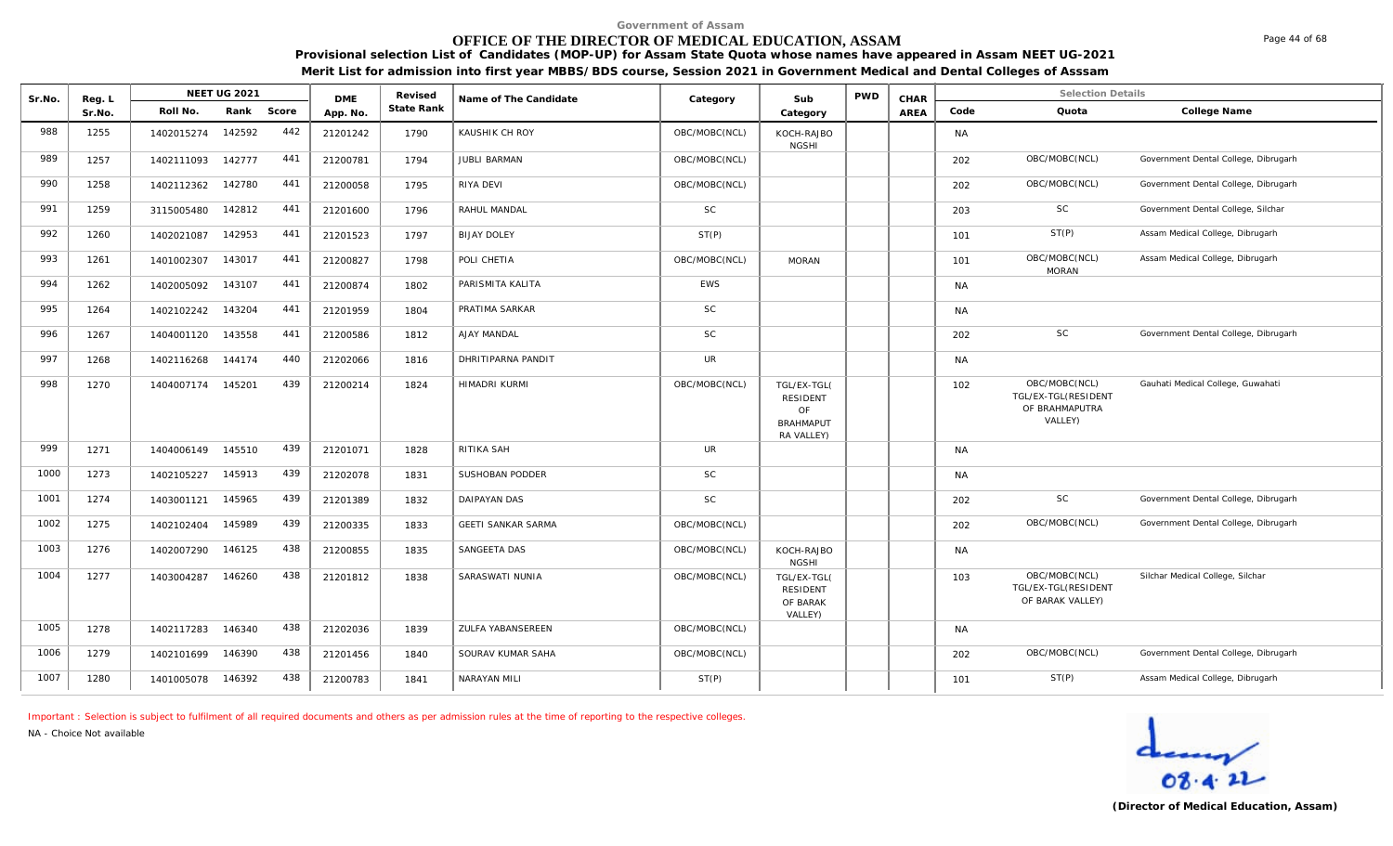# **OFFICE OF THE DIRECTOR OF MEDICAL EDUCATION, ASSAM**

**Provisional selection List of Candidates (MOP-UP) for Assam State Quota whose names have appeared in Assam NEET UG-2021 Merit List for admission into first year MBBS/BDS course, Session 2021 in Government Medical and Dental Colleges of Asssam**

| Sr.No. | Reg. L |                   | <b>NEET UG 2021</b> |       | <b>DME</b> | Revised    | Name of The Candidate    | Category      | Sub                                                                    | <b>PWD</b> | CHAR |           | <b>Selection Details</b>                                          |                                      |
|--------|--------|-------------------|---------------------|-------|------------|------------|--------------------------|---------------|------------------------------------------------------------------------|------------|------|-----------|-------------------------------------------------------------------|--------------------------------------|
|        | Sr.No. | Roll No.          | Rank                | Score | App. No.   | State Rank |                          |               | Category                                                               |            | AREA | Code      | Quota                                                             | College Name                         |
| 988    | 1255   | 1402015274        | 142592              | 442   | 21201242   | 1790       | KAUSHIK CH ROY           | OBC/MOBC(NCL) | KOCH-RAJBO<br><b>NGSHI</b>                                             |            |      | <b>NA</b> |                                                                   |                                      |
| 989    | 1257   | 1402111093        | 142777              | 441   | 21200781   | 1794       | <b>JUBLI BARMAN</b>      | OBC/MOBC(NCL) |                                                                        |            |      | 202       | OBC/MOBC(NCL)                                                     | Government Dental College, Dibrugarh |
| 990    | 1258   | 1402112362        | 142780              | 441   | 21200058   | 1795       | RIYA DEVI                | OBC/MOBC(NCL) |                                                                        |            |      | 202       | OBC/MOBC(NCL)                                                     | Government Dental College, Dibrugarh |
| 991    | 1259   | 3115005480        | 142812              | 441   | 21201600   | 1796       | RAHUL MANDAL             | <b>SC</b>     |                                                                        |            |      | 203       | <b>SC</b>                                                         | Government Dental College, Silchar   |
| 992    | 1260   | 1402021087        | 142953              | 441   | 21201523   | 1797       | <b>BIJAY DOLEY</b>       | ST(P)         |                                                                        |            |      | 101       | ST(P)                                                             | Assam Medical College, Dibrugarh     |
| 993    | 1261   | 1401002307        | 143017              | 441   | 21200827   | 1798       | POLI CHETIA              | OBC/MOBC(NCL) | <b>MORAN</b>                                                           |            |      | 101       | OBC/MOBC(NCL)<br><b>MORAN</b>                                     | Assam Medical College, Dibrugarh     |
| 994    | 1262   | 1402005092        | 143107              | 441   | 21200874   | 1802       | PARISMITA KALITA         | <b>EWS</b>    |                                                                        |            |      | <b>NA</b> |                                                                   |                                      |
| 995    | 1264   | 1402102242        | 143204              | 441   | 21201959   | 1804       | PRATIMA SARKAR           | <b>SC</b>     |                                                                        |            |      | <b>NA</b> |                                                                   |                                      |
| 996    | 1267   | 1404001120        | 143558              | 441   | 21200586   | 1812       | <b>AJAY MANDAL</b>       | <b>SC</b>     |                                                                        |            |      | 202       | SC                                                                | Government Dental College, Dibrugarh |
| 997    | 1268   | 1402116268        | 144174              | 440   | 21202066   | 1816       | DHRITIPARNA PANDIT       | UR            |                                                                        |            |      | <b>NA</b> |                                                                   |                                      |
| 998    | 1270   | 1404007174 145201 |                     | 439   | 21200214   | 1824       | HIMADRI KURMI            | OBC/MOBC(NCL) | TGL/EX-TGL(<br><b>RESIDENT</b><br>OF<br><b>BRAHMAPUT</b><br>RA VALLEY) |            |      | 102       | OBC/MOBC(NCL)<br>TGL/EX-TGL(RESIDENT<br>OF BRAHMAPUTRA<br>VALLEY) | Gauhati Medical College, Guwahati    |
| 999    | 1271   | 1404006149 145510 |                     | 439   | 21201071   | 1828       | RITIKA SAH               | <b>UR</b>     |                                                                        |            |      | <b>NA</b> |                                                                   |                                      |
| 1000   | 1273   | 1402105227        | 145913              | 439   | 21202078   | 1831       | SUSHOBAN PODDER          | <b>SC</b>     |                                                                        |            |      | <b>NA</b> |                                                                   |                                      |
| 1001   | 1274   | 1403001121        | 145965              | 439   | 21201389   | 1832       | DAIPAYAN DAS             | <b>SC</b>     |                                                                        |            |      | 202       | <b>SC</b>                                                         | Government Dental College, Dibrugarh |
| 1002   | 1275   | 1402102404        | 145989              | 439   | 21200335   | 1833       | GEETI SANKAR SARMA       | OBC/MOBC(NCL) |                                                                        |            |      | 202       | OBC/MOBC(NCL)                                                     | Government Dental College, Dibrugarh |
| 1003   | 1276   | 1402007290        | 146125              | 438   | 21200855   | 1835       | SANGEETA DAS             | OBC/MOBC(NCL) | KOCH-RAJBO<br><b>NGSHI</b>                                             |            |      | <b>NA</b> |                                                                   |                                      |
| 1004   | 1277   | 1403004287        | 146260              | 438   | 21201812   | 1838       | SARASWATI NUNIA          | OBC/MOBC(NCL) | TGL/EX-TGL(<br><b>RESIDENT</b><br>OF BARAK<br>VALLEY)                  |            |      | 103       | OBC/MOBC(NCL)<br>TGL/EX-TGL(RESIDENT<br>OF BARAK VALLEY)          | Silchar Medical College, Silchar     |
| 1005   | 1278   | 1402117283        | 146340              | 438   | 21202036   | 1839       | <b>ZULFA YABANSEREEN</b> | OBC/MOBC(NCL) |                                                                        |            |      | NA        |                                                                   |                                      |
| 1006   | 1279   | 1402101699        | 146390              | 438   | 21201456   | 1840       | SOURAV KUMAR SAHA        | OBC/MOBC(NCL) |                                                                        |            |      | 202       | OBC/MOBC(NCL)                                                     | Government Dental College, Dibrugarh |
| 1007   | 1280   | 1401005078        | 146392              | 438   | 21200783   | 1841       | NARAYAN MILI             | ST(P)         |                                                                        |            |      | 101       | ST(P)                                                             | Assam Medical College, Dibrugarh     |

*Important : Selection is subject to fulfilment of all required documents and others as per admission rules at the time of reporting to the respective colleges.*

*NA - Choice Not available*

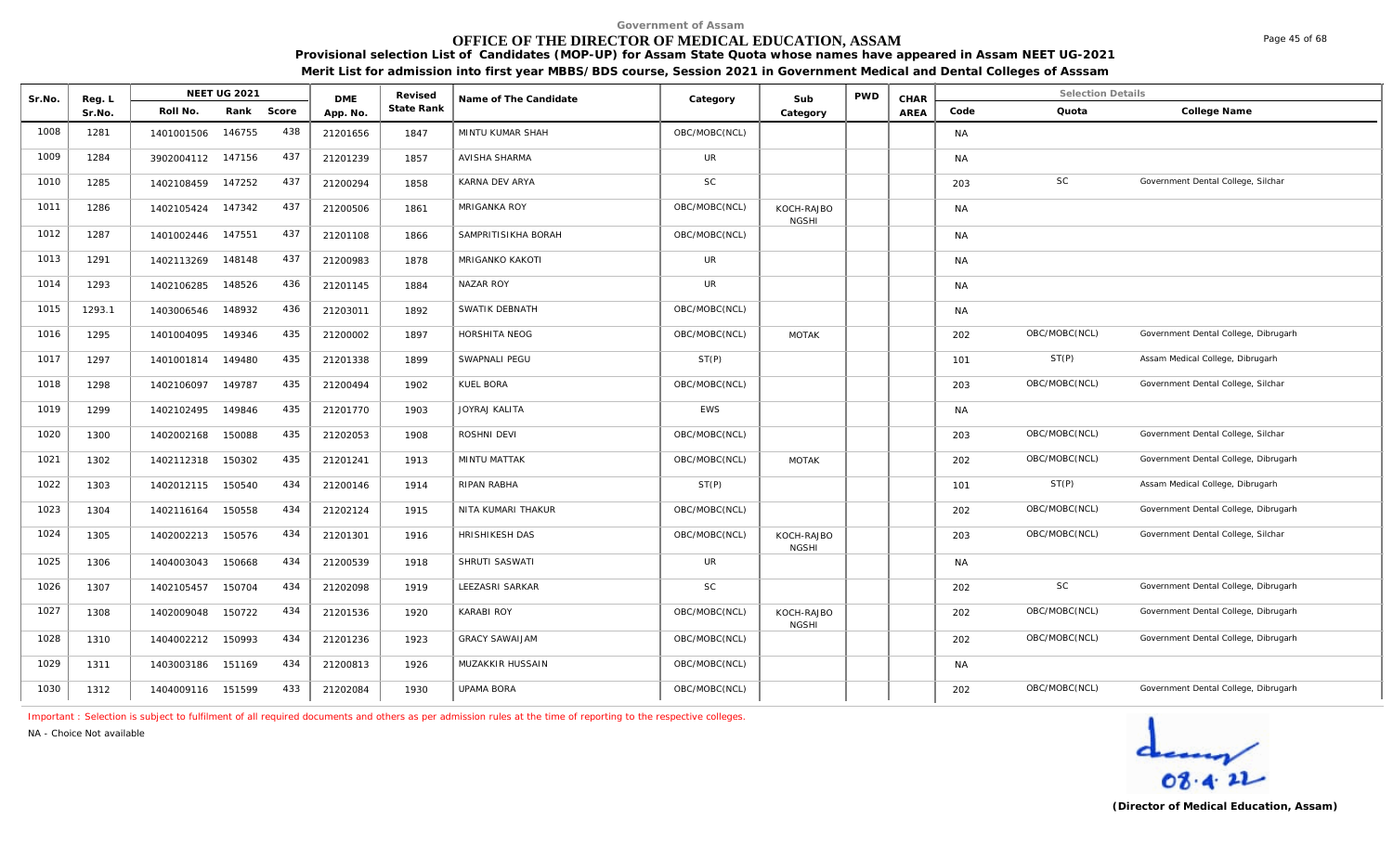# **OFFICE OF THE DIRECTOR OF MEDICAL EDUCATION, ASSAM**

**Provisional selection List of Candidates (MOP-UP) for Assam State Quota whose names have appeared in Assam NEET UG-2021 Merit List for admission into first year MBBS/BDS course, Session 2021 in Government Medical and Dental Colleges of Asssam**

| Sr.No. | Reg. L |                   | <b>NEET UG 2021</b> |       | <b>DME</b> | Revised    | Name of The Candidate | Category      | Sub                        | <b>PWD</b> | CHAR |           | <b>Selection Details</b> |                                      |
|--------|--------|-------------------|---------------------|-------|------------|------------|-----------------------|---------------|----------------------------|------------|------|-----------|--------------------------|--------------------------------------|
|        | Sr.No. | Roll No.          | Rank                | Score | App. No.   | State Rank |                       |               | Category                   |            | AREA | Code      | Quota                    | College Name                         |
| 1008   | 1281   | 1401001506        | 146755              | 438   | 21201656   | 1847       | MINTU KUMAR SHAH      | OBC/MOBC(NCL) |                            |            |      | <b>NA</b> |                          |                                      |
| 1009   | 1284   | 3902004112 147156 |                     | 437   | 21201239   | 1857       | <b>AVISHA SHARMA</b>  | UR            |                            |            |      | <b>NA</b> |                          |                                      |
| 1010   | 1285   | 1402108459        | 147252              | 437   | 21200294   | 1858       | KARNA DEV ARYA        | <b>SC</b>     |                            |            |      | 203       | <b>SC</b>                | Government Dental College, Silchar   |
| 1011   | 1286   | 1402105424        | 147342              | 437   | 21200506   | 1861       | MRIGANKA ROY          | OBC/MOBC(NCL) | KOCH-RAJBO<br><b>NGSHI</b> |            |      | <b>NA</b> |                          |                                      |
| 1012   | 1287   | 1401002446        | 147551              | 437   | 21201108   | 1866       | SAMPRITISIKHA BORAH   | OBC/MOBC(NCL) |                            |            |      | <b>NA</b> |                          |                                      |
| 1013   | 1291   | 1402113269        | 148148              | 437   | 21200983   | 1878       | MRIGANKO KAKOTI       | UR            |                            |            |      | <b>NA</b> |                          |                                      |
| 1014   | 1293   | 1402106285        | 148526              | 436   | 21201145   | 1884       | NAZAR ROY             | UR            |                            |            |      | <b>NA</b> |                          |                                      |
| 1015   | 1293.1 | 1403006546        | 148932              | 436   | 21203011   | 1892       | SWATIK DEBNATH        | OBC/MOBC(NCL) |                            |            |      | <b>NA</b> |                          |                                      |
| 1016   | 1295   | 1401004095        | 149346              | 435   | 21200002   | 1897       | HORSHITA NEOG         | OBC/MOBC(NCL) | <b>MOTAK</b>               |            |      | 202       | OBC/MOBC(NCL)            | Government Dental College, Dibrugarh |
| 1017   | 1297   | 1401001814        | 149480              | 435   | 21201338   | 1899       | SWAPNALI PEGU         | ST(P)         |                            |            |      | 101       | ST(P)                    | Assam Medical College, Dibrugarh     |
| 1018   | 1298   | 1402106097        | 149787              | 435   | 21200494   | 1902       | KUEL BORA             | OBC/MOBC(NCL) |                            |            |      | 203       | OBC/MOBC(NCL)            | Government Dental College, Silchar   |
| 1019   | 1299   | 1402102495        | 149846              | 435   | 21201770   | 1903       | JOYRAJ KALITA         | <b>EWS</b>    |                            |            |      | <b>NA</b> |                          |                                      |
| 1020   | 1300   | 1402002168        | 150088              | 435   | 21202053   | 1908       | ROSHNI DEVI           | OBC/MOBC(NCL) |                            |            |      | 203       | OBC/MOBC(NCL)            | Government Dental College, Silchar   |
| 1021   | 1302   | 1402112318        | 150302              | 435   | 21201241   | 1913       | MINTU MATTAK          | OBC/MOBC(NCL) | <b>MOTAK</b>               |            |      | 202       | OBC/MOBC(NCL)            | Government Dental College, Dibrugarh |
| 1022   | 1303   | 1402012115        | 150540              | 434   | 21200146   | 1914       | RIPAN RABHA           | ST(P)         |                            |            |      | 101       | ST(P)                    | Assam Medical College, Dibrugarh     |
| 1023   | 1304   | 1402116164        | 150558              | 434   | 21202124   | 1915       | NITA KUMARI THAKUR    | OBC/MOBC(NCL) |                            |            |      | 202       | OBC/MOBC(NCL)            | Government Dental College, Dibrugarh |
| 1024   | 1305   | 1402002213        | 150576              | 434   | 21201301   | 1916       | HRISHIKESH DAS        | OBC/MOBC(NCL) | KOCH-RAJBO<br><b>NGSHI</b> |            |      | 203       | OBC/MOBC(NCL)            | Government Dental College, Silchar   |
| 1025   | 1306   | 1404003043        | 150668              | 434   | 21200539   | 1918       | SHRUTI SASWATI        | <b>UR</b>     |                            |            |      | <b>NA</b> |                          |                                      |
| 1026   | 1307   | 1402105457        | 150704              | 434   | 21202098   | 1919       | LEEZASRI SARKAR       | <b>SC</b>     |                            |            |      | 202       | <b>SC</b>                | Government Dental College, Dibrugarh |
| 1027   | 1308   | 1402009048        | 150722              | 434   | 21201536   | 1920       | <b>KARABI ROY</b>     | OBC/MOBC(NCL) | KOCH-RAJBO<br><b>NGSHI</b> |            |      | 202       | OBC/MOBC(NCL)            | Government Dental College, Dibrugarh |
| 1028   | 1310   | 1404002212        | 150993              | 434   | 21201236   | 1923       | <b>GRACY SAWAIJAM</b> | OBC/MOBC(NCL) |                            |            |      | 202       | OBC/MOBC(NCL)            | Government Dental College, Dibrugarh |
| 1029   | 1311   | 1403003186        | 151169              | 434   | 21200813   | 1926       | MUZAKKIR HUSSAIN      | OBC/MOBC(NCL) |                            |            |      | <b>NA</b> |                          |                                      |
| 1030   | 1312   | 1404009116 151599 |                     | 433   | 21202084   | 1930       | <b>UPAMA BORA</b>     | OBC/MOBC(NCL) |                            |            |      | 202       | OBC/MOBC(NCL)            | Government Dental College, Dibrugarh |

*Important : Selection is subject to fulfilment of all required documents and others as per admission rules at the time of reporting to the respective colleges.*

*NA - Choice Not available*

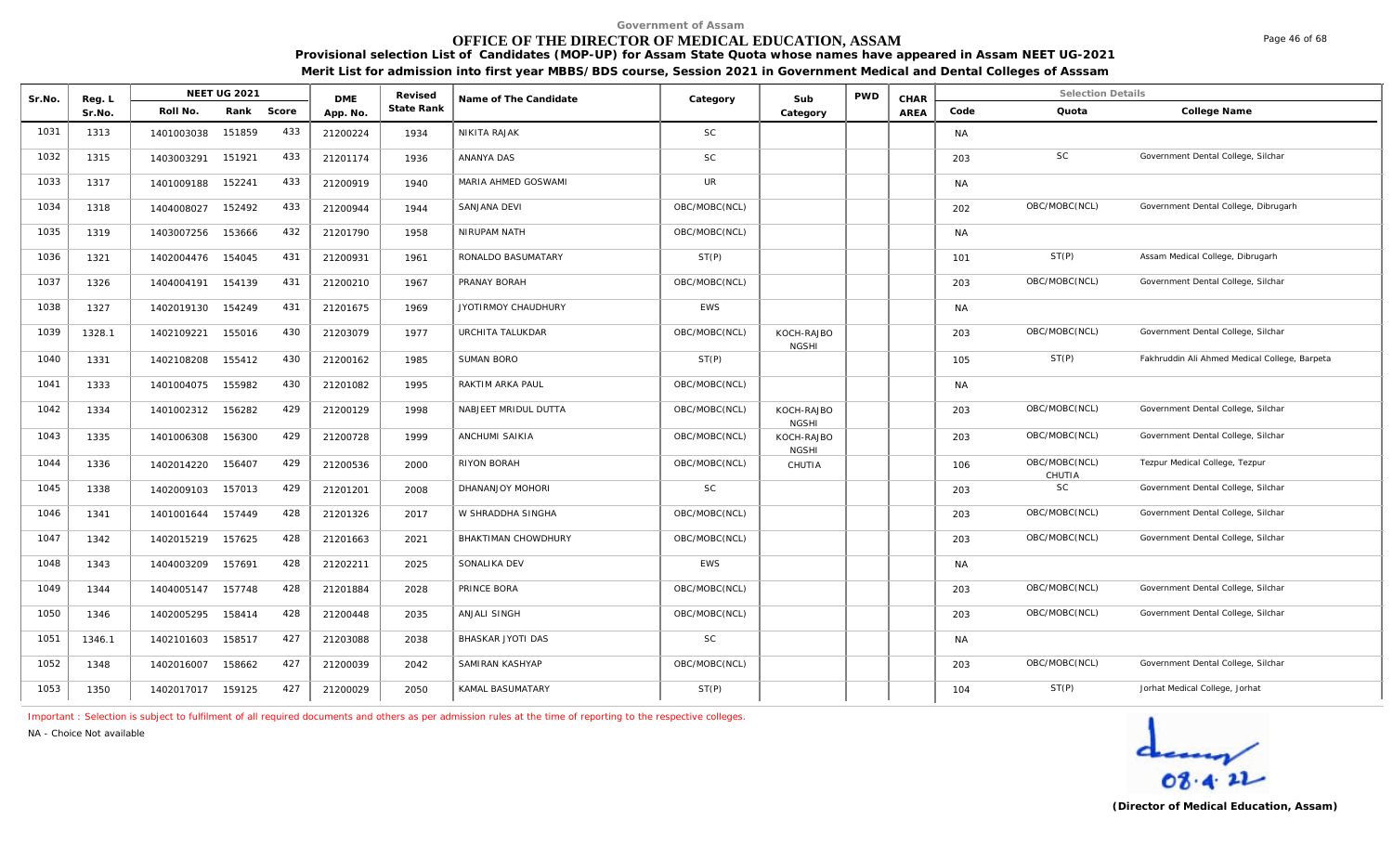# **OFFICE OF THE DIRECTOR OF MEDICAL EDUCATION, ASSAM**

**Provisional selection List of Candidates (MOP-UP) for Assam State Quota whose names have appeared in Assam NEET UG-2021 Merit List for admission into first year MBBS/BDS course, Session 2021 in Government Medical and Dental Colleges of Asssam**

| Sr.No. | Reg. L |                   | <b>NEET UG 2021</b> |       | <b>DME</b> | Revised    | Name of The Candidate | Category      | Sub                        | <b>PWD</b> | CHAR        |           | <b>Selection Details</b> |                                               |
|--------|--------|-------------------|---------------------|-------|------------|------------|-----------------------|---------------|----------------------------|------------|-------------|-----------|--------------------------|-----------------------------------------------|
|        | Sr.No. | Roll No.          | Rank                | Score | App. No.   | State Rank |                       |               | Category                   |            | <b>AREA</b> | Code      | Quota                    | College Name                                  |
| 1031   | 1313   | 1401003038        | 151859              | 433   | 21200224   | 1934       | NIKITA RAJAK          | <b>SC</b>     |                            |            |             | <b>NA</b> |                          |                                               |
| 1032   | 1315   | 1403003291        | 151921              | 433   | 21201174   | 1936       | ANANYA DAS            | <b>SC</b>     |                            |            |             | 203       | <b>SC</b>                | Government Dental College, Silchar            |
| 1033   | 1317   | 1401009188        | 152241              | 433   | 21200919   | 1940       | MARIA AHMED GOSWAMI   | <b>UR</b>     |                            |            |             | <b>NA</b> |                          |                                               |
| 1034   | 1318   | 1404008027        | 152492              | 433   | 21200944   | 1944       | SANJANA DEVI          | OBC/MOBC(NCL) |                            |            |             | 202       | OBC/MOBC(NCL)            | Government Dental College, Dibrugarh          |
| 1035   | 1319   | 1403007256        | 153666              | 432   | 21201790   | 1958       | NIRUPAM NATH          | OBC/MOBC(NCL) |                            |            |             | <b>NA</b> |                          |                                               |
| 1036   | 1321   | 1402004476        | 154045              | 431   | 21200931   | 1961       | RONALDO BASUMATARY    | ST(P)         |                            |            |             | 101       | ST(P)                    | Assam Medical College, Dibrugarh              |
| 1037   | 1326   | 1404004191        | 154139              | 431   | 21200210   | 1967       | PRANAY BORAH          | OBC/MOBC(NCL) |                            |            |             | 203       | OBC/MOBC(NCL)            | Government Dental College, Silchar            |
| 1038   | 1327   | 1402019130        | 154249              | 431   | 21201675   | 1969       | JYOTIRMOY CHAUDHURY   | <b>EWS</b>    |                            |            |             | <b>NA</b> |                          |                                               |
| 1039   | 1328.1 | 1402109221        | 155016              | 430   | 21203079   | 1977       | URCHITA TALUKDAR      | OBC/MOBC(NCL) | KOCH-RAJBO<br><b>NGSHI</b> |            |             | 203       | OBC/MOBC(NCL)            | Government Dental College, Silchar            |
| 1040   | 1331   | 1402108208        | 155412              | 430   | 21200162   | 1985       | <b>SUMAN BORO</b>     | ST(P)         |                            |            |             | 105       | ST(P)                    | Fakhruddin Ali Ahmed Medical College, Barpeta |
| 1041   | 1333   | 1401004075        | 155982              | 430   | 21201082   | 1995       | RAKTIM ARKA PAUL      | OBC/MOBC(NCL) |                            |            |             | <b>NA</b> |                          |                                               |
| 1042   | 1334   | 1401002312        | 156282              | 429   | 21200129   | 1998       | NABJEET MRIDUL DUTTA  | OBC/MOBC(NCL) | KOCH-RAJBO<br><b>NGSHI</b> |            |             | 203       | OBC/MOBC(NCL)            | Government Dental College, Silchar            |
| 1043   | 1335   | 1401006308        | 156300              | 429   | 21200728   | 1999       | ANCHUMI SAIKIA        | OBC/MOBC(NCL) | KOCH-RAJBO<br><b>NGSHI</b> |            |             | 203       | OBC/MOBC(NCL)            | Government Dental College, Silchar            |
| 1044   | 1336   | 1402014220        | 156407              | 429   | 21200536   | 2000       | RIYON BORAH           | OBC/MOBC(NCL) | CHUTIA                     |            |             | 106       | OBC/MOBC(NCL)<br>CHUTIA  | Tezpur Medical College, Tezpur                |
| 1045   | 1338   | 1402009103        | 157013              | 429   | 21201201   | 2008       | DHANANJOY MOHORI      | <b>SC</b>     |                            |            |             | 203       | SC                       | Government Dental College, Silchar            |
| 1046   | 1341   | 1401001644        | 157449              | 428   | 21201326   | 2017       | W SHRADDHA SINGHA     | OBC/MOBC(NCL) |                            |            |             | 203       | OBC/MOBC(NCL)            | Government Dental College, Silchar            |
| 1047   | 1342   | 1402015219        | 157625              | 428   | 21201663   | 2021       | BHAKTIMAN CHOWDHURY   | OBC/MOBC(NCL) |                            |            |             | 203       | OBC/MOBC(NCL)            | Government Dental College, Silchar            |
| 1048   | 1343   | 1404003209        | 157691              | 428   | 21202211   | 2025       | SONALIKA DEV          | EWS           |                            |            |             | NA        |                          |                                               |
| 1049   | 1344   | 1404005147        | 157748              | 428   | 21201884   | 2028       | PRINCE BORA           | OBC/MOBC(NCL) |                            |            |             | 203       | OBC/MOBC(NCL)            | Government Dental College, Silchar            |
| 1050   | 1346   | 1402005295        | 158414              | 428   | 21200448   | 2035       | ANJALI SINGH          | OBC/MOBC(NCL) |                            |            |             | 203       | OBC/MOBC(NCL)            | Government Dental College, Silchar            |
| 1051   | 1346.1 | 1402101603        | 158517              | 427   | 21203088   | 2038       | BHASKAR JYOTI DAS     | <b>SC</b>     |                            |            |             | NA        |                          |                                               |
| 1052   | 1348   | 1402016007        | 158662              | 427   | 21200039   | 2042       | SAMIRAN KASHYAP       | OBC/MOBC(NCL) |                            |            |             | 203       | OBC/MOBC(NCL)            | Government Dental College, Silchar            |
| 1053   | 1350   | 1402017017 159125 |                     | 427   | 21200029   | 2050       | KAMAL BASUMATARY      | ST(P)         |                            |            |             | 104       | ST(P)                    | Jorhat Medical College, Jorhat                |

*Important : Selection is subject to fulfilment of all required documents and others as per admission rules at the time of reporting to the respective colleges.*

*NA - Choice Not available*

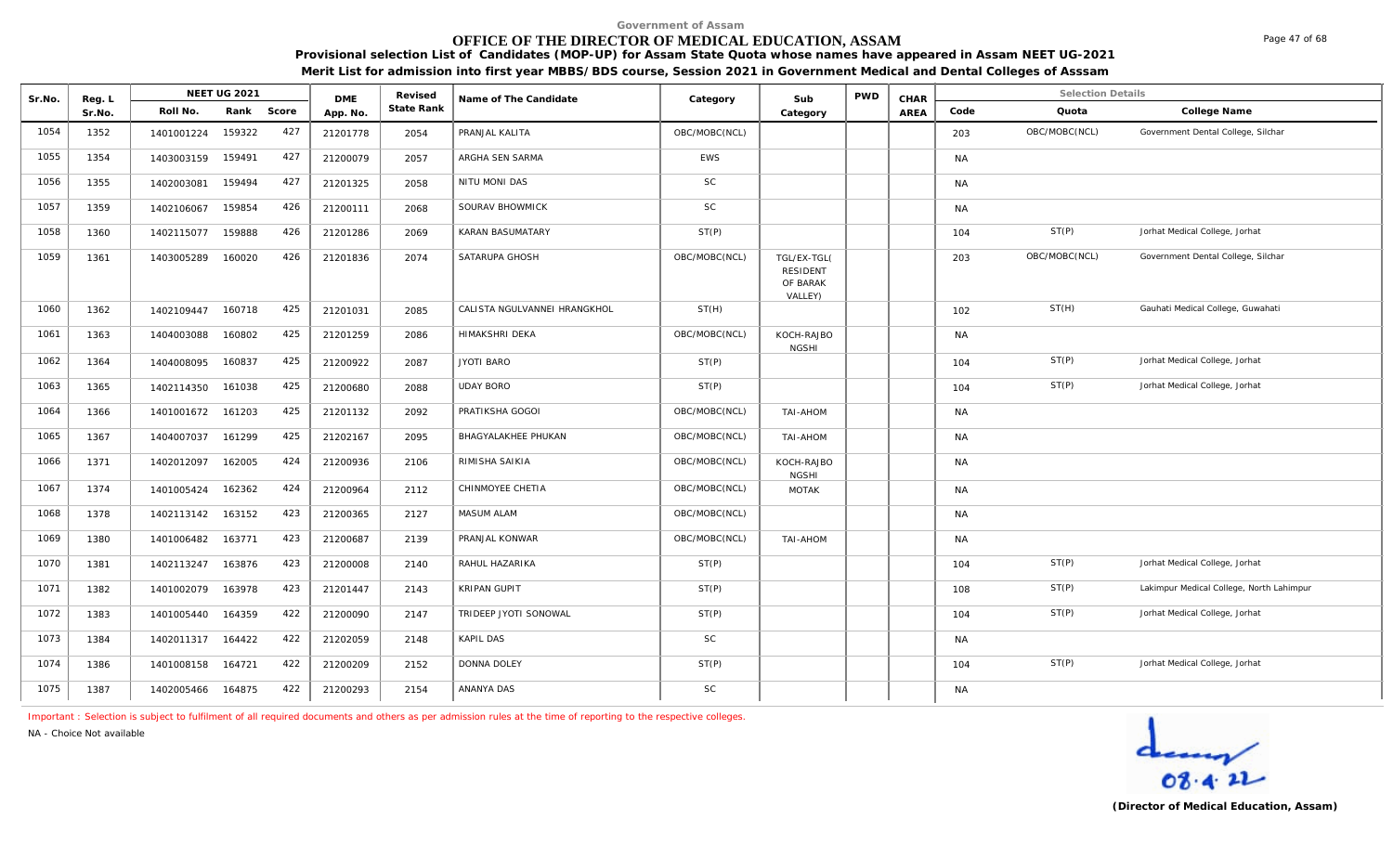## **OFFICE OF THE DIRECTOR OF MEDICAL EDUCATION, ASSAM**

**Provisional selection List of Candidates (MOP-UP) for Assam State Quota whose names have appeared in Assam NEET UG-2021 Merit List for admission into first year MBBS/BDS course, Session 2021 in Government Medical and Dental Colleges of Asssam**

| Sr.No. | Reg. L |            | <b>NEET UG 2021</b> |       | <b>DMF</b> | Revised    | Name of The Candidate        | Category      | Sub                                                   | <b>PWD</b> | CHAR        |           | <b>Selection Details</b> |                                          |
|--------|--------|------------|---------------------|-------|------------|------------|------------------------------|---------------|-------------------------------------------------------|------------|-------------|-----------|--------------------------|------------------------------------------|
|        | Sr.No. | Roll No.   | Rank                | Score | App. No.   | State Rank |                              |               | Category                                              |            | <b>AREA</b> | Code      | Quota                    | College Name                             |
| 1054   | 1352   | 1401001224 | 159322              | 427   | 21201778   | 2054       | PRANJAL KALITA               | OBC/MOBC(NCL) |                                                       |            |             | 203       | OBC/MOBC(NCL)            | Government Dental College, Silchar       |
| 1055   | 1354   | 1403003159 | 159491              | 427   | 21200079   | 2057       | ARGHA SEN SARMA              | <b>EWS</b>    |                                                       |            |             | <b>NA</b> |                          |                                          |
| 1056   | 1355   | 1402003081 | 159494              | 427   | 21201325   | 2058       | NITU MONI DAS                | <b>SC</b>     |                                                       |            |             | <b>NA</b> |                          |                                          |
| 1057   | 1359   | 1402106067 | 159854              | 426   | 21200111   | 2068       | SOURAV BHOWMICK              | <b>SC</b>     |                                                       |            |             | <b>NA</b> |                          |                                          |
| 1058   | 1360   | 1402115077 | 159888              | 426   | 21201286   | 2069       | KARAN BASUMATARY             | ST(P)         |                                                       |            |             | 104       | ST(P)                    | Jorhat Medical College, Jorhat           |
| 1059   | 1361   | 1403005289 | 160020              | 426   | 21201836   | 2074       | SATARUPA GHOSH               | OBC/MOBC(NCL) | TGL/EX-TGL(<br><b>RESIDENT</b><br>OF BARAK<br>VALLEY) |            |             | 203       | OBC/MOBC(NCL)            | Government Dental College, Silchar       |
| 1060   | 1362   | 1402109447 | 160718              | 425   | 21201031   | 2085       | CALISTA NGULVANNEI HRANGKHOL | ST(H)         |                                                       |            |             | 102       | ST(H)                    | Gauhati Medical College, Guwahati        |
| 1061   | 1363   | 1404003088 | 160802              | 425   | 21201259   | 2086       | HIMAKSHRI DEKA               | OBC/MOBC(NCL) | KOCH-RAJBO<br><b>NGSHI</b>                            |            |             | <b>NA</b> |                          |                                          |
| 1062   | 1364   | 1404008095 | 160837              | 425   | 21200922   | 2087       | <b>JYOTI BARO</b>            | ST(P)         |                                                       |            |             | 104       | ST(P)                    | Jorhat Medical College, Jorhat           |
| 1063   | 1365   | 1402114350 | 161038              | 425   | 21200680   | 2088       | <b>UDAY BORO</b>             | ST(P)         |                                                       |            |             | 104       | ST(P)                    | Jorhat Medical College, Jorhat           |
| 1064   | 1366   | 1401001672 | 161203              | 425   | 21201132   | 2092       | PRATIKSHA GOGOI              | OBC/MOBC(NCL) | TAI-AHOM                                              |            |             | <b>NA</b> |                          |                                          |
| 1065   | 1367   | 1404007037 | 161299              | 425   | 21202167   | 2095       | BHAGYALAKHEE PHUKAN          | OBC/MOBC(NCL) | TAI-AHOM                                              |            |             | <b>NA</b> |                          |                                          |
| 1066   | 1371   | 1402012097 | 162005              | 424   | 21200936   | 2106       | RIMISHA SAIKIA               | OBC/MOBC(NCL) | KOCH-RAJBO<br><b>NGSHI</b>                            |            |             | <b>NA</b> |                          |                                          |
| 1067   | 1374   | 1401005424 | 162362              | 424   | 21200964   | 2112       | CHINMOYEE CHETIA             | OBC/MOBC(NCL) | <b>MOTAK</b>                                          |            |             | <b>NA</b> |                          |                                          |
| 1068   | 1378   | 1402113142 | 163152              | 423   | 21200365   | 2127       | MASUM ALAM                   | OBC/MOBC(NCL) |                                                       |            |             | <b>NA</b> |                          |                                          |
| 1069   | 1380   | 1401006482 | 163771              | 423   | 21200687   | 2139       | PRANJAL KONWAR               | OBC/MOBC(NCL) | TAI-AHOM                                              |            |             | <b>NA</b> |                          |                                          |
| 1070   | 1381   | 1402113247 | 163876              | 423   | 21200008   | 2140       | RAHUL HAZARIKA               | ST(P)         |                                                       |            |             | 104       | ST(P)                    | Jorhat Medical College, Jorhat           |
| 1071   | 1382   | 1401002079 | 163978              | 423   | 21201447   | 2143       | KRIPAN GUPIT                 | ST(P)         |                                                       |            |             | 108       | ST(P)                    | Lakimpur Medical College, North Lahimpur |
| 1072   | 1383   | 1401005440 | 164359              | 422   | 21200090   | 2147       | TRIDEEP JYOTI SONOWAL        | ST(P)         |                                                       |            |             | 104       | ST(P)                    | Jorhat Medical College, Jorhat           |
| 1073   | 1384   | 1402011317 | 164422              | 422   | 21202059   | 2148       | KAPIL DAS                    | SC            |                                                       |            |             | <b>NA</b> |                          |                                          |
| 1074   | 1386   | 1401008158 | 164721              | 422   | 21200209   | 2152       | <b>DONNA DOLEY</b>           | ST(P)         |                                                       |            |             | 104       | ST(P)                    | Jorhat Medical College, Jorhat           |
| 1075   | 1387   | 1402005466 | 164875              | 422   | 21200293   | 2154       | ANANYA DAS                   | <b>SC</b>     |                                                       |            |             | <b>NA</b> |                          |                                          |

*Important : Selection is subject to fulfilment of all required documents and others as per admission rules at the time of reporting to the respective colleges.*

*NA - Choice Not available*



Page 47 of 68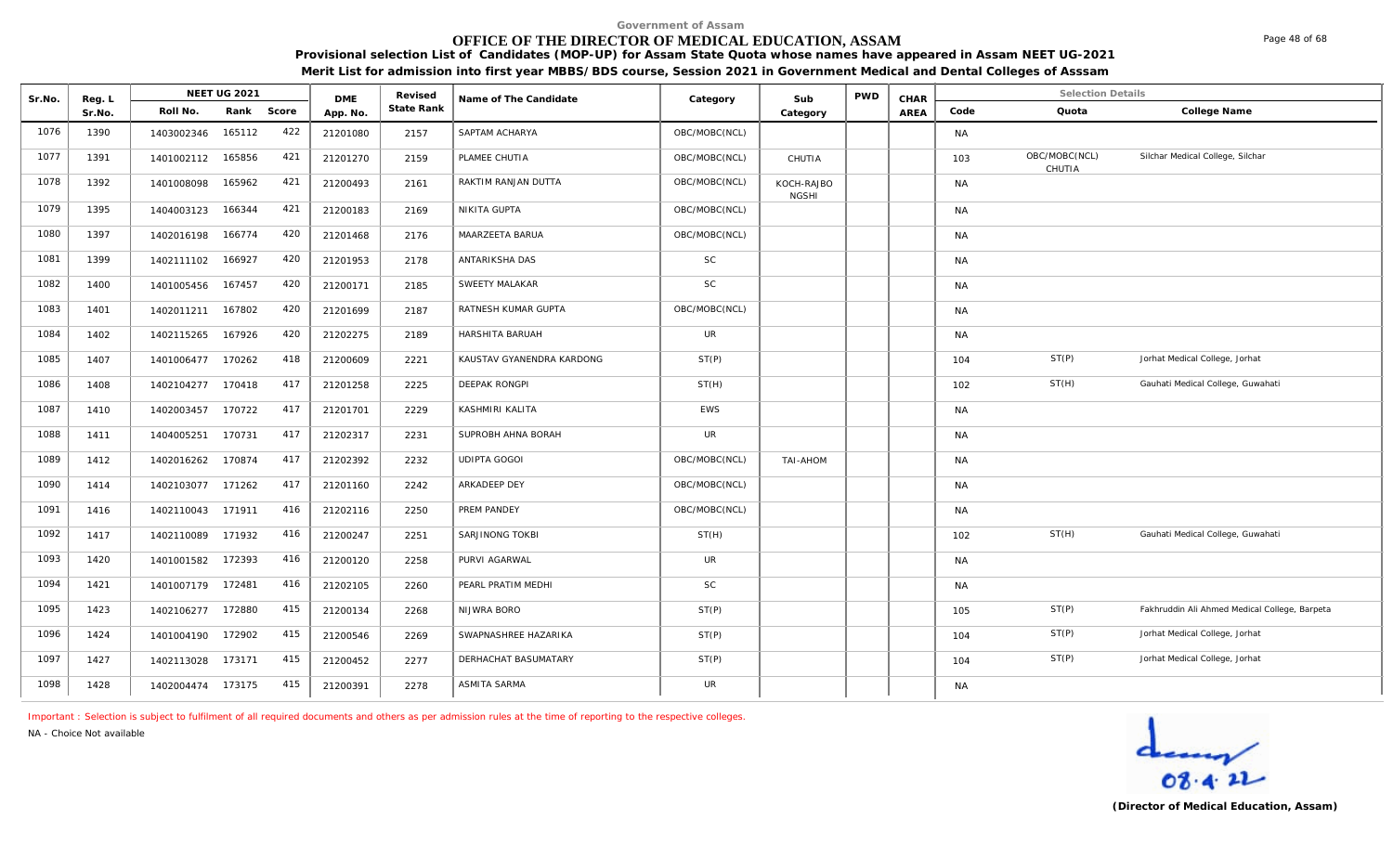## **OFFICE OF THE DIRECTOR OF MEDICAL EDUCATION, ASSAM**

**Provisional selection List of Candidates (MOP-UP) for Assam State Quota whose names have appeared in Assam NEET UG-2021 Merit List for admission into first year MBBS/BDS course, Session 2021 in Government Medical and Dental Colleges of Asssam**

| Sr.No. | Reg. L | <b>NEET UG 2021</b>         | <b>DME</b> | Revised    | Name of The Candidate     | Category      | Sub                        | <b>PWD</b> | CHAR |           | <b>Selection Details</b> |                                               |
|--------|--------|-----------------------------|------------|------------|---------------------------|---------------|----------------------------|------------|------|-----------|--------------------------|-----------------------------------------------|
|        | Sr.No. | Rank Score<br>Roll No.      | App. No.   | State Rank |                           |               | Category                   |            | AREA | Code      | Quota                    | College Name                                  |
| 1076   | 1390   | 422<br>165112<br>1403002346 | 21201080   | 2157       | SAPTAM ACHARYA            | OBC/MOBC(NCL) |                            |            |      | <b>NA</b> |                          |                                               |
| 1077   | 1391   | 421<br>1401002112 165856    | 21201270   | 2159       | PLAMEE CHUTIA             | OBC/MOBC(NCL) | CHUTIA                     |            |      | 103       | OBC/MOBC(NCL)<br>CHUTIA  | Silchar Medical College, Silchar              |
| 1078   | 1392   | 421<br>1401008098<br>165962 | 21200493   | 2161       | RAKTIM RANJAN DUTTA       | OBC/MOBC(NCL) | KOCH-RAJBO<br><b>NGSHI</b> |            |      | <b>NA</b> |                          |                                               |
| 1079   | 1395   | 421<br>166344<br>1404003123 | 21200183   | 2169       | NIKITA GUPTA              | OBC/MOBC(NCL) |                            |            |      | <b>NA</b> |                          |                                               |
| 1080   | 1397   | 420<br>166774<br>1402016198 | 21201468   | 2176       | MAARZEETA BARUA           | OBC/MOBC(NCL) |                            |            |      | <b>NA</b> |                          |                                               |
| 1081   | 1399   | 420<br>1402111102<br>166927 | 21201953   | 2178       | ANTARIKSHA DAS            | <b>SC</b>     |                            |            |      | <b>NA</b> |                          |                                               |
| 1082   | 1400   | 420<br>1401005456<br>167457 | 21200171   | 2185       | SWEETY MALAKAR            | <b>SC</b>     |                            |            |      | <b>NA</b> |                          |                                               |
| 1083   | 1401   | 420<br>167802<br>1402011211 | 21201699   | 2187       | RATNESH KUMAR GUPTA       | OBC/MOBC(NCL) |                            |            |      | <b>NA</b> |                          |                                               |
| 1084   | 1402   | 420<br>167926<br>1402115265 | 21202275   | 2189       | HARSHITA BARUAH           | <b>UR</b>     |                            |            |      | <b>NA</b> |                          |                                               |
| 1085   | 1407   | 418<br>1401006477<br>170262 | 21200609   | 2221       | KAUSTAV GYANENDRA KARDONG | ST(P)         |                            |            |      | 104       | ST(P)                    | Jorhat Medical College, Jorhat                |
| 1086   | 1408   | 417<br>1402104277<br>170418 | 21201258   | 2225       | DEEPAK RONGPI             | ST(H)         |                            |            |      | 102       | ST(H)                    | Gauhati Medical College, Guwahati             |
| 1087   | 1410   | 417<br>170722<br>1402003457 | 21201701   | 2229       | KASHMIRI KALITA           | EWS           |                            |            |      | <b>NA</b> |                          |                                               |
| 1088   | 1411   | 417<br>170731<br>1404005251 | 21202317   | 2231       | SUPROBH AHNA BORAH        | <b>UR</b>     |                            |            |      | <b>NA</b> |                          |                                               |
| 1089   | 1412   | 417<br>1402016262<br>170874 | 21202392   | 2232       | <b>UDIPTA GOGOI</b>       | OBC/MOBC(NCL) | TAI-AHOM                   |            |      | <b>NA</b> |                          |                                               |
| 1090   | 1414   | 417<br>171262<br>1402103077 | 21201160   | 2242       | ARKADEEP DEY              | OBC/MOBC(NCL) |                            |            |      | <b>NA</b> |                          |                                               |
| 1091   | 1416   | 416<br>171911<br>1402110043 | 21202116   | 2250       | PREM PANDEY               | OBC/MOBC(NCL) |                            |            |      | <b>NA</b> |                          |                                               |
| 1092   | 1417   | 416<br>171932<br>1402110089 | 21200247   | 2251       | <b>SARJINONG TOKBI</b>    | ST(H)         |                            |            |      | 102       | ST(H)                    | Gauhati Medical College, Guwahati             |
| 1093   | 1420   | 416<br>172393<br>1401001582 | 21200120   | 2258       | PURVI AGARWAL             | UR            |                            |            |      | <b>NA</b> |                          |                                               |
| 1094   | 1421   | 416<br>1401007179 172481    | 21202105   | 2260       | PEARL PRATIM MEDHI        | <b>SC</b>     |                            |            |      | <b>NA</b> |                          |                                               |
| 1095   | 1423   | 415<br>1402106277 172880    | 21200134   | 2268       | NIJWRA BORO               | ST(P)         |                            |            |      | 105       | ST(P)                    | Fakhruddin Ali Ahmed Medical College, Barpeta |
| 1096   | 1424   | 415<br>1401004190 172902    | 21200546   | 2269       | SWAPNASHREE HAZARIKA      | ST(P)         |                            |            |      | 104       | ST(P)                    | Jorhat Medical College, Jorhat                |
| 1097   | 1427   | 415<br>1402113028<br>173171 | 21200452   | 2277       | DERHACHAT BASUMATARY      | ST(P)         |                            |            |      | 104       | ST(P)                    | Jorhat Medical College, Jorhat                |
| 1098   | 1428   | 415<br>1402004474 173175    | 21200391   | 2278       | <b>ASMITA SARMA</b>       | UR            |                            |            |      | <b>NA</b> |                          |                                               |

*Important : Selection is subject to fulfilment of all required documents and others as per admission rules at the time of reporting to the respective colleges.*

*NA - Choice Not available*



Page 48 of 68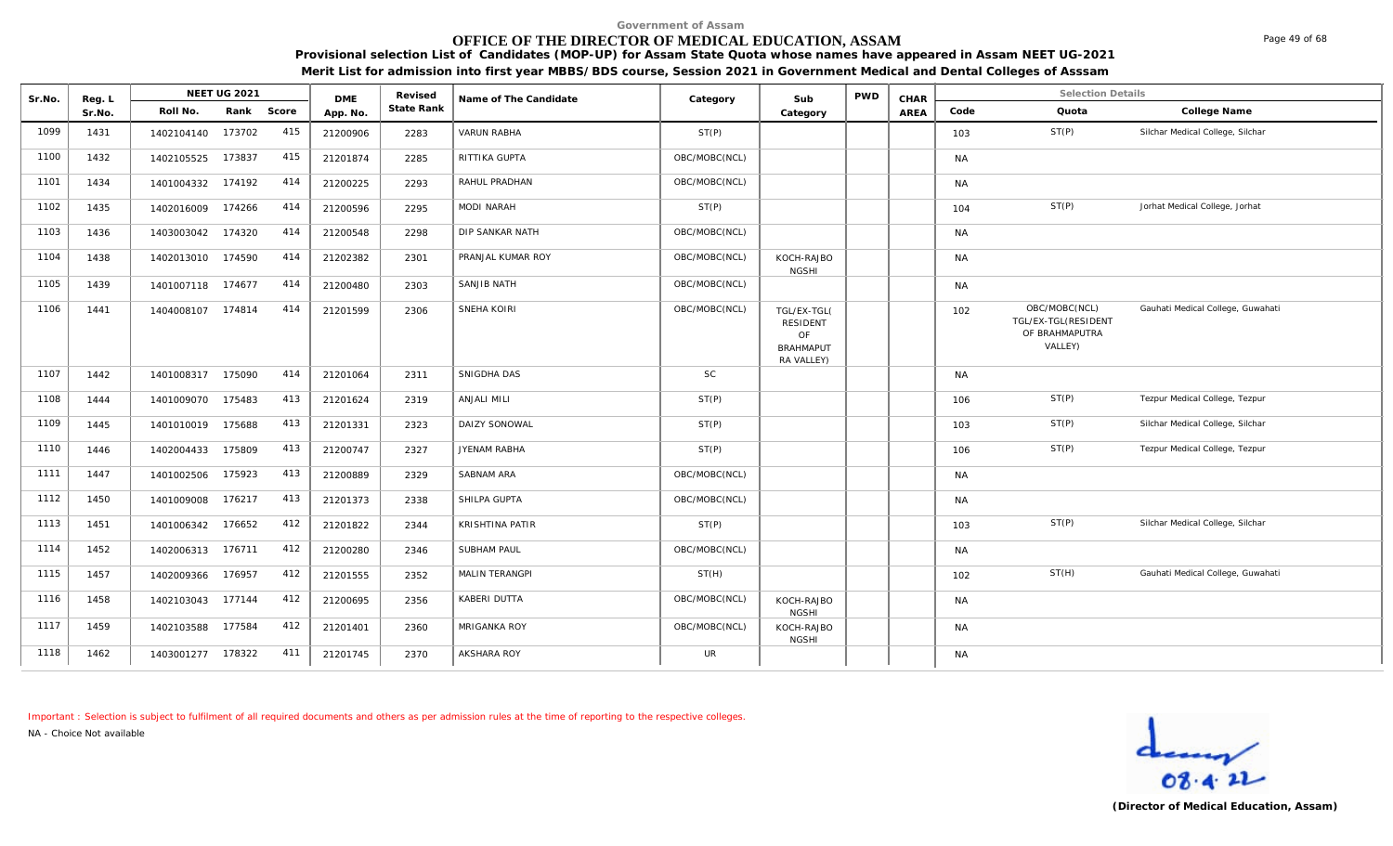# **OFFICE OF THE DIRECTOR OF MEDICAL EDUCATION, ASSAM**

**Provisional selection List of Candidates (MOP-UP) for Assam State Quota whose names have appeared in Assam NEET UG-2021 Merit List for admission into first year MBBS/BDS course, Session 2021 in Government Medical and Dental Colleges of Asssam**

| Sr.No. | Reg. L |                   | <b>NEET UG 2021</b> |       | <b>DME</b> | Revised    | Name of The Candidate  | Category      | Sub                                                                    | <b>PWD</b> | CHAR |           | <b>Selection Details</b>                                          |                                   |
|--------|--------|-------------------|---------------------|-------|------------|------------|------------------------|---------------|------------------------------------------------------------------------|------------|------|-----------|-------------------------------------------------------------------|-----------------------------------|
|        | Sr.No. | Roll No.          | Rank                | Score | App. No.   | State Rank |                        |               | Category                                                               |            | AREA | Code      | Quota                                                             | College Name                      |
| 1099   | 1431   | 1402104140        | 173702              | 415   | 21200906   | 2283       | <b>VARUN RABHA</b>     | ST(P)         |                                                                        |            |      | 103       | ST(P)                                                             | Silchar Medical College, Silchar  |
| 1100   | 1432   | 1402105525        | 173837              | 415   | 21201874   | 2285       | RITTIKA GUPTA          | OBC/MOBC(NCL) |                                                                        |            |      | <b>NA</b> |                                                                   |                                   |
| 1101   | 1434   | 1401004332        | 174192              | 414   | 21200225   | 2293       | RAHUL PRADHAN          | OBC/MOBC(NCL) |                                                                        |            |      | <b>NA</b> |                                                                   |                                   |
| 1102   | 1435   | 1402016009        | 174266              | 414   | 21200596   | 2295       | <b>MODI NARAH</b>      | ST(P)         |                                                                        |            |      | 104       | ST(P)                                                             | Jorhat Medical College, Jorhat    |
| 1103   | 1436   | 1403003042 174320 |                     | 414   | 21200548   | 2298       | DIP SANKAR NATH        | OBC/MOBC(NCL) |                                                                        |            |      | <b>NA</b> |                                                                   |                                   |
| 1104   | 1438   | 1402013010        | 174590              | 414   | 21202382   | 2301       | PRANJAL KUMAR ROY      | OBC/MOBC(NCL) | KOCH-RAJBO<br><b>NGSHI</b>                                             |            |      | <b>NA</b> |                                                                   |                                   |
| 1105   | 1439   | 1401007118        | 174677              | 414   | 21200480   | 2303       | SANJIB NATH            | OBC/MOBC(NCL) |                                                                        |            |      | <b>NA</b> |                                                                   |                                   |
| 1106   | 1441   | 1404008107 174814 |                     | 414   | 21201599   | 2306       | SNEHA KOIRI            | OBC/MOBC(NCL) | TGL/EX-TGL(<br><b>RESIDENT</b><br>OF<br><b>BRAHMAPUT</b><br>RA VALLEY) |            |      | 102       | OBC/MOBC(NCL)<br>TGL/EX-TGL(RESIDENT<br>OF BRAHMAPUTRA<br>VALLEY) | Gauhati Medical College, Guwahati |
| 1107   | 1442   | 1401008317 175090 |                     | 414   | 21201064   | 2311       | SNIGDHA DAS            | <b>SC</b>     |                                                                        |            |      | <b>NA</b> |                                                                   |                                   |
| 1108   | 1444   | 1401009070        | 175483              | 413   | 21201624   | 2319       | ANJALI MILI            | ST(P)         |                                                                        |            |      | 106       | ST(P)                                                             | Tezpur Medical College, Tezpur    |
| 1109   | 1445   | 1401010019        | 175688              | 413   | 21201331   | 2323       | DAIZY SONOWAL          | ST(P)         |                                                                        |            |      | 103       | ST(P)                                                             | Silchar Medical College, Silchar  |
| 1110   | 1446   | 1402004433        | 175809              | 413   | 21200747   | 2327       | JYENAM RABHA           | ST(P)         |                                                                        |            |      | 106       | ST(P)                                                             | Tezpur Medical College, Tezpur    |
| 1111   | 1447   | 1401002506        | 175923              | 413   | 21200889   | 2329       | SABNAM ARA             | OBC/MOBC(NCL) |                                                                        |            |      | <b>NA</b> |                                                                   |                                   |
| 1112   | 1450   | 1401009008 176217 |                     | 413   | 21201373   | 2338       | SHILPA GUPTA           | OBC/MOBC(NCL) |                                                                        |            |      | <b>NA</b> |                                                                   |                                   |
| 1113   | 1451   | 1401006342        | 176652              | 412   | 21201822   | 2344       | <b>KRISHTINA PATIR</b> | ST(P)         |                                                                        |            |      | 103       | ST(P)                                                             | Silchar Medical College, Silchar  |
| 1114   | 1452   | 1402006313        | 176711              | 412   | 21200280   | 2346       | <b>SUBHAM PAUL</b>     | OBC/MOBC(NCL) |                                                                        |            |      | <b>NA</b> |                                                                   |                                   |
| 1115   | 1457   | 1402009366        | 176957              | 412   | 21201555   | 2352       | MALIN TERANGPI         | ST(H)         |                                                                        |            |      | 102       | ST(H)                                                             | Gauhati Medical College, Guwahati |
| 1116   | 1458   | 1402103043        | 177144              | 412   | 21200695   | 2356       | KABERI DUTTA           | OBC/MOBC(NCL) | KOCH-RAJBO<br><b>NGSHI</b>                                             |            |      | <b>NA</b> |                                                                   |                                   |
| 1117   | 1459   | 1402103588        | 177584              | 412   | 21201401   | 2360       | MRIGANKA ROY           | OBC/MOBC(NCL) | KOCH-RAJBO<br><b>NGSHI</b>                                             |            |      | <b>NA</b> |                                                                   |                                   |
| 1118   | 1462   | 1403001277        | 178322              | 411   | 21201745   | 2370       | <b>AKSHARA ROY</b>     | <b>UR</b>     |                                                                        |            |      | <b>NA</b> |                                                                   |                                   |

*Important : Selection is subject to fulfilment of all required documents and others as per admission rules at the time of reporting to the respective colleges.*

*NA - Choice Not available*



Page 49 of 68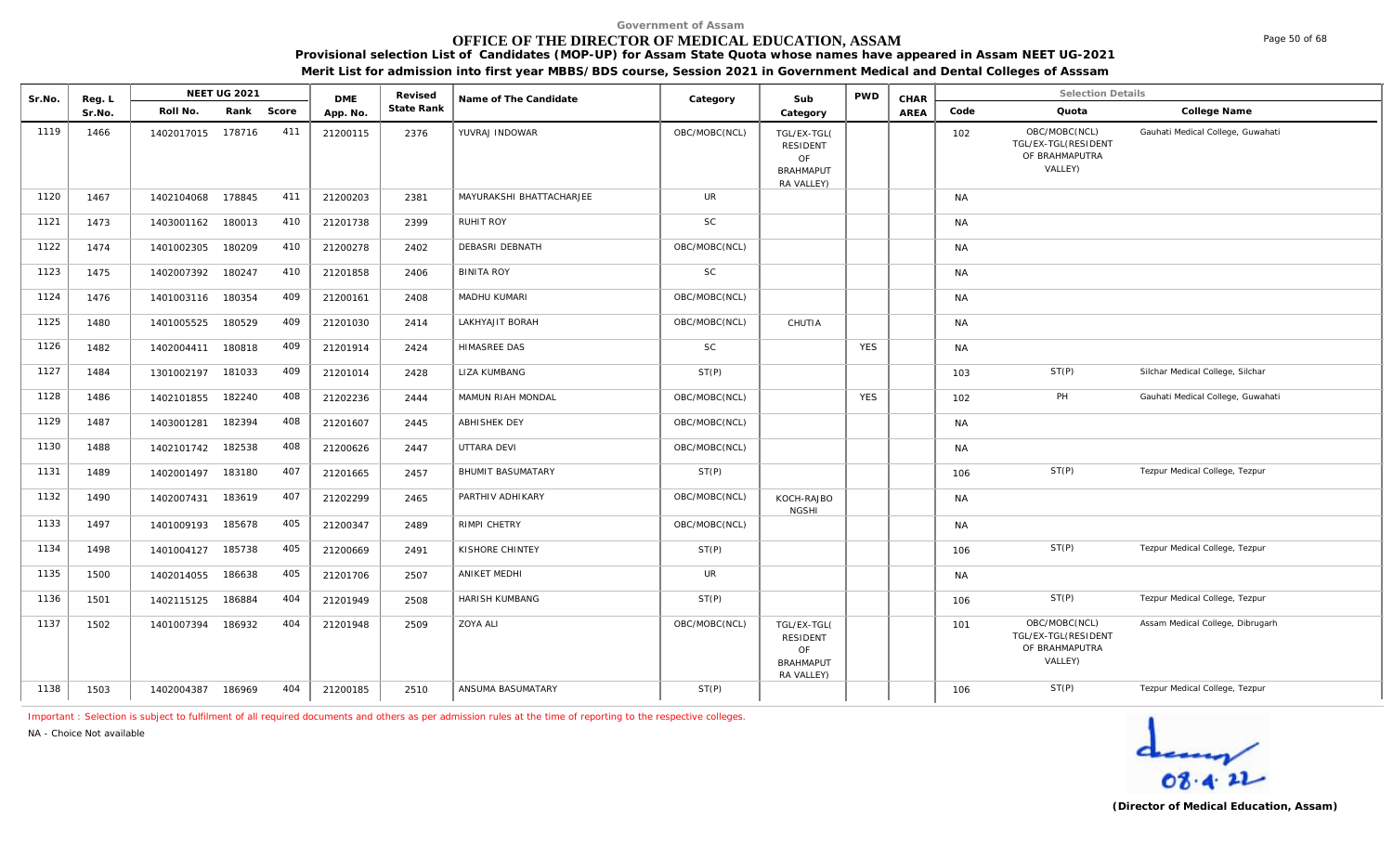# **OFFICE OF THE DIRECTOR OF MEDICAL EDUCATION, ASSAM**

**Provisional selection List of Candidates (MOP-UP) for Assam State Quota whose names have appeared in Assam NEET UG-2021** 

**Merit List for admission into first year MBBS/BDS course, Session 2021 in Government Medical and Dental Colleges of Asssam**

| Sr.No. | Reg. L |            | <b>NEET UG 2021</b> |     | <b>DME</b> | Revised    | Name of The Candidate    | Category      | Sub                                                                    | <b>PWD</b> | CHAR        |           | <b>Selection Details</b>                                          |                                   |
|--------|--------|------------|---------------------|-----|------------|------------|--------------------------|---------------|------------------------------------------------------------------------|------------|-------------|-----------|-------------------------------------------------------------------|-----------------------------------|
|        | Sr.No. | Roll No.   | Rank Score          |     | App. No.   | State Rank |                          |               | Category                                                               |            | <b>AREA</b> | Code      | Quota                                                             | College Name                      |
| 1119   | 1466   | 1402017015 | 178716              | 411 | 21200115   | 2376       | YUVRAJ INDOWAR           | OBC/MOBC(NCL) | TGL/EX-TGL(<br><b>RESIDENT</b><br>OF<br><b>BRAHMAPUT</b><br>RA VALLEY) |            |             | 102       | OBC/MOBC(NCL)<br>TGL/EX-TGL(RESIDENT<br>OF BRAHMAPUTRA<br>VALLEY) | Gauhati Medical College, Guwahati |
| 1120   | 1467   | 1402104068 | 178845              | 411 | 21200203   | 2381       | MAYURAKSHI BHATTACHARJEE | <b>UR</b>     |                                                                        |            |             | <b>NA</b> |                                                                   |                                   |
| 1121   | 1473   | 1403001162 | 180013              | 410 | 21201738   | 2399       | <b>RUHIT ROY</b>         | <b>SC</b>     |                                                                        |            |             | <b>NA</b> |                                                                   |                                   |
| 1122   | 1474   | 1401002305 | 180209              | 410 | 21200278   | 2402       | <b>DEBASRI DEBNATH</b>   | OBC/MOBC(NCL) |                                                                        |            |             | <b>NA</b> |                                                                   |                                   |
| 1123   | 1475   | 1402007392 | 180247              | 410 | 21201858   | 2406       | <b>BINITA ROY</b>        | SC            |                                                                        |            |             | NA        |                                                                   |                                   |
| 1124   | 1476   | 1401003116 | 180354              | 409 | 21200161   | 2408       | MADHU KUMARI             | OBC/MOBC(NCL) |                                                                        |            |             | <b>NA</b> |                                                                   |                                   |
| 1125   | 1480   | 1401005525 | 180529              | 409 | 21201030   | 2414       | LAKHYAJIT BORAH          | OBC/MOBC(NCL) | CHUTIA                                                                 |            |             | <b>NA</b> |                                                                   |                                   |
| 1126   | 1482   | 1402004411 | 180818              | 409 | 21201914   | 2424       | <b>HIMASREE DAS</b>      | SC            |                                                                        | <b>YES</b> |             | <b>NA</b> |                                                                   |                                   |
| 1127   | 1484   | 1301002197 | 181033              | 409 | 21201014   | 2428       | LIZA KUMBANG             | ST(P)         |                                                                        |            |             | 103       | ST(P)                                                             | Silchar Medical College, Silchar  |
| 1128   | 1486   | 1402101855 | 182240              | 408 | 21202236   | 2444       | MAMUN RIAH MONDAL        | OBC/MOBC(NCL) |                                                                        | <b>YES</b> |             | 102       | PH                                                                | Gauhati Medical College, Guwahati |
| 1129   | 1487   | 1403001281 | 182394              | 408 | 21201607   | 2445       | <b>ABHISHEK DEY</b>      | OBC/MOBC(NCL) |                                                                        |            |             | <b>NA</b> |                                                                   |                                   |
| 1130   | 1488   | 1402101742 | 182538              | 408 | 21200626   | 2447       | UTTARA DEVI              | OBC/MOBC(NCL) |                                                                        |            |             | <b>NA</b> |                                                                   |                                   |
| 1131   | 1489   | 1402001497 | 183180              | 407 | 21201665   | 2457       | <b>BHUMIT BASUMATARY</b> | ST(P)         |                                                                        |            |             | 106       | ST(P)                                                             | Tezpur Medical College, Tezpur    |
| 1132   | 1490   | 1402007431 | 183619              | 407 | 21202299   | 2465       | PARTHIV ADHIKARY         | OBC/MOBC(NCL) | KOCH-RAJBO<br><b>NGSHI</b>                                             |            |             | <b>NA</b> |                                                                   |                                   |
| 1133   | 1497   | 1401009193 | 185678              | 405 | 21200347   | 2489       | RIMPI CHETRY             | OBC/MOBC(NCL) |                                                                        |            |             | <b>NA</b> |                                                                   |                                   |
| 1134   | 1498   | 1401004127 | 185738              | 405 | 21200669   | 2491       | KISHORE CHINTEY          | ST(P)         |                                                                        |            |             | 106       | ST(P)                                                             | Tezpur Medical College, Tezpur    |
| 1135   | 1500   | 1402014055 | 186638              | 405 | 21201706   | 2507       | ANIKET MEDHI             | UR            |                                                                        |            |             | <b>NA</b> |                                                                   |                                   |
| 1136   | 1501   | 1402115125 | 186884              | 404 | 21201949   | 2508       | <b>HARISH KUMBANG</b>    | ST(P)         |                                                                        |            |             | 106       | ST(P)                                                             | Tezpur Medical College, Tezpur    |
| 1137   | 1502   | 1401007394 | 186932              | 404 | 21201948   | 2509       | <b>ZOYA ALI</b>          | OBC/MOBC(NCL) | TGL/EX-TGL(<br><b>RESIDENT</b><br>OF<br><b>BRAHMAPUT</b><br>RA VALLEY) |            |             | 101       | OBC/MOBC(NCL)<br>TGL/EX-TGL(RESIDENT<br>OF BRAHMAPUTRA<br>VALLEY) | Assam Medical College, Dibrugarh  |
| 1138   | 1503   | 1402004387 | 186969              | 404 | 21200185   | 2510       | ANSUMA BASUMATARY        | ST(P)         |                                                                        |            |             | 106       | ST(P)                                                             | Tezpur Medical College, Tezpur    |

*Important : Selection is subject to fulfilment of all required documents and others as per admission rules at the time of reporting to the respective colleges.*

*NA - Choice Not available*



Page 50 of 68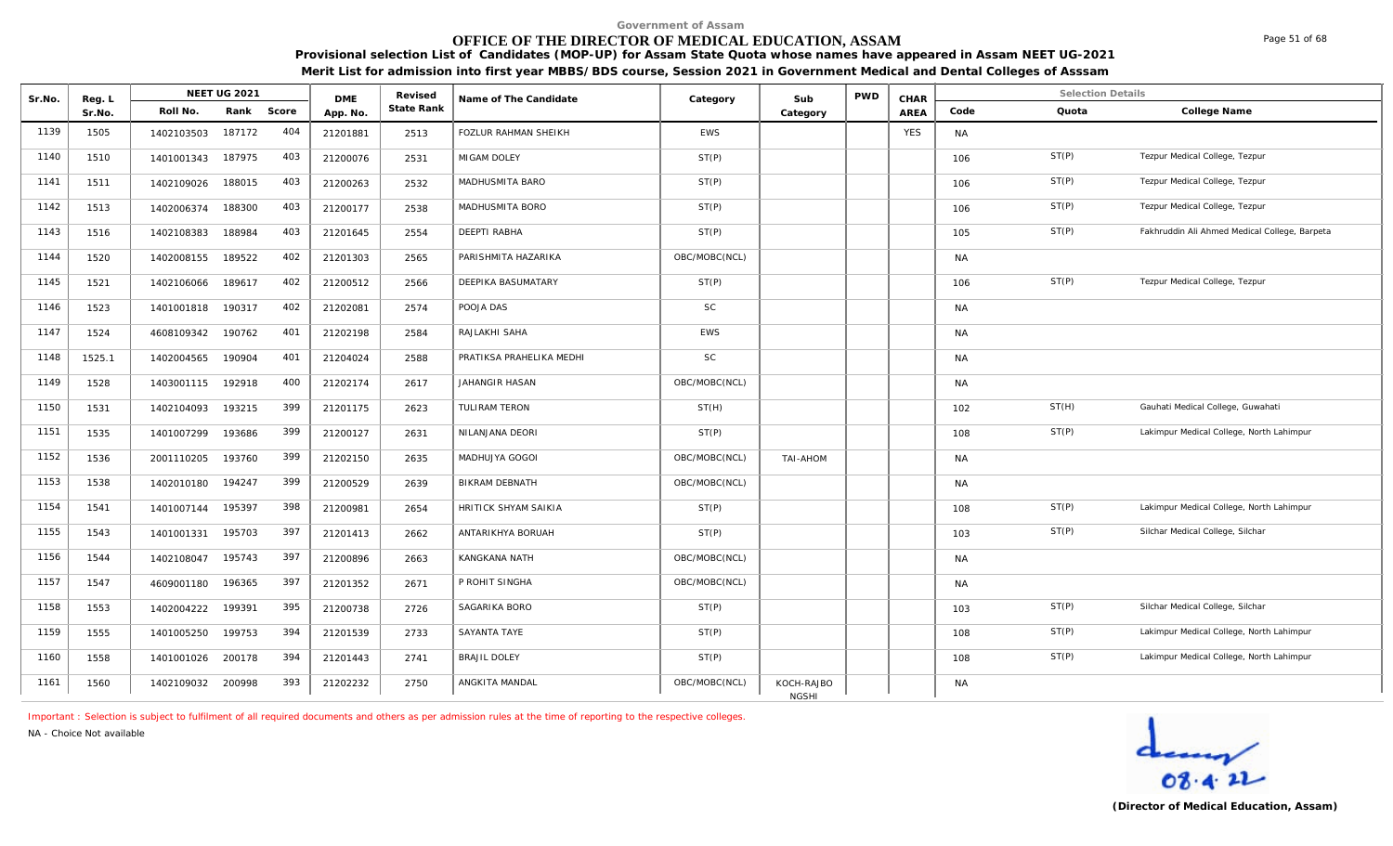# **OFFICE OF THE DIRECTOR OF MEDICAL EDUCATION, ASSAM**

**Provisional selection List of Candidates (MOP-UP) for Assam State Quota whose names have appeared in Assam NEET UG-2021 Merit List for admission into first year MBBS/BDS course, Session 2021 in Government Medical and Dental Colleges of Asssam**

| Sr.No. | Reg. L |            | <b>NEET UG 2021</b> |       | <b>DMF</b> | Revised    | Name of The Candidate    | Category      | Sub                        | <b>PWD</b> | CHAR       |           | <b>Selection Details</b> |                                               |
|--------|--------|------------|---------------------|-------|------------|------------|--------------------------|---------------|----------------------------|------------|------------|-----------|--------------------------|-----------------------------------------------|
|        | Sr.No. | Roll No.   | Rank                | Score | App. No.   | State Rank |                          |               | Category                   |            | AREA       | Code      | Quota                    | College Name                                  |
| 1139   | 1505   | 1402103503 | 187172              | 404   | 21201881   | 2513       | FOZLUR RAHMAN SHEIKH     | <b>EWS</b>    |                            |            | <b>YES</b> | <b>NA</b> |                          |                                               |
| 1140   | 1510   | 1401001343 | 187975              | 403   | 21200076   | 2531       | MIGAM DOLEY              | ST(P)         |                            |            |            | 106       | ST(P)                    | Tezpur Medical College, Tezpur                |
| 1141   | 1511   | 1402109026 | 188015              | 403   | 21200263   | 2532       | MADHUSMITA BARO          | ST(P)         |                            |            |            | 106       | ST(P)                    | Tezpur Medical College, Tezpur                |
| 1142   | 1513   | 1402006374 | 188300              | 403   | 21200177   | 2538       | MADHUSMITA BORO          | ST(P)         |                            |            |            | 106       | ST(P)                    | Tezpur Medical College, Tezpur                |
| 1143   | 1516   | 1402108383 | 188984              | 403   | 21201645   | 2554       | DEEPTI RABHA             | ST(P)         |                            |            |            | 105       | ST(P)                    | Fakhruddin Ali Ahmed Medical College, Barpeta |
| 1144   | 1520   | 1402008155 | 189522              | 402   | 21201303   | 2565       | PARISHMITA HAZARIKA      | OBC/MOBC(NCL) |                            |            |            | <b>NA</b> |                          |                                               |
| 1145   | 1521   | 1402106066 | 189617              | 402   | 21200512   | 2566       | DEEPIKA BASUMATARY       | ST(P)         |                            |            |            | 106       | ST(P)                    | Tezpur Medical College, Tezpur                |
| 1146   | 1523   | 1401001818 | 190317              | 402   | 21202081   | 2574       | POOJA DAS                | <b>SC</b>     |                            |            |            | <b>NA</b> |                          |                                               |
| 1147   | 1524   | 4608109342 | 190762              | 401   | 21202198   | 2584       | RAJLAKHI SAHA            | EWS           |                            |            |            | <b>NA</b> |                          |                                               |
| 1148   | 1525.1 | 1402004565 | 190904              | 401   | 21204024   | 2588       | PRATIKSA PRAHELIKA MEDHI | <b>SC</b>     |                            |            |            | <b>NA</b> |                          |                                               |
| 1149   | 1528   | 1403001115 | 192918              | 400   | 21202174   | 2617       | JAHANGIR HASAN           | OBC/MOBC(NCL) |                            |            |            | <b>NA</b> |                          |                                               |
| 1150   | 1531   | 1402104093 | 193215              | 399   | 21201175   | 2623       | TULIRAM TERON            | ST(H)         |                            |            |            | 102       | ST(H)                    | Gauhati Medical College, Guwahati             |
| 1151   | 1535   | 1401007299 | 193686              | 399   | 21200127   | 2631       | NILANJANA DEORI          | ST(P)         |                            |            |            | 108       | ST(P)                    | Lakimpur Medical College, North Lahimpur      |
| 1152   | 1536   | 2001110205 | 193760              | 399   | 21202150   | 2635       | MADHUJYA GOGOI           | OBC/MOBC(NCL) | TAI-AHOM                   |            |            | <b>NA</b> |                          |                                               |
| 1153   | 1538   | 1402010180 | 194247              | 399   | 21200529   | 2639       | <b>BIKRAM DEBNATH</b>    | OBC/MOBC(NCL) |                            |            |            | <b>NA</b> |                          |                                               |
| 1154   | 1541   | 1401007144 | 195397              | 398   | 21200981   | 2654       | HRITICK SHYAM SAIKIA     | ST(P)         |                            |            |            | 108       | ST(P)                    | Lakimpur Medical College, North Lahimpur      |
| 1155   | 1543   | 1401001331 | 195703              | 397   | 21201413   | 2662       | ANTARIKHYA BORUAH        | ST(P)         |                            |            |            | 103       | ST(P)                    | Silchar Medical College, Silchar              |
| 1156   | 1544   | 1402108047 | 195743              | 397   | 21200896   | 2663       | <b>KANGKANA NATH</b>     | OBC/MOBC(NCL) |                            |            |            | <b>NA</b> |                          |                                               |
| 1157   | 1547   | 4609001180 | 196365              | 397   | 21201352   | 2671       | P ROHIT SINGHA           | OBC/MOBC(NCL) |                            |            |            | <b>NA</b> |                          |                                               |
| 1158   | 1553   | 1402004222 | 199391              | 395   | 21200738   | 2726       | SAGARIKA BORO            | ST(P)         |                            |            |            | 103       | ST(P)                    | Silchar Medical College, Silchar              |
| 1159   | 1555   | 1401005250 | 199753              | 394   | 21201539   | 2733       | SAYANTA TAYE             | ST(P)         |                            |            |            | 108       | ST(P)                    | Lakimpur Medical College, North Lahimpur      |
| 1160   | 1558   | 1401001026 | 200178              | 394   | 21201443   | 2741       | <b>BRAJIL DOLEY</b>      | ST(P)         |                            |            |            | 108       | ST(P)                    | Lakimpur Medical College, North Lahimpur      |
| 1161   | 1560   | 1402109032 | 200998              | 393   | 21202232   | 2750       | ANGKITA MANDAL           | OBC/MOBC(NCL) | KOCH-RAJBO<br><b>NGSHI</b> |            |            | <b>NA</b> |                          |                                               |

*Important : Selection is subject to fulfilment of all required documents and others as per admission rules at the time of reporting to the respective colleges.*

*NA - Choice Not available*

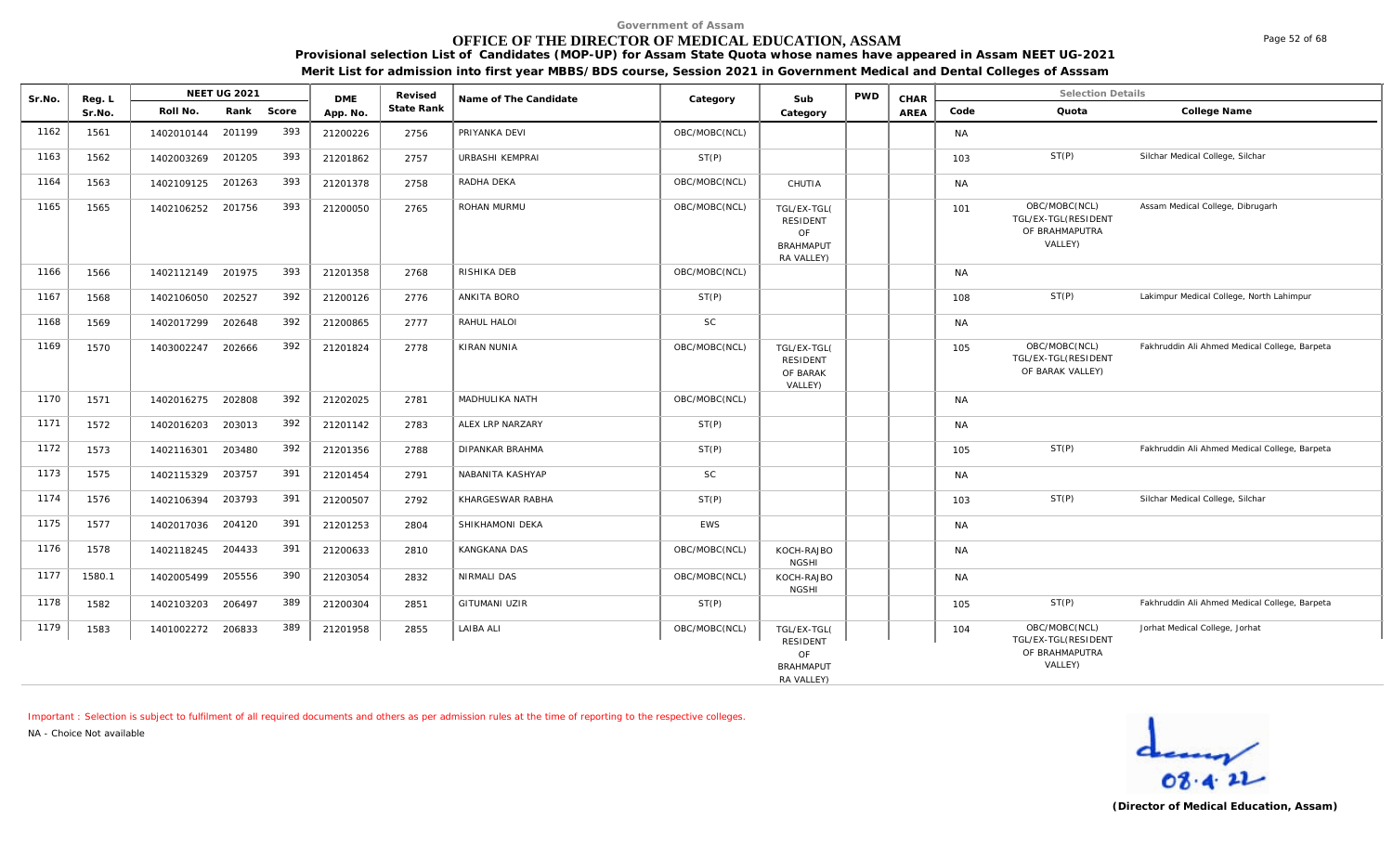# **OFFICE OF THE DIRECTOR OF MEDICAL EDUCATION, ASSAM**

**Provisional selection List of Candidates (MOP-UP) for Assam State Quota whose names have appeared in Assam NEET UG-2021 Merit List for admission into first year MBBS/BDS course, Session 2021 in Government Medical and Dental Colleges of Asssam**

| Sr.No. | Reg. L |            | <b>NEET UG 2021</b> |            | <b>DMF</b> | Revised    | Name of The Candidate | Category      | Sub                                                                    | <b>PWD</b> | CHAR |           | Selection Details                                                 |                                               |
|--------|--------|------------|---------------------|------------|------------|------------|-----------------------|---------------|------------------------------------------------------------------------|------------|------|-----------|-------------------------------------------------------------------|-----------------------------------------------|
|        | Sr.No. | Roll No.   |                     | Rank Score | App. No.   | State Rank |                       |               | Category                                                               |            | AREA | Code      | Quota                                                             | College Name                                  |
| 1162   | 1561   | 1402010144 | 201199              | 393        | 21200226   | 2756       | PRIYANKA DEVI         | OBC/MOBC(NCL) |                                                                        |            |      | <b>NA</b> |                                                                   |                                               |
| 1163   | 1562   | 1402003269 | 201205              | 393        | 21201862   | 2757       | URBASHI KEMPRAI       | ST(P)         |                                                                        |            |      | 103       | ST(P)                                                             | Silchar Medical College, Silchar              |
| 1164   | 1563   | 1402109125 | 201263              | 393        | 21201378   | 2758       | RADHA DEKA            | OBC/MOBC(NCL) | CHUTIA                                                                 |            |      | <b>NA</b> |                                                                   |                                               |
| 1165   | 1565   | 1402106252 | 201756              | 393        | 21200050   | 2765       | ROHAN MURMU           | OBC/MOBC(NCL) | TGL/EX-TGL(<br><b>RESIDENT</b><br>OF<br><b>BRAHMAPUT</b><br>RA VALLEY) |            |      | 101       | OBC/MOBC(NCL)<br>TGL/EX-TGL(RESIDENT<br>OF BRAHMAPUTRA<br>VALLEY) | Assam Medical College, Dibrugarh              |
| 1166   | 1566   | 1402112149 | 201975              | 393        | 21201358   | 2768       | RISHIKA DEB           | OBC/MOBC(NCL) |                                                                        |            |      | <b>NA</b> |                                                                   |                                               |
| 1167   | 1568   | 1402106050 | 202527              | 392        | 21200126   | 2776       | <b>ANKITA BORO</b>    | ST(P)         |                                                                        |            |      | 108       | ST(P)                                                             | Lakimpur Medical College, North Lahimpur      |
| 1168   | 1569   | 1402017299 | 202648              | 392        | 21200865   | 2777       | RAHUL HALOI           | <b>SC</b>     |                                                                        |            |      | <b>NA</b> |                                                                   |                                               |
| 1169   | 1570   | 1403002247 | 202666              | 392        | 21201824   | 2778       | KIRAN NUNIA           | OBC/MOBC(NCL) | TGL/EX-TGL(<br><b>RESIDENT</b><br>OF BARAK<br>VALLEY)                  |            |      | 105       | OBC/MOBC(NCL)<br>TGL/EX-TGL(RESIDENT<br>OF BARAK VALLEY)          | Fakhruddin Ali Ahmed Medical College, Barpeta |
| 1170   | 1571   | 1402016275 | 202808              | 392        | 21202025   | 2781       | MADHULIKA NATH        | OBC/MOBC(NCL) |                                                                        |            |      | <b>NA</b> |                                                                   |                                               |
| 1171   | 1572   | 1402016203 | 203013              | 392        | 21201142   | 2783       | ALEX LRP NARZARY      | ST(P)         |                                                                        |            |      | <b>NA</b> |                                                                   |                                               |
| 1172   | 1573   | 1402116301 | 203480              | 392        | 21201356   | 2788       | DIPANKAR BRAHMA       | ST(P)         |                                                                        |            |      | 105       | ST(P)                                                             | Fakhruddin Ali Ahmed Medical College, Barpeta |
| 1173   | 1575   | 1402115329 | 203757              | 391        | 21201454   | 2791       | NABANITA KASHYAP      | <b>SC</b>     |                                                                        |            |      | <b>NA</b> |                                                                   |                                               |
| 1174   | 1576   | 1402106394 | 203793              | 391        | 21200507   | 2792       | KHARGESWAR RABHA      | ST(P)         |                                                                        |            |      | 103       | ST(P)                                                             | Silchar Medical College, Silchar              |
| 1175   | 1577   | 1402017036 | 204120              | 391        | 21201253   | 2804       | SHIKHAMONI DEKA       | <b>EWS</b>    |                                                                        |            |      | <b>NA</b> |                                                                   |                                               |
| 1176   | 1578   | 1402118245 | 204433              | 391        | 21200633   | 2810       | <b>KANGKANA DAS</b>   | OBC/MOBC(NCL) | KOCH-RAJBO<br><b>NGSHI</b>                                             |            |      | <b>NA</b> |                                                                   |                                               |
| 1177   | 1580.1 | 1402005499 | 205556              | 390        | 21203054   | 2832       | NIRMALI DAS           | OBC/MOBC(NCL) | KOCH-RAJBO<br><b>NGSHI</b>                                             |            |      | <b>NA</b> |                                                                   |                                               |
| 1178   | 1582   | 1402103203 | 206497              | 389        | 21200304   | 2851       | GITUMANI UZIR         | ST(P)         |                                                                        |            |      | 105       | ST(P)                                                             | Fakhruddin Ali Ahmed Medical College, Barpeta |
| 1179   | 1583   | 1401002272 | 206833              | 389        | 21201958   | 2855       | LAIBA ALI             | OBC/MOBC(NCL) | TGL/EX-TGL(<br><b>RESIDENT</b><br>OF<br><b>BRAHMAPUT</b>               |            |      | 104       | OBC/MOBC(NCL)<br>TGL/EX-TGL(RESIDENT<br>OF BRAHMAPUTRA<br>VALLEY) | Jorhat Medical College, Jorhat                |
|        |        |            |                     |            |            |            |                       |               | RA VALLEY)                                                             |            |      |           |                                                                   |                                               |

*Important : Selection is subject to fulfilment of all required documents and others as per admission rules at the time of reporting to the respective colleges.*

*NA - Choice Not available*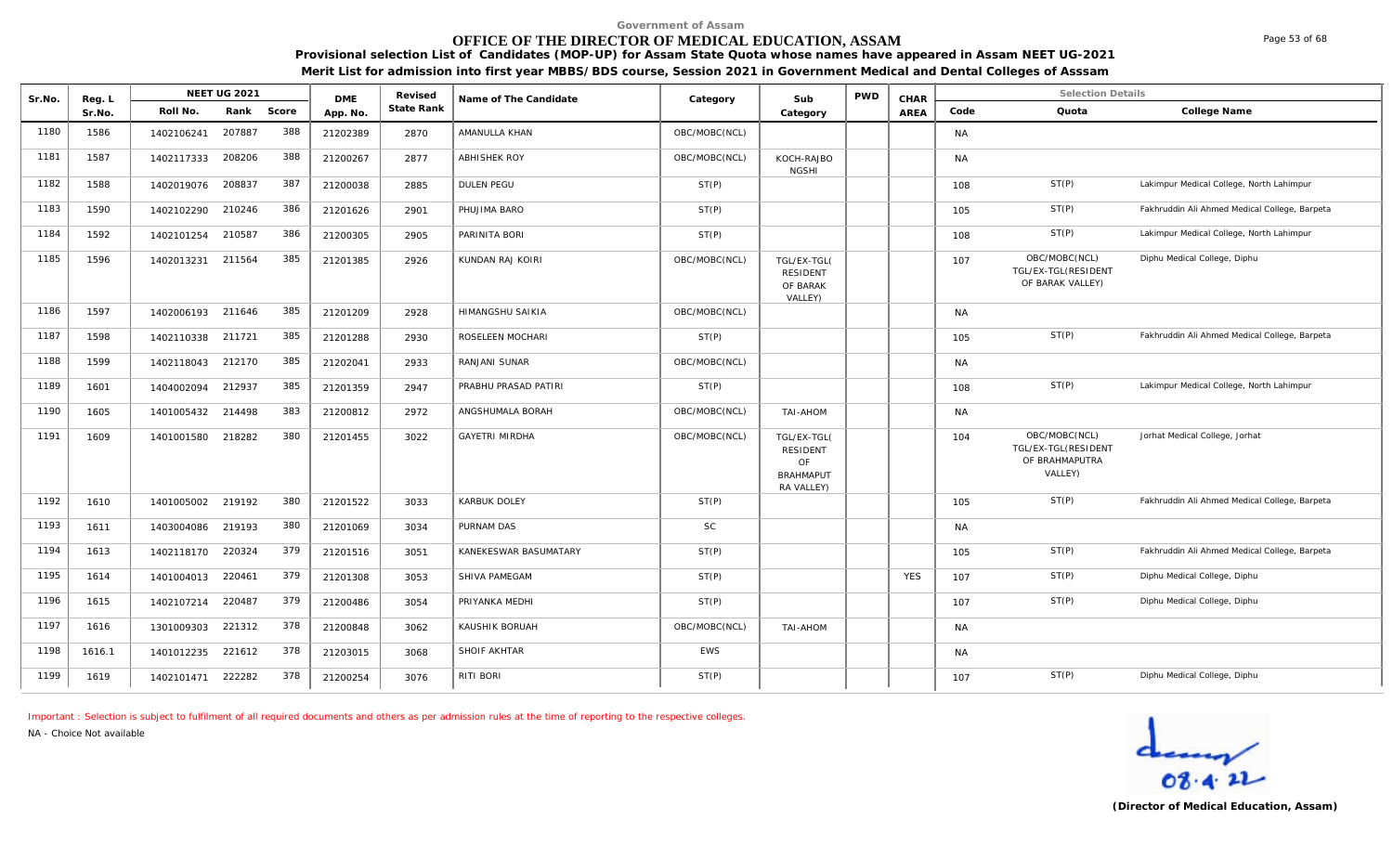# **OFFICE OF THE DIRECTOR OF MEDICAL EDUCATION, ASSAM**

**Provisional selection List of Candidates (MOP-UP) for Assam State Quota whose names have appeared in Assam NEET UG-2021 Merit List for admission into first year MBBS/BDS course, Session 2021 in Government Medical and Dental Colleges of Asssam**

| Sr.No. | Reg. L | <b>NEET UG 2021</b>         | <b>DME</b> | Revised    | Name of The Candidate   | Category      | Sub                                                                    | <b>PWD</b> | CHAR       |           | <b>Selection Details</b>                                          |                                               |
|--------|--------|-----------------------------|------------|------------|-------------------------|---------------|------------------------------------------------------------------------|------------|------------|-----------|-------------------------------------------------------------------|-----------------------------------------------|
|        | Sr.No. | Rank<br>Score<br>Roll No.   | App. No.   | State Rank |                         |               | Category                                                               |            | AREA       | Code      | Quota                                                             | College Name                                  |
| 1180   | 1586   | 388<br>207887<br>1402106241 | 21202389   | 2870       | AMANULLA KHAN           | OBC/MOBC(NCL) |                                                                        |            |            | <b>NA</b> |                                                                   |                                               |
| 1181   | 1587   | 388<br>208206<br>1402117333 | 21200267   | 2877       | <b>ABHISHEK ROY</b>     | OBC/MOBC(NCL) | KOCH-RAJBO<br><b>NGSHI</b>                                             |            |            | <b>NA</b> |                                                                   |                                               |
| 1182   | 1588   | 387<br>1402019076<br>208837 | 21200038   | 2885       | DULEN PEGU              | ST(P)         |                                                                        |            |            | 108       | ST(P)                                                             | Lakimpur Medical College, North Lahimpur      |
| 1183   | 1590   | 386<br>210246<br>1402102290 | 21201626   | 2901       | PHUJIMA BARO            | ST(P)         |                                                                        |            |            | 105       | ST(P)                                                             | Fakhruddin Ali Ahmed Medical College, Barpeta |
| 1184   | 1592   | 386<br>210587<br>1402101254 | 21200305   | 2905       | PARINITA BORI           | ST(P)         |                                                                        |            |            | 108       | ST(P)                                                             | Lakimpur Medical College, North Lahimpur      |
| 1185   | 1596   | 385<br>211564<br>1402013231 | 21201385   | 2926       | KUNDAN RAJ KOIRI        | OBC/MOBC(NCL) | TGL/EX-TGL(<br><b>RESIDENT</b><br>OF BARAK<br>VALLEY)                  |            |            | 107       | OBC/MOBC(NCL)<br>TGL/EX-TGL(RESIDENT<br>OF BARAK VALLEY)          | Diphu Medical College, Diphu                  |
| 1186   | 1597   | 385<br>211646<br>1402006193 | 21201209   | 2928       | <b>HIMANGSHU SAIKIA</b> | OBC/MOBC(NCL) |                                                                        |            |            | <b>NA</b> |                                                                   |                                               |
| 1187   | 1598   | 385<br>211721<br>1402110338 | 21201288   | 2930       | ROSELEEN MOCHARI        | ST(P)         |                                                                        |            |            | 105       | ST(P)                                                             | Fakhruddin Ali Ahmed Medical College, Barpeta |
| 1188   | 1599   | 385<br>1402118043<br>212170 | 21202041   | 2933       | RANJANI SUNAR           | OBC/MOBC(NCL) |                                                                        |            |            | <b>NA</b> |                                                                   |                                               |
| 1189   | 1601   | 385<br>212937<br>1404002094 | 21201359   | 2947       | PRABHU PRASAD PATIRI    | ST(P)         |                                                                        |            |            | 108       | ST(P)                                                             | Lakimpur Medical College, North Lahimpur      |
| 1190   | 1605   | 383<br>214498<br>1401005432 | 21200812   | 2972       | ANGSHUMALA BORAH        | OBC/MOBC(NCL) | <b>NOHA-IAT</b>                                                        |            |            | <b>NA</b> |                                                                   |                                               |
| 1191   | 1609   | 380<br>218282<br>1401001580 | 21201455   | 3022       | <b>GAYETRI MIRDHA</b>   | OBC/MOBC(NCL) | TGL/EX-TGL(<br><b>RESIDENT</b><br>OF<br><b>BRAHMAPUT</b><br>RA VALLEY) |            |            | 104       | OBC/MOBC(NCL)<br>TGL/EX-TGL(RESIDENT<br>OF BRAHMAPUTRA<br>VALLEY) | Jorhat Medical College, Jorhat                |
| 1192   | 1610   | 380<br>219192<br>1401005002 | 21201522   | 3033       | <b>KARBUK DOLEY</b>     | ST(P)         |                                                                        |            |            | 105       | ST(P)                                                             | Fakhruddin Ali Ahmed Medical College, Barpeta |
| 1193   | 1611   | 380<br>219193<br>1403004086 | 21201069   | 3034       | PURNAM DAS              | <b>SC</b>     |                                                                        |            |            | <b>NA</b> |                                                                   |                                               |
| 1194   | 1613   | 379<br>220324<br>1402118170 | 21201516   | 3051       | KANEKESWAR BASUMATARY   | ST(P)         |                                                                        |            |            | 105       | ST(P)                                                             | Fakhruddin Ali Ahmed Medical College, Barpeta |
| 1195   | 1614   | 379<br>220461<br>1401004013 | 21201308   | 3053       | SHIVA PAMEGAM           | ST(P)         |                                                                        |            | <b>YES</b> | 107       | ST(P)                                                             | Diphu Medical College, Diphu                  |
| 1196   | 1615   | 379<br>220487<br>1402107214 | 21200486   | 3054       | PRIYANKA MEDHI          | ST(P)         |                                                                        |            |            | 107       | ST(P)                                                             | Diphu Medical College, Diphu                  |
| 1197   | 1616   | 378<br>221312<br>1301009303 | 21200848   | 3062       | KAUSHIK BORUAH          | OBC/MOBC(NCL) | <b>NOHA-IAT</b>                                                        |            |            | <b>NA</b> |                                                                   |                                               |
| 1198   | 1616.1 | 378<br>1401012235<br>221612 | 21203015   | 3068       | SHOIF AKHTAR            | EWS           |                                                                        |            |            | <b>NA</b> |                                                                   |                                               |
| 1199   | 1619   | 378<br>1402101471 222282    | 21200254   | 3076       | RITI BORI               | ST(P)         |                                                                        |            |            | 107       | ST(P)                                                             | Diphu Medical College, Diphu                  |

*Important : Selection is subject to fulfilment of all required documents and others as per admission rules at the time of reporting to the respective colleges.*

*NA - Choice Not available*

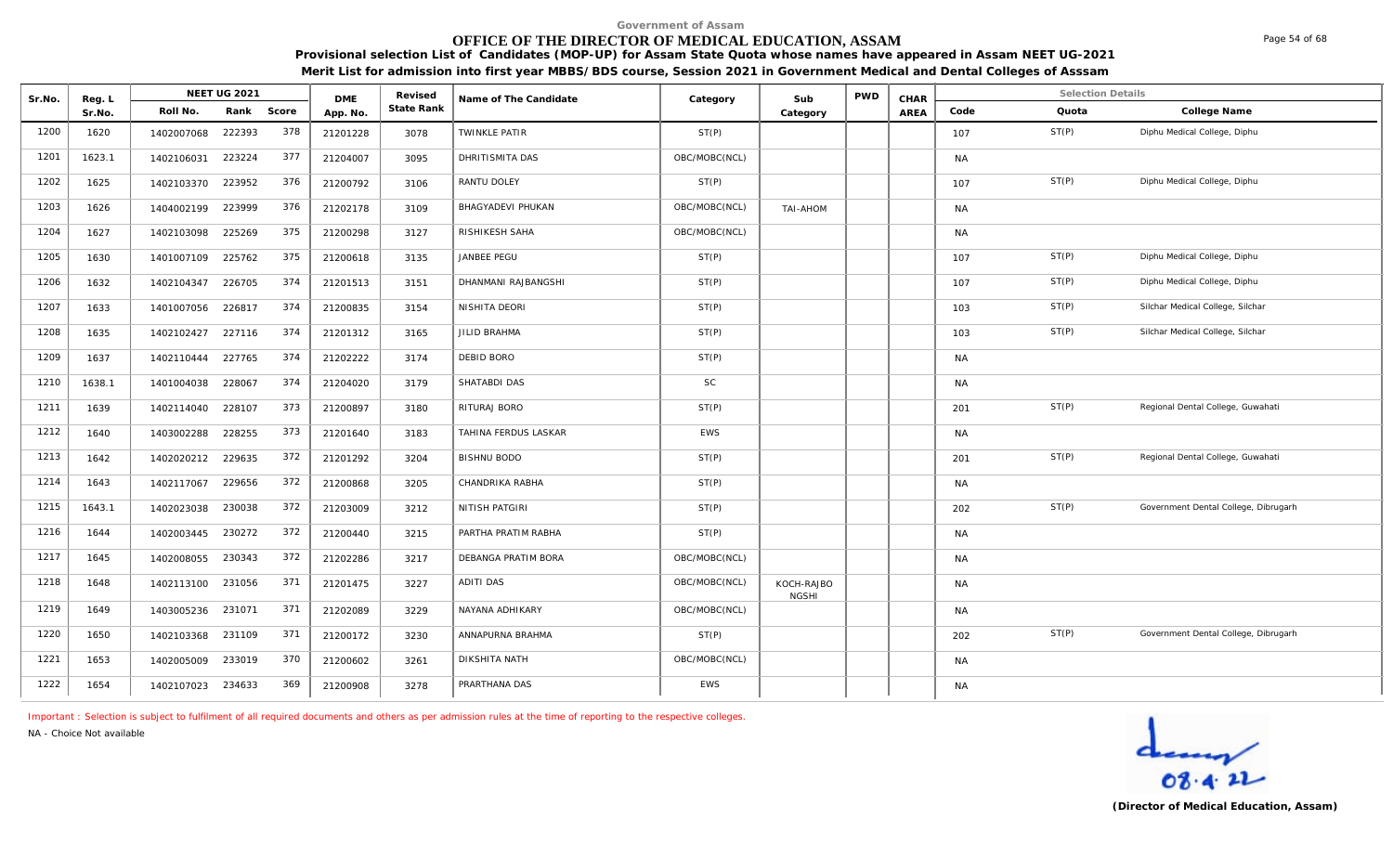# **OFFICE OF THE DIRECTOR OF MEDICAL EDUCATION, ASSAM**

**Provisional selection List of Candidates (MOP-UP) for Assam State Quota whose names have appeared in Assam NEET UG-2021 Merit List for admission into first year MBBS/BDS course, Session 2021 in Government Medical and Dental Colleges of Asssam**

| Sr.No. | Reg. L | NEET UG 2021      |        |       | <b>DME</b> | Revised    | Name of The Candidate | Category      | Sub                        | <b>PWD</b> | CHAR |           | <b>Selection Details</b> |                                      |
|--------|--------|-------------------|--------|-------|------------|------------|-----------------------|---------------|----------------------------|------------|------|-----------|--------------------------|--------------------------------------|
|        | Sr.No. | Roll No.          | Rank   | Score | App. No.   | State Rank |                       |               | Category                   |            | AREA | Code      | Quota                    | College Name                         |
| 1200   | 1620   | 1402007068        | 222393 | 378   | 21201228   | 3078       | <b>TWINKLE PATIR</b>  | ST(P)         |                            |            |      | 107       | ST(P)                    | Diphu Medical College, Diphu         |
| 1201   | 1623.1 | 1402106031        | 223224 | 377   | 21204007   | 3095       | DHRITISMITA DAS       | OBC/MOBC(NCL) |                            |            |      | <b>NA</b> |                          |                                      |
| 1202   | 1625   | 1402103370        | 223952 | 376   | 21200792   | 3106       | RANTU DOLEY           | ST(P)         |                            |            |      | 107       | ST(P)                    | Diphu Medical College, Diphu         |
| 1203   | 1626   | 1404002199        | 223999 | 376   | 21202178   | 3109       | BHAGYADEVI PHUKAN     | OBC/MOBC(NCL) | TAI-AHOM                   |            |      | <b>NA</b> |                          |                                      |
| 1204   | 1627   | 1402103098        | 225269 | 375   | 21200298   | 3127       | RISHIKESH SAHA        | OBC/MOBC(NCL) |                            |            |      | <b>NA</b> |                          |                                      |
| 1205   | 1630   | 1401007109        | 225762 | 375   | 21200618   | 3135       | JANBEE PEGU           | ST(P)         |                            |            |      | 107       | ST(P)                    | Diphu Medical College, Diphu         |
| 1206   | 1632   | 1402104347        | 226705 | 374   | 21201513   | 3151       | DHANMANI RAJBANGSHI   | ST(P)         |                            |            |      | 107       | ST(P)                    | Diphu Medical College, Diphu         |
| 1207   | 1633   | 1401007056        | 226817 | 374   | 21200835   | 3154       | NISHITA DEORI         | ST(P)         |                            |            |      | 103       | ST(P)                    | Silchar Medical College, Silchar     |
| 1208   | 1635   | 1402102427        | 227116 | 374   | 21201312   | 3165       | JILID BRAHMA          | ST(P)         |                            |            |      | 103       | ST(P)                    | Silchar Medical College, Silchar     |
| 1209   | 1637   | 1402110444 227765 |        | 374   | 21202222   | 3174       | <b>DEBID BORO</b>     | ST(P)         |                            |            |      | <b>NA</b> |                          |                                      |
| 1210   | 1638.1 | 1401004038        | 228067 | 374   | 21204020   | 3179       | SHATABDI DAS          | <b>SC</b>     |                            |            |      | <b>NA</b> |                          |                                      |
| 1211   | 1639   | 1402114040        | 228107 | 373   | 21200897   | 3180       | RITURAJ BORO          | ST(P)         |                            |            |      | 201       | ST(P)                    | Regional Dental College, Guwahati    |
| 1212   | 1640   | 1403002288        | 228255 | 373   | 21201640   | 3183       | TAHINA FERDUS LASKAR  | <b>EWS</b>    |                            |            |      | <b>NA</b> |                          |                                      |
| 1213   | 1642   | 1402020212        | 229635 | 372   | 21201292   | 3204       | <b>BISHNU BODO</b>    | ST(P)         |                            |            |      | 201       | ST(P)                    | Regional Dental College, Guwahati    |
| 1214   | 1643   | 1402117067        | 229656 | 372   | 21200868   | 3205       | CHANDRIKA RABHA       | ST(P)         |                            |            |      | <b>NA</b> |                          |                                      |
| 1215   | 1643.1 | 1402023038        | 230038 | 372   | 21203009   | 3212       | NITISH PATGIRI        | ST(P)         |                            |            |      | 202       | ST(P)                    | Government Dental College, Dibrugarh |
| 1216   | 1644   | 1402003445        | 230272 | 372   | 21200440   | 3215       | PARTHA PRATIM RABHA   | ST(P)         |                            |            |      | <b>NA</b> |                          |                                      |
| 1217   | 1645   | 1402008055        | 230343 | 372   | 21202286   | 3217       | DEBANGA PRATIM BORA   | OBC/MOBC(NCL) |                            |            |      | <b>NA</b> |                          |                                      |
| 1218   | 1648   | 1402113100        | 231056 | 371   | 21201475   | 3227       | <b>ADITI DAS</b>      | OBC/MOBC(NCL) | KOCH-RAJBO<br><b>NGSHI</b> |            |      | <b>NA</b> |                          |                                      |
| 1219   | 1649   | 1403005236        | 231071 | 371   | 21202089   | 3229       | NAYANA ADHIKARY       | OBC/MOBC(NCL) |                            |            |      | <b>NA</b> |                          |                                      |
| 1220   | 1650   | 1402103368 231109 |        | 371   | 21200172   | 3230       | ANNAPURNA BRAHMA      | ST(P)         |                            |            |      | 202       | ST(P)                    | Government Dental College, Dibrugarh |
| 1221   | 1653   | 1402005009        | 233019 | 370   | 21200602   | 3261       | DIKSHITA NATH         | OBC/MOBC(NCL) |                            |            |      | <b>NA</b> |                          |                                      |
| 1222   | 1654   | 1402107023 234633 |        | 369   | 21200908   | 3278       | PRARTHANA DAS         | <b>EWS</b>    |                            |            |      | <b>NA</b> |                          |                                      |

*Important : Selection is subject to fulfilment of all required documents and others as per admission rules at the time of reporting to the respective colleges.*

*NA - Choice Not available*



Page 54 of 68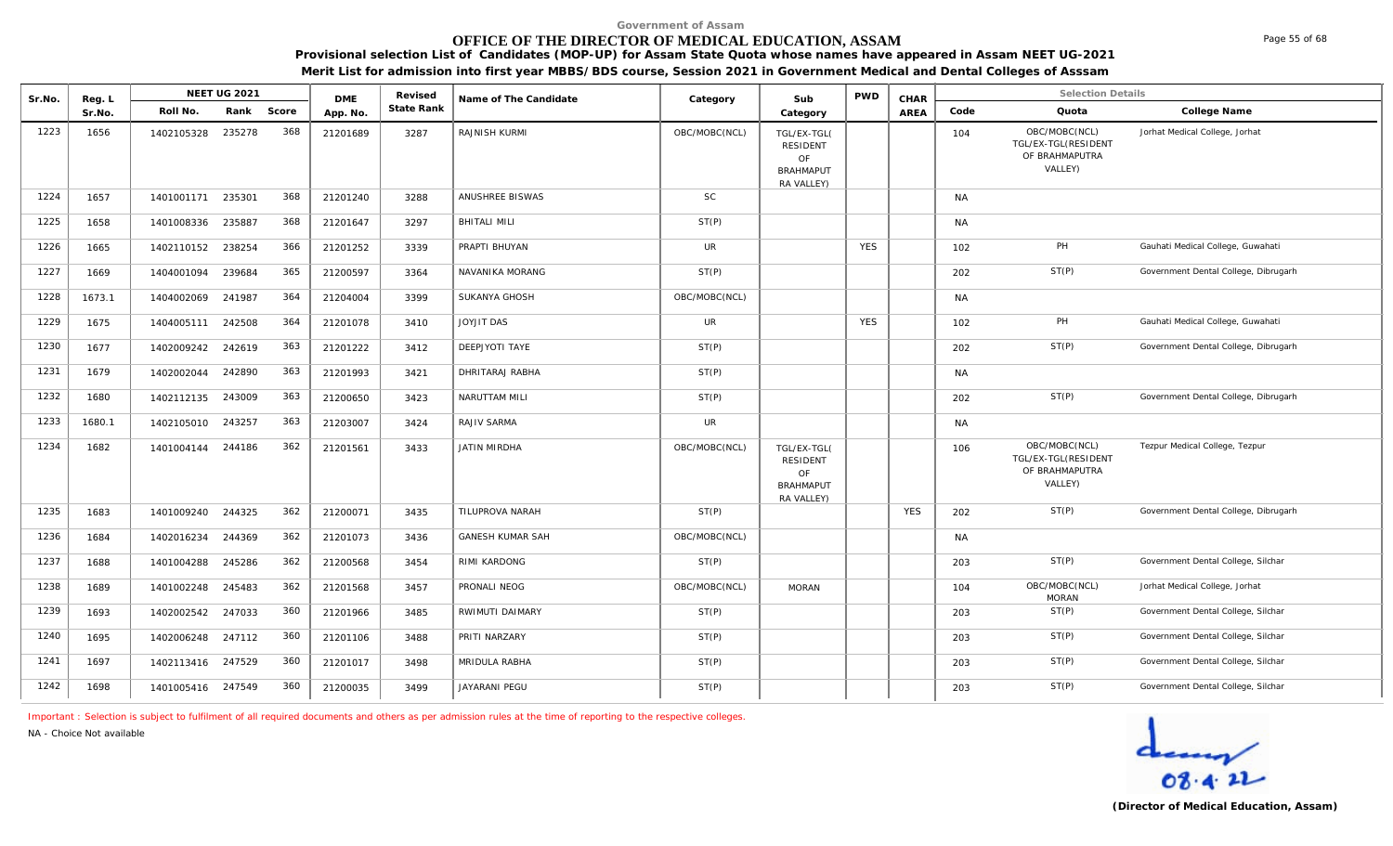# **OFFICE OF THE DIRECTOR OF MEDICAL EDUCATION, ASSAM**

**Provisional selection List of Candidates (MOP-UP) for Assam State Quota whose names have appeared in Assam NEET UG-2021 Merit List for admission into first year MBBS/BDS course, Session 2021 in Government Medical and Dental Colleges of Asssam**

| Sr.No. | Reg. L |                   | NEET UG 2021 |       | <b>DME</b> | Revised    | Name of The Candidate   | Category      | Sub                                                                    | <b>PWD</b> | CHAR       |           | <b>Selection Details</b>                                          |                                      |
|--------|--------|-------------------|--------------|-------|------------|------------|-------------------------|---------------|------------------------------------------------------------------------|------------|------------|-----------|-------------------------------------------------------------------|--------------------------------------|
|        | Sr.No. | Roll No.          | Rank         | Score | App. No.   | State Rank |                         |               | Category                                                               |            | AREA       | Code      | Quota                                                             | College Name                         |
| 1223   | 1656   | 1402105328        | 235278       | 368   | 21201689   | 3287       | RAJNISH KURMI           | OBC/MOBC(NCL) | TGL/EX-TGL(<br><b>RESIDENT</b><br>OF<br><b>BRAHMAPUT</b><br>RA VALLEY) |            |            | 104       | OBC/MOBC(NCL)<br>TGL/EX-TGL(RESIDENT<br>OF BRAHMAPUTRA<br>VALLEY) | Jorhat Medical College, Jorhat       |
| 1224   | 1657   | 1401001171 235301 |              | 368   | 21201240   | 3288       | ANUSHREE BISWAS         | <b>SC</b>     |                                                                        |            |            | <b>NA</b> |                                                                   |                                      |
| 1225   | 1658   | 1401008336        | 235887       | 368   | 21201647   | 3297       | <b>BHITALI MILI</b>     | ST(P)         |                                                                        |            |            | <b>NA</b> |                                                                   |                                      |
| 1226   | 1665   | 1402110152        | 238254       | 366   | 21201252   | 3339       | PRAPTI BHUYAN           | <b>UR</b>     |                                                                        | <b>YES</b> |            | 102       | PH                                                                | Gauhati Medical College, Guwahati    |
| 1227   | 1669   | 1404001094        | 239684       | 365   | 21200597   | 3364       | NAVANIKA MORANG         | ST(P)         |                                                                        |            |            | 202       | ST(P)                                                             | Government Dental College, Dibrugarh |
| 1228   | 1673.1 | 1404002069        | 241987       | 364   | 21204004   | 3399       | SUKANYA GHOSH           | OBC/MOBC(NCL) |                                                                        |            |            | <b>NA</b> |                                                                   |                                      |
| 1229   | 1675   | 1404005111        | 242508       | 364   | 21201078   | 3410       | <b>JOYJIT DAS</b>       | <b>UR</b>     |                                                                        | <b>YES</b> |            | 102       | PH                                                                | Gauhati Medical College, Guwahati    |
| 1230   | 1677   | 1402009242        | 242619       | 363   | 21201222   | 3412       | DEEPJYOTI TAYE          | ST(P)         |                                                                        |            |            | 202       | ST(P)                                                             | Government Dental College, Dibrugarh |
| 1231   | 1679   | 1402002044        | 242890       | 363   | 21201993   | 3421       | DHRITARAJ RABHA         | ST(P)         |                                                                        |            |            | <b>NA</b> |                                                                   |                                      |
| 1232   | 1680   | 1402112135        | 243009       | 363   | 21200650   | 3423       | NARUTTAM MILI           | ST(P)         |                                                                        |            |            | 202       | ST(P)                                                             | Government Dental College, Dibrugarh |
| 1233   | 1680.1 | 1402105010 243257 |              | 363   | 21203007   | 3424       | RAJIV SARMA             | <b>UR</b>     |                                                                        |            |            | <b>NA</b> |                                                                   |                                      |
| 1234   | 1682   | 1401004144 244186 |              | 362   | 21201561   | 3433       | <b>JATIN MIRDHA</b>     | OBC/MOBC(NCL) | TGL/EX-TGL(<br><b>RESIDENT</b><br>OF<br><b>BRAHMAPUT</b><br>RA VALLEY) |            |            | 106       | OBC/MOBC(NCL)<br>TGL/EX-TGL(RESIDENT<br>OF BRAHMAPUTRA<br>VALLEY) | Tezpur Medical College, Tezpur       |
| 1235   | 1683   | 1401009240 244325 |              | 362   | 21200071   | 3435       | TILUPROVA NARAH         | ST(P)         |                                                                        |            | <b>YES</b> | 202       | ST(P)                                                             | Government Dental College, Dibrugarh |
| 1236   | 1684   | 1402016234        | 244369       | 362   | 21201073   | 3436       | <b>GANESH KUMAR SAH</b> | OBC/MOBC(NCL) |                                                                        |            |            | <b>NA</b> |                                                                   |                                      |
| 1237   | 1688   | 1401004288        | 245286       | 362   | 21200568   | 3454       | <b>RIMI KARDONG</b>     | ST(P)         |                                                                        |            |            | 203       | ST(P)                                                             | Government Dental College, Silchar   |
| 1238   | 1689   | 1401002248 245483 |              | 362   | 21201568   | 3457       | PRONALI NEOG            | OBC/MOBC(NCL) | <b>MORAN</b>                                                           |            |            | 104       | OBC/MOBC(NCL)<br><b>MORAN</b>                                     | Jorhat Medical College, Jorhat       |
| 1239   | 1693   | 1402002542        | 247033       | 360   | 21201966   | 3485       | RWIMUTI DAIMARY         | ST(P)         |                                                                        |            |            | 203       | ST(P)                                                             | Government Dental College, Silchar   |
| 1240   | 1695   | 1402006248 247112 |              | 360   | 21201106   | 3488       | PRITI NARZARY           | ST(P)         |                                                                        |            |            | 203       | ST(P)                                                             | Government Dental College, Silchar   |
| 1241   | 1697   | 1402113416 247529 |              | 360   | 21201017   | 3498       | MRIDULA RABHA           | ST(P)         |                                                                        |            |            | 203       | ST(P)                                                             | Government Dental College, Silchar   |
| 1242   | 1698   | 1401005416 247549 |              | 360   | 21200035   | 3499       | JAYARANI PEGU           | ST(P)         |                                                                        |            |            | 203       | ST(P)                                                             | Government Dental College, Silchar   |

*Important : Selection is subject to fulfilment of all required documents and others as per admission rules at the time of reporting to the respective colleges.*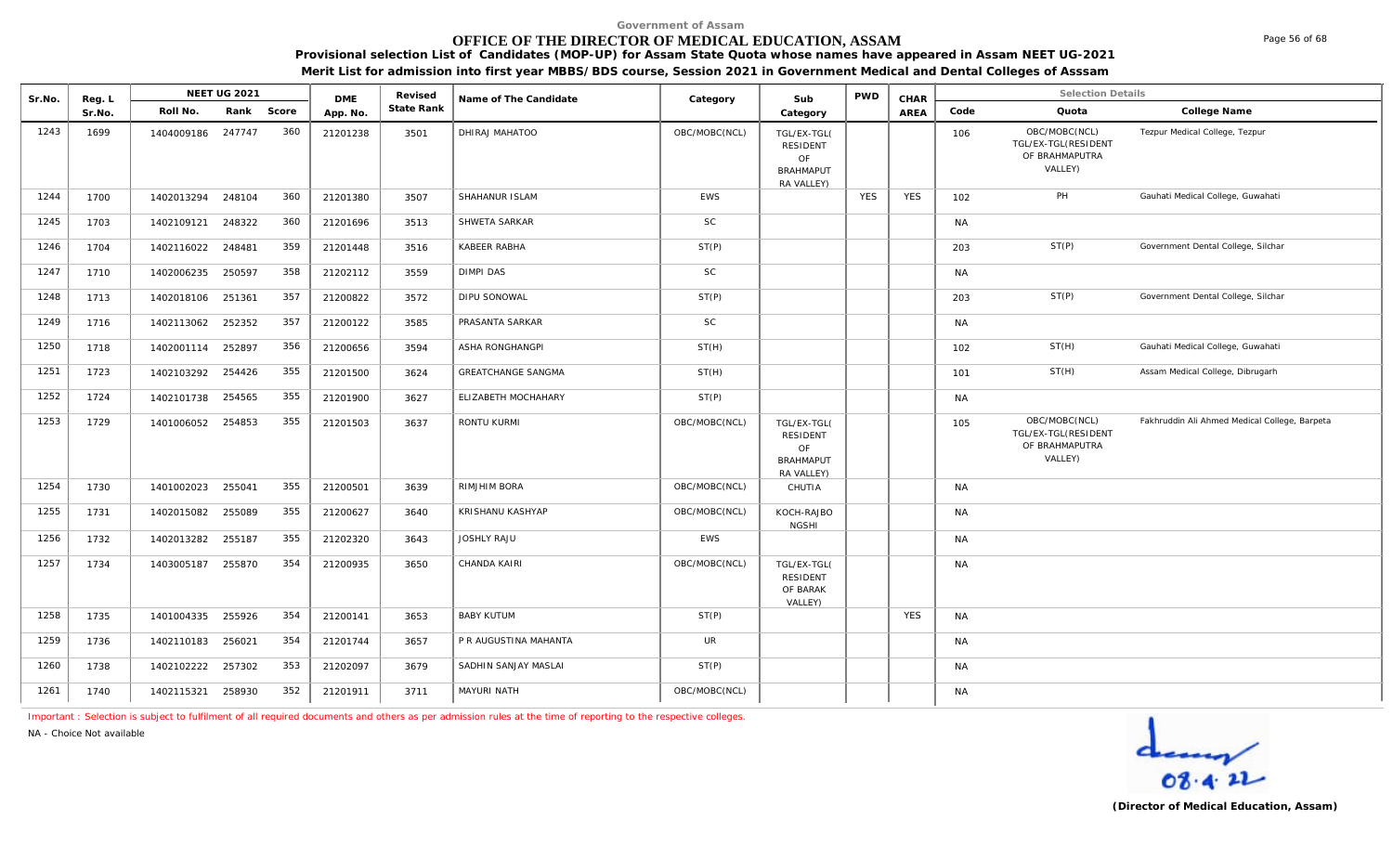# **OFFICE OF THE DIRECTOR OF MEDICAL EDUCATION, ASSAM**

**Provisional selection List of Candidates (MOP-UP) for Assam State Quota whose names have appeared in Assam NEET UG-2021 Merit List for admission into first year MBBS/BDS course, Session 2021 in Government Medical and Dental Colleges of Asssam**

| Sr.No. | Reg. L |            | <b>NEET UG 2021</b> |       | <b>DME</b> | Revised    | Name of The Candidate     | Category      | Sub                                                                    | <b>PWD</b> | CHAR       |           | <b>Selection Details</b>                                          |                                               |
|--------|--------|------------|---------------------|-------|------------|------------|---------------------------|---------------|------------------------------------------------------------------------|------------|------------|-----------|-------------------------------------------------------------------|-----------------------------------------------|
|        | Sr.No. | Roll No.   | Rank                | Score | App. No.   | State Rank |                           |               | Category                                                               |            | AREA       | Code      | Quota                                                             | College Name                                  |
| 1243   | 1699   | 1404009186 | 247747              | 360   | 21201238   | 3501       | DHIRAJ MAHATOO            | OBC/MOBC(NCL) | TGL/EX-TGL(<br><b>RESIDENT</b><br>OF<br><b>BRAHMAPUT</b><br>RA VALLEY) |            |            | 106       | OBC/MOBC(NCL)<br>TGL/EX-TGL(RESIDENT<br>OF BRAHMAPUTRA<br>VALLEY) | Tezpur Medical College, Tezpur                |
| 1244   | 1700   | 1402013294 | 248104              | 360   | 21201380   | 3507       | SHAHANUR ISLAM            | EWS           |                                                                        | <b>YES</b> | <b>YES</b> | 102       | PH                                                                | Gauhati Medical College, Guwahati             |
| 1245   | 1703   | 1402109121 | 248322              | 360   | 21201696   | 3513       | SHWETA SARKAR             | <b>SC</b>     |                                                                        |            |            | <b>NA</b> |                                                                   |                                               |
| 1246   | 1704   | 1402116022 | 248481              | 359   | 21201448   | 3516       | KABEER RABHA              | ST(P)         |                                                                        |            |            | 203       | ST(P)                                                             | Government Dental College, Silchar            |
| 1247   | 1710   | 1402006235 | 250597              | 358   | 21202112   | 3559       | <b>DIMPI DAS</b>          | SC            |                                                                        |            |            | <b>NA</b> |                                                                   |                                               |
| 1248   | 1713   | 1402018106 | 251361              | 357   | 21200822   | 3572       | DIPU SONOWAL              | ST(P)         |                                                                        |            |            | 203       | ST(P)                                                             | Government Dental College, Silchar            |
| 1249   | 1716   | 1402113062 | 252352              | 357   | 21200122   | 3585       | PRASANTA SARKAR           | <b>SC</b>     |                                                                        |            |            | <b>NA</b> |                                                                   |                                               |
| 1250   | 1718   | 1402001114 | 252897              | 356   | 21200656   | 3594       | <b>ASHA RONGHANGPI</b>    | ST(H)         |                                                                        |            |            | 102       | ST(H)                                                             | Gauhati Medical College, Guwahati             |
| 1251   | 1723   | 1402103292 | 254426              | 355   | 21201500   | 3624       | <b>GREATCHANGE SANGMA</b> | ST(H)         |                                                                        |            |            | 101       | ST(H)                                                             | Assam Medical College, Dibrugarh              |
| 1252   | 1724   | 1402101738 | 254565              | 355   | 21201900   | 3627       | ELIZABETH MOCHAHARY       | ST(P)         |                                                                        |            |            | <b>NA</b> |                                                                   |                                               |
| 1253   | 1729   | 1401006052 | 254853              | 355   | 21201503   | 3637       | RONTU KURMI               | OBC/MOBC(NCL) | TGL/EX-TGL(<br>RESIDENT<br>OF<br><b>BRAHMAPUT</b><br>RA VALLEY)        |            |            | 105       | OBC/MOBC(NCL)<br>TGL/EX-TGL(RESIDENT<br>OF BRAHMAPUTRA<br>VALLEY) | Fakhruddin Ali Ahmed Medical College, Barpeta |
| 1254   | 1730   | 1401002023 | 255041              | 355   | 21200501   | 3639       | RIMJHIM BORA              | OBC/MOBC(NCL) | CHUTIA                                                                 |            |            | <b>NA</b> |                                                                   |                                               |
| 1255   | 1731   | 1402015082 | 255089              | 355   | 21200627   | 3640       | KRISHANU KASHYAP          | OBC/MOBC(NCL) | KOCH-RAJBO<br><b>NGSHI</b>                                             |            |            | <b>NA</b> |                                                                   |                                               |
| 1256   | 1732   | 1402013282 | 255187              | 355   | 21202320   | 3643       | <b>JOSHLY RAJU</b>        | <b>EWS</b>    |                                                                        |            |            | <b>NA</b> |                                                                   |                                               |
| 1257   | 1734   | 1403005187 | 255870              | 354   | 21200935   | 3650       | CHANDA KAIRI              | OBC/MOBC(NCL) | TGL/EX-TGL(<br><b>RESIDENT</b><br>OF BARAK<br>VALLEY)                  |            |            | <b>NA</b> |                                                                   |                                               |
| 1258   | 1735   | 1401004335 | 255926              | 354   | 21200141   | 3653       | <b>BABY KUTUM</b>         | ST(P)         |                                                                        |            | <b>YES</b> | <b>NA</b> |                                                                   |                                               |
| 1259   | 1736   | 1402110183 | 256021              | 354   | 21201744   | 3657       | P R AUGUSTINA MAHANTA     | <b>UR</b>     |                                                                        |            |            | <b>NA</b> |                                                                   |                                               |
| 1260   | 1738   | 1402102222 | 257302              | 353   | 21202097   | 3679       | SADHIN SANJAY MASLAI      | ST(P)         |                                                                        |            |            | <b>NA</b> |                                                                   |                                               |
| 1261   | 1740   | 1402115321 | 258930              | 352   | 21201911   | 3711       | MAYURI NATH               | OBC/MOBC(NCL) |                                                                        |            |            | <b>NA</b> |                                                                   |                                               |

*Important : Selection is subject to fulfilment of all required documents and others as per admission rules at the time of reporting to the respective colleges.*

*NA - Choice Not available*



Page 56 of 68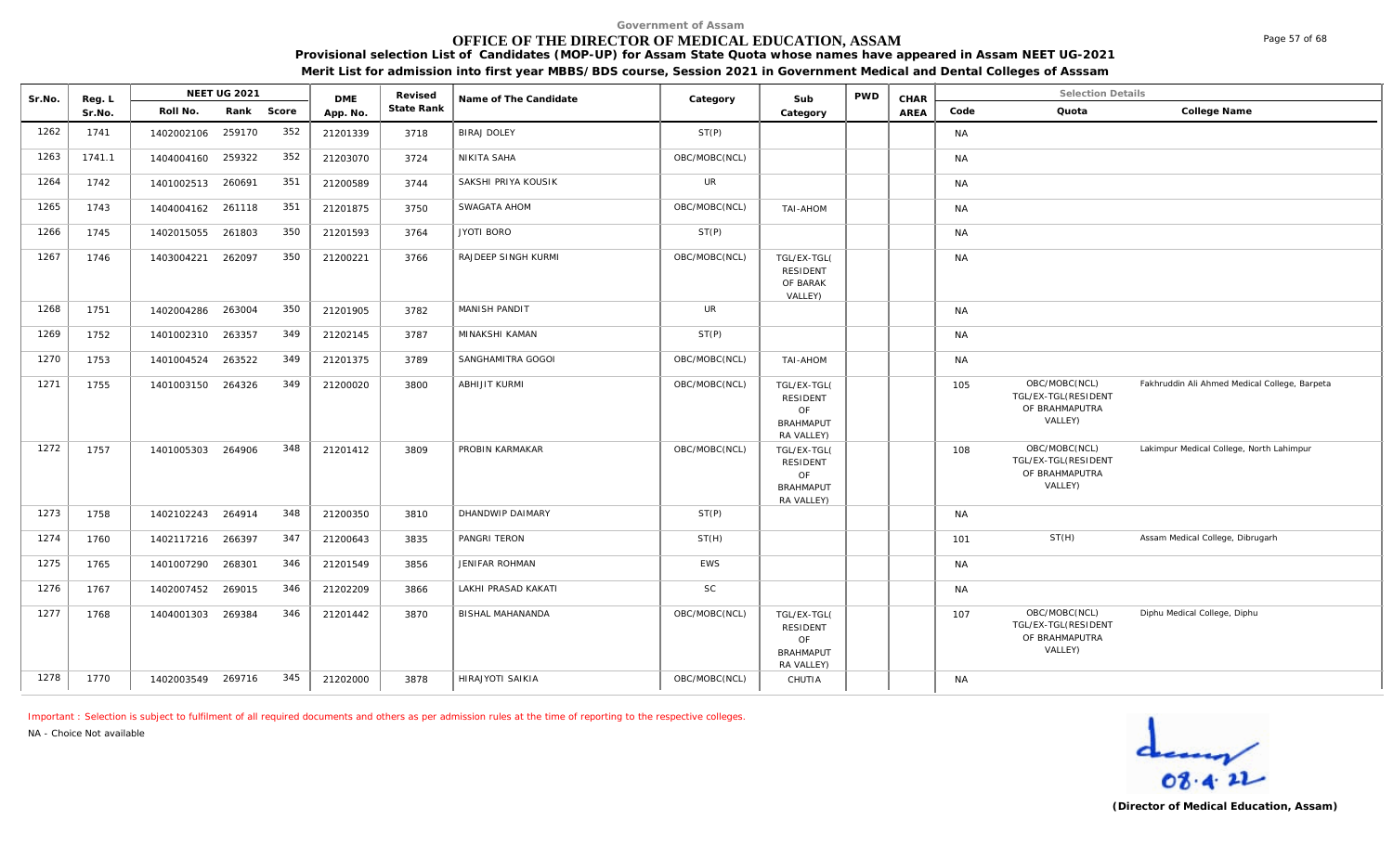# **OFFICE OF THE DIRECTOR OF MEDICAL EDUCATION, ASSAM**

**Provisional selection List of Candidates (MOP-UP) for Assam State Quota whose names have appeared in Assam NEET UG-2021 Merit List for admission into first year MBBS/BDS course, Session 2021 in Government Medical and Dental Colleges of Asssam**

| Sr.No. |                  | NEET UG 2021      |            |     | <b>DME</b> | Revised    | Name of The Candidate |               | Sub                                                                    | <b>PWD</b> | CHAR |           | <b>Selection Details</b>                                          |                                               |
|--------|------------------|-------------------|------------|-----|------------|------------|-----------------------|---------------|------------------------------------------------------------------------|------------|------|-----------|-------------------------------------------------------------------|-----------------------------------------------|
|        | Reg. L<br>Sr.No. | Roll No.          | Rank Score |     | App. No.   | State Rank |                       | Category      | Category                                                               |            | AREA | Code      | Quota                                                             | College Name                                  |
| 1262   | 1741             | 1402002106        | 259170     | 352 | 21201339   | 3718       | <b>BIRAJ DOLEY</b>    | ST(P)         |                                                                        |            |      | <b>NA</b> |                                                                   |                                               |
| 1263   | 1741.1           | 1404004160        | 259322     | 352 | 21203070   | 3724       | NIKITA SAHA           | OBC/MOBC(NCL) |                                                                        |            |      | <b>NA</b> |                                                                   |                                               |
| 1264   | 1742             | 1401002513        | 260691     | 351 | 21200589   | 3744       | SAKSHI PRIYA KOUSIK   | <b>UR</b>     |                                                                        |            |      | <b>NA</b> |                                                                   |                                               |
| 1265   | 1743             | 1404004162 261118 |            | 351 | 21201875   | 3750       | SWAGATA AHOM          | OBC/MOBC(NCL) | TAI-AHOM                                                               |            |      | <b>NA</b> |                                                                   |                                               |
| 1266   | 1745             | 1402015055        | 261803     | 350 | 21201593   | 3764       | JYOTI BORO            | ST(P)         |                                                                        |            |      | <b>NA</b> |                                                                   |                                               |
| 1267   | 1746             | 1403004221        | 262097     | 350 | 21200221   | 3766       | RAJDEEP SINGH KURMI   | OBC/MOBC(NCL) | TGL/EX-TGL(<br><b>RESIDENT</b><br>OF BARAK<br>VALLEY)                  |            |      | <b>NA</b> |                                                                   |                                               |
| 1268   | 1751             | 1402004286        | 263004     | 350 | 21201905   | 3782       | MANISH PANDIT         | UR            |                                                                        |            |      | <b>NA</b> |                                                                   |                                               |
| 1269   | 1752             | 1401002310        | 263357     | 349 | 21202145   | 3787       | MINAKSHI KAMAN        | ST(P)         |                                                                        |            |      | <b>NA</b> |                                                                   |                                               |
| 1270   | 1753             | 1401004524        | 263522     | 349 | 21201375   | 3789       | SANGHAMITRA GOGOI     | OBC/MOBC(NCL) | TAI-AHOM                                                               |            |      | NA        |                                                                   |                                               |
| 1271   | 1755             | 1401003150        | 264326     | 349 | 21200020   | 3800       | <b>ABHIJIT KURMI</b>  | OBC/MOBC(NCL) | TGL/EX-TGL(<br><b>RESIDENT</b><br>OF<br><b>BRAHMAPUT</b><br>RA VALLEY) |            |      | 105       | OBC/MOBC(NCL)<br>TGL/EX-TGL(RESIDENT<br>OF BRAHMAPUTRA<br>VALLEY) | Fakhruddin Ali Ahmed Medical College, Barpeta |
| 1272   | 1757             | 1401005303        | 264906     | 348 | 21201412   | 3809       | PROBIN KARMAKAR       | OBC/MOBC(NCL) | TGL/EX-TGL(<br>RESIDENT<br>OF<br><b>BRAHMAPUT</b><br>RA VALLEY)        |            |      | 108       | OBC/MOBC(NCL)<br>TGL/EX-TGL(RESIDENT<br>OF BRAHMAPUTRA<br>VALLEY) | Lakimpur Medical College, North Lahimpur      |
| 1273   | 1758             | 1402102243 264914 |            | 348 | 21200350   | 3810       | DHANDWIP DAIMARY      | ST(P)         |                                                                        |            |      | <b>NA</b> |                                                                   |                                               |
| 1274   | 1760             | 1402117216        | 266397     | 347 | 21200643   | 3835       | PANGRI TERON          | ST(H)         |                                                                        |            |      | 101       | ST(H)                                                             | Assam Medical College, Dibrugarh              |
| 1275   | 1765             | 1401007290        | 268301     | 346 | 21201549   | 3856       | JENIFAR ROHMAN        | <b>EWS</b>    |                                                                        |            |      | <b>NA</b> |                                                                   |                                               |
| 1276   | 1767             | 1402007452        | 269015     | 346 | 21202209   | 3866       | LAKHI PRASAD KAKATI   | SC            |                                                                        |            |      | <b>NA</b> |                                                                   |                                               |
| 1277   | 1768             | 1404001303        | 269384     | 346 | 21201442   | 3870       | BISHAL MAHANANDA      | OBC/MOBC(NCL) | TGL/EX-TGL(<br><b>RESIDENT</b><br>OF<br><b>BRAHMAPUT</b><br>RA VALLEY) |            |      | 107       | OBC/MOBC(NCL)<br>TGL/EX-TGL(RESIDENT<br>OF BRAHMAPUTRA<br>VALLEY) | Diphu Medical College, Diphu                  |
| 1278   | 1770             | 1402003549 269716 |            | 345 | 21202000   | 3878       | HIRAJYOTI SAIKIA      | OBC/MOBC(NCL) | CHUTIA                                                                 |            |      | <b>NA</b> |                                                                   |                                               |

*Important : Selection is subject to fulfilment of all required documents and others as per admission rules at the time of reporting to the respective colleges.*

*NA - Choice Not available*



Page 57 of 68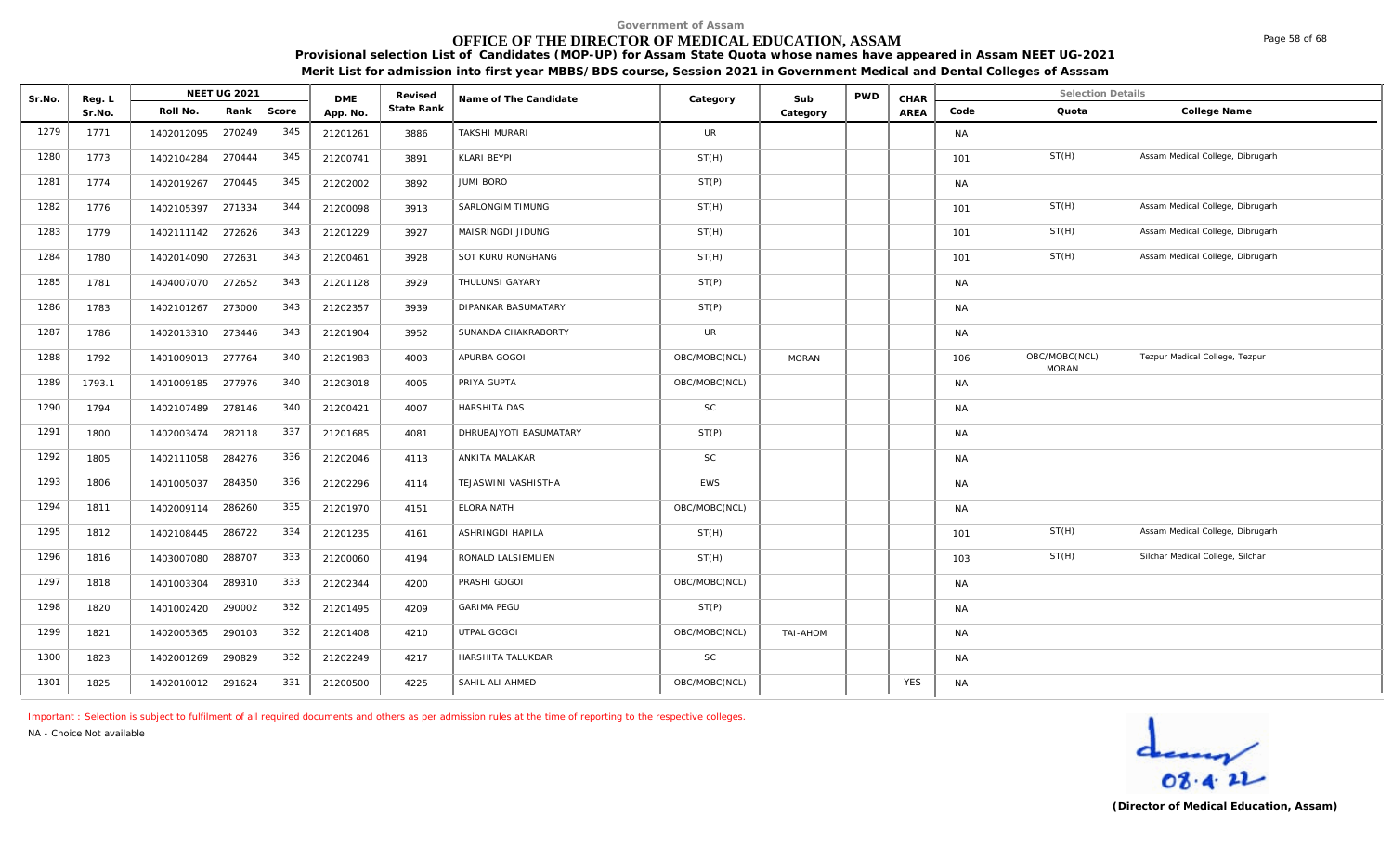# **OFFICE OF THE DIRECTOR OF MEDICAL EDUCATION, ASSAM**

**Provisional selection List of Candidates (MOP-UP) for Assam State Quota whose names have appeared in Assam NEET UG-2021 Merit List for admission into first year MBBS/BDS course, Session 2021 in Government Medical and Dental Colleges of Asssam**

| Sr.No. | Reg. L |                   | <b>NEET UG 2021</b> |            | <b>DME</b> | Revised    | Name of The Candidate  | Category      | Sub          | <b>PWD</b> | CHAR       |           | <b>Selection Details</b>      |                                  |
|--------|--------|-------------------|---------------------|------------|------------|------------|------------------------|---------------|--------------|------------|------------|-----------|-------------------------------|----------------------------------|
|        | Sr.No. | Roll No.          |                     | Rank Score | App. No    | State Rank |                        |               | Category     |            | AREA       | Code      | Quota                         | College Name                     |
| 1279   | 1771   | 1402012095        | 270249              | 345        | 21201261   | 3886       | <b>TAKSHI MURARI</b>   | <b>UR</b>     |              |            |            | <b>NA</b> |                               |                                  |
| 1280   | 1773   | 1402104284        | 270444              | 345        | 21200741   | 3891       | <b>KLARI BEYPI</b>     | ST(H)         |              |            |            | 101       | ST(H)                         | Assam Medical College, Dibrugarh |
| 1281   | 1774   | 1402019267        | 270445              | 345        | 21202002   | 3892       | JUMI BORO              | ST(P)         |              |            |            | <b>NA</b> |                               |                                  |
| 1282   | 1776   | 1402105397 271334 |                     | 344        | 21200098   | 3913       | SARLONGIM TIMUNG       | ST(H)         |              |            |            | 101       | ST(H)                         | Assam Medical College, Dibrugarh |
| 1283   | 1779   | 1402111142 272626 |                     | 343        | 21201229   | 3927       | MAISRINGDI JIDUNG      | ST(H)         |              |            |            | 101       | ST(H)                         | Assam Medical College, Dibrugarh |
| 1284   | 1780   | 1402014090 272631 |                     | 343        | 21200461   | 3928       | SOT KURU RONGHANG      | ST(H)         |              |            |            | 101       | ST(H)                         | Assam Medical College, Dibrugarh |
| 1285   | 1781   | 1404007070        | 272652              | 343        | 21201128   | 3929       | THULUNSI GAYARY        | ST(P)         |              |            |            | <b>NA</b> |                               |                                  |
| 1286   | 1783   | 1402101267        | 273000              | 343        | 21202357   | 3939       | DIPANKAR BASUMATARY    | ST(P)         |              |            |            | <b>NA</b> |                               |                                  |
| 1287   | 1786   | 1402013310        | 273446              | 343        | 21201904   | 3952       | SUNANDA CHAKRABORTY    | UR            |              |            |            | <b>NA</b> |                               |                                  |
| 1288   | 1792   | 1401009013 277764 |                     | 340        | 21201983   | 4003       | APURBA GOGOI           | OBC/MOBC(NCL) | <b>MORAN</b> |            |            | 106       | OBC/MOBC(NCL)<br><b>MORAN</b> | Tezpur Medical College, Tezpur   |
| 1289   | 1793.1 | 1401009185        | 277976              | 340        | 21203018   | 4005       | PRIYA GUPTA            | OBC/MOBC(NCL) |              |            |            | <b>NA</b> |                               |                                  |
| 1290   | 1794   | 1402107489        | 278146              | 340        | 21200421   | 4007       | HARSHITA DAS           | <b>SC</b>     |              |            |            | <b>NA</b> |                               |                                  |
| 1291   | 1800   | 1402003474        | 282118              | 337        | 21201685   | 4081       | DHRUBAJYOTI BASUMATARY | ST(P)         |              |            |            | <b>NA</b> |                               |                                  |
| 1292   | 1805   | 1402111058        | 284276              | 336        | 21202046   | 4113       | ANKITA MALAKAR         | <b>SC</b>     |              |            |            | <b>NA</b> |                               |                                  |
| 1293   | 1806   | 1401005037        | 284350              | 336        | 21202296   | 4114       | TEJASWINI VASHISTHA    | <b>EWS</b>    |              |            |            | <b>NA</b> |                               |                                  |
| 1294   | 1811   | 1402009114        | 286260              | 335        | 21201970   | 4151       | <b>ELORA NATH</b>      | OBC/MOBC(NCL) |              |            |            | <b>NA</b> |                               |                                  |
| 1295   | 1812   | 1402108445        | 286722              | 334        | 21201235   | 4161       | ASHRINGDI HAPILA       | ST(H)         |              |            |            | 101       | ST(H)                         | Assam Medical College, Dibrugarh |
| 1296   | 1816   | 1403007080        | 288707              | 333        | 21200060   | 4194       | RONALD LALSIEMLIEN     | ST(H)         |              |            |            | 103       | ST(H)                         | Silchar Medical College, Silchar |
| 1297   | 1818   | 1401003304        | 289310              | 333        | 21202344   | 4200       | PRASHI GOGOI           | OBC/MOBC(NCL) |              |            |            | <b>NA</b> |                               |                                  |
| 1298   | 1820   | 1401002420        | 290002              | 332        | 21201495   | 4209       | <b>GARIMA PEGU</b>     | ST(P)         |              |            |            | <b>NA</b> |                               |                                  |
| 1299   | 1821   | 1402005365        | 290103              | 332        | 21201408   | 4210       | UTPAL GOGOI            | OBC/MOBC(NCL) | TAI-AHOM     |            |            | <b>NA</b> |                               |                                  |
| 1300   | 1823   | 1402001269        | 290829              | 332        | 21202249   | 4217       | HARSHITA TALUKDAR      | <b>SC</b>     |              |            |            | <b>NA</b> |                               |                                  |
| 1301   | 1825   | 1402010012 291624 |                     | 331        | 21200500   | 4225       | SAHIL ALI AHMED        | OBC/MOBC(NCL) |              |            | <b>YES</b> | <b>NA</b> |                               |                                  |

*Important : Selection is subject to fulfilment of all required documents and others as per admission rules at the time of reporting to the respective colleges.*

*NA - Choice Not available*

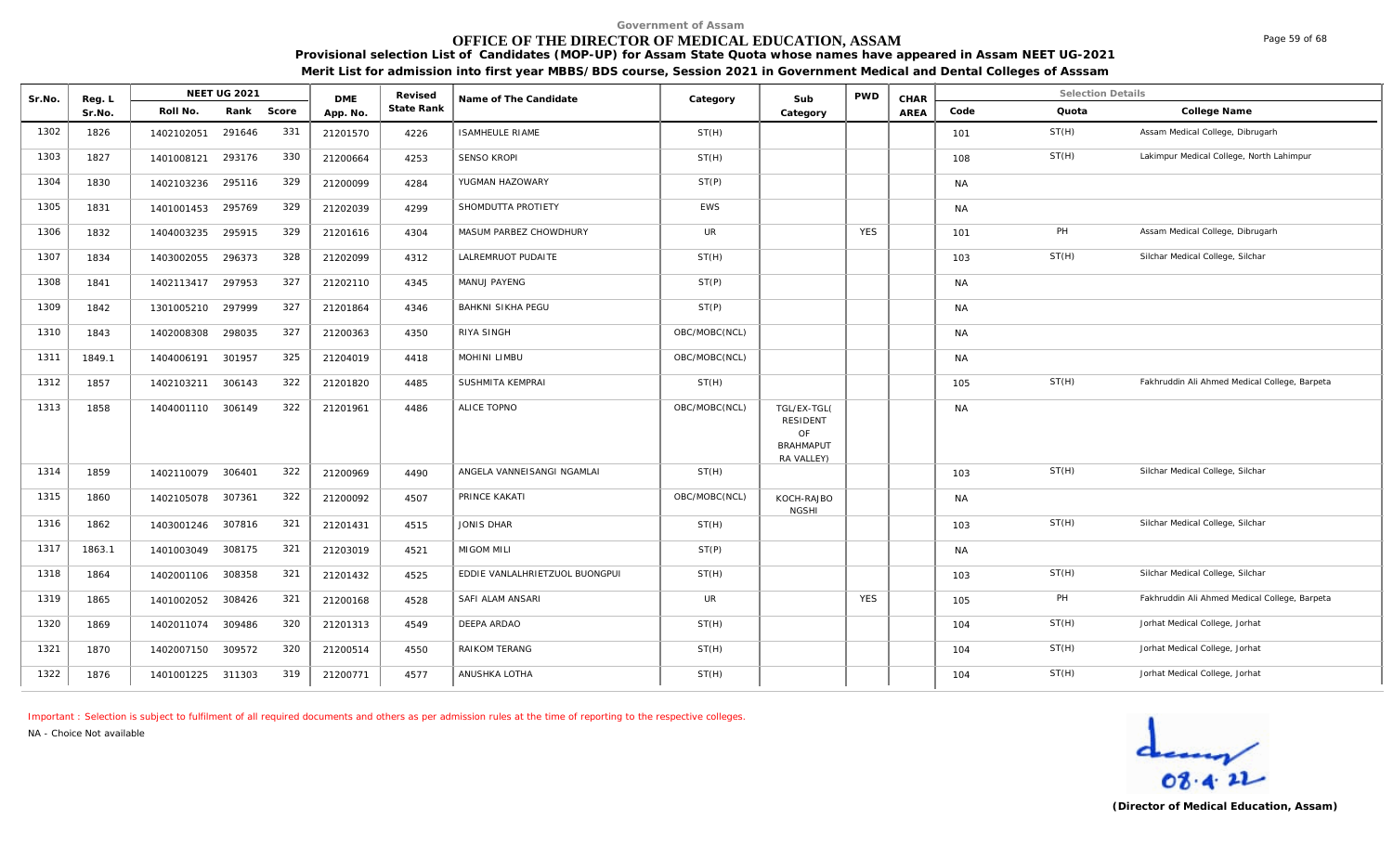# **OFFICE OF THE DIRECTOR OF MEDICAL EDUCATION, ASSAM**

**Provisional selection List of Candidates (MOP-UP) for Assam State Quota whose names have appeared in Assam NEET UG-2021 Merit List for admission into first year MBBS/BDS course, Session 2021 in Government Medical and Dental Colleges of Asssam**

| Sr.No. | Reg. L | <b>NEET UG 2021</b>         | <b>DME</b> | Revised    | Name of The Candidate          | Category      | Sub                                                                    | <b>PWD</b> | CHAR        |           | <b>Selection Details</b> |                                               |
|--------|--------|-----------------------------|------------|------------|--------------------------------|---------------|------------------------------------------------------------------------|------------|-------------|-----------|--------------------------|-----------------------------------------------|
|        | Sr.No. | Roll No.<br>Rank<br>Score   | App. No.   | State Rank |                                |               | Category                                                               |            | <b>AREA</b> | Code      | Quota                    | College Name                                  |
| 1302   | 1826   | 331<br>291646<br>1402102051 | 21201570   | 4226       | <b>ISAMHEULE RIAME</b>         | ST(H)         |                                                                        |            |             | 101       | ST(H)                    | Assam Medical College, Dibrugarh              |
| 1303   | 1827   | 330<br>293176<br>1401008121 | 21200664   | 4253       | <b>SENSO KROPI</b>             | ST(H)         |                                                                        |            |             | 108       | ST(H)                    | Lakimpur Medical College, North Lahimpur      |
| 1304   | 1830   | 329<br>1402103236<br>295116 | 21200099   | 4284       | YUGMAN HAZOWARY                | ST(P)         |                                                                        |            |             | <b>NA</b> |                          |                                               |
| 1305   | 1831   | 329<br>295769<br>1401001453 | 21202039   | 4299       | SHOMDUTTA PROTIETY             | <b>EWS</b>    |                                                                        |            |             | <b>NA</b> |                          |                                               |
| 1306   | 1832   | 329<br>295915<br>1404003235 | 21201616   | 4304       | MASUM PARBEZ CHOWDHURY         | <b>UR</b>     |                                                                        | <b>YES</b> |             | 101       | PH                       | Assam Medical College, Dibrugarh              |
| 1307   | 1834   | 328<br>296373<br>1403002055 | 21202099   | 4312       | LALREMRUOT PUDAITE             | ST(H)         |                                                                        |            |             | 103       | ST(H)                    | Silchar Medical College, Silchar              |
| 1308   | 1841   | 327<br>297953<br>1402113417 | 21202110   | 4345       | MANUJ PAYENG                   | ST(P)         |                                                                        |            |             | <b>NA</b> |                          |                                               |
| 1309   | 1842   | 327<br>297999<br>1301005210 | 21201864   | 4346       | <b>BAHKNI SIKHA PEGU</b>       | ST(P)         |                                                                        |            |             | <b>NA</b> |                          |                                               |
| 1310   | 1843   | 327<br>298035<br>1402008308 | 21200363   | 4350       | RIYA SINGH                     | OBC/MOBC(NCL) |                                                                        |            |             | <b>NA</b> |                          |                                               |
| 1311   | 1849.1 | 325<br>1404006191<br>301957 | 21204019   | 4418       | MOHINI LIMBU                   | OBC/MOBC(NCL) |                                                                        |            |             | <b>NA</b> |                          |                                               |
| 1312   | 1857   | 322<br>306143<br>1402103211 | 21201820   | 4485       | SUSHMITA KEMPRAI               | ST(H)         |                                                                        |            |             | 105       | ST(H)                    | Fakhruddin Ali Ahmed Medical College, Barpeta |
| 1313   | 1858   | 322<br>306149<br>1404001110 | 21201961   | 4486       | ALICE TOPNO                    | OBC/MOBC(NCL) | TGL/EX-TGL(<br><b>RESIDENT</b><br>OF<br><b>BRAHMAPUT</b><br>RA VALLEY) |            |             | <b>NA</b> |                          |                                               |
| 1314   | 1859   | 322<br>1402110079<br>306401 | 21200969   | 4490       | ANGELA VANNEISANGI NGAMLAI     | ST(H)         |                                                                        |            |             | 103       | ST(H)                    | Silchar Medical College, Silchar              |
| 1315   | 1860   | 322<br>307361<br>1402105078 | 21200092   | 4507       | PRINCE KAKATI                  | OBC/MOBC(NCL) | KOCH-RAJBO<br><b>NGSHI</b>                                             |            |             | <b>NA</b> |                          |                                               |
| 1316   | 1862   | 321<br>307816<br>1403001246 | 21201431   | 4515       | JONIS DHAR                     | ST(H)         |                                                                        |            |             | 103       | ST(H)                    | Silchar Medical College, Silchar              |
| 1317   | 1863.1 | 321<br>308175<br>1401003049 | 21203019   | 4521       | <b>MIGOM MILI</b>              | ST(P)         |                                                                        |            |             | <b>NA</b> |                          |                                               |
| 1318   | 1864   | 321<br>308358<br>1402001106 | 21201432   | 4525       | EDDIE VANLALHRIETZUOL BUONGPUI | ST(H)         |                                                                        |            |             | 103       | ST(H)                    | Silchar Medical College, Silchar              |
| 1319   | 1865   | 321<br>308426<br>1401002052 | 21200168   | 4528       | SAFI ALAM ANSARI               | <b>UR</b>     |                                                                        | <b>YES</b> |             | 105       | PH                       | Fakhruddin Ali Ahmed Medical College, Barpeta |
| 1320   | 1869   | 320<br>309486<br>1402011074 | 21201313   | 4549       | DEEPA ARDAO                    | ST(H)         |                                                                        |            |             | 104       | ST(H)                    | Jorhat Medical College, Jorhat                |
| 1321   | 1870   | 320<br>309572<br>1402007150 | 21200514   | 4550       | RAIKOM TERANG                  | ST(H)         |                                                                        |            |             | 104       | ST(H)                    | Jorhat Medical College, Jorhat                |
| 1322   | 1876   | 319<br>1401001225 311303    | 21200771   | 4577       | ANUSHKA LOTHA                  | ST(H)         |                                                                        |            |             | 104       | ST(H)                    | Jorhat Medical College, Jorhat                |

*Important : Selection is subject to fulfilment of all required documents and others as per admission rules at the time of reporting to the respective colleges.*

*NA - Choice Not available*

**(Director of Medical Education, Assam)**

Page 59 of 68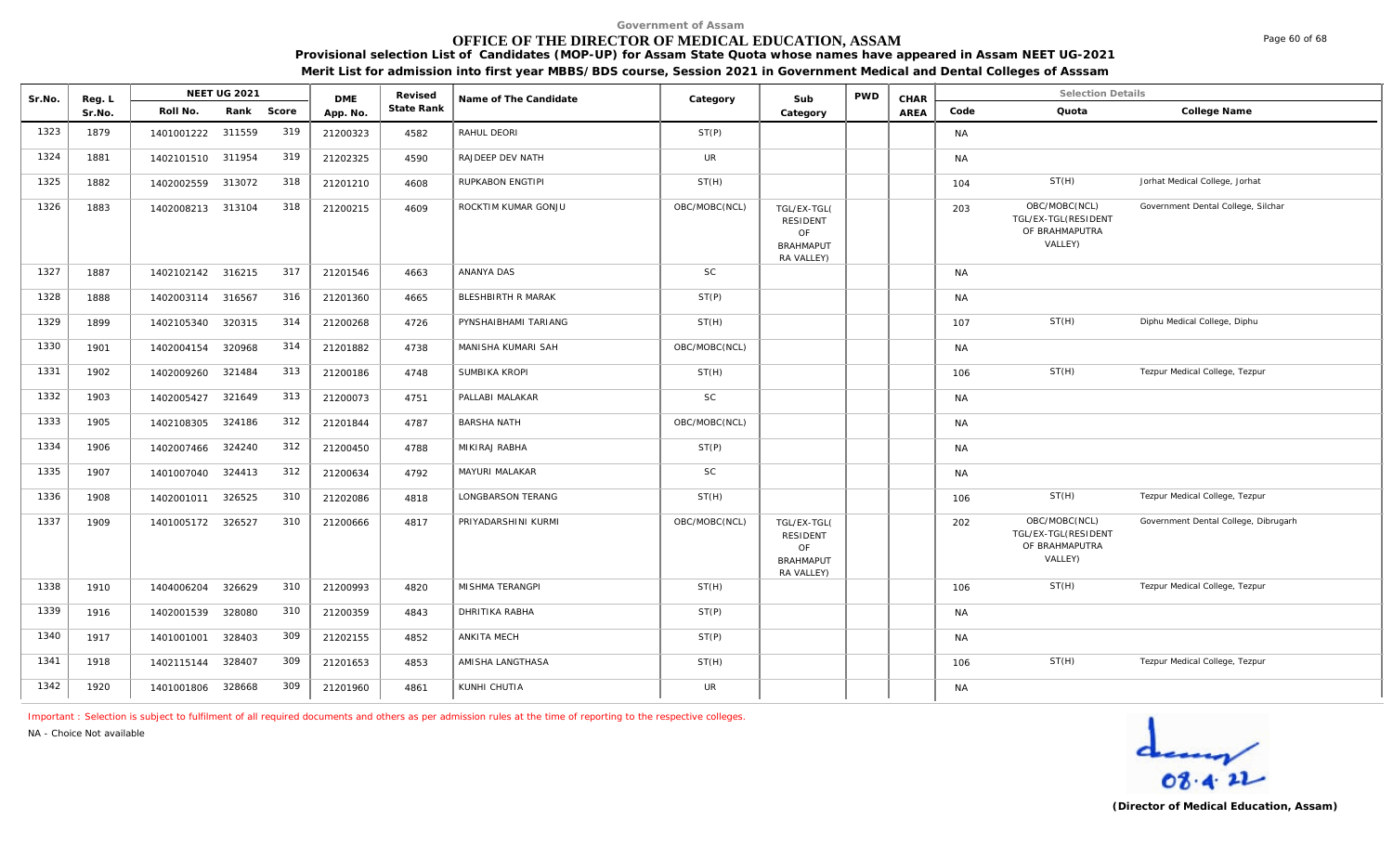# **OFFICE OF THE DIRECTOR OF MEDICAL EDUCATION, ASSAM**

**Provisional selection List of Candidates (MOP-UP) for Assam State Quota whose names have appeared in Assam NEET UG-2021 Merit List for admission into first year MBBS/BDS course, Session 2021 in Government Medical and Dental Colleges of Asssam**

| Sr.No. | Reg. L |                   | <b>NEET UG 2021</b> |       | <b>DMF</b> | Revised    | Name of The Candidate | Category      | Sub                                                                    | <b>PWD</b> | CHAR |           | <b>Selection Details</b>                                          |                                      |
|--------|--------|-------------------|---------------------|-------|------------|------------|-----------------------|---------------|------------------------------------------------------------------------|------------|------|-----------|-------------------------------------------------------------------|--------------------------------------|
|        | Sr.No. | Roll No.          | Rank                | Score | App. No.   | State Rank |                       |               | Category                                                               |            | AREA | Code      | Quota                                                             | College Name                         |
| 1323   | 1879   | 1401001222 311559 |                     | 319   | 21200323   | 4582       | RAHUL DEORI           | ST(P)         |                                                                        |            |      | <b>NA</b> |                                                                   |                                      |
| 1324   | 1881   | 1402101510 311954 |                     | 319   | 21202325   | 4590       | RAJDEEP DEV NATH      | <b>UR</b>     |                                                                        |            |      | <b>NA</b> |                                                                   |                                      |
| 1325   | 1882   | 1402002559 313072 |                     | 318   | 21201210   | 4608       | RUPKABON ENGTIPI      | ST(H)         |                                                                        |            |      | 104       | ST(H)                                                             | Jorhat Medical College, Jorhat       |
| 1326   | 1883   | 1402008213 313104 |                     | 318   | 21200215   | 4609       | ROCKTIM KUMAR GONJU   | OBC/MOBC(NCL) | TGL/EX-TGL(<br><b>RESIDENT</b><br>OF<br><b>BRAHMAPUT</b><br>RA VALLEY) |            |      | 203       | OBC/MOBC(NCL)<br>TGL/EX-TGL(RESIDENT<br>OF BRAHMAPUTRA<br>VALLEY) | Government Dental College, Silchar   |
| 1327   | 1887   | 1402102142 316215 |                     | 317   | 21201546   | 4663       | ANANYA DAS            | <b>SC</b>     |                                                                        |            |      | <b>NA</b> |                                                                   |                                      |
| 1328   | 1888   | 1402003114 316567 |                     | 316   | 21201360   | 4665       | BLESHBIRTH R MARAK    | ST(P)         |                                                                        |            |      | <b>NA</b> |                                                                   |                                      |
| 1329   | 1899   | 1402105340 320315 |                     | 314   | 21200268   | 4726       | PYNSHAIBHAMI TARIANG  | ST(H)         |                                                                        |            |      | 107       | ST(H)                                                             | Diphu Medical College, Diphu         |
| 1330   | 1901   | 1402004154        | 320968              | 314   | 21201882   | 4738       | MANISHA KUMARI SAH    | OBC/MOBC(NCL) |                                                                        |            |      | NA.       |                                                                   |                                      |
| 1331   | 1902   | 1402009260 321484 |                     | 313   | 21200186   | 4748       | SUMBIKA KROPI         | ST(H)         |                                                                        |            |      | 106       | ST(H)                                                             | Tezpur Medical College, Tezpur       |
| 1332   | 1903   | 1402005427        | 321649              | 313   | 21200073   | 4751       | PALLABI MALAKAR       | SC            |                                                                        |            |      | <b>NA</b> |                                                                   |                                      |
| 1333   | 1905   | 1402108305 324186 |                     | 312   | 21201844   | 4787       | <b>BARSHA NATH</b>    | OBC/MOBC(NCL) |                                                                        |            |      | <b>NA</b> |                                                                   |                                      |
| 1334   | 1906   | 1402007466        | 324240              | 312   | 21200450   | 4788       | MIKIRAJ RABHA         | ST(P)         |                                                                        |            |      | <b>NA</b> |                                                                   |                                      |
| 1335   | 1907   | 1401007040 324413 |                     | 312   | 21200634   | 4792       | MAYURI MALAKAR        | <b>SC</b>     |                                                                        |            |      | <b>NA</b> |                                                                   |                                      |
| 1336   | 1908   | 1402001011        | 326525              | 310   | 21202086   | 4818       | LONGBARSON TERANG     | ST(H)         |                                                                        |            |      | 106       | ST(H)                                                             | Tezpur Medical College, Tezpur       |
| 1337   | 1909   | 1401005172 326527 |                     | 310   | 21200666   | 4817       | PRIYADARSHINI KURMI   | OBC/MOBC(NCL) | TGL/EX-TGL(<br><b>RESIDENT</b><br>OF<br><b>BRAHMAPUT</b><br>RA VALLEY) |            |      | 202       | OBC/MOBC(NCL)<br>TGL/EX-TGL(RESIDENT<br>OF BRAHMAPUTRA<br>VALLEY) | Government Dental College, Dibrugarh |
| 1338   | 1910   | 1404006204        | 326629              | 310   | 21200993   | 4820       | MISHMA TERANGPI       | ST(H)         |                                                                        |            |      | 106       | ST(H)                                                             | Tezpur Medical College, Tezpur       |
| 1339   | 1916   | 1402001539        | 328080              | 310   | 21200359   | 4843       | DHRITIKA RABHA        | ST(P)         |                                                                        |            |      | <b>NA</b> |                                                                   |                                      |
| 1340   | 1917   | 1401001001        | 328403              | 309   | 21202155   | 4852       | ANKITA MECH           | ST(P)         |                                                                        |            |      | <b>NA</b> |                                                                   |                                      |
| 1341   | 1918   | 1402115144        | 328407              | 309   | 21201653   | 4853       | AMISHA LANGTHASA      | ST(H)         |                                                                        |            |      | 106       | ST(H)                                                             | Tezpur Medical College, Tezpur       |
| 1342   | 1920   | 1401001806        | 328668              | 309   | 21201960   | 4861       | KUNHI CHUTIA          | <b>UR</b>     |                                                                        |            |      | <b>NA</b> |                                                                   |                                      |

*Important : Selection is subject to fulfilment of all required documents and others as per admission rules at the time of reporting to the respective colleges.*

*NA - Choice Not available*



Page 60 of 68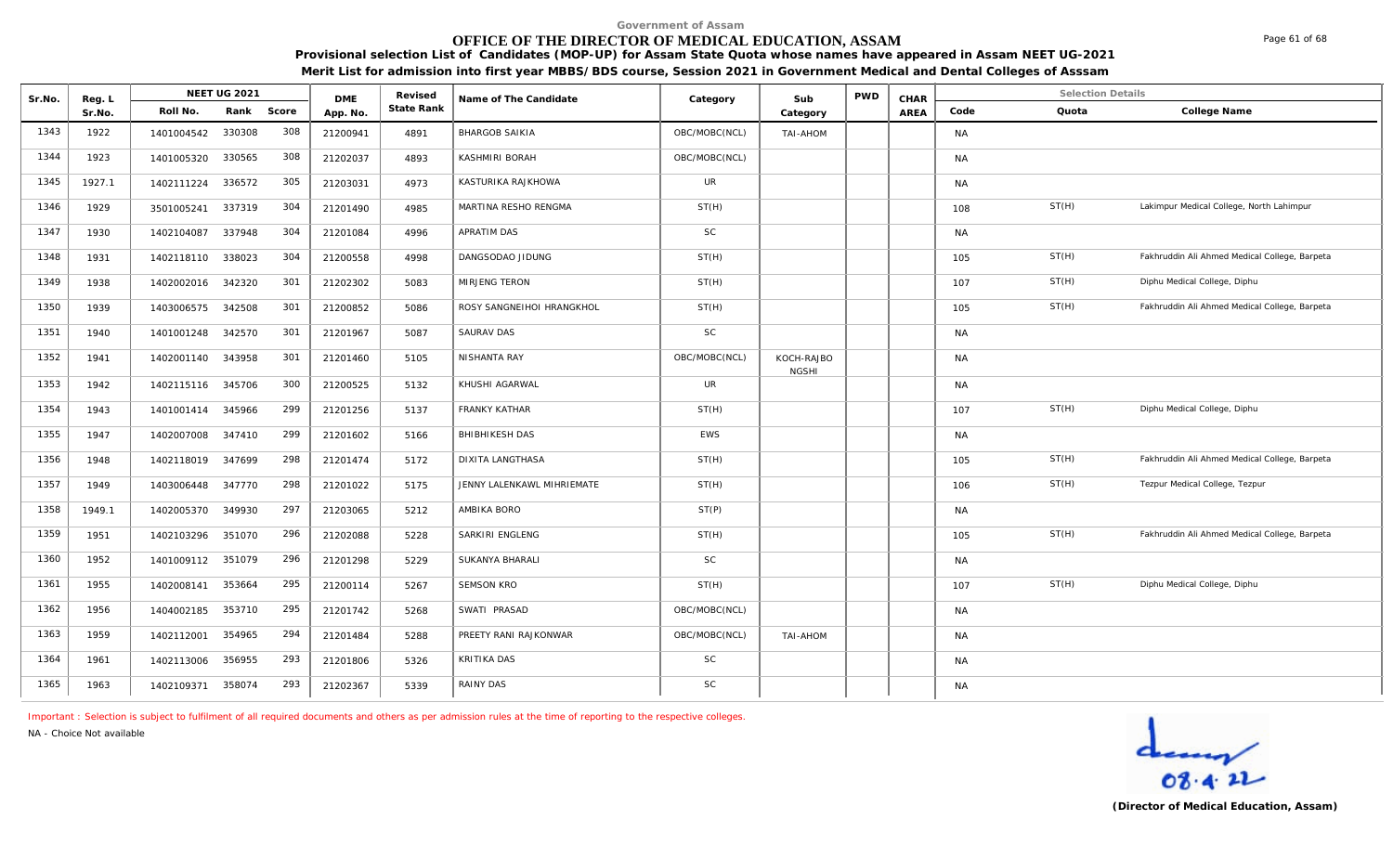#### **OFFICE OF THE DIRECTOR OF MEDICAL EDUCATION, ASSAM**

**Provisional selection List of Candidates (MOP-UP) for Assam State Quota whose names have appeared in Assam NEET UG-2021 Merit List for admission into first year MBBS/BDS course, Session 2021 in Government Medical and Dental Colleges of Asssam**

| Sr.No. | Reg. L | <b>NEET UG 2021</b> |        | <b>DME</b> | Revised  | Name of The Candidate | Category                   | Sub           | <b>PWD</b>                 | CHAR | <b>Selection Details</b> |           |       |                                               |
|--------|--------|---------------------|--------|------------|----------|-----------------------|----------------------------|---------------|----------------------------|------|--------------------------|-----------|-------|-----------------------------------------------|
|        | Sr.No. | Roll No.            | Rank   | Score      | App. No. | State Rank            |                            |               | Category                   |      | AREA                     | Code      | Quota | College Name                                  |
| 1343   | 1922   | 1401004542          | 330308 | 308        | 21200941 | 4891                  | <b>BHARGOB SAIKIA</b>      | OBC/MOBC(NCL) | TAI-AHOM                   |      |                          | <b>NA</b> |       |                                               |
| 1344   | 1923   | 1401005320          | 330565 | 308        | 21202037 | 4893                  | KASHMIRI BORAH             | OBC/MOBC(NCL) |                            |      |                          | <b>NA</b> |       |                                               |
| 1345   | 1927.1 | 1402111224          | 336572 | 305        | 21203031 | 4973                  | KASTURIKA RAJKHOWA         | <b>UR</b>     |                            |      |                          | <b>NA</b> |       |                                               |
| 1346   | 1929   | 3501005241          | 337319 | 304        | 21201490 | 4985                  | MARTINA RESHO RENGMA       | ST(H)         |                            |      |                          | 108       | ST(H) | Lakimpur Medical College, North Lahimpur      |
| 1347   | 1930   | 1402104087          | 337948 | 304        | 21201084 | 4996                  | APRATIM DAS                | <b>SC</b>     |                            |      |                          | <b>NA</b> |       |                                               |
| 1348   | 1931   | 1402118110          | 338023 | 304        | 21200558 | 4998                  | DANGSODAO JIDUNG           | ST(H)         |                            |      |                          | 105       | ST(H) | Fakhruddin Ali Ahmed Medical College, Barpeta |
| 1349   | 1938   | 1402002016          | 342320 | 301        | 21202302 | 5083                  | MIRJENG TERON              | ST(H)         |                            |      |                          | 107       | ST(H) | Diphu Medical College, Diphu                  |
| 1350   | 1939   | 1403006575          | 342508 | 301        | 21200852 | 5086                  | ROSY SANGNEIHOI HRANGKHOL  | ST(H)         |                            |      |                          | 105       | ST(H) | Fakhruddin Ali Ahmed Medical College, Barpeta |
| 1351   | 1940   | 1401001248          | 342570 | 301        | 21201967 | 5087                  | SAURAV DAS                 | SC            |                            |      |                          | <b>NA</b> |       |                                               |
| 1352   | 1941   | 1402001140          | 343958 | 301        | 21201460 | 5105                  | NISHANTA RAY               | OBC/MOBC(NCL) | KOCH-RAJBO<br><b>NGSHI</b> |      |                          | <b>NA</b> |       |                                               |
| 1353   | 1942   | 1402115116          | 345706 | 300        | 21200525 | 5132                  | KHUSHI AGARWAL             | <b>UR</b>     |                            |      |                          | <b>NA</b> |       |                                               |
| 1354   | 1943   | 1401001414          | 345966 | 299        | 21201256 | 5137                  | <b>FRANKY KATHAR</b>       | ST(H)         |                            |      |                          | 107       | ST(H) | Diphu Medical College, Diphu                  |
| 1355   | 1947   | 1402007008          | 347410 | 299        | 21201602 | 5166                  | <b>BHIBHIKESH DAS</b>      | <b>EWS</b>    |                            |      |                          | <b>NA</b> |       |                                               |
| 1356   | 1948   | 1402118019          | 347699 | 298        | 21201474 | 5172                  | <b>DIXITA LANGTHASA</b>    | ST(H)         |                            |      |                          | 105       | ST(H) | Fakhruddin Ali Ahmed Medical College, Barpeta |
| 1357   | 1949   | 1403006448          | 347770 | 298        | 21201022 | 5175                  | JENNY LALENKAWL MIHRIEMATE | ST(H)         |                            |      |                          | 106       | ST(H) | Tezpur Medical College, Tezpur                |
| 1358   | 1949.1 | 1402005370          | 349930 | 297        | 21203065 | 5212                  | AMBIKA BORO                | ST(P)         |                            |      |                          | <b>NA</b> |       |                                               |
| 1359   | 1951   | 1402103296          | 351070 | 296        | 21202088 | 5228                  | SARKIRI ENGLENG            | ST(H)         |                            |      |                          | 105       | ST(H) | Fakhruddin Ali Ahmed Medical College, Barpeta |
| 1360   | 1952   | 1401009112          | 351079 | 296        | 21201298 | 5229                  | SUKANYA BHARALI            | <b>SC</b>     |                            |      |                          | <b>NA</b> |       |                                               |
| 1361   | 1955   | 1402008141          | 353664 | 295        | 21200114 | 5267                  | <b>SEMSON KRO</b>          | ST(H)         |                            |      |                          | 107       | ST(H) | Diphu Medical College, Diphu                  |
| 1362   | 1956   | 1404002185          | 353710 | 295        | 21201742 | 5268                  | SWATI PRASAD               | OBC/MOBC(NCL) |                            |      |                          | <b>NA</b> |       |                                               |
| 1363   | 1959   | 1402112001          | 354965 | 294        | 21201484 | 5288                  | PREETY RANI RAJKONWAR      | OBC/MOBC(NCL) | TAI-AHOM                   |      |                          | <b>NA</b> |       |                                               |
| 1364   | 1961   | 1402113006          | 356955 | 293        | 21201806 | 5326                  | KRITIKA DAS                | <b>SC</b>     |                            |      |                          | <b>NA</b> |       |                                               |
| 1365   | 1963   | 1402109371          | 358074 | 293        | 21202367 | 5339                  | RAINY DAS                  | <b>SC</b>     |                            |      |                          | <b>NA</b> |       |                                               |

*Important : Selection is subject to fulfilment of all required documents and others as per admission rules at the time of reporting to the respective colleges.*

*NA - Choice Not available*



Page 61 of 68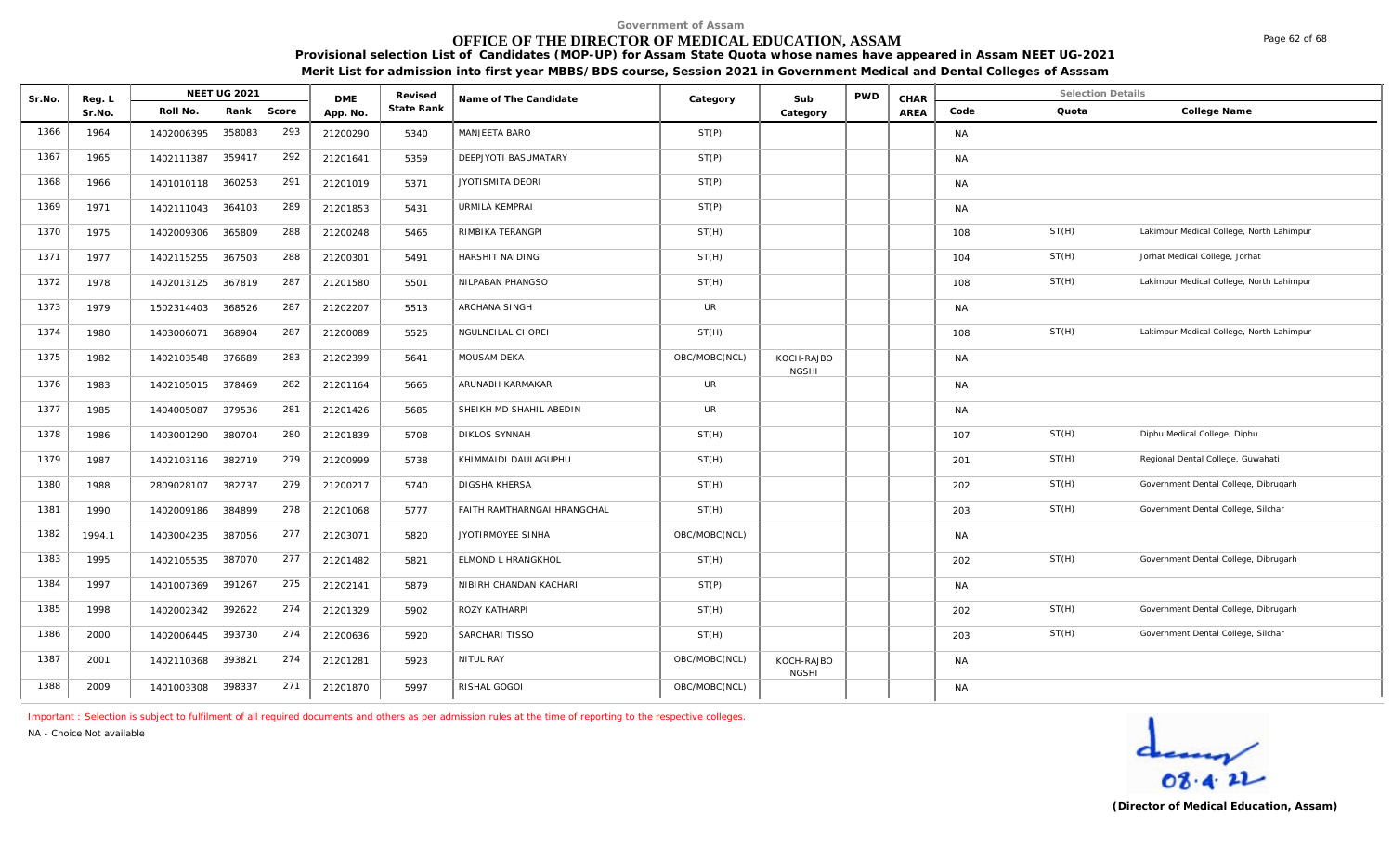# **OFFICE OF THE DIRECTOR OF MEDICAL EDUCATION, ASSAM**

**Provisional selection List of Candidates (MOP-UP) for Assam State Quota whose names have appeared in Assam NEET UG-2021 Merit List for admission into first year MBBS/BDS course, Session 2021 in Government Medical and Dental Colleges of Asssam**

| Sr.No. | Reg. L | <b>NEET UG 2021</b> |        | <b>DME</b> | Revised  | Name of The Candidate | Category                    | Sub           | <b>PWD</b>                 | CHAR |      | <b>Selection Details</b> |       |                                          |
|--------|--------|---------------------|--------|------------|----------|-----------------------|-----------------------------|---------------|----------------------------|------|------|--------------------------|-------|------------------------------------------|
|        | Sr.No. | Roll No.            | Rank   | Score      | App. No. | State Rank            |                             |               | Category                   |      | AREA | Code                     | Quota | College Name                             |
| 1366   | 1964   | 1402006395          | 358083 | 293        | 21200290 | 5340                  | MANJEETA BARO               | ST(P)         |                            |      |      | <b>NA</b>                |       |                                          |
| 1367   | 1965   | 1402111387          | 359417 | 292        | 21201641 | 5359                  | DEEPJYOTI BASUMATARY        | ST(P)         |                            |      |      | <b>NA</b>                |       |                                          |
| 1368   | 1966   | 1401010118          | 360253 | 291        | 21201019 | 5371                  | JYOTISMITA DEORI            | ST(P)         |                            |      |      | <b>NA</b>                |       |                                          |
| 1369   | 1971   | 1402111043          | 364103 | 289        | 21201853 | 5431                  | URMILA KEMPRAI              | ST(P)         |                            |      |      | <b>NA</b>                |       |                                          |
| 1370   | 1975   | 1402009306          | 365809 | 288        | 21200248 | 5465                  | RIMBIKA TERANGPI            | ST(H)         |                            |      |      | 108                      | ST(H) | Lakimpur Medical College, North Lahimpur |
| 1371   | 1977   | 1402115255          | 367503 | 288        | 21200301 | 5491                  | HARSHIT NAIDING             | ST(H)         |                            |      |      | 104                      | ST(H) | Jorhat Medical College, Jorhat           |
| 1372   | 1978   | 1402013125          | 367819 | 287        | 21201580 | 5501                  | NILPABAN PHANGSO            | ST(H)         |                            |      |      | 108                      | ST(H) | Lakimpur Medical College, North Lahimpur |
| 1373   | 1979   | 1502314403          | 368526 | 287        | 21202207 | 5513                  | ARCHANA SINGH               | UR            |                            |      |      | <b>NA</b>                |       |                                          |
| 1374   | 1980   | 1403006071          | 368904 | 287        | 21200089 | 5525                  | NGULNEILAL CHOREI           | ST(H)         |                            |      |      | 108                      | ST(H) | Lakimpur Medical College, North Lahimpur |
| 1375   | 1982   | 1402103548          | 376689 | 283        | 21202399 | 5641                  | <b>MOUSAM DEKA</b>          | OBC/MOBC(NCL) | KOCH-RAJBO<br><b>NGSHI</b> |      |      | <b>NA</b>                |       |                                          |
| 1376   | 1983   | 1402105015          | 378469 | 282        | 21201164 | 5665                  | ARUNABH KARMAKAR            | UR            |                            |      |      | <b>NA</b>                |       |                                          |
| 1377   | 1985   | 1404005087          | 379536 | 281        | 21201426 | 5685                  | SHEIKH MD SHAHIL ABEDIN     | UR            |                            |      |      | <b>NA</b>                |       |                                          |
| 1378   | 1986   | 1403001290          | 380704 | 280        | 21201839 | 5708                  | <b>DIKLOS SYNNAH</b>        | ST(H)         |                            |      |      | 107                      | ST(H) | Diphu Medical College, Diphu             |
| 1379   | 1987   | 1402103116          | 382719 | 279        | 21200999 | 5738                  | KHIMMAIDI DAULAGUPHU        | ST(H)         |                            |      |      | 201                      | ST(H) | Regional Dental College, Guwahati        |
| 1380   | 1988   | 2809028107          | 382737 | 279        | 21200217 | 5740                  | <b>DIGSHA KHERSA</b>        | ST(H)         |                            |      |      | 202                      | ST(H) | Government Dental College, Dibrugarh     |
| 1381   | 1990   | 1402009186          | 384899 | 278        | 21201068 | 5777                  | FAITH RAMTHARNGAI HRANGCHAL | ST(H)         |                            |      |      | 203                      | ST(H) | Government Dental College, Silchar       |
| 1382   | 1994.1 | 1403004235          | 387056 | 277        | 21203071 | 5820                  | JYOTIRMOYEE SINHA           | OBC/MOBC(NCL) |                            |      |      | <b>NA</b>                |       |                                          |
| 1383   | 1995   | 1402105535          | 387070 | 277        | 21201482 | 5821                  | ELMOND L HRANGKHOL          | ST(H)         |                            |      |      | 202                      | ST(H) | Government Dental College, Dibrugarh     |
| 1384   | 1997   | 1401007369          | 391267 | 275        | 21202141 | 5879                  | NIBIRH CHANDAN KACHARI      | ST(P)         |                            |      |      | <b>NA</b>                |       |                                          |
| 1385   | 1998   | 1402002342          | 392622 | 274        | 21201329 | 5902                  | ROZY KATHARPI               | ST(H)         |                            |      |      | 202                      | ST(H) | Government Dental College, Dibrugarh     |
| 1386   | 2000   | 1402006445          | 393730 | 274        | 21200636 | 5920                  | SARCHARI TISSO              | ST(H)         |                            |      |      | 203                      | ST(H) | Government Dental College, Silchar       |
| 1387   | 2001   | 1402110368          | 393821 | 274        | 21201281 | 5923                  | NITUL RAY                   | OBC/MOBC(NCL) | KOCH-RAJBO<br><b>NGSHI</b> |      |      | <b>NA</b>                |       |                                          |
| 1388   | 2009   | 1401003308          | 398337 | 271        | 21201870 | 5997                  | RISHAL GOGOI                | OBC/MOBC(NCL) |                            |      |      | <b>NA</b>                |       |                                          |

*Important : Selection is subject to fulfilment of all required documents and others as per admission rules at the time of reporting to the respective colleges.*

*NA - Choice Not available*

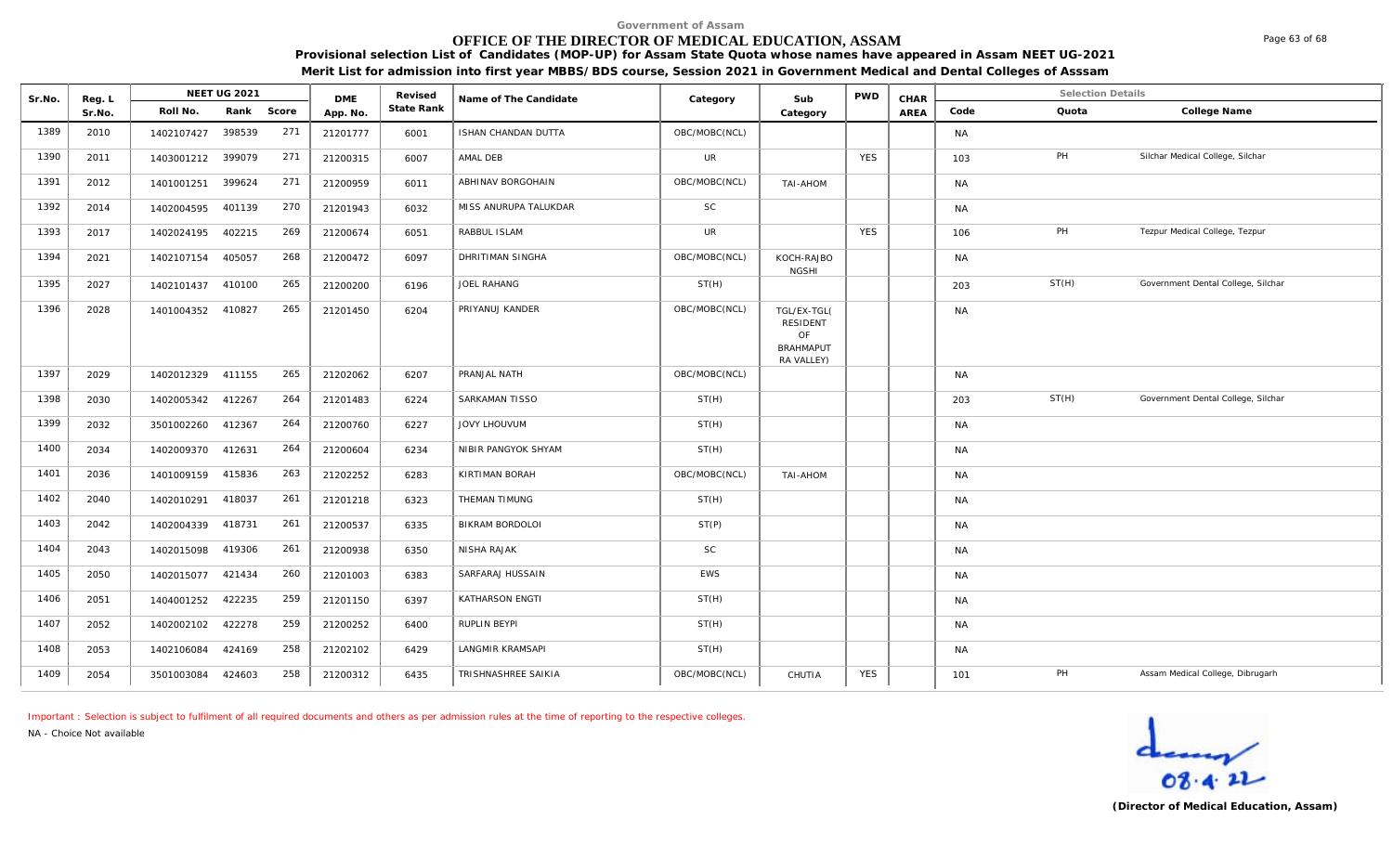## **OFFICE OF THE DIRECTOR OF MEDICAL EDUCATION, ASSAM**

**Provisional selection List of Candidates (MOP-UP) for Assam State Quota whose names have appeared in Assam NEET UG-2021 Merit List for admission into first year MBBS/BDS course, Session 2021 in Government Medical and Dental Colleges of Asssam**

| Sr.No. | Reg. L |                   | <b>NEET UG 2021</b> |       | <b>DME</b> | Revised    | Name of The Candidate | Category      | Sub                                                             | <b>PWD</b> | CHAR |           | <b>Selection Details</b> |                                    |
|--------|--------|-------------------|---------------------|-------|------------|------------|-----------------------|---------------|-----------------------------------------------------------------|------------|------|-----------|--------------------------|------------------------------------|
|        | Sr.No. | Roll No.          | Rank                | Score | App. No.   | State Rank |                       |               | Category                                                        |            | AREA | Code      | Quota                    | College Name                       |
| 1389   | 2010   | 1402107427        | 398539              | 271   | 21201777   | 6001       | ISHAN CHANDAN DUTTA   | OBC/MOBC(NCL) |                                                                 |            |      | <b>NA</b> |                          |                                    |
| 1390   | 2011   | 1403001212        | 399079              | 271   | 21200315   | 6007       | AMAL DEB              | UR            |                                                                 | <b>YES</b> |      | 103       | PH                       | Silchar Medical College, Silchar   |
| 1391   | 2012   | 1401001251        | 399624              | 271   | 21200959   | 6011       | ABHINAV BORGOHAIN     | OBC/MOBC(NCL) | TAI-AHOM                                                        |            |      | <b>NA</b> |                          |                                    |
| 1392   | 2014   | 1402004595        | 401139              | 270   | 21201943   | 6032       | MISS ANURUPA TALUKDAR | SC            |                                                                 |            |      | <b>NA</b> |                          |                                    |
| 1393   | 2017   | 1402024195        | 402215              | 269   | 21200674   | 6051       | RABBUL ISLAM          | UR            |                                                                 | <b>YES</b> |      | 106       | PH                       | Tezpur Medical College, Tezpur     |
| 1394   | 2021   | 1402107154        | 405057              | 268   | 21200472   | 6097       | DHRITIMAN SINGHA      | OBC/MOBC(NCL) | KOCH-RAJBO<br><b>NGSHI</b>                                      |            |      | <b>NA</b> |                          |                                    |
| 1395   | 2027   | 1402101437 410100 |                     | 265   | 21200200   | 6196       | JOEL RAHANG           | ST(H)         |                                                                 |            |      | 203       | ST(H)                    | Government Dental College, Silchar |
| 1396   | 2028   | 1401004352        | 410827              | 265   | 21201450   | 6204       | PRIYANUJ KANDER       | OBC/MOBC(NCL) | TGL/EX-TGL(<br>RESIDENT<br>OF<br><b>BRAHMAPUT</b><br>RA VALLEY) |            |      | <b>NA</b> |                          |                                    |
| 1397   | 2029   | 1402012329        | 411155              | 265   | 21202062   | 6207       | PRANJAL NATH          | OBC/MOBC(NCL) |                                                                 |            |      | <b>NA</b> |                          |                                    |
| 1398   | 2030   | 1402005342        | 412267              | 264   | 21201483   | 6224       | SARKAMAN TISSO        | ST(H)         |                                                                 |            |      | 203       | ST(H)                    | Government Dental College, Silchar |
| 1399   | 2032   | 3501002260        | 412367              | 264   | 21200760   | 6227       | JOVY LHOUVUM          | ST(H)         |                                                                 |            |      | <b>NA</b> |                          |                                    |
| 1400   | 2034   | 1402009370        | 412631              | 264   | 21200604   | 6234       | NIBIR PANGYOK SHYAM   | ST(H)         |                                                                 |            |      | <b>NA</b> |                          |                                    |
| 1401   | 2036   | 1401009159        | 415836              | 263   | 21202252   | 6283       | KIRTIMAN BORAH        | OBC/MOBC(NCL) | MOHA-IAT                                                        |            |      | <b>NA</b> |                          |                                    |
| 1402   | 2040   | 1402010291        | 418037              | 261   | 21201218   | 6323       | THEMAN TIMUNG         | ST(H)         |                                                                 |            |      | <b>NA</b> |                          |                                    |
| 1403   | 2042   | 1402004339        | 418731              | 261   | 21200537   | 6335       | BIKRAM BORDOLOI       | ST(P)         |                                                                 |            |      | <b>NA</b> |                          |                                    |
| 1404   | 2043   | 1402015098        | 419306              | 261   | 21200938   | 6350       | NISHA RAJAK           | <b>SC</b>     |                                                                 |            |      | <b>NA</b> |                          |                                    |
| 1405   | 2050   | 1402015077        | 421434              | 260   | 21201003   | 6383       | SARFARAJ HUSSAIN      | <b>EWS</b>    |                                                                 |            |      | <b>NA</b> |                          |                                    |
| 1406   | 2051   | 1404001252        | 422235              | 259   | 21201150   | 6397       | KATHARSON ENGTI       | ST(H)         |                                                                 |            |      | <b>NA</b> |                          |                                    |
| 1407   | 2052   | 1402002102        | 422278              | 259   | 21200252   | 6400       | RUPLIN BEYPI          | ST(H)         |                                                                 |            |      | <b>NA</b> |                          |                                    |
| 1408   | 2053   | 1402106084        | 424169              | 258   | 21202102   | 6429       | LANGMIR KRAMSAPI      | ST(H)         |                                                                 |            |      | <b>NA</b> |                          |                                    |
| 1409   | 2054   | 3501003084        | 424603              | 258   | 21200312   | 6435       | TRISHNASHREE SAIKIA   | OBC/MOBC(NCL) | CHUTIA                                                          | <b>YES</b> |      | 101       | PH                       | Assam Medical College, Dibrugarh   |

*Important : Selection is subject to fulfilment of all required documents and others as per admission rules at the time of reporting to the respective colleges.*

*NA - Choice Not available*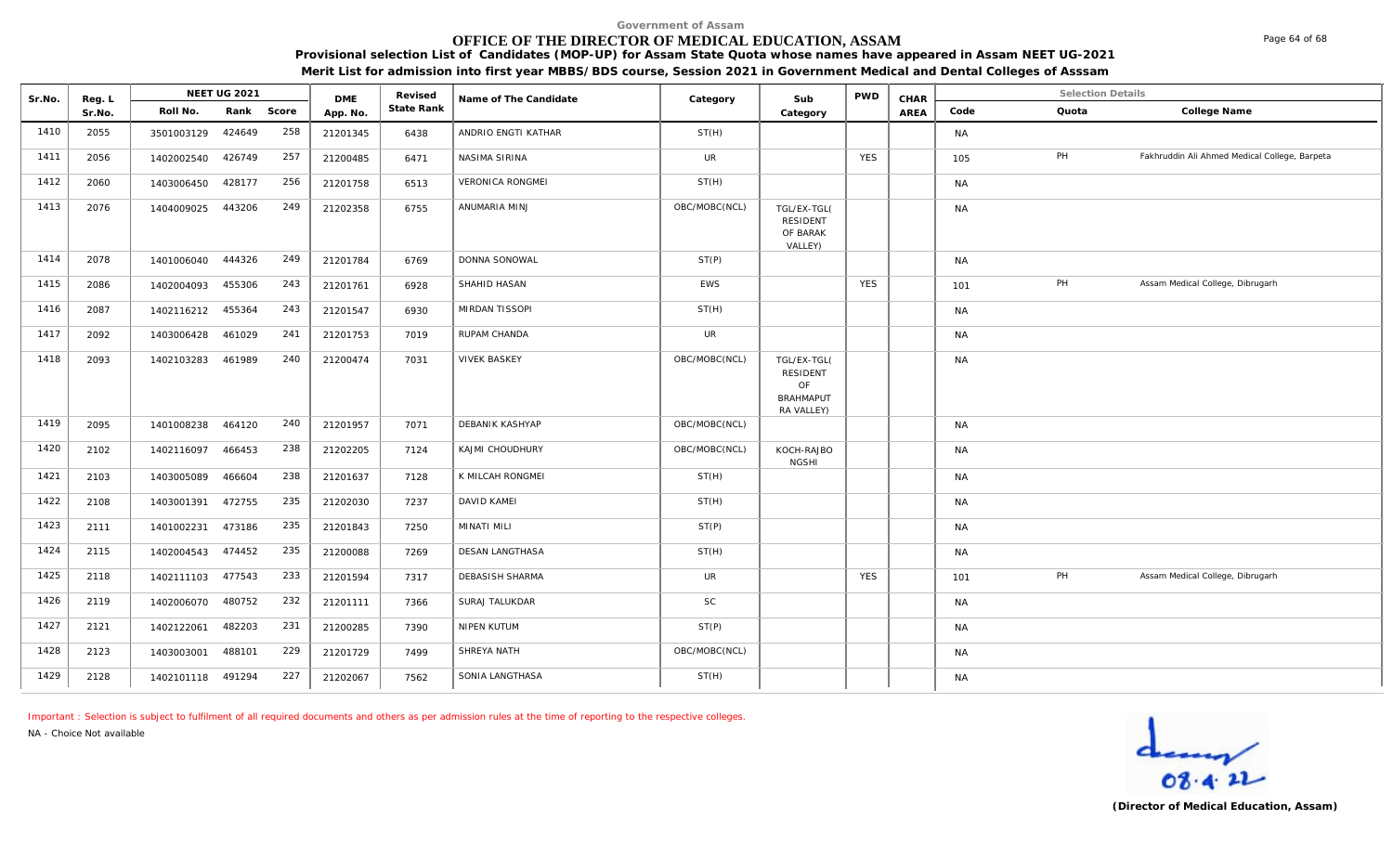# **OFFICE OF THE DIRECTOR OF MEDICAL EDUCATION, ASSAM**

**Provisional selection List of Candidates (MOP-UP) for Assam State Quota whose names have appeared in Assam NEET UG-2021 Merit List for admission into first year MBBS/BDS course, Session 2021 in Government Medical and Dental Colleges of Asssam**

| Sr.No. | Reg. L | NEET UG 2021      |        |            |                        | Revised    | Name of The Candidate   | Category      | Sub                                                             | <b>PWD</b> | CHAR | <b>Selection Details</b> |       |                                               |
|--------|--------|-------------------|--------|------------|------------------------|------------|-------------------------|---------------|-----------------------------------------------------------------|------------|------|--------------------------|-------|-----------------------------------------------|
|        | Sr.No. | Roll No.          |        | Rank Score | <b>DMF</b><br>App. No. | State Rank |                         |               | Category                                                        |            | AREA | Code                     | Quota | College Name                                  |
| 1410   | 2055   | 3501003129        | 424649 | 258        | 21201345               | 6438       | ANDRIO ENGTI KATHAR     | ST(H)         |                                                                 |            |      | <b>NA</b>                |       |                                               |
| 1411   | 2056   | 1402002540        | 426749 | 257        | 21200485               | 6471       | NASIMA SIRINA           | <b>UR</b>     |                                                                 | <b>YES</b> |      | 105                      | PH    | Fakhruddin Ali Ahmed Medical College, Barpeta |
| 1412   | 2060   | 1403006450        | 428177 | 256        | 21201758               | 6513       | <b>VERONICA RONGMEI</b> | ST(H)         |                                                                 |            |      | <b>NA</b>                |       |                                               |
| 1413   | 2076   | 1404009025        | 443206 | 249        | 21202358               | 6755       | ANUMARIA MINJ           | OBC/MOBC(NCL) | TGL/EX-TGL(<br><b>RESIDENT</b><br>OF BARAK<br>VALLEY)           |            |      | <b>NA</b>                |       |                                               |
| 1414   | 2078   | 1401006040        | 444326 | 249        | 21201784               | 6769       | DONNA SONOWAL           | ST(P)         |                                                                 |            |      | <b>NA</b>                |       |                                               |
| 1415   | 2086   | 1402004093        | 455306 | 243        | 21201761               | 6928       | SHAHID HASAN            | EWS           |                                                                 | <b>YES</b> |      | 101                      | PH    | Assam Medical College, Dibrugarh              |
| 1416   | 2087   | 1402116212        | 455364 | 243        | 21201547               | 6930       | MIRDAN TISSOPI          | ST(H)         |                                                                 |            |      | <b>NA</b>                |       |                                               |
| 1417   | 2092   | 1403006428        | 461029 | 241        | 21201753               | 7019       | <b>RUPAM CHANDA</b>     | <b>UR</b>     |                                                                 |            |      | <b>NA</b>                |       |                                               |
| 1418   | 2093   | 1402103283        | 461989 | 240        | 21200474               | 7031       | <b>VIVEK BASKEY</b>     | OBC/MOBC(NCL) | TGL/EX-TGL(<br>RESIDENT<br>OF<br><b>BRAHMAPUT</b><br>RA VALLEY) |            |      | <b>NA</b>                |       |                                               |
| 1419   | 2095   | 1401008238        | 464120 | 240        | 21201957               | 7071       | DEBANIK KASHYAP         | OBC/MOBC(NCL) |                                                                 |            |      | <b>NA</b>                |       |                                               |
| 1420   | 2102   | 1402116097        | 466453 | 238        | 21202205               | 7124       | KAJMI CHOUDHURY         | OBC/MOBC(NCL) | KOCH-RAJBO<br><b>NGSHI</b>                                      |            |      | <b>NA</b>                |       |                                               |
| 1421   | 2103   | 1403005089        | 466604 | 238        | 21201637               | 7128       | K MILCAH RONGMEI        | ST(H)         |                                                                 |            |      | <b>NA</b>                |       |                                               |
| 1422   | 2108   | 1403001391        | 472755 | 235        | 21202030               | 7237       | DAVID KAMEI             | ST(H)         |                                                                 |            |      | <b>NA</b>                |       |                                               |
| 1423   | 2111   | 1401002231        | 473186 | 235        | 21201843               | 7250       | MINATI MILI             | ST(P)         |                                                                 |            |      | <b>NA</b>                |       |                                               |
| 1424   | 2115   | 1402004543        | 474452 | 235        | 21200088               | 7269       | <b>DESAN LANGTHASA</b>  | ST(H)         |                                                                 |            |      | <b>NA</b>                |       |                                               |
| 1425   | 2118   | 1402111103        | 477543 | 233        | 21201594               | 7317       | DEBASISH SHARMA         | UR            |                                                                 | <b>YES</b> |      | 101                      | PH    | Assam Medical College, Dibrugarh              |
| 1426   | 2119   | 1402006070        | 480752 | 232        | 21201111               | 7366       | SURAJ TALUKDAR          | <b>SC</b>     |                                                                 |            |      | <b>NA</b>                |       |                                               |
| 1427   | 2121   | 1402122061        | 482203 | 231        | 21200285               | 7390       | NIPEN KUTUM             | ST(P)         |                                                                 |            |      | <b>NA</b>                |       |                                               |
| 1428   | 2123   | 1403003001        | 488101 | 229        | 21201729               | 7499       | SHREYA NATH             | OBC/MOBC(NCL) |                                                                 |            |      | <b>NA</b>                |       |                                               |
| 1429   | 2128   | 1402101118 491294 |        | 227        | 21202067               | 7562       | SONIA LANGTHASA         | ST(H)         |                                                                 |            |      | <b>NA</b>                |       |                                               |

*Important : Selection is subject to fulfilment of all required documents and others as per admission rules at the time of reporting to the respective colleges.*

*NA - Choice Not available*



Page 64 of 68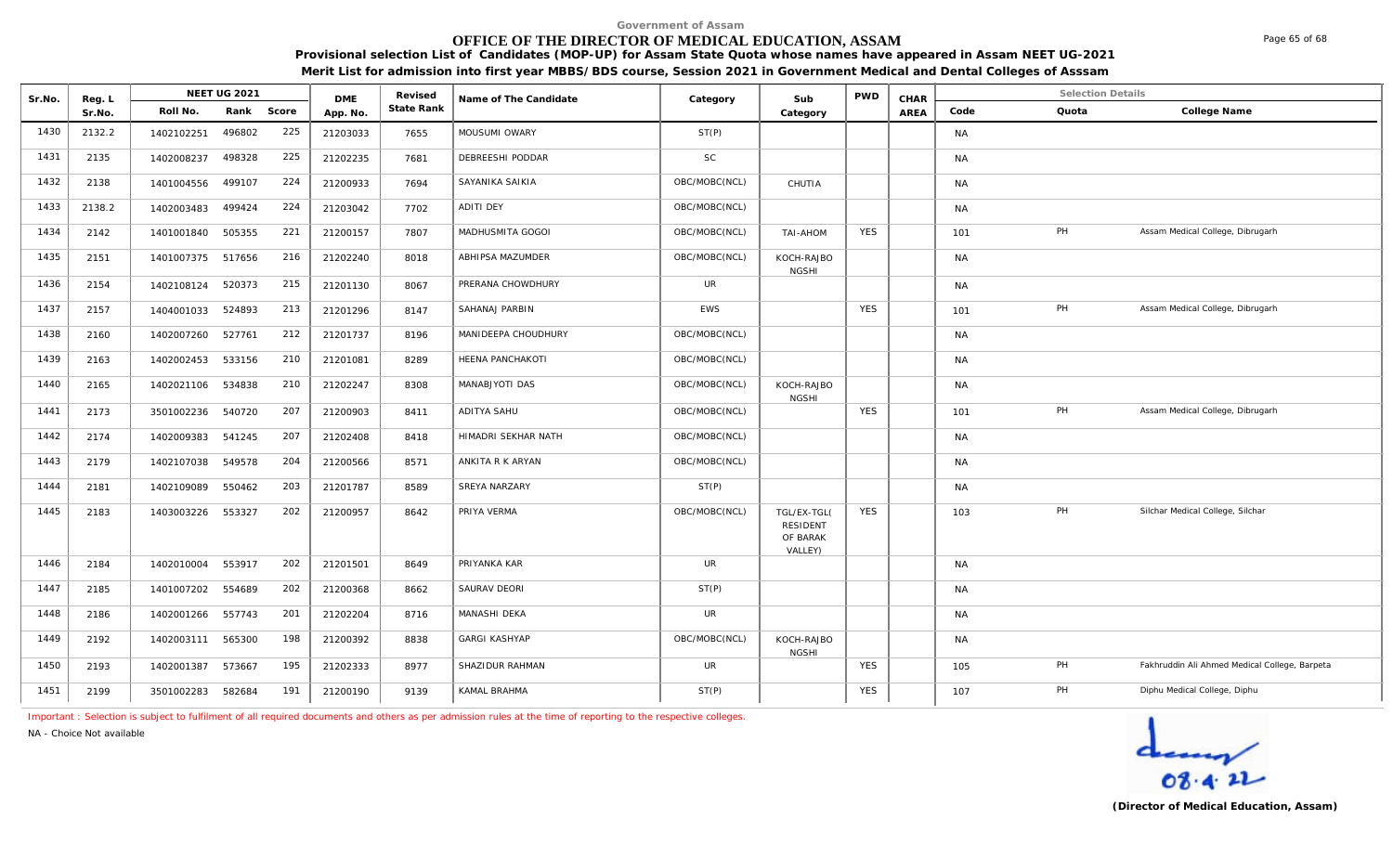# **OFFICE OF THE DIRECTOR OF MEDICAL EDUCATION, ASSAM**

**Provisional selection List of Candidates (MOP-UP) for Assam State Quota whose names have appeared in Assam NEET UG-2021 Merit List for admission into first year MBBS/BDS course, Session 2021 in Government Medical and Dental Colleges of Asssam**

| Sr.No. | Reg. L | <b>NEET UG 2021</b> |        |       |                        | Revised    | Name of The Candidate | Category      | Sub                                                   | <b>PWD</b> | CHAR |           |       | <b>Selection Details</b>                      |  |
|--------|--------|---------------------|--------|-------|------------------------|------------|-----------------------|---------------|-------------------------------------------------------|------------|------|-----------|-------|-----------------------------------------------|--|
|        | Sr.No. | Roll No.            | Rank   | Score | <b>DME</b><br>App. No. | State Rank |                       |               | Category                                              |            | AREA | Code      | Quota | College Name                                  |  |
| 1430   | 2132.2 | 1402102251          | 496802 | 225   | 21203033               | 7655       | MOUSUMI OWARY         | ST(P)         |                                                       |            |      | <b>NA</b> |       |                                               |  |
| 1431   | 2135   | 1402008237          | 498328 | 225   | 21202235               | 7681       | DEBREESHI PODDAR      | <b>SC</b>     |                                                       |            |      | <b>NA</b> |       |                                               |  |
| 1432   | 2138   | 1401004556          | 499107 | 224   | 21200933               | 7694       | SAYANIKA SAIKIA       | OBC/MOBC(NCL) | CHUTIA                                                |            |      | <b>NA</b> |       |                                               |  |
| 1433   | 2138.2 | 1402003483          | 499424 | 224   | 21203042               | 7702       | ADITI DEY             | OBC/MOBC(NCL) |                                                       |            |      | <b>NA</b> |       |                                               |  |
| 1434   | 2142   | 1401001840          | 505355 | 221   | 21200157               | 7807       | MADHUSMITA GOGOI      | OBC/MOBC(NCL) | <b>NOHA-IAT</b>                                       | <b>YES</b> |      | 101       | PH    | Assam Medical College, Dibrugarh              |  |
| 1435   | 2151   | 1401007375 517656   |        | 216   | 21202240               | 8018       | ABHIPSA MAZUMDER      | OBC/MOBC(NCL) | KOCH-RAJBO<br><b>NGSHI</b>                            |            |      | <b>NA</b> |       |                                               |  |
| 1436   | 2154   | 1402108124          | 520373 | 215   | 21201130               | 8067       | PRERANA CHOWDHURY     | <b>UR</b>     |                                                       |            |      | <b>NA</b> |       |                                               |  |
| 1437   | 2157   | 1404001033          | 524893 | 213   | 21201296               | 8147       | SAHANAJ PARBIN        | EWS           |                                                       | <b>YES</b> |      | 101       | PH    | Assam Medical College, Dibrugarh              |  |
| 1438   | 2160   | 1402007260          | 527761 | 212   | 21201737               | 8196       | MANIDEEPA CHOUDHURY   | OBC/MOBC(NCL) |                                                       |            |      | <b>NA</b> |       |                                               |  |
| 1439   | 2163   | 1402002453          | 533156 | 210   | 21201081               | 8289       | HEENA PANCHAKOTI      | OBC/MOBC(NCL) |                                                       |            |      | <b>NA</b> |       |                                               |  |
| 1440   | 2165   | 1402021106          | 534838 | 210   | 21202247               | 8308       | MANABJYOTI DAS        | OBC/MOBC(NCL) | KOCH-RAJBO<br><b>NGSHI</b>                            |            |      | <b>NA</b> |       |                                               |  |
| 1441   | 2173   | 3501002236          | 540720 | 207   | 21200903               | 8411       | ADITYA SAHU           | OBC/MOBC(NCL) |                                                       | <b>YES</b> |      | 101       | PH    | Assam Medical College, Dibrugarh              |  |
| 1442   | 2174   | 1402009383          | 541245 | 207   | 21202408               | 8418       | HIMADRI SEKHAR NATH   | OBC/MOBC(NCL) |                                                       |            |      | <b>NA</b> |       |                                               |  |
| 1443   | 2179   | 1402107038          | 549578 | 204   | 21200566               | 8571       | ANKITA R K ARYAN      | OBC/MOBC(NCL) |                                                       |            |      | <b>NA</b> |       |                                               |  |
| 1444   | 2181   | 1402109089          | 550462 | 203   | 21201787               | 8589       | SREYA NARZARY         | ST(P)         |                                                       |            |      | <b>NA</b> |       |                                               |  |
| 1445   | 2183   | 1403003226          | 553327 | 202   | 21200957               | 8642       | PRIYA VERMA           | OBC/MOBC(NCL) | TGL/EX-TGL(<br><b>RESIDENT</b><br>OF BARAK<br>VALLEY) | <b>YES</b> |      | 103       | PH    | Silchar Medical College, Silchar              |  |
| 1446   | 2184   | 1402010004          | 553917 | 202   | 21201501               | 8649       | PRIYANKA KAR          | <b>UR</b>     |                                                       |            |      | <b>NA</b> |       |                                               |  |
| 1447   | 2185   | 1401007202          | 554689 | 202   | 21200368               | 8662       | SAURAV DEORI          | ST(P)         |                                                       |            |      | <b>NA</b> |       |                                               |  |
| 1448   | 2186   | 1402001266          | 557743 | 201   | 21202204               | 8716       | MANASHI DEKA          | <b>UR</b>     |                                                       |            |      | <b>NA</b> |       |                                               |  |
| 1449   | 2192   | 1402003111          | 565300 | 198   | 21200392               | 8838       | <b>GARGI KASHYAP</b>  | OBC/MOBC(NCL) | KOCH-RAJBO<br><b>NGSHI</b>                            |            |      | <b>NA</b> |       |                                               |  |
| 1450   | 2193   | 1402001387          | 573667 | 195   | 21202333               | 8977       | SHAZIDUR RAHMAN       | UR            |                                                       | <b>YES</b> |      | 105       | PH    | Fakhruddin Ali Ahmed Medical College, Barpeta |  |
| 1451   | 2199   | 3501002283          | 582684 | 191   | 21200190               | 9139       | KAMAL BRAHMA          | ST(P)         |                                                       | <b>YES</b> |      | 107       | PH    | Diphu Medical College, Diphu                  |  |

*Important : Selection is subject to fulfilment of all required documents and others as per admission rules at the time of reporting to the respective colleges.*

*NA - Choice Not available*



Page 65 of 68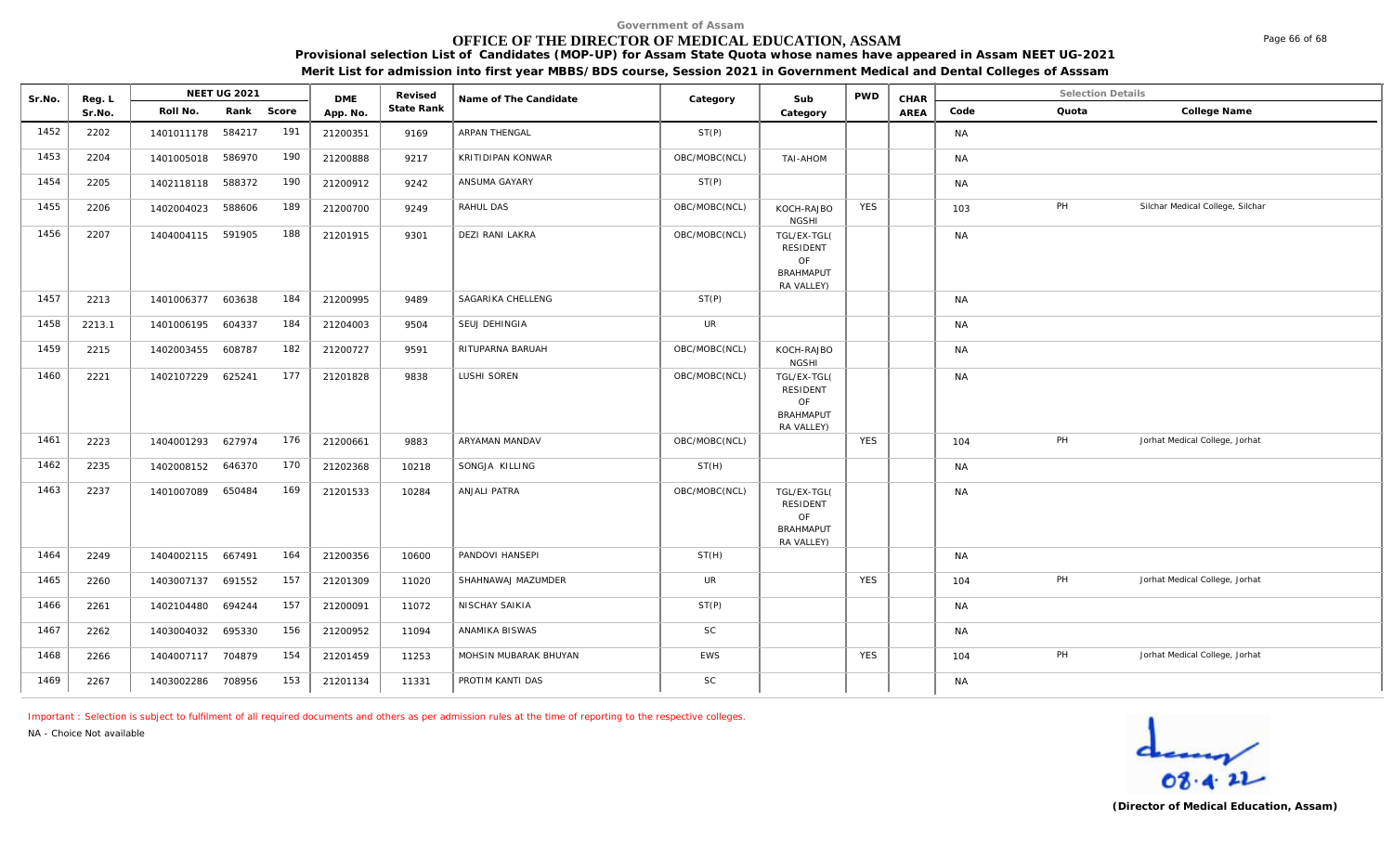## **OFFICE OF THE DIRECTOR OF MEDICAL EDUCATION, ASSAM**

**Provisional selection List of Candidates (MOP-UP) for Assam State Quota whose names have appeared in Assam NEET UG-2021 Merit List for admission into first year MBBS/BDS course, Session 2021 in Government Medical and Dental Colleges of Asssam**

| Sr.No. | Reg. L | <b>NEET UG 2021</b> |            | <b>DME</b> | Revised  | Name of The Candidate | Sub<br>Category        |               | <b>PWD</b>                                                             | CHAR       |      | <b>Selection Details</b> |       |                                  |
|--------|--------|---------------------|------------|------------|----------|-----------------------|------------------------|---------------|------------------------------------------------------------------------|------------|------|--------------------------|-------|----------------------------------|
|        | Sr.No. | Roll No.            | Rank Score |            | App. No. | State Rank            |                        |               | Category                                                               |            | AREA | Code                     | Quota | College Name                     |
| 1452   | 2202   | 1401011178 584217   |            | 191        | 21200351 | 9169                  | ARPAN THENGAL          | ST(P)         |                                                                        |            |      | <b>NA</b>                |       |                                  |
| 1453   | 2204   | 1401005018 586970   |            | 190        | 21200888 | 9217                  | KRITIDIPAN KONWAR      | OBC/MOBC(NCL) | TAI-AHOM                                                               |            |      | <b>NA</b>                |       |                                  |
| 1454   | 2205   | 1402118118 588372   |            | 190        | 21200912 | 9242                  | ANSUMA GAYARY          | ST(P)         |                                                                        |            |      | <b>NA</b>                |       |                                  |
| 1455   | 2206   | 1402004023          | 588606     | 189        | 21200700 | 9249                  | RAHUL DAS              | OBC/MOBC(NCL) | KOCH-RAJBO<br><b>NGSHI</b>                                             | <b>YES</b> |      | 103                      | PH    | Silchar Medical College, Silchar |
| 1456   | 2207   | 1404004115 591905   |            | 188        | 21201915 | 9301                  | <b>DEZI RANI LAKRA</b> | OBC/MOBC(NCL) | TGL/EX-TGL(<br>RESIDENT<br>OF<br><b>BRAHMAPUT</b>                      |            |      | <b>NA</b>                |       |                                  |
|        |        |                     |            |            |          |                       |                        |               | RA VALLEY)                                                             |            |      |                          |       |                                  |
| 1457   | 2213   | 1401006377 603638   |            | 184        | 21200995 | 9489                  | SAGARIKA CHELLENG      | ST(P)         |                                                                        |            |      | <b>NA</b>                |       |                                  |
| 1458   | 2213.1 | 1401006195 604337   |            | 184        | 21204003 | 9504                  | SEUJ DEHINGIA          | <b>UR</b>     |                                                                        |            |      | <b>NA</b>                |       |                                  |
| 1459   | 2215   | 1402003455 608787   |            | 182        | 21200727 | 9591                  | RITUPARNA BARUAH       | OBC/MOBC(NCL) | KOCH-RAJBO<br><b>NGSHI</b>                                             |            |      | <b>NA</b>                |       |                                  |
| 1460   | 2221   | 1402107229          | 625241     | 177        | 21201828 | 9838                  | LUSHI SOREN            | OBC/MOBC(NCL) | TGL/EX-TGL(<br><b>RESIDENT</b><br>OF<br><b>BRAHMAPUT</b><br>RA VALLEY) |            |      | <b>NA</b>                |       |                                  |
| 1461   | 2223   | 1404001293 627974   |            | 176        | 21200661 | 9883                  | ARYAMAN MANDAV         | OBC/MOBC(NCL) |                                                                        | <b>YES</b> |      | 104                      | PH    | Jorhat Medical College, Jorhat   |
| 1462   | 2235   | 1402008152 646370   |            | 170        | 21202368 | 10218                 | SONGJA KILLING         | ST(H)         |                                                                        |            |      | <b>NA</b>                |       |                                  |
| 1463   | 2237   | 1401007089          | 650484     | 169        | 21201533 | 10284                 | ANJALI PATRA           | OBC/MOBC(NCL) | TGL/EX-TGL(<br>RESIDENT<br>OF<br><b>BRAHMAPUT</b><br>RA VALLEY)        |            |      | <b>NA</b>                |       |                                  |
| 1464   | 2249   | 1404002115 667491   |            | 164        | 21200356 | 10600                 | PANDOVI HANSEPI        | ST(H)         |                                                                        |            |      | <b>NA</b>                |       |                                  |
| 1465   | 2260   | 1403007137 691552   |            | 157        | 21201309 | 11020                 | SHAHNAWAJ MAZUMDER     | UR            |                                                                        | <b>YES</b> |      | 104                      | PH    | Jorhat Medical College, Jorhat   |
| 1466   | 2261   | 1402104480          | 694244     | 157        | 21200091 | 11072                 | NISCHAY SAIKIA         | ST(P)         |                                                                        |            |      | <b>NA</b>                |       |                                  |
| 1467   | 2262   | 1403004032 695330   |            | 156        | 21200952 | 11094                 | ANAMIKA BISWAS         | <b>SC</b>     |                                                                        |            |      | <b>NA</b>                |       |                                  |
| 1468   | 2266   | 1404007117 704879   |            | 154        | 21201459 | 11253                 | MOHSIN MUBARAK BHUYAN  | EWS           |                                                                        | <b>YES</b> |      | 104                      | PH    | Jorhat Medical College, Jorhat   |
| 1469   | 2267   | 1403002286          | 708956     | 153        | 21201134 | 11331                 | PROTIM KANTI DAS       | $\mathsf{SC}$ |                                                                        |            |      | <b>NA</b>                |       |                                  |

*Important : Selection is subject to fulfilment of all required documents and others as per admission rules at the time of reporting to the respective colleges.*

*NA - Choice Not available*

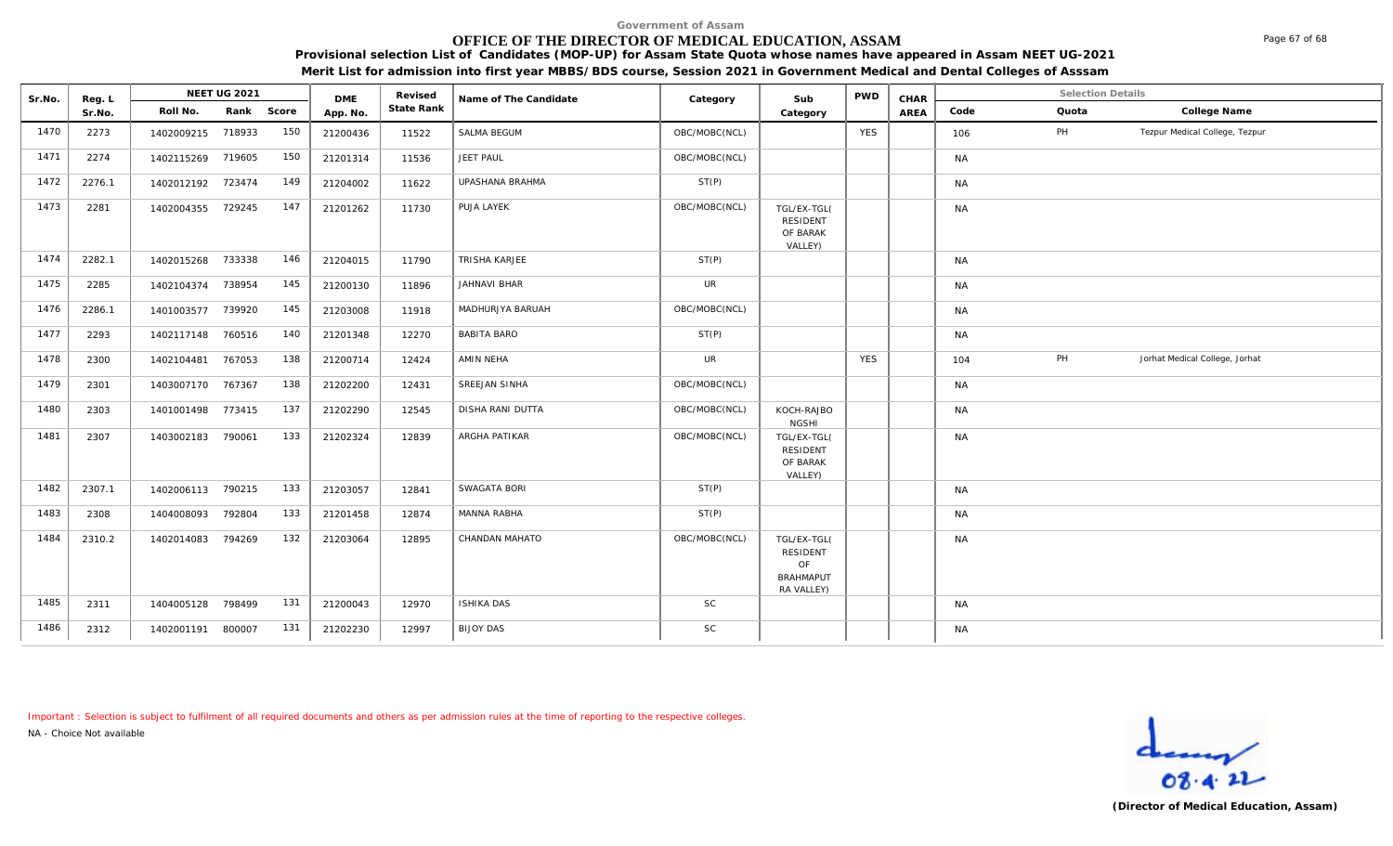# **OFFICE OF THE DIRECTOR OF MEDICAL EDUCATION, ASSAM**

**Provisional selection List of Candidates (MOP-UP) for Assam State Quota whose names have appeared in Assam NEET UG-2021 Merit List for admission into first year MBBS/BDS course, Session 2021 in Government Medical and Dental Colleges of Asssam**

| Sr.No. | Reg. L |                   | NEET UG 2021 |            | <b>DME</b> | Revised    | Name of The Candidate | Category      | Sub                                                             | <b>PWD</b> | CHAR |           | <b>Selection Details</b> |                                |
|--------|--------|-------------------|--------------|------------|------------|------------|-----------------------|---------------|-----------------------------------------------------------------|------------|------|-----------|--------------------------|--------------------------------|
|        | Sr.No. | Roll No.          |              | Rank Score | App. No.   | State Rank |                       |               | Category                                                        |            | AREA | Code      | Quota                    | College Name                   |
| 1470   | 2273   | 1402009215 718933 |              | 150        | 21200436   | 11522      | SALMA BEGUM           | OBC/MOBC(NCL) |                                                                 | <b>YES</b> |      | 106       | PH                       | Tezpur Medical College, Tezpur |
| 1471   | 2274   | 1402115269 719605 |              | 150        | 21201314   | 11536      | JEET PAUL             | OBC/MOBC(NCL) |                                                                 |            |      | <b>NA</b> |                          |                                |
| 1472   | 2276.1 | 1402012192 723474 |              | 149        | 21204002   | 11622      | UPASHANA BRAHMA       | ST(P)         |                                                                 |            |      | <b>NA</b> |                          |                                |
| 1473   | 2281   | 1402004355 729245 |              | 147        | 21201262   | 11730      | PUJA LAYEK            | OBC/MOBC(NCL) | TGL/EX-TGL(<br>RESIDENT<br>OF BARAK<br>VALLEY)                  |            |      | <b>NA</b> |                          |                                |
| 1474   | 2282.1 | 1402015268 733338 |              | 146        | 21204015   | 11790      | TRISHA KARJEE         | ST(P)         |                                                                 |            |      | <b>NA</b> |                          |                                |
| 1475   | 2285   | 1402104374        | 738954       | 145        | 21200130   | 11896      | JAHNAVI BHAR          | <b>UR</b>     |                                                                 |            |      | <b>NA</b> |                          |                                |
| 1476   | 2286.1 | 1401003577        | 739920       | 145        | 21203008   | 11918      | MADHURJYA BARUAH      | OBC/MOBC(NCL) |                                                                 |            |      | <b>NA</b> |                          |                                |
| 1477   | 2293   | 1402117148 760516 |              | 140        | 21201348   | 12270      | <b>BABITA BARO</b>    | ST(P)         |                                                                 |            |      | <b>NA</b> |                          |                                |
| 1478   | 2300   | 1402104481        | 767053       | 138        | 21200714   | 12424      | AMIN NEHA             | <b>UR</b>     |                                                                 | <b>YES</b> |      | 104       | PH                       | Jorhat Medical College, Jorhat |
| 1479   | 2301   | 1403007170 767367 |              | 138        | 21202200   | 12431      | SREEJAN SINHA         | OBC/MOBC(NCL) |                                                                 |            |      | <b>NA</b> |                          |                                |
| 1480   | 2303   | 1401001498 773415 |              | 137        | 21202290   | 12545      | DISHA RANI DUTTA      | OBC/MOBC(NCL) | KOCH-RAJBO<br><b>NGSHI</b>                                      |            |      | <b>NA</b> |                          |                                |
| 1481   | 2307   | 1403002183        | 790061       | 133        | 21202324   | 12839      | ARGHA PATIKAR         | OBC/MOBC(NCL) | TGL/EX-TGL(<br><b>RESIDENT</b><br>OF BARAK<br>VALLEY)           |            |      | <b>NA</b> |                          |                                |
| 1482   | 2307.1 | 1402006113 790215 |              | 133        | 21203057   | 12841      | SWAGATA BORI          | ST(P)         |                                                                 |            |      | <b>NA</b> |                          |                                |
| 1483   | 2308   | 1404008093        | 792804       | 133        | 21201458   | 12874      | MANNA RABHA           | ST(P)         |                                                                 |            |      | <b>NA</b> |                          |                                |
| 1484   | 2310.2 | 1402014083        | 794269       | 132        | 21203064   | 12895      | CHANDAN MAHATO        | OBC/MOBC(NCL) | TGL/EX-TGL(<br>RESIDENT<br>OF<br><b>BRAHMAPUT</b><br>RA VALLEY) |            |      | <b>NA</b> |                          |                                |
| 1485   | 2311   | 1404005128 798499 |              | 131        | 21200043   | 12970      | <b>ISHIKA DAS</b>     | $\mathsf{SC}$ |                                                                 |            |      | <b>NA</b> |                          |                                |
| 1486   | 2312   | 1402001191 800007 |              | 131        | 21202230   | 12997      | <b>BIJOY DAS</b>      | $\mathsf{SC}$ |                                                                 |            |      | <b>NA</b> |                          |                                |

*Important : Selection is subject to fulfilment of all required documents and others as per admission rules at the time of reporting to the respective colleges.*

*NA - Choice Not available*



Page 67 of 68